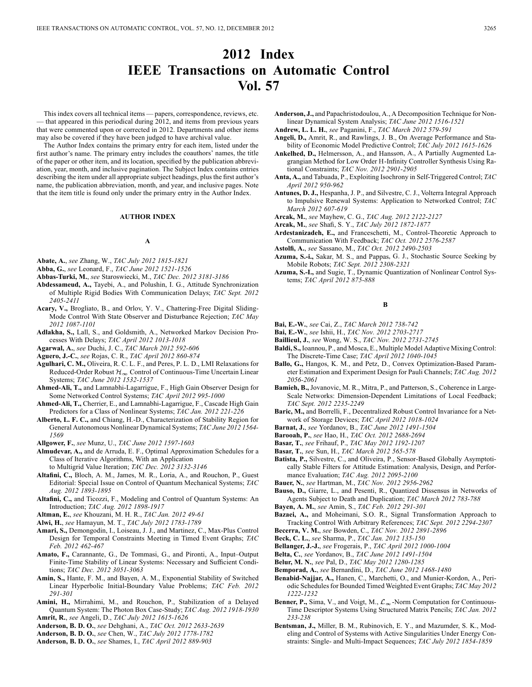# **2012 Index IEEE Transactions on Automatic Control Vol. 57**

This index covers all technical items — papers, correspondence, reviews, etc. — that appeared in this periodical during 2012, and items from previous years that were commented upon or corrected in 2012. Departments and other items may also be covered if they have been judged to have archival value.

The Author Index contains the primary entry for each item, listed under the first author's name. The primary entry includes the coauthors' names, the title of the paper or other item, and its location, specified by the publication abbreviation, year, month, and inclusive pagination. The Subject Index contains entries describing the item under all appropriate subject headings, plus the first author's name, the publication abbreviation, month, and year, and inclusive pages. Note that the item title is found only under the primary entry in the Author Index.

### **AUTHOR INDEX**

### **A**

- **Abate, A.**, *see* Zhang, W., *TAC July 2012 1815-1821*
- **Abba, G.**, *see* Leonard, F., *TAC June 2012 1521-1526*
- **Abbas-Turki, M.**, *see* Staroswiecki, M., *TAC Dec. 2012 3181-3186*
- **Abdessameud, A.,** Tayebi, A., and Polushin, I. G., Attitude Synchronization of Multiple Rigid Bodies With Communication Delays; *TAC Sept. 2012 2405-2411*
- **Acary, V.,** Brogliato, B., and Orlov, Y. V., Chattering-Free Digital Sliding-Mode Control With State Observer and Disturbance Rejection; *TAC May 2012 1087-1101*
- **Adlakha, S.,** Lall, S., and Goldsmith, A., Networked Markov Decision Processes With Delays; *TAC April 2012 1013-1018*
- **Agarwal, A.**, *see* Duchi, J. C., *TAC March 2012 592-606*
- **Aguero, J.-C.**, *see* Rojas, C. R., *TAC April 2012 860-874*
- **Agulhari, C. M.,** Oliveira, R. C. L. F., and Peres, P. L. D., LMI Relaxations for Reduced-Order Robust  $\mathcal{H}_{\infty}$  Control of Continuous-Time Uncertain Linear Systems; *TAC June 2012 1532-1537*
- **Ahmed-Ali, T.,** and Lamnabhi-Lagarrigue, F., High Gain Observer Design for Some Networked Control Systems; *TAC April 2012 995-1000*
- **Ahmed-Ali, T.,** Cherrier, E., and Lamnabhi-Lagarrigue, F., Cascade High Gain Predictors for a Class of Nonlinear Systems; *TAC Jan. 2012 221-226*
- **Alberto, L. F. C.,** and Chiang, H.-D., Characterization of Stability Region for General Autonomous Nonlinear Dynamical Systems; *TAC June 2012 1564- 1569*
- **Allgower, F.**, *see* Munz, U., *TAC June 2012 1597-1603*
- **Almudevar, A.,** and de Arruda, E. F., Optimal Approximation Schedules for a Class of Iterative Algorithms, With an Application to Multigrid Value Iteration; *TAC Dec. 2012 3132-3146*
	-
- **Altafini, C.,** Bloch, A. M., James, M. R., Loria, A., and Rouchon, P., Guest Editorial: Special Issue on Control of Quantum Mechanical Systems; *TAC Aug. 2012 1893-1895*
- **Altafini, C.,** and Ticozzi, F., Modeling and Control of Quantum Systems: An Introduction; *TAC Aug. 2012 1898-1917*
- **Altman, E.**, *see* Khouzani, M. H. R., *TAC Jan. 2012 49-61*
- **Alwi, H.**, *see* Hamayun, M. T., *TAC July 2012 1783-1789*
- **Amari, S.,** Demongodin, I., Loiseau, J. J., and Martinez, C., Max-Plus Control Design for Temporal Constraints Meeting in Timed Event Graphs; *TAC Feb. 2012 462-467*
- **Amato, F.,** Carannante, G., De Tommasi, G., and Pironti, A., Input–Output Finite-Time Stability of Linear Systems: Necessary and Sufficient Conditions; *TAC Dec. 2012 3051-3063*
- **Amin, S.,** Hante, F. M., and Bayen, A. M., Exponential Stability of Switched Linear Hyperbolic Initial-Boundary Value Problems; *TAC Feb. 2012 291-301*
- **Amini, H.,** Mirrahimi, M., and Rouchon, P., Stabilization of a Delayed Quantum System: The Photon Box Case-Study; *TAC Aug. 2012 1918-1930* **Amrit, R.**, *see* Angeli, D., *TAC July 2012 1615-1626*
- **Anderson, B. D. O.**, *see* Dehghani, A., *TAC Oct. 2012 2633-2639*
- **Anderson, B. D. O.**, *see* Chen, W., *TAC July 2012 1778-1782*
- **Anderson, B. D. O.**, *see* Shames, I., *TAC April 2012 889-903*
- **Anderson, J.,** and Papachristodoulou, A., A Decomposition Technique for Nonlinear Dynamical System Analysis; *TAC June 2012 1516-1521*
- **Andrew, L. L. H.**, *see* Paganini, F., *TAC March 2012 579-591*
- **Angeli, D.,** Amrit, R., and Rawlings, J. B., On Average Performance and Stability of Economic Model Predictive Control; *TAC July 2012 1615-1626*
- **Ankelhed, D.,** Helmersson, A., and Hansson, A., A Partially Augmented Lagrangian Method for Low Order H-Infinity Controller Synthesis Using Rational Constraints; *TAC Nov. 2012 2901-2905*
- **Anta, A.,** and Tabuada, P., Exploiting Isochrony in Self-Triggered Control; *TAC April 2012 950-962*
- **Antunes, D. J.,** Hespanha, J. P., and Silvestre, C. J., Volterra Integral Approach to Impulsive Renewal Systems: Application to Networked Control; *TAC March 2012 607-619*
- **Arcak, M.**, *see* Mayhew, C. G., *TAC Aug. 2012 2122-2127*
- **Arcak, M.**, *see* Shafi, S. Y., *TAC July 2012 1872-1877*
- **Ardestanizadeh, E.,** and Franceschetti, M., Control-Theoretic Approach to Communication With Feedback; *TAC Oct. 2012 2576-2587*
- **Astolfi, A.**, *see* Sassano, M., *TAC Oct. 2012 2490-2503*
- **Azuma, S.-i.,** Sakar, M. S., and Pappas, G. J., Stochastic Source Seeking by Mobile Robots; *TAC Sept. 2012 2308-2321*
- **Azuma, S.-I.,** and Sugie, T., Dynamic Quantization of Nonlinear Control Systems; *TAC April 2012 875-888*

# **B**

- **Bai, E.-W.**, *see* Cai, Z., *TAC March 2012 738-742*
- **Bai, E.-W.**, *see* Ishii, H., *TAC Nov. 2012 2703-2717*
- **Baillieul, J.**, *see* Wong, W. S., *TAC Nov. 2012 2731-2745*
- **Baldi, S.,** Ioannou, P., and Mosca, E., Multiple Model Adaptive Mixing Control: The Discrete-Time Case; *TAC April 2012 1040-1045*
- **Ballo, G.,** Hangos, K. M., and Petz, D., Convex Optimization-Based Parameter Estimation and Experiment Design for Pauli Channels; *TAC Aug. 2012 2056-2061*
- **Bamieh, B.,** Jovanovic, M. R., Mitra, P., and Patterson, S., Coherence in Large-Scale Networks: Dimension-Dependent Limitations of Local Feedback; *TAC Sept. 2012 2235-2249*
- **Baric, M.,** and Borrelli, F., Decentralized Robust Control Invariance for a Network of Storage Devices; *TAC April 2012 1018-1024*
- **Barnat, J.**, *see* Yordanov, B., *TAC June 2012 1491-1504*
- **Barooah, P.**, *see* Hao, H., *TAC Oct. 2012 2688-2694*
- **Basar, T.**, *see* Frihauf, P., *TAC May 2012 1192-1207*
- **Basar, T.**, *see* Sun, H., *TAC March 2012 565-578*
- **Batista, P.,** Silvestre, C., and Oliveira, P., Sensor-Based Globally Asymptotically Stable Filters for Attitude Estimation: Analysis, Design, and Performance Evaluation; *TAC Aug. 2012 2095-2100*
- **Bauer, N.**, *see* Hartman, M., *TAC Nov. 2012 2956-2962*
- **Bauso, D.,** Giarre, L., and Pesenti, R., Quantized Dissensus in Networks of Agents Subject to Death and Duplication; *TAC March 2012 783-788*
- **Bayen, A. M.**, *see* Amin, S., *TAC Feb. 2012 291-301*
- **Bazaei, A.,** and Moheimani, S.O. R., Signal Transformation Approach to Tracking Control With Arbitrary References; *TAC Sept. 2012 2294-2307*
- **Becerra, V. M.**, *see* Bowden, C., *TAC Nov. 2012 2891-2896*
- **Beck, C. L.**, *see* Sharma, P., *TAC Jan. 2012 135-150*
- **Bellanger, J.-J.**, *see* Frogerais, P., *TAC April 2012 1000-1004*
- **Belta, C.**, *see* Yordanov, B., *TAC June 2012 1491-1504*
- **Belur, M. N.**, *see* Pal, D., *TAC May 2012 1280-1285*
- **Bemporad, A.**, *see* Bernardini, D., *TAC June 2012 1468-1480*
- **Benabid-Najjar, A.,** Hanen, C., Marchetti, O., and Munier-Kordon, A., Periodic Schedules for Bounded Timed Weighted Event Graphs; *TAC May 2012 1222-1232*
- **Benner, P.,** Sima, V., and Voigt, M.,  $\mathcal{L}_{\infty}$ -Norm Computation for Continuous-Time Descriptor Systems Using Structured Matrix Pencils; *TAC Jan. 2012 233-238*
- **Bentsman, J.,** Miller, B. M., Rubinovich, E. Y., and Mazumder, S. K., Modeling and Control of Systems with Active Singularities Under Energy Constraints: Single- and Multi-Impact Sequences; *TAC July 2012 1854-1859*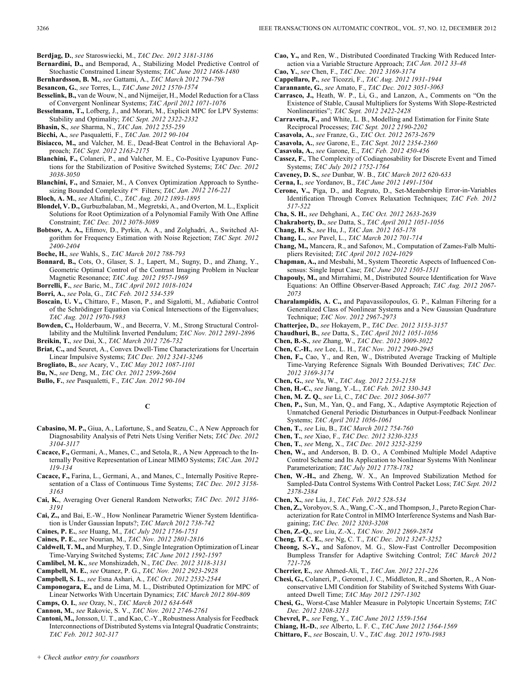**Berdjag, D.**, *see* Staroswiecki, M., *TAC Dec. 2012 3181-3186*

- **Bernardini, D.,** and Bemporad, A., Stabilizing Model Predictive Control of Stochastic Constrained Linear Systems; *TAC June 2012 1468-1480*
- **Bernhardsson, B. M.**, *see* Gattami, A., *TAC March 2012 794-798*
- **Besancon, G.**, *see* Torres, L., *TAC June 2012 1570-1574*
- **Besselink, B.,** van de Wouw, N., and Nijmeijer, H., Model Reduction for a Class of Convergent Nonlinear Systems; *TAC April 2012 1071-1076*
- **Besselmann, T.,** Lofberg, J., and Morari, M., Explicit MPC for LPV Systems: Stability and Optimality; *TAC Sept. 2012 2322-2332*
- **Bhasin, S.**, *see* Sharma, N., *TAC Jan. 2012 255-259*
- **Bicchi, A.**, *see* Pasqualetti, F., *TAC Jan. 2012 90-104*
- **Bisiacco, M.,** and Valcher, M. E., Dead-Beat Control in the Behavioral Approach; *TAC Sept. 2012 2163-2175*
- **Blanchini, F.,** Colaneri, P., and Valcher, M. E., Co-Positive Lyapunov Functions for the Stabilization of Positive Switched Systems; *TAC Dec. 2012 3038-3050*
- **Blanchini, F.,** and Sznaier, M., A Convex Optimization Approach to Synthesizing Bounded Complexity  $\ell^{\infty}$  Filters; *TAC Jan. 2012 216-221*
- **Bloch, A. M.**, *see* Altafini, C., *TAC Aug. 2012 1893-1895*
- **Blondel, V. D.,** Gurbuzbalaban, M., Megretski, A., and Overton, M. L., Explicit Solutions for Root Optimization of a Polynomial Family With One Affine Constraint; *TAC Dec. 2012 3078-3089*
- **Bobtsov, A. A.,** Efimov, D., Pyrkin, A. A., and Zolghadri, A., Switched Algorithm for Frequency Estimation with Noise Rejection; *TAC Sept. 2012 2400-2404*
- **Boche, H.**, *see* Wahls, S., *TAC March 2012 788-793*
- **Bonnard, B.,** Cots, O., Glaser, S. J., Lapert, M., Sugny, D., and Zhang, Y., Geometric Optimal Control of the Contrast Imaging Problem in Nuclear Magnetic Resonance; *TAC Aug. 2012 1957-1969*
- **Borrelli, F.**, *see* Baric, M., *TAC April 2012 1018-1024*
- **Borri, A.**, *see* Pola, G., *TAC Feb. 2012 534-539*
- **Boscain, U. V.,** Chittaro, F., Mason, P., and Sigalotti, M., Adiabatic Control of the Schrödinger Equation via Conical Intersections of the Eigenvalues; *TAC Aug. 2012 1970-1983*
- **Bowden, C.,** Holderbaum, W., and Becerra, V. M., Strong Structural Controllability and the Multilink Inverted Pendulum; *TAC Nov. 2012 2891-2896*
- **Breikin, T.**, *see* Dai, X., *TAC March 2012 726-732*
- **Briat, C.,** and Seuret, A., Convex Dwell-Time Characterizations for Uncertain Linear Impulsive Systems; *TAC Dec. 2012 3241-3246*
- **Brogliato, B.**, *see* Acary, V., *TAC May 2012 1087-1101*
- **Bu, N.**, *see* Deng, M., *TAC Oct. 2012 2599-2604*
- **Bullo, F.**, *see* Pasqualetti, F., *TAC Jan. 2012 90-104*

- **Cabasino, M. P.,** Giua, A., Lafortune, S., and Seatzu, C., A New Approach for Diagnosability Analysis of Petri Nets Using Verifier Nets; *TAC Dec. 2012 3104-3117*
- **Cacace, F.,** Germani, A., Manes, C., and Setola, R., A New Approach to the Internally Positive Representation of Linear MIMO Systems; *TAC Jan. 2012 119-134*
- **Cacace, F.,** Farina, L., Germani, A., and Manes, C., Internally Positive Representation of a Class of Continuous Time Systems; *TAC Dec. 2012 3158- 3163*
- **Cai, K.**, Averaging Over General Random Networks; *TAC Dec. 2012 3186- 3191*
- **Cai, Z.,** and Bai, E.-W., How Nonlinear Parametric Wiener System Identification is Under Gaussian Inputs?; *TAC March 2012 738-742*
- **Caines, P. E.**, *see* Huang, M., *TAC July 2012 1736-1751*
- **Caines, P. E.**, *see* Nourian, M., *TAC Nov. 2012 2801-2816*
- **Caldwell, T. M.,** and Murphey, T. D., Single Integration Optimization of Linear Time-Varying Switched Systems; *TAC June 2012 1592-1597*
- **Camlibel, M. K.**, *see* Monshizadeh, N., *TAC Dec. 2012 3118-3131*
- **Campbell, M. E.**, *see* Otanez, P. G., *TAC Nov. 2012 2923-2928*
- **Campbell, S. L.**, *see* Esna Ashari, A., *TAC Oct. 2012 2532-2544*
- **Camponogara, E.,** and de Lima, M. L., Distributed Optimization for MPC of Linear Networks With Uncertain Dynamics; *TAC March 2012 804-809*
- **Camps, O. I.**, *see* Ozay, N., *TAC March 2012 634-648*
- **Cannon, M.**, *see* Rakovic, S. V., *TAC Nov. 2012 2746-2761*
- **Cantoni, M.,**Jonsson, U. T., and Kao, C.-Y., Robustness Analysis for Feedback Interconnections of Distributed Systems via Integral Quadratic Constraints; *TAC Feb. 2012 302-317*
- **Cao, Y.,** and Ren, W., Distributed Coordinated Tracking With Reduced Interaction via a Variable Structure Approach; *TAC Jan. 2012 33-48*
- **Cao, Y.**, *see* Chen, F., *TAC Dec. 2012 3169-3174*
- **Cappellaro, P.**, *see* Ticozzi, F., *TAC Aug. 2012 1931-1944*
- **Carannante, G.**, *see* Amato, F., *TAC Dec. 2012 3051-3063*
- **Carrasco, J.,** Heath, W. P., Li, G., and Lanzon, A., Comments on "On the Existence of Stable, Causal Multipliers for Systems With Slope-Restricted Nonlinearities"; *TAC Sept. 2012 2422-2428*
- **Carravetta, F.,** and White, L. B., Modelling and Estimation for Finite State Reciprocal Processes; *TAC Sept. 2012 2190-2202*
- **Casavola, A.**, *see* Franze, G., *TAC Oct. 2012 2673-2679*
- **Casavola, A.**, *see* Garone, E., *TAC Sept. 2012 2354-2360*
- **Casavola, A.**, *see* Garone, E., *TAC Feb. 2012 450-456*
- **Cassez, F.**, The Complexity of Codiagnosability for Discrete Event and Timed Systems; *TAC July 2012 1752-1764*
- **Caveney, D. S.**, *see* Dunbar, W. B., *TAC March 2012 620-633*
- **Cerna, I.**, *see* Yordanov, B., *TAC June 2012 1491-1504*
- **Cerone, V.,** Piga, D., and Regruto, D., Set-Membership Error-in-Variables Identification Through Convex Relaxation Techniques; *TAC Feb. 2012 517-522*
- **Cha, S. H.**, *see* Dehghani, A., *TAC Oct. 2012 2633-2639*
- **Chakraborty, D.**, *see* Datta, S., *TAC April 2012 1051-1056*
- **Chang, H. S.**, *see* Hu, J., *TAC Jan. 2012 165-178*
- **Chang, L.**, *see* Pavel, L., *TAC March 2012 701-714*
- **Chang, M.,** Mancera, R., and Safonov, M., Computation of Zames-Falb Multipliers Revisited; *TAC April 2012 1024-1029*
- **Chapman, A.,** and Mesbahi, M., System Theoretic Aspects of Influenced Consensus: Single Input Case; *TAC June 2012 1505-1511*
- **Chapouly, M.,** and Mirrahimi, M., Distributed Source Identification for Wave Equations: An Offline Observer-Based Approach; *TAC Aug. 2012 2067- 2073*
- **Charalampidis, A. C.,** and Papavassilopoulos, G. P., Kalman Filtering for a Generalized Class of Nonlinear Systems and a New Gaussian Quadrature Technique; *TAC Nov. 2012 2967-2973*
- **Chatterjee, D.**, *see* Hokayem, P., *TAC Dec. 2012 3153-3157*
- **Chaudhuri, B.**, *see* Datta, S., *TAC April 2012 1051-1056*
- **Chen, B.-S.**, *see* Zhang, W., *TAC Dec. 2012 3009-3022*
- **Chen, C.-H.**, *see* Lee, L. H., *TAC Nov. 2012 2940-2945*
- **Chen, F.,** Cao, Y., and Ren, W., Distributed Average Tracking of Multiple Time-Varying Reference Signals With Bounded Derivatives; *TAC Dec. 2012 3169-3174*
- **Chen, G.**, *see* Yu, W., *TAC Aug. 2012 2153-2158*
- **Chen, H.-C.**, *see* Jiang, Y.-L., *TAC Feb. 2012 330-343*
- **Chen, M. Z. Q.**, *see* Li, C., *TAC Dec. 2012 3064-3077*
- **Chen, P.,** Sun, M., Yan, Q., and Fang, X., Adaptive Asymptotic Rejection of Unmatched General Periodic Disturbances in Output-Feedback Nonlinear Systems; *TAC April 2012 1056-1061*
- **Chen, T.**, *see* Liu, B., *TAC March 2012 754-760*
- **Chen, T.**, *see* Xiao, F., *TAC Dec. 2012 3230-3235*
- **Chen, T.**, *see* Meng, X., *TAC Dec. 2012 3252-3259*
- **Chen, W.,** and Anderson, B. D. O., A Combined Multiple Model Adaptive Control Scheme and Its Application to Nonlinear Systems With Nonlinear Parameterization; *TAC July 2012 1778-1782*
- **Chen, W.-H.,** and Zheng, W. X., An Improved Stabilization Method for Sampled-Data Control Systems With Control Packet Loss; *TAC Sept. 2012 2378-2384*
- **Chen, X.**, *see* Liu, J., *TAC Feb. 2012 528-534*
- **Chen, Z.,** Vorobyov, S. A., Wang, C.-X., and Thompson, J., Pareto Region Characterization for Rate Control in MIMO Interference Systems and Nash Bargaining; *TAC Dec. 2012 3203-3208*
- **Chen, Z.-Q.**, *see* Liu, Z.-X., *TAC Nov. 2012 2869-2874*
- **Cheng, T. C. E.**, *see* Ng, C. T., *TAC Dec. 2012 3247-3252*
- **Cheong, S.-Y.,** and Safonov, M. G., Slow-Fast Controller Decomposition Bumpless Transfer for Adaptive Switching Control; *TAC March 2012 721-726*
- **Cherrier, E.**, *see* Ahmed-Ali, T., *TAC Jan. 2012 221-226*
- **Chesi, G.,** Colaneri, P., Geromel, J. C., Middleton, R., and Shorten, R., A Nonconservative LMI Condition for Stability of Switched Systems With Guaranteed Dwell Time; *TAC May 2012 1297-1302*
- **Chesi, G.**, Worst-Case Mahler Measure in Polytopic Uncertain Systems; *TAC Dec. 2012 3208-3213*
- **Chevrel, P.**, *see* Feng, Y., *TAC June 2012 1559-1564*
- **Chiang, H.-D.**, *see* Alberto, L. F. C., *TAC June 2012 1564-1569*
- **Chittaro, F.**, *see* Boscain, U. V., *TAC Aug. 2012 1970-1983*

**C**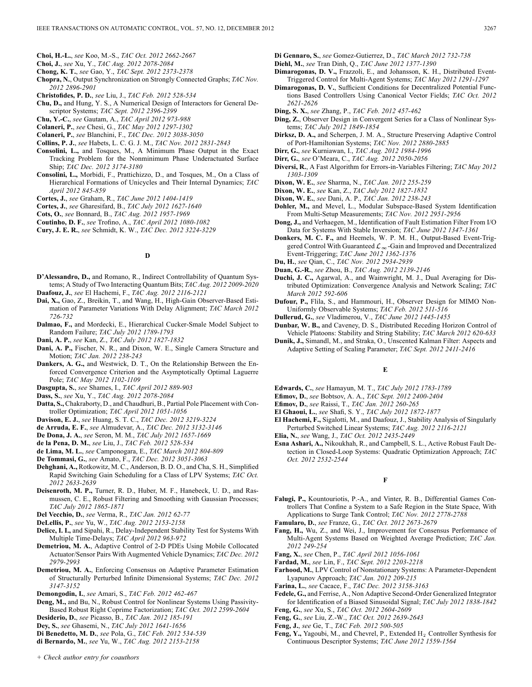- **Choi, H.-L.**, *see* Koo, M.-S., *TAC Oct. 2012 2662-2667*
- **Choi, J.**, *see* Xu, Y., *TAC Aug. 2012 2078-2084*
- **Chong, K. T.**, *see* Gao, Y., *TAC Sept. 2012 2373-2378*
- **Chopra, N.**, Output Synchronization on Strongly Connected Graphs; *TAC Nov. 2012 2896-2901*
- **Christofides, P. D.**, *see* Liu, J., *TAC Feb. 2012 528-534*
- **Chu, D.,** and Hung, Y. S., A Numerical Design of Interactors for General Descriptor Systems; *TAC Sept. 2012 2396-2399*
- **Chu, Y.-C.**, *see* Gautam, A., *TAC April 2012 973-988*
- **Colaneri, P.**, *see* Chesi, G., *TAC May 2012 1297-1302*
- **Colaneri, P.**, *see* Blanchini, F., *TAC Dec. 2012 3038-3050*
- **Collins, P. J.**, *see* Habets, L. C. G. J. M., *TAC Nov. 2012 2831-2843*
- **Consolini, L.,** and Tosques, M., A Minimum Phase Output in the Exact Tracking Problem for the Nonminimum Phase Underactuated Surface Ship; *TAC Dec. 2012 3174-3180*
- **Consolini, L.,** Morbidi, F., Prattichizzo, D., and Tosques, M., On a Class of Hierarchical Formations of Unicycles and Their Internal Dynamics; *TAC April 2012 845-859*
- **Cortes, J.**, *see* Graham, R., *TAC June 2012 1404-1419*
- **Cortes, J.**, *see* Gharesifard, B., *TAC July 2012 1627-1640*
- **Cots, O.**, *see* Bonnard, B., *TAC Aug. 2012 1957-1969*
- **Coutinho, D. F.**, *see* Trofino, A., *TAC April 2012 1080-1082*
- **Cury, J. E. R.**, *see* Schmidt, K. W., *TAC Dec. 2012 3224-3229*

### **D**

- **D'Alessandro, D.,** and Romano, R., Indirect Controllability of Quantum Systems; A Study of Two Interacting Quantum Bits; *TAC Aug. 2012 2009-2020* **Daafouz, J.**, *see* El Hachemi, F., *TAC Aug. 2012 2116-2121*
- **Dai, X.,** Gao, Z., Breikin, T., and Wang, H., High-Gain Observer-Based Estimation of Parameter Variations With Delay Alignment; *TAC March 2012 726-732*
- **Dalmao, F.,** and Mordecki, E., Hierarchical Cucker-Smale Model Subject to Random Failure; *TAC July 2012 1789-1793*
- **Dani, A. P.**, *see* Kan, Z., *TAC July 2012 1827-1832*
- **Dani, A. P.,** Fischer, N. R., and Dixon, W. E., Single Camera Structure and Motion; *TAC Jan. 2012 238-243*
- **Dankers, A. G.,** and Westwick, D. T., On the Relationship Between the Enforced Convergence Criterion and the Asymptotically Optimal Laguerre Pole; *TAC May 2012 1102-1109*
- **Dasgupta, S.**, *see* Shames, I., *TAC April 2012 889-903*
- **Dass, S.**, *see* Xu, Y., *TAC Aug. 2012 2078-2084*
- **Datta, S.,** Chakraborty, D., and Chaudhuri, B., Partial Pole Placement with Controller Optimization; *TAC April 2012 1051-1056*
- **Davison, E. J.**, *see* Huang, S. T. C., *TAC Dec. 2012 3219-3224*
- **de Arruda, E. F.**, *see* Almudevar, A., *TAC Dec. 2012 3132-3146*
- **De Dona, J. A.**, *see* Seron, M. M., *TAC July 2012 1657-1669*
- **de la Pena, D. M.**, *see* Liu, J., *TAC Feb. 2012 528-534*
- **de Lima, M. L.**, *see* Camponogara, E., *TAC March 2012 804-809*
- **De Tommasi, G.**, *see* Amato, F., *TAC Dec. 2012 3051-3063*
- **Dehghani, A.,** Rotkowitz, M. C., Anderson, B. D. O., and Cha, S. H., Simplified Rapid Switching Gain Scheduling for a Class of LPV Systems; *TAC Oct. 2012 2633-2639*
- **Deisenroth, M. P.,** Turner, R. D., Huber, M. F., Hanebeck, U. D., and Rasmussen, C. E., Robust Filtering and Smoothing with Gaussian Processes; *TAC July 2012 1865-1871*
- **Del Vecchio, D.**, *see* Verma, R., *TAC Jan. 2012 62-77*
- **DeLellis, P.**, *see* Yu, W., *TAC Aug. 2012 2153-2158*
- **Delice, I. I.,** and Sipahi, R., Delay-Independent Stability Test for Systems With Multiple Time-Delays; *TAC April 2012 963-972*
- **Demetriou, M. A.**, Adaptive Control of 2-D PDEs Using Mobile Collocated Actuator/Sensor Pairs With Augmented Vehicle Dynamics; *TAC Dec. 2012 2979-2993*
- **Demetriou, M. A.**, Enforcing Consensus on Adaptive Parameter Estimation of Structurally Perturbed Infinite Dimensional Systems; *TAC Dec. 2012 3147-3152*
- **Demongodin, I.**, *see* Amari, S., *TAC Feb. 2012 462-467*
- **Deng, M.,** and Bu, N., Robust Control for Nonlinear Systems Using Passivity-Based Robust Right Coprime Factorization; *TAC Oct. 2012 2599-2604*
- **Desiderio, D.**, *see* Picasso, B., *TAC Jan. 2012 185-191*
- **Dey, S.**, *see* Ghasemi, N., *TAC July 2012 1641-1656*
- **Di Benedetto, M. D.**, *see* Pola, G., *TAC Feb. 2012 534-539*
- **di Bernardo, M.**, *see* Yu, W., *TAC Aug. 2012 2153-2158*
- **Di Gennaro, S.**, *see* Gomez-Gutierrez, D., *TAC March 2012 732-738*
- **Diehl, M.**, *see* Tran Dinh, Q., *TAC June 2012 1377-1390*
- **Dimarogonas, D. V.,** Frazzoli, E., and Johansson, K. H., Distributed Event-Triggered Control for Multi-Agent Systems; *TAC May 2012 1291-1297*
- **Dimarogonas, D. V.**, Sufficient Conditions for Decentralized Potential Functions Based Controllers Using Canonical Vector Fields; *TAC Oct. 2012 2621-2626*
- **Ding, S. X.**, *see* Zhang, P., *TAC Feb. 2012 457-462*
- **Ding, Z.**, Observer Design in Convergent Series for a Class of Nonlinear Systems; *TAC July 2012 1849-1854*
- **Dirksz, D. A.,** and Scherpen, J. M. A., Structure Preserving Adaptive Control of Port-Hamiltonian Systems; *TAC Nov. 2012 2880-2885*
- **Dirr, G.**, *see* Kurniawan, I., *TAC Aug. 2012 1984-1996*
- **Dirr, G.**, *see* O'Meara, C., *TAC Aug. 2012 2050-2056*
- **Diversi, R.**, A Fast Algorithm for Errors-in-Variables Filtering; *TAC May 2012 1303-1309*
- **Dixon, W. E.**, *see* Sharma, N., *TAC Jan. 2012 255-259*
- **Dixon, W. E.**, *see* Kan, Z., *TAC July 2012 1827-1832*
- **Dixon, W. E.**, *see* Dani, A. P., *TAC Jan. 2012 238-243*
- **Dohler, M.,** and Mevel, L., Modular Subspace-Based System Identification From Multi-Setup Measurements; *TAC Nov. 2012 2951-2956*
- **Dong, J.,** and Verhaegen, M., Identification of Fault Estimation Filter From I/O Data for Systems With Stable Inversion; *TAC June 2012 1347-1361*
- **Donkers, M. C. F.,** and Heemels, W. P. M. H., Output-Based Event-Triggered Control With Guaranteed  $\mathcal{L}_{\infty}$ -Gain and Improved and Decentralized Event-Triggering; *TAC June 2012 1362-1376*
- **Du, H.**, *see* Qian, C., *TAC Nov. 2012 2934-2939*
- **Duan, G.-R.**, *see* Zhou, B., *TAC Aug. 2012 2139-2146*
- **Duchi, J. C.,** Agarwal, A., and Wainwright, M. J., Dual Averaging for Distributed Optimization: Convergence Analysis and Network Scaling; *TAC March 2012 592-606*
- **Dufour, P.,** Flila, S., and Hammouri, H., Observer Design for MIMO Non-Uniformly Observable Systems; *TAC Feb. 2012 511-516*
- **Dullerud, G.**, *see* Vladimerou, V., *TAC June 2012 1445-1455*
- **Dunbar, W. B.,** and Caveney, D. S., Distributed Receding Horizon Control of Vehicle Platoons: Stability and String Stability; *TAC March 2012 620-633*
- **Dunik, J.,** Simandl, M., and Straka, O., Unscented Kalman Filter: Aspects and Adaptive Setting of Scaling Parameter; *TAC Sept. 2012 2411-2416*

# **E**

- **Edwards, C.**, *see* Hamayun, M. T., *TAC July 2012 1783-1789*
- **Efimov, D.**, *see* Bobtsov, A. A., *TAC Sept. 2012 2400-2404*
- **Efimov, D.**, *see* Raissi, T., *TAC Jan. 2012 260-265*
- **El Ghaoui, L.**, *see* Shafi, S. Y., *TAC July 2012 1872-1877*
- **El Hachemi, F.,** Sigalotti, M., and Daafouz, J., Stability Analysis of Singularly Perturbed Switched Linear Systems; *TAC Aug. 2012 2116-2121*
- **Elia, N.**, *see* Wang, J., *TAC Oct. 2012 2435-2449*
- **Esna Ashari, A.,** Nikoukhah, R., and Campbell, S. L., Active Robust Fault Detection in Closed-Loop Systems: Quadratic Optimization Approach; *TAC Oct. 2012 2532-2544*

# **F**

- **Falugi, P.,** Kountouriotis, P.-A., and Vinter, R. B., Differential Games Controllers That Confine a System to a Safe Region in the State Space, With Applications to Surge Tank Control; *TAC Nov. 2012 2778-2788*
- **Famularo, D.**, *see* Franze, G., *TAC Oct. 2012 2673-2679*
- **Fang, H.,** Wu, Z., and Wei, J., Improvement for Consensus Performance of Multi-Agent Systems Based on Weighted Average Prediction; *TAC Jan. 2012 249-254*
- **Fang, X.**, *see* Chen, P., *TAC April 2012 1056-1061*
- **Fardad, M.**, *see* Lin, F., *TAC Sept. 2012 2203-2218*
- **Farhood, M.**, LPV Control of Nonstationary Systems: A Parameter-Dependent Lyapunov Approach; *TAC Jan. 2012 209-215*
- **Farina, L.**, *see* Cacace, F., *TAC Dec. 2012 3158-3163*
- **Fedele, G.,** and Ferrise, A., Non Adaptive Second-Order Generalized Integrator for Identification of a Biased Sinusoidal Signal; *TAC July 2012 1838-1842*
- **Feng, G.**, *see* Xu, S., *TAC Oct. 2012 2604-2609*
- **Feng, G.**, *see* Liu, Z.-W., *TAC Oct. 2012 2639-2643*
- **Feng, J.**, *see* Ge, T., *TAC Feb. 2012 500-505*
- Feng, Y., Yagoubi, M., and Chevrel, P., Extended H<sub>2</sub> Controller Synthesis for Continuous Descriptor Systems; *TAC June 2012 1559-1564*

*+ Check author entry for coauthors*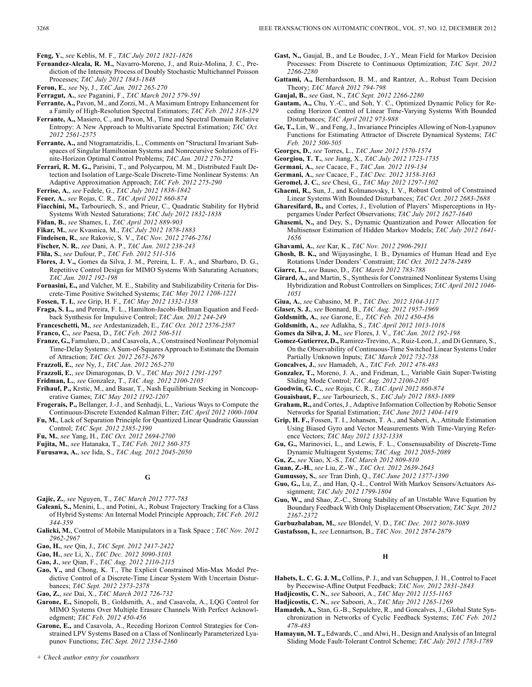**Feng, Y.**, *see* Keblis, M. F., *TAC July 2012 1821-1826*

- **Fernandez-Alcala, R. M.,** Navarro-Moreno, J., and Ruiz-Molina, J. C., Prediction of the Intensity Process of Doubly Stochastic Multichannel Poisson Processes; *TAC July 2012 1843-1848*
- **Feron, E.**, *see* Ny, J., *TAC Jan. 2012 265-270*
- **Ferragut, A.**, *see* Paganini, F., *TAC March 2012 579-591*
- **Ferrante, A.,** Pavon, M., and Zorzi, M., A Maximum Entropy Enhancement for a Family of High-Resolution Spectral Estimators; *TAC Feb. 2012 318-329*
- **Ferrante, A.,** Masiero, C., and Pavon, M., Time and Spectral Domain Relative Entropy: A New Approach to Multivariate Spectral Estimation; *TAC Oct. 2012 2561-2575*
- **Ferrante, A.,** and Ntogramatzidis, L., Comments on "Structural Invariant Subspaces of Singular Hamiltonian Systems and Nonrecursive Solutions of Finite-Horizon Optimal Control Problems; *TAC Jan. 2012 270-272*
- **Ferrari, R. M. G.,** Parisini, T., and Polycarpou, M. M., Distributed Fault Detection and Isolation of Large-Scale Discrete-Time Nonlinear Systems: An Adaptive Approximation Approach; *TAC Feb. 2012 275-290*
- **Ferrise, A.**, *see* Fedele, G., *TAC July 2012 1838-1842*
- **Feuer, A.**, *see* Rojas, C. R., *TAC April 2012 860-874*
- **Fiacchini, M.,** Tarbouriech, S., and Prieur, C., Quadratic Stability for Hybrid Systems With Nested Saturations; *TAC July 2012 1832-1838*
- **Fidan, B.**, *see* Shames, I., *TAC April 2012 889-903*
- **Fikar, M.**, *see* Kvasnica, M., *TAC July 2012 1878-1883*
- **Findeisen, R.**, *see* Rakovic, S. V., *TAC Nov. 2012 2746-2761*
- **Fischer, N. R.**, *see* Dani, A. P., *TAC Jan. 2012 238-243*
- **Flila, S.**, *see* Dufour, P., *TAC Feb. 2012 511-516*
- **Flores, J. V.,** Gomes da Silva, J. M., Pereira, L. F. A., and Sbarbaro, D. G., Repetitive Control Design for MIMO Systems With Saturating Actuators; *TAC Jan. 2012 192-198*
- **Fornasini, E.,** and Valcher, M. E., Stability and Stabilizability Criteria for Discrete-Time Positive Switched Systems; *TAC May 2012 1208-1221*
- **Fossen, T. I.**, *see* Grip, H. F., *TAC May 2012 1332-1338*
- **Fraga, S. L.,** and Pereira, F. L., Hamilton-Jacobi-Bellman Equation and Feedback Synthesis for Impulsive Control; *TAC Jan. 2012 244-249*
- **Franceschetti, M.**, *see* Ardestanizadeh, E., *TAC Oct. 2012 2576-2587*
- **Franco, C.**, *see* Paesa, D., *TAC Feb. 2012 506-511*
- **Franze, G.,** Famularo, D., and Casavola, A., Constrained Nonlinear Polynomial Time-Delay Systems: A Sum-of-Squares Approach to Estimate the Domain of Attraction; *TAC Oct. 2012 2673-2679*
- **Frazzoli, E.**, *see* Ny, J., *TAC Jan. 2012 265-270*
- **Frazzoli, E.**, *see* Dimarogonas, D. V., *TAC May 2012 1291-1297*
- **Fridman, L.**, *see* Gonzalez, T., *TAC Aug. 2012 2100-2105*
- **Frihauf, P.,** Krstic, M., and Basar, T., Nash Equilibrium Seeking in Noncooperative Games; *TAC May 2012 1192-1207*
- **Frogerais, P.,** Bellanger, J.-J., and Senhadji, L., Various Ways to Compute the Continuous-Discrete Extended Kalman Filter; *TAC April 2012 1000-1004*
- **Fu, M.**, Lack of Separation Principle for Quantized Linear Quadratic Gaussian Control; *TAC Sept. 2012 2385-2390*
- **Fu, M.**, *see* Yang, H., *TAC Oct. 2012 2694-2700*
- **Fujita, M.**, *see* Hatanaka, T., *TAC Feb. 2012 360-375*
- **Furusawa, A.**, *see* Iida, S., *TAC Aug. 2012 2045-2050*

# **G**

- **Gajic, Z.**, *see* Nguyen, T., *TAC March 2012 777-783*
- **Galeani, S.,** Menini, L., and Potini, A., Robust Trajectory Tracking for a Class of Hybrid Systems: An Internal Model Principle Approach; *TAC Feb. 2012 344-359*
- **Galicki, M.**, Control of Mobile Manipulators in a Task Space ; *TAC Nov. 2012 2962-2967*
- **Gao, H.**, *see* Qin, J., *TAC Sept. 2012 2417-2422*
- **Gao, H.**, *see* Li, X., *TAC Dec. 2012 3090-3103*
- **Gao, J.**, *see* Qian, F., *TAC Aug. 2012 2110-2115*
- **Gao, Y.,** and Chong, K. T., The Explicit Constrained Min-Max Model Predictive Control of a Discrete-Time Linear System With Uncertain Disturbances; *TAC Sept. 2012 2373-2378*
- **Gao, Z.**, *see* Dai, X., *TAC March 2012 726-732*
- **Garone, E.,** Sinopoli, B., Goldsmith, A., and Casavola, A., LQG Control for MIMO Systems Over Multiple Erasure Channels With Perfect Acknowledgment; *TAC Feb. 2012 450-456*
- **Garone, E.,** and Casavola, A., Receding Horizon Control Strategies for Constrained LPV Systems Based on a Class of Nonlinearly Parameterized Lyapunov Functions; *TAC Sept. 2012 2354-2360*
- *+ Check author entry for coauthors*
- **Gast, N.,** Gaujal, B., and Le Boudec, J.-Y., Mean Field for Markov Decision Processes: From Discrete to Continuous Optimization; *TAC Sept. 2012 2266-2280*
- **Gattami, A.,** Bernhardsson, B. M., and Rantzer, A., Robust Team Decision Theory; *TAC March 2012 794-798*
- **Gaujal, B.**, *see* Gast, N., *TAC Sept. 2012 2266-2280*
- **Gautam, A.,** Chu, Y.-C., and Soh, Y. C., Optimized Dynamic Policy for Receding Horizon Control of Linear Time-Varying Systems With Bounded Disturbances; *TAC April 2012 973-988*
- **Ge, T.,** Lin, W., and Feng, J., Invariance Principles Allowing of Non-Lyapunov Functions for Estimating Attractor of Discrete Dynamical Systems; *TAC Feb. 2012 500-505*
- **Georges, D.**, *see* Torres, L., *TAC June 2012 1570-1574*
- **Georgiou, T. T.**, *see* Jiang, X., *TAC July 2012 1723-1735*
- **Germani, A.**, *see* Cacace, F., *TAC Jan. 2012 119-134*
- **Germani, A.**, *see* Cacace, F., *TAC Dec. 2012 3158-3163*
- **Geromel, J. C.**, *see* Chesi, G., *TAC May 2012 1297-1302*
- **Ghaemi, R.,** Sun, J., and Kolmanovsky, I. V., Robust Control of Constrained Linear Systems With Bounded Disturbances; *TAC Oct. 2012 2683-2688*
- **Gharesifard, B.,** and Cortes, J., Evolution of Players' Misperceptions in Hypergames Under Perfect Observations; *TAC July 2012 1627-1640*
- **Ghasemi, N.,** and Dey, S., Dynamic Quantization and Power Allocation for Multisensor Estimation of Hidden Markov Models; *TAC July 2012 1641- 1656*
- **Ghavami, A.**, *see* Kar, K., *TAC Nov. 2012 2906-2911*
- **Ghosh, B. K.,** and Wijayasinghe, I. B., Dynamics of Human Head and Eye Rotations Under Donders' Constraint; *TAC Oct. 2012 2478-2489*
- **Giarre, L.**, *see* Bauso, D., *TAC March 2012 783-788*
- **Girard, A.,** and Martin, S., Synthesis for Constrained Nonlinear Systems Using Hybridization and Robust Controllers on Simplices; *TAC April 2012 1046- 1051*
- **Giua, A.**, *see* Cabasino, M. P., *TAC Dec. 2012 3104-3117*
- **Glaser, S. J.**, *see* Bonnard, B., *TAC Aug. 2012 1957-1969*
- **Goldsmith, A.**, *see* Garone, E., *TAC Feb. 2012 450-456*
- **Goldsmith, A.**, *see* Adlakha, S., *TAC April 2012 1013-1018*
- **Gomes da Silva, J. M.**, *see* Flores, J. V., *TAC Jan. 2012 192-198*
- **Gomez-Gutierrez, D.,** Ramirez-Trevino, A., Ruiz-Leon, J., and Di Gennaro, S., On the Observability of Continuous-Time Switched Linear Systems Under Partially Unknown Inputs; *TAC March 2012 732-738*
- **Goncalves, J.**, *see* Hamadeh, A., *TAC Feb. 2012 478-483*
- **Gonzalez, T.,** Moreno, J. A., and Fridman, L., Variable Gain Super-Twisting Sliding Mode Control; *TAC Aug. 2012 2100-2105*
- **Goodwin, G. C.**, *see* Rojas, C. R., *TAC April 2012 860-874*
- **Gouaisbaut, F.**, *see* Tarbouriech, S., *TAC July 2012 1883-1889*
- **Graham, R.,** and Cortes, J., Adaptive Information Collection by Robotic Sensor Networks for Spatial Estimation; *TAC June 2012 1404-1419*
- **Grip, H. F.,** Fossen, T. I., Johansen, T. A., and Saberi, A., Attitude Estimation Using Biased Gyro and Vector Measurements With Time-Varying Reference Vectors; *TAC May 2012 1332-1338*
- **Gu, G.,** Marinovici, L., and Lewis, F. L., Consensusability of Discrete-Time Dynamic Multiagent Systems; *TAC Aug. 2012 2085-2089*
- **Gu, Z.**, *see* Xiao, X.-S., *TAC March 2012 809-810*
- **Guan, Z.-H.**, *see* Liu, Z.-W., *TAC Oct. 2012 2639-2643*
- **Gumussoy, S.**, *see* Tran Dinh, Q., *TAC June 2012 1377-1390*
- **Guo, G.,** Lu, Z., and Han, Q.-L., Control With Markov Sensors/Actuators Assignment; *TAC July 2012 1799-1804*
- **Guo, W.,** and Shao, Z.-C., Strong Stability of an Unstable Wave Equation by Boundary Feedback With Only Displacement Observation; *TAC Sept. 2012 2367-2372*
- **Gurbuzbalaban, M.**, *see* Blondel, V. D., *TAC Dec. 2012 3078-3089*
- **Gustafsson, I.**, *see* Lennartson, B., *TAC Nov. 2012 2874-2879*

### **H**

- **Habets, L. C. G. J. M.,** Collins, P. J., and van Schuppen, J. H., Control to Facet by Piecewise-Affine Output Feedback; *TAC Nov. 2012 2831-2843*
- **Hadjicostis, C. N.**, *see* Saboori, A., *TAC May 2012 1155-1165*
- **Hadjicostis, C. N.**, *see* Saboori, A., *TAC May 2012 1265-1269*
- **Hamadeh, A.,** Stan, G.-B., Sepulchre, R., and Goncalves, J., Global State Synchronization in Networks of Cyclic Feedback Systems; *TAC Feb. 2012 478-483*
- **Hamayun, M. T.,** Edwards, C., and Alwi, H., Design and Analysis of an Integral Sliding Mode Fault-Tolerant Control Scheme; *TAC July 2012 1783-1789*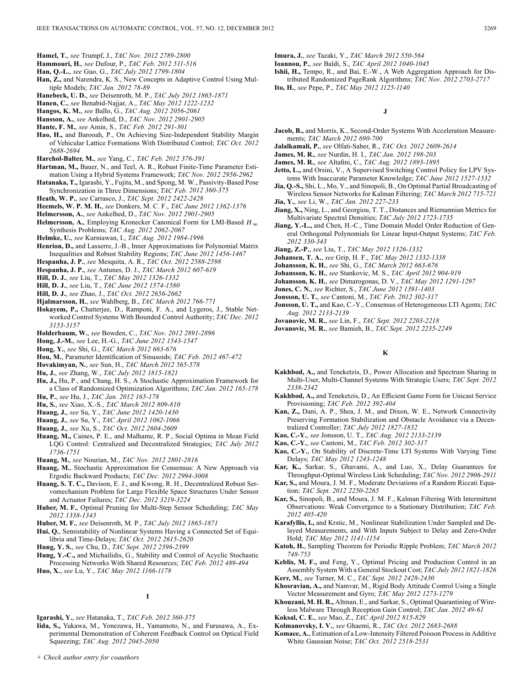- **Hamel, T.**, *see* Trumpf, J., *TAC Nov. 2012 2789-2800*
- **Hammouri, H.**, *see* Dufour, P., *TAC Feb. 2012 511-516*
- **Han, Q.-L.**, *see* Guo, G., *TAC July 2012 1799-1804*
- **Han, Z.,** and Narendra, K. S., New Concepts in Adaptive Control Using Multiple Models; *TAC Jan. 2012 78-89*
- **Hanebeck, U. D.**, *see* Deisenroth, M. P., *TAC July 2012 1865-1871*
- **Hanen, C.**, *see* Benabid-Najjar, A., *TAC May 2012 1222-1232*
- **Hangos, K. M.**, *see* Ballo, G., *TAC Aug. 2012 2056-2061*
- **Hansson, A.**, *see* Ankelhed, D., *TAC Nov. 2012 2901-2905*
- **Hante, F. M.**, *see* Amin, S., *TAC Feb. 2012 291-301*
- **Hao, H.,** and Barooah, P., On Achieving Size-Independent Stability Margin of Vehicular Lattice Formations With Distributed Control; *TAC Oct. 2012 2688-2694*
- **Harchol-Balter, M.**, *see* Yang, C., *TAC Feb. 2012 376-391*
- **Hartman, M.,** Bauer, N., and Teel, A. R., Robust Finite-Time Parameter Estimation Using a Hybrid Systems Framework; *TAC Nov. 2012 2956-2962*
- **Hatanaka, T.,** Igarashi, Y., Fujita, M., and Spong, M. W., Passivity-Based Pose Synchronization in Three Dimensions; *TAC Feb. 2012 360-375*
- **Heath, W. P.**, *see* Carrasco, J., *TAC Sept. 2012 2422-2428*
- **Heemels, W. P. M. H.**, *see* Donkers, M. C. F., *TAC June 2012 1362-1376*
- **Helmersson, A.**, *see* Ankelhed, D., *TAC Nov. 2012 2901-2905*
- **Helmersson, A.**, Employing Kronecker Canonical Form for LMI-Based  $H_{\infty}$ Synthesis Problems; *TAC Aug. 2012 2062-2067*
- **Helmke, U.**, *see* Kurniawan, I., *TAC Aug. 2012 1984-1996*
- **Henrion, D.,** and Lasserre, J.-B., Inner Approximations for Polynomial Matrix Inequalities and Robust Stability Regions; *TAC June 2012 1456-1467*
- **Hespanha, J. P.**, *see* Mesquita, A. R., *TAC Oct. 2012 2588-2598*
- **Hespanha, J. P.**, *see* Antunes, D. J., *TAC March 2012 607-619*
- **Hill, D. J.**, *see* Liu, T., *TAC May 2012 1326-1332*
- **Hill, D. J.**, *see* Liu, T., *TAC June 2012 1574-1580*
- **Hill, D. J.**, *see* Zhao, J., *TAC Oct. 2012 2656-2662*
- **Hjalmarsson, H.**, *see* Wahlberg, B., *TAC March 2012 766-771*
- **Hokayem, P.,** Chatterjee, D., Ramponi, F. A., and Lygeros, J., Stable Networked Control Systems With Bounded Control Authority; *TAC Dec. 2012 3153-3157*
- **Holderbaum, W.**, *see* Bowden, C., *TAC Nov. 2012 2891-2896*
- **Hong, J.-M.**, *see* Lee, H.-G., *TAC June 2012 1543-1547*
- **Hong, Y.**, *see* Shi, G., *TAC March 2012 663-676*
- **Hou, M.**, Parameter Identification of Sinusoids; *TAC Feb. 2012 467-472*
- **Hovakimyan, N.**, *see* Sun, H., *TAC March 2012 565-578*
- **Hu, J.**, *see* Zhang, W., *TAC July 2012 1815-1821*
- **Hu, J.,** Hu, P., and Chang, H. S., A Stochastic Approximation Framework for a Class of Randomized Optimization Algorithms; *TAC Jan. 2012 165-178* **Hu, P.**, *see* Hu, J., *TAC Jan. 2012 165-178*
- 
- **Hu, S.**, *see* Xiao, X.-S., *TAC March 2012 809-810*
- **Huang, J.**, *see* Su, Y., *TAC June 2012 1420-1430*
- **Huang, J.**, *see* Su, Y., *TAC April 2012 1062-1066*
- **Huang, J.**, *see* Xu, S., *TAC Oct. 2012 2604-2609*
- **Huang, M.,** Caines, P. E., and Malhame, R. P., Social Optima in Mean Field LQG Control: Centralized and Decentralized Strategies; *TAC July 2012 1736-1751*
- **Huang, M.**, *see* Nourian, M., *TAC Nov. 2012 2801-2816*
- **Huang, M.**, Stochastic Approximation for Consensus: A New Approach via Ergodic Backward Products; *TAC Dec. 2012 2994-3008*
- **Huang, S. T. C.,** Davison, E. J., and Kwong, R. H., Decentralized Robust Servomechanism Problem for Large Flexible Space Structures Under Sensor and Actuator Failures; *TAC Dec. 2012 3219-3224*
- **Huber, M. F.**, Optimal Pruning for Multi-Step Sensor Scheduling; *TAC May 2012 1338-1343*
- **Huber, M. F.**, *see* Deisenroth, M. P., *TAC July 2012 1865-1871*
- **Hui, Q.**, Semistability of Nonlinear Systems Having a Connected Set of Equilibria and Time-Delays; *TAC Oct. 2012 2615-2620*
- **Hung, Y. S.**, *see* Chu, D., *TAC Sept. 2012 2396-2399*
- **Hung, Y.-C.,** and Michailidis, G., Stability and Control of Acyclic Stochastic Processing Networks With Shared Resources; *TAC Feb. 2012 489-494*
- **Huo, X.**, *see* Lu, Y., *TAC May 2012 1166-1178*
	- **I**
- **Igarashi, Y.**, *see* Hatanaka, T., *TAC Feb. 2012 360-375*
- **Iida, S.,** Yukawa, M., Yonezawa, H., Yamamoto, N., and Furusawa, A., Experimental Demonstration of Coherent Feedback Control on Optical Field Squeezing; *TAC Aug. 2012 2045-2050*
- **Imura, J.**, *see* Tazaki, Y., *TAC March 2012 550-564*
- **Ioannou, P.**, *see* Baldi, S., *TAC April 2012 1040-1045*

**Ishii, H.,** Tempo, R., and Bai, E.-W., A Web Aggregation Approach for Distributed Randomized PageRank Algorithms; *TAC Nov. 2012 2703-2717*

**Ito, H.**, *see* Pepe, P., *TAC May 2012 1125-1140*

**J**

- **Jacob, B.,** and Morris, K., Second-Order Systems With Acceleration Measurements; *TAC March 2012 690-700*
- **Jalalkamali, P.**, *see* Olfati-Saber, R., *TAC Oct. 2012 2609-2614*
- **James, M. R.**, *see* Nurdin, H. I., *TAC Jan. 2012 198-203*
- **James, M. R.**, *see* Altafini, C., *TAC Aug. 2012 1893-1895*
- **Jetto, L.,** and Orsini, V., A Supervised Switching Control Policy for LPV Systems With Inaccurate Parameter Knowledge; *TAC June 2012 1527-1532*
- **Jia, Q.-S.,** Shi, L., Mo, Y., and Sinopoli, B., On Optimal Partial Broadcasting of Wireless Sensor Networks for Kalman Filtering; *TAC March 2012 715-721* **Jia, Y.**, *see* Li, W., *TAC Jan. 2012 227-233*
- 
- **Jiang, X.,** Ning, L., and Georgiou, T. T., Distances and Riemannian Metrics for Multivariate Spectral Densities; *TAC July 2012 1723-1735*
- **Jiang, Y.-L.,** and Chen, H.-C., Time Domain Model Order Reduction of General Orthogonal Polynomials for Linear Input-Output Systems; *TAC Feb. 2012 330-343*
- **Jiang, Z.-P.**, *see* Liu, T., *TAC May 2012 1326-1332*
- **Johansen, T. A.**, *see* Grip, H. F., *TAC May 2012 1332-1338*
- **Johansson, K. H.**, *see* Shi, G., *TAC March 2012 663-676*
- **Johansson, K. H.**, *see* Stankovic, M. S., *TAC April 2012 904-919*
- **Johansson, K. H.**, *see* Dimarogonas, D. V., *TAC May 2012 1291-1297*
- **Jones, C. N.**, *see* Richter, S., *TAC June 2012 1391-1403*
- **Jonsson, U. T.**, *see* Cantoni, M., *TAC Feb. 2012 302-317*
- **Jonsson, U. T.,** and Kao, C.-Y., Consensus of Heterogeneous LTI Agents; *TAC Aug. 2012 2133-2139*
- **Jovanovic, M. R.**, *see* Lin, F., *TAC Sept. 2012 2203-2218*
- **Jovanovic, M. R.**, *see* Bamieh, B., *TAC Sept. 2012 2235-2249*

### **K**

- **Kakhbod, A.,** and Teneketzis, D., Power Allocation and Spectrum Sharing in Multi-User, Multi-Channel Systems With Strategic Users; *TAC Sept. 2012 2338-2342*
- **Kakhbod, A.,** and Teneketzis, D., An Efficient Game Form for Unicast Service Provisioning; *TAC Feb. 2012 392-404*
- **Kan, Z.,** Dani, A. P., Shea, J. M., and Dixon, W. E., Network Connectivity Preserving Formation Stabilization and Obstacle Avoidance via a Decentralized Controller; *TAC July 2012 1827-1832*
- **Kao, C.-Y.**, *see* Jonsson, U. T., *TAC Aug. 2012 2133-2139*
- **Kao, C.-Y.**, *see* Cantoni, M., *TAC Feb. 2012 302-317*
- **Kao, C.-Y.**, On Stability of Discrete-Time LTI Systems With Varying Time Delays; *TAC May 2012 1243-1248*
- **Kar, K.,** Sarkar, S., Ghavami, A., and Luo, X., Delay Guarantees for Throughput-Optimal Wireless Link Scheduling; *TAC Nov. 2012 2906-2911*
- **Kar, S.,** and Moura, J. M. F., Moderate Deviations of a Random Riccati Equation; *TAC Sept. 2012 2250-2265*
- **Kar, S.,** Sinopoli, B., and Moura, J. M. F., Kalman Filtering With Intermittent Observations: Weak Convergence to a Stationary Distribution; *TAC Feb. 2012 405-420*
- **Karafyllis, I.,** and Krstic, M., Nonlinear Stabilization Under Sampled and Delayed Measurements, and With Inputs Subject to Delay and Zero-Order Hold; *TAC May 2012 1141-1154*
- **Katoh, H.**, Sampling Theorem for Periodic Ripple Problem; *TAC March 2012 748-753*
- **Keblis, M. F.,** and Feng, Y., Optimal Pricing and Production Control in an Assembly System With a General Stockout Cost; *TAC July 2012 1821-1826*
- **Kerr, M.**, *see* Turner, M. C., *TAC Sept. 2012 2428-2430*
- **Khosravian, A.,** and Namvar, M., Rigid Body Attitude Control Using a Single Vector Measurement and Gyro; *TAC May 2012 1273-1279*
- **Khouzani, M. H. R.,** Altman, E., and Sarkar, S., Optimal Quarantining of Wireless Malware Through Reception Gain Control; *TAC Jan. 2012 49-61*
- **Koksal, C. E.**, *see* Mao, Z., *TAC April 2012 815-829*
- **Kolmanovsky, I. V.**, *see* Ghaemi, R., *TAC Oct. 2012 2683-2688*
- **Komaee, A.**, Estimation of a Low-Intensity Filtered Poisson Process in Additive White Gaussian Noise; *TAC Oct. 2012 2518-2531*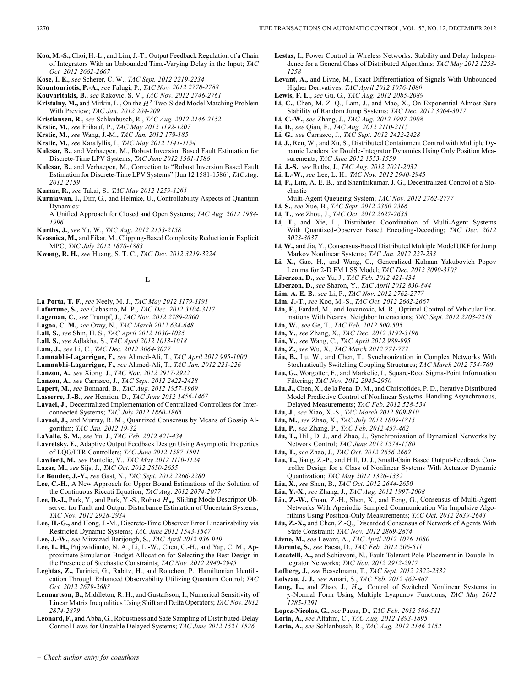- **Koo, M.-S.,** Choi, H.-L., and Lim, J.-T., Output Feedback Regulation of a Chain of Integrators With an Unbounded Time-Varying Delay in the Input; *TAC Oct. 2012 2662-2667*
- **Kose, I. E.**, *see* Scherer, C. W., *TAC Sept. 2012 2219-2234*
- **Kountouriotis, P.-A.**, *see* Falugi, P., *TAC Nov. 2012 2778-2788*
- **Kouvaritakis, B.**, *see* Rakovic, S. V., *TAC Nov. 2012 2746-2761*
- Kristalny, M., and Mirkin, L., On the  $H^2$  Two-Sided Model Matching Problem With Preview; *TAC Jan. 2012 204-209*
- **Kristiansen, R.**, *see* Schlanbusch, R., *TAC Aug. 2012 2146-2152*
- **Krstic, M.**, *see* Frihauf, P., *TAC May 2012 1192-1207*
- **Krstic, M.**, *see* Wang, J.-M., *TAC Jan. 2012 179-185*
- **Krstic, M.**, *see* Karafyllis, I., *TAC May 2012 1141-1154*
- **Kulcsar, B.,** and Verhaegen, M., Robust Inversion Based Fault Estimation for Discrete-Time LPV Systems; *TAC June 2012 1581-1586*
- **Kulcsar, B.,** and Verhaegen, M., Correction to "Robust Inversion Based Fault Estimation for Discrete-Time LPV Systems" [Jun 12 1581-1586]; *TAC Aug. 2012 2159*
- **Kumar, R.**, *see* Takai, S., *TAC May 2012 1259-1265*
- **Kurniawan, I.,** Dirr, G., and Helmke, U., Controllability Aspects of Quantum Dynamics:
	- A Unified Approach for Closed and Open Systems; *TAC Aug. 2012 1984- 1996*
- **Kurths, J.**, *see* Yu, W., *TAC Aug. 2012 2153-2158*
- **Kvasnica, M.,** and Fikar, M., Clipping-Based Complexity Reduction in Explicit MPC; *TAC July 2012 1878-1883*
- **Kwong, R. H.**, *see* Huang, S. T. C., *TAC Dec. 2012 3219-3224*

**L**

- **La Porta, T. F.**, *see* Neely, M. J., *TAC May 2012 1179-1191*
- **Lafortune, S.**, *see* Cabasino, M. P., *TAC Dec. 2012 3104-3117*
- **Lageman, C.**, *see* Trumpf, J., *TAC Nov. 2012 2789-2800*
- **Lagoa, C. M.**, *see* Ozay, N., *TAC March 2012 634-648*
- **Lall, S.**, *see* Shin, H. S., *TAC April 2012 1030-1035*
- **Lall, S.**, *see* Adlakha, S., *TAC April 2012 1013-1018*
- **Lam, J.**, *see* Li, C., *TAC Dec. 2012 3064-3077*
- **Lamnabhi-Lagarrigue, F.**, *see* Ahmed-Ali, T., *TAC April 2012 995-1000*
- **Lamnabhi-Lagarrigue, F.**, *see* Ahmed-Ali, T., *TAC Jan. 2012 221-226*
- **Lanzon, A.**, *see* Xiong, J., *TAC Nov. 2012 2917-2922*
- **Lanzon, A.**, *see* Carrasco, J., *TAC Sept. 2012 2422-2428*
- **Lapert, M.**, *see* Bonnard, B., *TAC Aug. 2012 1957-1969*
- **Lasserre, J.-B.**, *see* Henrion, D., *TAC June 2012 1456-1467*
- **Lavaei, J.**, Decentralized Implementation of Centralized Controllers for Interconnected Systems; *TAC July 2012 1860-1865*
- **Lavaei, J.,** and Murray, R. M., Quantized Consensus by Means of Gossip Algorithm; *TAC Jan. 2012 19-32*
- **LaValle, S. M.**, *see* Yu, J., *TAC Feb. 2012 421-434*
- **Lavretsky, E.**, Adaptive Output Feedback Design Using Asymptotic Properties of LQG/LTR Controllers; *TAC June 2012 1587-1591*
- **Lawford, M.**, *see* Pantelic, V., *TAC May 2012 1110-1124*
- **Lazar, M.**, *see* Sijs, J., *TAC Oct. 2012 2650-2655*
- **Le Boudec, J.-Y.**, *see* Gast, N., *TAC Sept. 2012 2266-2280*
- **Lee, C.-H.**, A New Approach for Upper Bound Estimations of the Solution of the Continuous Riccati Equation; *TAC Aug. 2012 2074-2077*
- **Lee, D.-J.,** Park, Y., and Park, Y.-S., Robust  $H_{\infty}$  Sliding Mode Descriptor Observer for Fault and Output Disturbance Estimation of Uncertain Systems; *TAC Nov. 2012 2928-2934*
- **Lee, H.-G.,** and Hong, J.-M., Discrete-Time Observer Error Linearizability via Restricted Dynamic Systems; *TAC June 2012 1543-1547*
- **Lee, J.-W.**, *see* Mirzazad-Barijough, S., *TAC April 2012 936-949*
- **Lee, L. H.,** Pujowidianto, N. A., Li, L.-W., Chen, C.-H., and Yap, C. M., Approximate Simulation Budget Allocation for Selecting the Best Design in the Presence of Stochastic Constraints; *TAC Nov. 2012 2940-2945*
- **Leghtas, Z.,** Turinici, G., Rabitz, H., and Rouchon, P., Hamiltonian Identification Through Enhanced Observability Utilizing Quantum Control; *TAC Oct. 2012 2679-2683*
- **Lennartson, B.,** Middleton, R. H., and Gustafsson, I., Numerical Sensitivity of Linear Matrix Inequalities Using Shift and Delta Operators; *TAC Nov. 2012 2874-2879*
- **Leonard, F.,** and Abba, G., Robustness and Safe Sampling of Distributed-Delay Control Laws for Unstable Delayed Systems; *TAC June 2012 1521-1526*
- **Lestas, I.**, Power Control in Wireless Networks: Stability and Delay Independence for a General Class of Distributed Algorithms; *TAC May 2012 1253- 1258*
- **Levant, A.,** and Livne, M., Exact Differentiation of Signals With Unbounded Higher Derivatives; *TAC April 2012 1076-1080*
- **Lewis, F. L.**, *see* Gu, G., *TAC Aug. 2012 2085-2089*
- **Li, C.,** Chen, M. Z. Q., Lam, J., and Mao, X., On Exponential Almost Sure Stability of Random Jump Systems; *TAC Dec. 2012 3064-3077*
- **Li, C.-W.**, *see* Zhang, J., *TAC Aug. 2012 1997-2008*
- **Li, D.**, *see* Qian, F., *TAC Aug. 2012 2110-2115*
- **Li, G.**, *see* Carrasco, J., *TAC Sept. 2012 2422-2428* **Li, J.,** Ren, W., and Xu, S., Distributed Containment Control with Multiple Dynamic Leaders for Double-Integrator Dynamics Using Only Position Measurements; *TAC June 2012 1553-1559*
- **Li, J.-S.**, *see* Ruths, J., *TAC Aug. 2012 2021-2032*
- **Li, L.-W.**, *see* Lee, L. H., *TAC Nov. 2012 2940-2945*
- **Li, P.,** Lim, A. E. B., and Shanthikumar, J. G., Decentralized Control of a Stochastic
	- Multi-Agent Queueing System; *TAC Nov. 2012 2762-2777*
- **Li, S.**, *see* Xue, B., *TAC Sept. 2012 2360-2366*
- **Li, T.**, *see* Zhou, J., *TAC Oct. 2012 2627-2633*
- **Li, T.,** and Xie, L., Distributed Coordination of Multi-Agent Systems With Quantized-Observer Based Encoding-Decoding; *TAC Dec. 2012 3023-3037*
- **Li, W.,** and Jia, Y., Consensus-Based Distributed Multiple Model UKF for Jump Markov Nonlinear Systems; *TAC Jan. 2012 227-233*
- **Li, X.,** Gao, H., and Wang, C., Generalized Kalman–Yakubovich–Popov Lemma for 2-D FM LSS Model; *TAC Dec. 2012 3090-3103*
- **Liberzon, D.**, *see* Yu, J., *TAC Feb. 2012 421-434*
- **Liberzon, D.**, *see* Sharon, Y., *TAC April 2012 830-844*
- **Lim, A. E. B.**, *see* Li, P., *TAC Nov. 2012 2762-2777*
- **Lim, J.-T.**, *see* Koo, M.-S., *TAC Oct. 2012 2662-2667*
- **Lin, F.,** Fardad, M., and Jovanovic, M. R., Optimal Control of Vehicular Formations With Nearest Neighbor Interactions; *TAC Sept. 2012 2203-2218*
- **Lin, W.**, *see* Ge, T., *TAC Feb. 2012 500-505*
- **Lin, Y.**, *see* Zhang, X., *TAC Dec. 2012 3192-3196*
- **Lin, Y.**, *see* Wang, C., *TAC April 2012 989-995*
- **Lin, Z.**, *see* Wu, X., *TAC March 2012 771-777*
- **Liu, B.,** Lu, W., and Chen, T., Synchronization in Complex Networks With Stochastically Switching Coupling Structures; *TAC March 2012 754-760*
- **Liu, G.,** Worgotter, F., and Markelic, I., Square-Root Sigma-Point Information Filtering; *TAC Nov. 2012 2945-2950*
- **Liu, J.,** Chen, X., de la Pena, D. M., and Christofides, P. D., Iterative Distributed Model Predictive Control of Nonlinear Systems: Handling Asynchronous, Delayed Measurements; *TAC Feb. 2012 528-534*
- **Liu, J.**, *see* Xiao, X.-S., *TAC March 2012 809-810*
- **Liu, M.**, *see* Zhao, X., *TAC July 2012 1809-1815*
- **Liu, P.**, *see* Zhang, P., *TAC Feb. 2012 457-462*
- **Liu, T.,** Hill, D. J., and Zhao, J., Synchronization of Dynamical Networks by Network Control; *TAC June 2012 1574-1580*
- **Liu, T.**, *see* Zhao, J., *TAC Oct. 2012 2656-2662*
- **Liu, T.,** Jiang, Z.-P., and Hill, D. J., Small-Gain Based Output-Feedback Controller Design for a Class of Nonlinear Systems With Actuator Dynamic Quantization; *TAC May 2012 1326-1332*
- **Liu, X.**, *see* Shen, B., *TAC Oct. 2012 2644-2650*
- **Liu, Y.-X.**, *see* Zhang, J., *TAC Aug. 2012 1997-2008*
- **Liu, Z.-W.,** Guan, Z.-H., Shen, X., and Feng, G., Consensus of Multi-Agent Networks With Aperiodic Sampled Communication Via Impulsive Algorithms Using Position-Only Measurements; *TAC Oct. 2012 2639-2643*
- **Liu, Z.-X.,** and Chen, Z.-Q., Discarded Consensus of Network of Agents With State Constraint; *TAC Nov. 2012 2869-2874*
- **Livne, M.**, *see* Levant, A., *TAC April 2012 1076-1080*
- **Llorente, S.**, *see* Paesa, D., *TAC Feb. 2012 506-511*
- **Locatelli, A.,** and Schiavoni, N., Fault-Tolerant Pole-Placement in Double-Integrator Networks; *TAC Nov. 2012 2912-2917*
- **Lofberg, J.**, *see* Besselmann, T., *TAC Sept. 2012 2322-2332*
- **Loiseau, J. J.**, *see* Amari, S., *TAC Feb. 2012 462-467*
- **Long, L.,** and Zhao, J.,  $H_{\infty}$  Control of Switched Nonlinear Systems in -Normal Form Using Multiple Lyapunov Functions; *TAC May 2012 1285-1291*
- **Lopez-Nicolas, G.**, *see* Paesa, D., *TAC Feb. 2012 506-511*
- **Loria, A.**, *see* Altafini, C., *TAC Aug. 2012 1893-1895*
- **Loria, A.**, *see* Schlanbusch, R., *TAC Aug. 2012 2146-2152*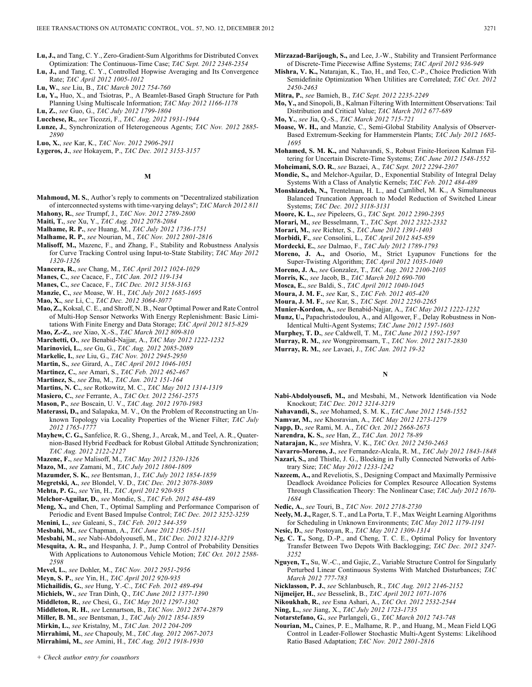- **Lu, J.,** and Tang, C. Y., Zero-Gradient-Sum Algorithms for Distributed Convex Optimization: The Continuous-Time Case; *TAC Sept. 2012 2348-2354*
- **Lu, J.,** and Tang, C. Y., Controlled Hopwise Averaging and Its Convergence Rate; *TAC April 2012 1005-1012*
- **Lu, W.**, *see* Liu, B., *TAC March 2012 754-760*
- **Lu, Y.,** Huo, X., and Tsiotras, P., A Beamlet-Based Graph Structure for Path Planning Using Multiscale Information; *TAC May 2012 1166-1178*
- **Lu, Z.**, *see* Guo, G., *TAC July 2012 1799-1804* **Lucchese, R.**, *see* Ticozzi, F., *TAC Aug. 2012 1931-1944*
- **Lunze, J.**, Synchronization of Heterogeneous Agents; *TAC Nov. 2012 2885-*
- *2890*
- **Luo, X.**, *see* Kar, K., *TAC Nov. 2012 2906-2911*
- **Lygeros, J.**, *see* Hokayem, P., *TAC Dec. 2012 3153-3157*

### **M**

- **Mahmoud, M. S.**, Author's reply to comments on "Decentralized stabilization of interconnected systems with time-varying delays"; *TAC March 2012 811* **Mahony, R.**, *see* Trumpf, J., *TAC Nov. 2012 2789-2800*
- **Maiti, T.**, *see* Xu, Y., *TAC Aug. 2012 2078-2084*
- **Malhame, R. P.**, *see* Huang, M., *TAC July 2012 1736-1751*
- **Malhame, R. P.**, *see* Nourian, M., *TAC Nov. 2012 2801-2816*
- **Malisoff, M.,** Mazenc, F., and Zhang, F., Stability and Robustness Analysis for Curve Tracking Control using Input-to-State Stability; *TAC May 2012 1320-1326*
- **Mancera, R.**, *see* Chang, M., *TAC April 2012 1024-1029*
- **Manes, C.**, *see* Cacace, F., *TAC Jan. 2012 119-134*
- **Manes, C.**, *see* Cacace, F., *TAC Dec. 2012 3158-3163*
- **Manzie, C.**, *see* Moase, W. H., *TAC July 2012 1685-1695*
- **Mao, X.**, *see* Li, C., *TAC Dec. 2012 3064-3077*
- **Mao, Z.,** Koksal, C. E., and Shroff, N. B., Near Optimal Power and Rate Control of Multi-Hop Sensor Networks With Energy Replenishment: Basic Limitations With Finite Energy and Data Storage; *TAC April 2012 815-829*
- **Mao, Z.-Z.**, *see* Xiao, X.-S., *TAC March 2012 809-810* **Marchetti, O.**, *see* Benabid-Najjar, A., *TAC May 2012 1222-1232*
- **Marinovici, L.**, *see* Gu, G., *TAC Aug. 2012 2085-2089*
- **Markelic, I.**, *see* Liu, G., *TAC Nov. 2012 2945-2950*
- **Martin, S.**, *see* Girard, A., *TAC April 2012 1046-1051*
- **Martinez, C.**, *see* Amari, S., *TAC Feb. 2012 462-467*
- **Martinez, S.**, *see* Zhu, M., *TAC Jan. 2012 151-164*
- **Martins, N. C.**, *see* Rotkowitz, M. C., *TAC May 2012 1314-1319*
- **Masiero, C.**, *see* Ferrante, A., *TAC Oct. 2012 2561-2575*
- **Mason, P.**, *see* Boscain, U. V., *TAC Aug. 2012 1970-1983*
- **Materassi, D.,** and Salapaka, M. V., On the Problem of Reconstructing an Unknown Topology via Locality Properties of the Wiener Filter; *TAC July 2012 1765-1777*
- **Mayhew, C. G.,** Sanfelice, R. G., Sheng, J., Arcak, M., and Teel, A. R., Quaternion-Based Hybrid Feedback for Robust Global Attitude Synchronization; *TAC Aug. 2012 2122-2127*
- **Mazenc, F.**, *see* Malisoff, M., *TAC May 2012 1320-1326*
- **Mazo, M.**, *see* Zamani, M., *TAC July 2012 1804-1809*
- **Mazumder, S. K.**, *see* Bentsman, J., *TAC July 2012 1854-1859*
- **Megretski, A.**, *see* Blondel, V. D., *TAC Dec. 2012 3078-3089*
- **Mehta, P. G.**, *see* Yin, H., *TAC April 2012 920-935*
- **Melchor-Aguilar, D.**, *see* Mondie, S., *TAC Feb. 2012 484-489*
- **Meng, X.,** and Chen, T., Optimal Sampling and Performance Comparison of Periodic and Event Based Impulse Control; *TAC Dec. 2012 3252-3259*
- **Menini, L.**, *see* Galeani, S., *TAC Feb. 2012 344-359*
- **Mesbahi, M.**, *see* Chapman, A., *TAC June 2012 1505-1511*
- **Mesbahi, M.**, *see* Nabi-Abdolyousefi, M., *TAC Dec. 2012 3214-3219*
- **Mesquita, A. R.,** and Hespanha, J. P., Jump Control of Probability Densities With Applications to Autonomous Vehicle Motion; *TAC Oct. 2012 2588- 2598*
- **Mevel, L.**, *see* Dohler, M., *TAC Nov. 2012 2951-2956*
- **Meyn, S. P.**, *see* Yin, H., *TAC April 2012 920-935*
- **Michailidis, G.**, *see* Hung, Y.-C., *TAC Feb. 2012 489-494*
- **Michiels, W.**, *see* Tran Dinh, Q., *TAC June 2012 1377-1390*
- **Middleton, R.**, *see* Chesi, G., *TAC May 2012 1297-1302*
- **Middleton, R. H.**, *see* Lennartson, B., *TAC Nov. 2012 2874-2879*
- **Miller, B. M.**, *see* Bentsman, J., *TAC July 2012 1854-1859*
- **Mirkin, L.**, *see* Kristalny, M., *TAC Jan. 2012 204-209*

*+ Check author entry for coauthors*

- **Mirrahimi, M.**, *see* Chapouly, M., *TAC Aug. 2012 2067-2073*
- **Mirrahimi, M.**, *see* Amini, H., *TAC Aug. 2012 1918-1930*
- **Mirzazad-Barijough, S.,** and Lee, J.-W., Stability and Transient Performance of Discrete-Time Piecewise Affine Systems; *TAC April 2012 936-949*
- **Mishra, V. K.,** Natarajan, K., Tao, H., and Teo, C.-P., Choice Prediction With Semidefinite Optimization When Utilities are Correlated; *TAC Oct. 2012 2450-2463*
- **Mitra, P.**, *see* Bamieh, B., *TAC Sept. 2012 2235-2249*
- **Mo, Y.,** and Sinopoli, B., Kalman Filtering With Intermittent Observations: Tail Distribution and Critical Value; *TAC March 2012 677-689*
- **Mo, Y.**, *see* Jia, Q.-S., *TAC March 2012 715-721*
- **Moase, W. H.,** and Manzie, C., Semi-Global Stability Analysis of Observer-Based Extremum-Seeking for Hammerstein Plants; *TAC July 2012 1685- 1695*
- **Mohamed, S. M. K.,** and Nahavandi, S., Robust Finite-Horizon Kalman Filtering for Uncertain Discrete-Time Systems; *TAC June 2012 1548-1552*
- **Moheimani, S.O. R.**, *see* Bazaei, A., *TAC Sept. 2012 2294-2307*
- **Mondie, S.,** and Melchor-Aguilar, D., Exponential Stability of Integral Delay Systems With a Class of Analytic Kernels; *TAC Feb. 2012 484-489*
- **Monshizadeh, N.,** Trentelman, H. L., and Camlibel, M. K., A Simultaneous Balanced Truncation Approach to Model Reduction of Switched Linear Systems; *TAC Dec. 2012 3118-3131*
- **Moore, K. L.**, *see* Pipeleers, G., *TAC Sept. 2012 2390-2395*
- **Morari, M.**, *see* Besselmann, T., *TAC Sept. 2012 2322-2332*
- **Morari, M.**, *see* Richter, S., *TAC June 2012 1391-1403*
- **Morbidi, F.**, *see* Consolini, L., *TAC April 2012 845-859*
- **Mordecki, E.**, *see* Dalmao, F., *TAC July 2012 1789-1793*
- **Moreno, J. A.,** and Osorio, M., Strict Lyapunov Functions for the Super-Twisting Algorithm; *TAC April 2012 1035-1040*
- **Moreno, J. A.**, *see* Gonzalez, T., *TAC Aug. 2012 2100-2105*
- **Morris, K.**, *see* Jacob, B., *TAC March 2012 690-700*
- **Mosca, E.**, *see* Baldi, S., *TAC April 2012 1040-1045*
- **Moura, J. M. F.**, *see* Kar, S., *TAC Feb. 2012 405-420*
- **Moura, J. M. F.**, *see* Kar, S., *TAC Sept. 2012 2250-2265*
- **Munier-Kordon, A.**, *see* Benabid-Najjar, A., *TAC May 2012 1222-1232*
- **Munz, U.,** Papachristodoulou, A., and Allgower, F., Delay Robustness in Non-Identical Multi-Agent Systems; *TAC June 2012 1597-1603*
- **Murphey, T. D.**, *see* Caldwell, T. M., *TAC June 2012 1592-1597*
- **Murray, R. M.**, *see* Wongpiromsarn, T., *TAC Nov. 2012 2817-2830*
- **Murray, R. M.**, *see* Lavaei, J., *TAC Jan. 2012 19-32*

# **N**

- **Nabi-Abdolyousefi, M.,** and Mesbahi, M., Network Identification via Node Knockout; *TAC Dec. 2012 3214-3219*
- **Nahavandi, S.**, *see* Mohamed, S. M. K., *TAC June 2012 1548-1552*
- **Namvar, M.**, *see* Khosravian, A., *TAC May 2012 1273-1279*
- **Napp, D.**, *see* Rami, M. A., *TAC Oct. 2012 2668-2673*
- **Narendra, K. S.**, *see* Han, Z., *TAC Jan. 2012 78-89*
- **Natarajan, K.**, *see* Mishra, V. K., *TAC Oct. 2012 2450-2463*

**Navarro-Moreno, J.**, *see* Fernandez-Alcala, R. M., *TAC July 2012 1843-1848*

- **Nazari, S.,** and Thistle, J. G., Blocking in Fully Connected Networks of Arbitrary Size; *TAC May 2012 1233-1242*
- **Nazeem, A.,** and Reveliotis, S., Designing Compact and Maximally Permissive Deadlock Avoidance Policies for Complex Resource Allocation Systems Through Classification Theory: The Nonlinear Case; *TAC July 2012 1670- 1684*
- **Nedic, A.**, *see* Touri, B., *TAC Nov. 2012 2718-2730*
- **Neely, M. J.,** Rager, S. T., and La Porta, T. F., Max Weight Learning Algorithms for Scheduling in Unknown Environments; *TAC May 2012 1179-1191*
- **Nesic, D.**, *see* Postoyan, R., *TAC May 2012 1309-1314*
- **Ng, C. T.,** Song, D.-P., and Cheng, T. C. E., Optimal Policy for Inventory Transfer Between Two Depots With Backlogging; *TAC Dec. 2012 3247- 3252*
- **Nguyen, T.,** Su, W.-C., and Gajic, Z., Variable Structure Control for Singularly Perturbed Linear Continuous Systems With Matched Disturbances; *TAC March 2012 777-783*

**Nourian, M.,** Caines, P. E., Malhame, R. P., and Huang, M., Mean Field LQG Control in Leader-Follower Stochastic Multi-Agent Systems: Likelihood

- **Nicklasson, P. J.**, *see* Schlanbusch, R., *TAC Aug. 2012 2146-2152*
- **Nijmeijer, H.**, *see* Besselink, B., *TAC April 2012 1071-1076*

**Notarstefano, G.**, *see* Parlangeli, G., *TAC March 2012 743-748*

Ratio Based Adaptation; *TAC Nov. 2012 2801-2816*

- **Nikoukhah, R.**, *see* Esna Ashari, A., *TAC Oct. 2012 2532-2544*
- **Ning, L.**, *see* Jiang, X., *TAC July 2012 1723-1735*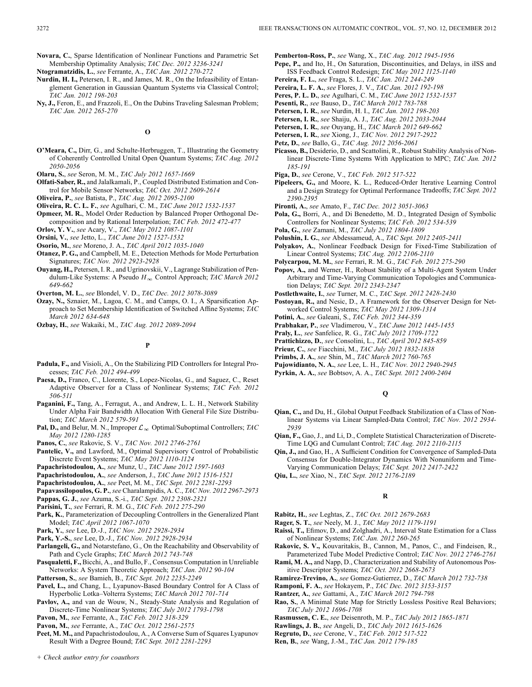**Novara, C.**, Sparse Identification of Nonlinear Functions and Parametric Set Membership Optimality Analysis; *TAC Dec. 2012 3236-3241*

**Ntogramatzidis, L.**, *see* Ferrante, A., *TAC Jan. 2012 270-272*

- **Nurdin, H. I.,** Petersen, I. R., and James, M. R., On the Infeasibility of Entanglement Generation in Gaussian Quantum Systems via Classical Control; *TAC Jan. 2012 198-203*
- **Ny, J.,** Feron, E., and Frazzoli, E., On the Dubins Traveling Salesman Problem; *TAC Jan. 2012 265-270*

### **O**

**O'Meara, C.,** Dirr, G., and Schulte-Herbruggen, T., Illustrating the Geometry of Coherently Controlled Unital Open Quantum Systems; *TAC Aug. 2012 2050-2056*

**Olaru, S.**, *see* Seron, M. M., *TAC July 2012 1657-1669*

- **Olfati-Saber, R.,** and Jalalkamali, P., Coupled Distributed Estimation and Control for Mobile Sensor Networks; *TAC Oct. 2012 2609-2614*
- **Oliveira, P.**, *see* Batista, P., *TAC Aug. 2012 2095-2100*
- **Oliveira, R. C. L. F.**, *see* Agulhari, C. M., *TAC June 2012 1532-1537*
- **Opmeer, M. R.**, Model Order Reduction by Balanced Proper Orthogonal Decomposition and by Rational Interpolation; *TAC Feb. 2012 472-477*

**Orlov, Y. V.**, *see* Acary, V., *TAC May 2012 1087-1101*

**Orsini, V.**, *see* Jetto, L., *TAC June 2012 1527-1532*

- **Osorio, M.**, *see* Moreno, J. A., *TAC April 2012 1035-1040*
- **Otanez, P. G.,** and Campbell, M. E., Detection Methods for Mode Perturbation Signatures; *TAC Nov. 2012 2923-2928*
- **Ouyang, H.,** Petersen, I. R., and Ugrinovskii, V., Lagrange Stabilization of Pendulum-Like Systems: A Pseudo  $H_{\infty}$  Control Approach; *TAC March 2012 649-662*
- **Overton, M. L.**, *see* Blondel, V. D., *TAC Dec. 2012 3078-3089*
- **Ozay, N.,** Sznaier, M., Lagoa, C. M., and Camps, O. I., A Sparsification Approach to Set Membership Identification of Switched Affine Systems; *TAC March 2012 634-648*
- **Ozbay, H.**, *see* Wakaiki, M., *TAC Aug. 2012 2089-2094*

### **P**

- **Padula, F.,** and Visioli, A., On the Stabilizing PID Controllers for Integral Processes; *TAC Feb. 2012 494-499*
- Paesa, D., Franco, C., Llorente, S., Lopez-Nicolas, G., and Saguez, C., Reset Adaptive Observer for a Class of Nonlinear Systems; *TAC Feb. 2012 506-511*
- **Paganini, F.,** Tang, A., Ferragut, A., and Andrew, L. L. H., Network Stability Under Alpha Fair Bandwidth Allocation With General File Size Distribution; *TAC March 2012 579-591*
- **Pal, D.,** and Belur, M. N., Improper  $\mathcal{L}_{\infty}$  Optimal/Suboptimal Controllers; *TAC May 2012 1280-1285*
- **Panos, C.**, *see* Rakovic, S. V., *TAC Nov. 2012 2746-2761*
- Pantelic, V., and Lawford, M., Optimal Supervisory Control of Probabilistic Discrete Event Systems; *TAC May 2012 1110-1124*
- **Papachristodoulou, A.**, *see* Munz, U., *TAC June 2012 1597-1603*
- **Papachristodoulou, A.**, *see* Anderson, J., *TAC June 2012 1516-1521*
- **Papachristodoulou, A.**, *see* Peet, M. M., *TAC Sept. 2012 2281-2293*

**Papavassilopoulos, G. P.**,*see* Charalampidis, A. C., *TAC Nov. 2012 2967-2973*

- **Pappas, G. J.**, *see* Azuma, S.-i., *TAC Sept. 2012 2308-2321*
- **Parisini, T.**, *see* Ferrari, R. M. G., *TAC Feb. 2012 275-290*
- Park, K., Parameterization of Decoupling Controllers in the Generalized Plant Model; *TAC April 2012 1067-1070*
- **Park, Y.**, *see* Lee, D.-J., *TAC Nov. 2012 2928-2934*

**Park, Y.-S.**, *see* Lee, D.-J., *TAC Nov. 2012 2928-2934*

- **Parlangeli, G.,** and Notarstefano, G., On the Reachability and Observability of Path and Cycle Graphs; *TAC March 2012 743-748*
- **Pasqualetti, F.,** Bicchi, A., and Bullo, F., Consensus Computation in Unreliable Networks: A System Theoretic Approach; *TAC Jan. 2012 90-104*
- **Patterson, S.**, *see* Bamieh, B., *TAC Sept. 2012 2235-2249*
- **Pavel, L.,** and Chang, L., Lyapunov-Based Boundary Control for A Class of Hyperbolic Lotka–Volterra Systems; *TAC March 2012 701-714*
- **Pavlov, A.,** and van de Wouw, N., Steady-State Analysis and Regulation of Discrete-Time Nonlinear Systems; *TAC July 2012 1793-1798*
- **Pavon, M.**, *see* Ferrante, A., *TAC Feb. 2012 318-329*

**Pavon, M.**, *see* Ferrante, A., *TAC Oct. 2012 2561-2575*

**Peet, M. M.,** and Papachristodoulou, A., A Converse Sum of Squares Lyapunov Result With a Degree Bound; *TAC Sept. 2012 2281-2293*

- **Pemberton-Ross, P.**, *see* Wang, X., *TAC Aug. 2012 1945-1956*
- **Pepe, P.,** and Ito, H., On Saturation, Discontinuities, and Delays, in iISS and ISS Feedback Control Redesign; *TAC May 2012 1125-1140*
- **Pereira, F. L.**, *see* Fraga, S. L., *TAC Jan. 2012 244-249*
- **Pereira, L. F. A.**, *see* Flores, J. V., *TAC Jan. 2012 192-198*
- **Peres, P. L. D.**, *see* Agulhari, C. M., *TAC June 2012 1532-1537*
- **Pesenti, R.**, *see* Bauso, D., *TAC March 2012 783-788*
- **Petersen, I. R.**, *see* Nurdin, H. I., *TAC Jan. 2012 198-203*
- **Petersen, I. R.**, *see* Shaiju, A. J., *TAC Aug. 2012 2033-2044*
- **Petersen, I. R.**, *see* Ouyang, H., *TAC March 2012 649-662*
- **Petersen, I. R.**, *see* Xiong, J., *TAC Nov. 2012 2917-2922*
- **Petz, D.**, *see* Ballo, G., *TAC Aug. 2012 2056-2061* **Picasso, B.,** Desiderio, D., and Scattolini, R., Robust Stability Analysis of Non-
- linear Discrete-Time Systems With Application to MPC; *TAC Jan. 2012 185-191*
- **Piga, D.**, *see* Cerone, V., *TAC Feb. 2012 517-522*
- **Pipeleers, G.,** and Moore, K. L., Reduced-Order Iterative Learning Control and a Design Strategy for Optimal Performance Tradeoffs; *TAC Sept. 2012 2390-2395*
- **Pironti, A.**, *see* Amato, F., *TAC Dec. 2012 3051-3063*
- **Pola, G.,** Borri, A., and Di Benedetto, M. D., Integrated Design of Symbolic Controllers for Nonlinear Systems; *TAC Feb. 2012 534-539*
- **Pola, G.**, *see* Zamani, M., *TAC July 2012 1804-1809*
- **Polushin, I. G.**, *see* Abdessameud, A., *TAC Sept. 2012 2405-2411*
- **Polyakov, A.**, Nonlinear Feedback Design for Fixed-Time Stabilization of Linear Control Systems; *TAC Aug. 2012 2106-2110*
- **Polycarpou, M. M.**, *see* Ferrari, R. M. G., *TAC Feb. 2012 275-290*
- **Popov, A.,** and Werner, H., Robust Stability of a Multi-Agent System Under Arbitrary and Time-Varying Communication Topologies and Communication Delays; *TAC Sept. 2012 2343-2347*
- **Postlethwaite, I.**, *see* Turner, M. C., *TAC Sept. 2012 2428-2430*
- **Postoyan, R.,** and Nesic, D., A Framework for the Observer Design for Networked Control Systems; *TAC May 2012 1309-1314*
- **Potini, A.**, *see* Galeani, S., *TAC Feb. 2012 344-359*
- **Prabhakar, P.**, *see* Vladimerou, V., *TAC June 2012 1445-1455*
- **Praly, L.**, *see* Sanfelice, R. G., *TAC July 2012 1709-1722*
- **Prattichizzo, D.**, *see* Consolini, L., *TAC April 2012 845-859*
- **Prieur, C.**, *see* Fiacchini, M., *TAC July 2012 1832-1838*
- **Primbs, J. A.**, *see* Shin, M., *TAC March 2012 760-765*
- **Pujowidianto, N. A.**, *see* Lee, L. H., *TAC Nov. 2012 2940-2945*
- **Pyrkin, A. A.**, *see* Bobtsov, A. A., *TAC Sept. 2012 2400-2404*

**Q**

- **Qian, C.,** and Du, H., Global Output Feedback Stabilization of a Class of Nonlinear Systems via Linear Sampled-Data Control; *TAC Nov. 2012 2934- 2939*
- **Qian, F.,** Gao, J., and Li, D., Complete Statistical Characterization of Discrete-Time LQG and Cumulant Control; *TAC Aug. 2012 2110-2115*
- **Qin, J.,** and Gao, H., A Sufficient Condition for Convergence of Sampled-Data Consensus for Double-Integrator Dynamics With Nonuniform and Time-Varying Communication Delays; *TAC Sept. 2012 2417-2422*
- **Qiu, L.**, *see* Xiao, N., *TAC Sept. 2012 2176-2189*

**R**

- **Rabitz, H.**, *see* Leghtas, Z., *TAC Oct. 2012 2679-2683*
- **Rager, S. T.**, *see* Neely, M. J., *TAC May 2012 1179-1191*
- **Raissi, T.,** Efimov, D., and Zolghadri, A., Interval State Estimation for a Class of Nonlinear Systems; *TAC Jan. 2012 260-265*
- **Rakovic, S. V.,** Kouvaritakis, B., Cannon, M., Panos, C., and Findeisen, R., Parameterized Tube Model Predictive Control; *TAC Nov. 2012 2746-2761*
- **Rami, M. A.,** and Napp, D., Characterization and Stability of Autonomous Positive Descriptor Systems; *TAC Oct. 2012 2668-2673*
- **Ramirez-Trevino, A.**, *see* Gomez-Gutierrez, D., *TAC March 2012 732-738*
- **Ramponi, F. A.**, *see* Hokayem, P., *TAC Dec. 2012 3153-3157*
- **Rantzer, A.**, *see* Gattami, A., *TAC March 2012 794-798*
- **Rao, S.**, A Minimal State Map for Strictly Lossless Positive Real Behaviors;
- *TAC July 2012 1696-1708*
- **Rasmussen, C. E.**, *see* Deisenroth, M. P., *TAC July 2012 1865-1871*
- **Rawlings, J. B.**, *see* Angeli, D., *TAC July 2012 1615-1626*
- **Regruto, D.**, *see* Cerone, V., *TAC Feb. 2012 517-522* **Ren, B.**, *see* Wang, J.-M., *TAC Jan. 2012 179-185*

*+ Check author entry for coauthors*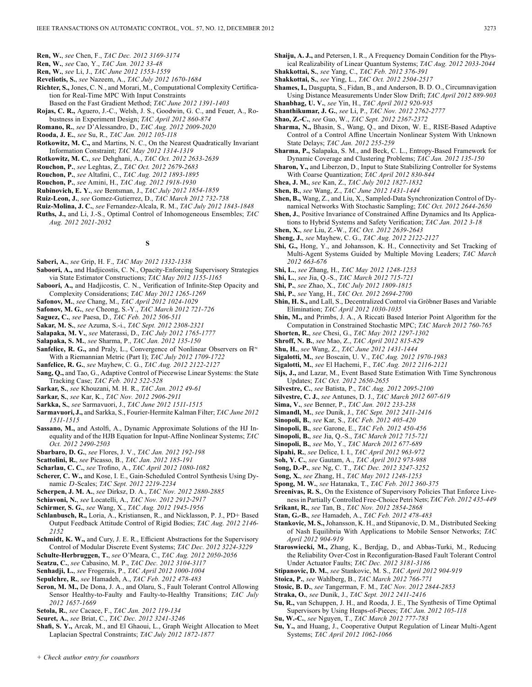- **Ren, W.**, *see* Chen, F., *TAC Dec. 2012 3169-3174*
- **Ren, W.**, *see* Cao, Y., *TAC Jan. 2012 33-48*
- **Ren, W.**, *see* Li, J., *TAC June 2012 1553-1559*
- **Reveliotis, S.**, *see* Nazeem, A., *TAC July 2012 1670-1684*
- **Richter, S.,** Jones, C. N., and Morari, M., Computational Complexity Certification for Real-Time MPC With Input Constraints
- Based on the Fast Gradient Method; *TAC June 2012 1391-1403*
- **Rojas, C. R.,** Aguero, J.-C., Welsh, J. S., Goodwin, G. C., and Feuer, A., Robustness in Experiment Design; *TAC April 2012 860-874*
- **Romano, R.**, *see* D'Alessandro, D., *TAC Aug. 2012 2009-2020*
- **Rooda, J. E.**, *see* Su, R., *TAC Jan. 2012 105-118*
- **Rotkowitz, M. C.,** and Martins, N. C., On the Nearest Quadratically Invariant Information Constraint; *TAC May 2012 1314-1319*
- **Rotkowitz, M. C.**, *see* Dehghani, A., *TAC Oct. 2012 2633-2639*
- **Rouchon, P.**, *see* Leghtas, Z., *TAC Oct. 2012 2679-2683*
- **Rouchon, P.**, *see* Altafini, C., *TAC Aug. 2012 1893-1895*
- **Rouchon, P.**, *see* Amini, H., *TAC Aug. 2012 1918-1930*
- **Rubinovich, E. Y.**, *see* Bentsman, J., *TAC July 2012 1854-1859*
- **Ruiz-Leon, J.**, *see* Gomez-Gutierrez, D., *TAC March 2012 732-738*
- **Ruiz-Molina, J. C.**, *see* Fernandez-Alcala, R. M., *TAC July 2012 1843-1848*
- **Ruths, J.,** and Li, J.-S., Optimal Control of Inhomogeneous Ensembles; *TAC Aug. 2012 2021-2032*

### **S**

- **Saberi, A.**, *see* Grip, H. F., *TAC May 2012 1332-1338*
- **Saboori, A.,** and Hadjicostis, C. N., Opacity-Enforcing Supervisory Strategies via State Estimator Constructions; *TAC May 2012 1155-1165*
- **Saboori, A.,** and Hadjicostis, C. N., Verification of Infinite-Step Opacity and Complexity Considerations; *TAC May 2012 1265-1269*
- **Safonov, M.**, *see* Chang, M., *TAC April 2012 1024-1029*
- **Safonov, M. G.**, *see* Cheong, S.-Y., *TAC March 2012 721-726*
- **Saguez, C.**, *see* Paesa, D., *TAC Feb. 2012 506-511*
- **Sakar, M. S.**, *see* Azuma, S.-i., *TAC Sept. 2012 2308-2321*
- **Salapaka, M. V.**, *see* Materassi, D., *TAC July 2012 1765-1777*
- **Salapaka, S. M.**, *see* Sharma, P., *TAC Jan. 2012 135-150*
- **Sanfelice, R. G.,** and Praly, L., Convergence of Nonlinear Observers on  $\mathbb{R}^n$ With a Riemannian Metric (Part I); *TAC July 2012 1709-1722*
- **Sanfelice, R. G.**, *see* Mayhew, C. G., *TAC Aug. 2012 2122-2127*
- **Sang, Q.,** and Tao, G., Adaptive Control of Piecewise Linear Systems: the State Tracking Case; *TAC Feb. 2012 522-528*
- **Sarkar, S.**, *see* Khouzani, M. H. R., *TAC Jan. 2012 49-61*
- **Sarkar, S.**, *see* Kar, K., *TAC Nov. 2012 2906-2911*
- **Sarkka, S.**, *see* Sarmavuori, J., *TAC June 2012 1511-1515*
- **Sarmavuori, J.,** and Sarkka, S., Fourier-Hermite Kalman Filter; *TAC June 2012 1511-1515*
- **Sassano, M.,** and Astolfi, A., Dynamic Approximate Solutions of the HJ Inequality and of the HJB Equation for Input-Affine Nonlinear Systems; *TAC Oct. 2012 2490-2503*
- **Sbarbaro, D. G.**, *see* Flores, J. V., *TAC Jan. 2012 192-198*
- **Scattolini, R.**, *see* Picasso, B., *TAC Jan. 2012 185-191*
- **Scharlau, C. C.**, *see* Trofino, A., *TAC April 2012 1080-1082*
- **Scherer, C. W.,** and Kose, I. E., Gain-Scheduled Control Synthesis Using Dynamic D-Scales; *TAC Sept. 2012 2219-2234*
- **Scherpen, J. M. A.**, *see* Dirksz, D. A., *TAC Nov. 2012 2880-2885*
- **Schiavoni, N.**, *see* Locatelli, A., *TAC Nov. 2012 2912-2917*
- **Schirmer, S. G.**, *see* Wang, X., *TAC Aug. 2012 1945-1956*
- **Schlanbusch, R.,** Loria, A., Kristiansen, R., and Nicklasson, P. J., PD+ Based Output Feedback Attitude Control of Rigid Bodies; *TAC Aug. 2012 2146- 2152*
- **Schmidt, K. W.,** and Cury, J. E. R., Efficient Abstractions for the Supervisory Control of Modular Discrete Event Systems; *TAC Dec. 2012 3224-3229*
- **Schulte-Herbruggen, T.**, *see* O'Meara, C., *TAC Aug. 2012 2050-2056*
- **Seatzu, C.**, *see* Cabasino, M. P., *TAC Dec. 2012 3104-3117*
- **Senhadji, L.**, *see* Frogerais, P., *TAC April 2012 1000-1004*
- **Sepulchre, R.**, *see* Hamadeh, A., *TAC Feb. 2012 478-483*
- **Seron, M. M.,** De Dona, J. A., and Olaru, S., Fault Tolerant Control Allowing Sensor Healthy-to-Faulty and Faulty-to-Healthy Transitions; *TAC July 2012 1657-1669*
- **Setola, R.**, *see* Cacace, F., *TAC Jan. 2012 119-134*
- **Seuret, A.**, *see* Briat, C., *TAC Dec. 2012 3241-3246*

*+ Check author entry for coauthors*

**Shafi, S. Y.,** Arcak, M., and El Ghaoui, L., Graph Weight Allocation to Meet Laplacian Spectral Constraints; *TAC July 2012 1872-1877*

- **Shaiju, A. J.,** and Petersen, I. R., A Frequency Domain Condition for the Physical Realizability of Linear Quantum Systems; *TAC Aug. 2012 2033-2044* **Shakkottai, S.**, *see* Yang, C., *TAC Feb. 2012 376-391*
- **Shakkottai, S.**, *see* Ying, L., *TAC Oct. 2012 2504-2517*
- **Shames, I.,** Dasgupta, S., Fidan, B., and Anderson, B. D. O., Circumnavigation
- Using Distance Measurements Under Slow Drift; *TAC April 2012 889-903* **Shanbhag, U. V.**, *see* Yin, H., *TAC April 2012 920-935*
- **Shanthikumar, J. G.**, *see* Li, P., *TAC Nov. 2012 2762-2777*
- **Shao, Z.-C.**, *see* Guo, W., *TAC Sept. 2012 2367-2372*
- **Sharma, N.,** Bhasin, S., Wang, Q., and Dixon, W. E., RISE-Based Adaptive Control of a Control Affine Uncertain Nonlinear System With Unknown State Delays; *TAC Jan. 2012 255-259*
- **Sharma, P.,** Salapaka, S. M., and Beck, C. L., Entropy-Based Framework for Dynamic Coverage and Clustering Problems; *TAC Jan. 2012 135-150*
- **Sharon, Y.,** and Liberzon, D., Input to State Stabilizing Controller for Systems
- With Coarse Quantization; *TAC April 2012 830-844* **Shea, J. M.**, *see* Kan, Z., *TAC July 2012 1827-1832*
- **Shen, B.**, *see* Wang, Z., *TAC June 2012 1431-1444*
- **Shen, B.,** Wang, Z., and Liu, X., Sampled-Data Synchronization Control of Dynamical Networks With Stochastic Sampling; *TAC Oct. 2012 2644-2650*
- **Shen, J.**, Positive Invariance of Constrained Affine Dynamics and Its Applications to Hybrid Systems and Safety Verification; *TAC Jan. 2012 3-18*
- **Shen, X.**, *see* Liu, Z.-W., *TAC Oct. 2012 2639-2643*
- **Sheng, J.**, *see* Mayhew, C. G., *TAC Aug. 2012 2122-2127*
- **Shi, G.,** Hong, Y., and Johansson, K. H., Connectivity and Set Tracking of Multi-Agent Systems Guided by Multiple Moving Leaders; *TAC March 2012 663-676*
- **Shi, L.**, *see* Zhang, H., *TAC May 2012 1248-1253*
- **Shi, L.**, *see* Jia, Q.-S., *TAC March 2012 715-721*
- **Shi, P.**, *see* Zhao, X., *TAC July 2012 1809-1815*
- **Shi, P.**, *see* Yang, H., *TAC Oct. 2012 2694-2700*
- **Shin, H. S.,** and Lall, S., Decentralized Control via Gröbner Bases and Variable Elimination; *TAC April 2012 1030-1035*
- **Shin, M.,** and Primbs, J. A., A Riccati Based Interior Point Algorithm for the Computation in Constrained Stochastic MPC; *TAC March 2012 760-765*
- **Shorten, R.**, *see* Chesi, G., *TAC May 2012 1297-1302*
- **Shroff, N. B.**, *see* Mao, Z., *TAC April 2012 815-829*
- **Shu, H.**, *see* Wang, Z., *TAC June 2012 1431-1444*
- **Sigalotti, M.**, *see* Boscain, U. V., *TAC Aug. 2012 1970-1983*
- **Sigalotti, M.**, *see* El Hachemi, F., *TAC Aug. 2012 2116-2121*
- **Sijs, J.,** and Lazar, M., Event Based State Estimation With Time Synchronous Updates; *TAC Oct. 2012 2650-2655*
- **Silvestre, C.**, *see* Batista, P., *TAC Aug. 2012 2095-2100*
- **Silvestre, C. J.**, *see* Antunes, D. J., *TAC March 2012 607-619*
- **Sima, V.**, *see* Benner, P., *TAC Jan. 2012 233-238*
- **Simandl, M.**, *see* Dunik, J., *TAC Sept. 2012 2411-2416*
- **Sinopoli, B.**, *see* Kar, S., *TAC Feb. 2012 405-420*
- **Sinopoli, B.**, *see* Garone, E., *TAC Feb. 2012 450-456*
- **Sinopoli, B.**, *see* Jia, Q.-S., *TAC March 2012 715-721*
- **Sinopoli, B.**, *see* Mo, Y., *TAC March 2012 677-689*
- **Sipahi, R.**, *see* Delice, I. I., *TAC April 2012 963-972*
- **Soh, Y. C.**, *see* Gautam, A., *TAC April 2012 973-988*
- **Song, D.-P.**, *see* Ng, C. T., *TAC Dec. 2012 3247-3252*
- **Song, X.**, *see* Zhang, H., *TAC May 2012 1248-1253*
- **Spong, M. W.**, *see* Hatanaka, T., *TAC Feb. 2012 360-375*
- **Sreenivas, R. S.**, On the Existence of Supervisory Policies That Enforce Live-
- ness in Partially Controlled Free-Choice Petri Nets; *TAC Feb. 2012 435-449* **Srikant, R.**, *see* Tan, B., *TAC Nov. 2012 2854-2868*

of Nash Equilibria With Applications to Mobile Sensor Networks; *TAC*

**Staroswiecki, M.,** Zhang, K., Berdjag, D., and Abbas-Turki, M., Reducing the Reliability Over-Cost in Reconfiguration-Based Fault Tolerant Control

**Su, R.,** van Schuppen, J. H., and Rooda, J. E., The Synthesis of Time Optimal Supervisors by Using Heaps-of-Pieces; *TAC Jan. 2012 105-118*

**Su, Y.,** and Huang, J., Cooperative Output Regulation of Linear Multi-Agent

*April 2012 904-919*

**Stan, G.-B.**, *see* Hamadeh, A., *TAC Feb. 2012 478-483* **Stankovic, M. S.,** Johansson, K. H., and Stipanovic, D. M., Distributed Seeking

Under Actuator Faults; *TAC Dec. 2012 3181-3186* **Stipanovic, D. M.**, *see* Stankovic, M. S., *TAC April 2012 904-919* **Stoica, P.**, *see* Wahlberg, B., *TAC March 2012 766-771* **Stosic, B. D.**, *see* Tangerman, F. M., *TAC Nov. 2012 2844-2853* **Straka, O.**, *see* Dunik, J., *TAC Sept. 2012 2411-2416*

**Su, W.-C.**, *see* Nguyen, T., *TAC March 2012 777-783*

Systems; *TAC April 2012 1062-1066*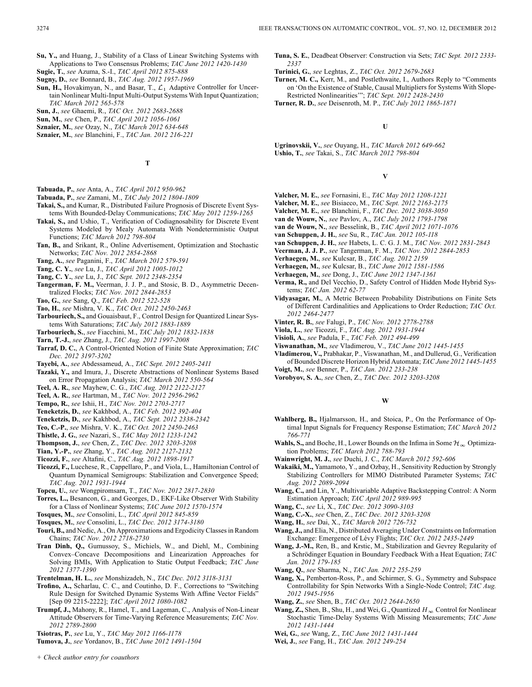- **Su, Y.,** and Huang, J., Stability of a Class of Linear Switching Systems with Applications to Two Consensus Problems; *TAC June 2012 1420-1430*
- **Sugie, T.**, *see* Azuma, S.-I., *TAC April 2012 875-888*
- **Sugny, D.**, *see* Bonnard, B., *TAC Aug. 2012 1957-1969*
- **Sun, H.,** Hovakimyan, N., and Basar, T.,  $\mathcal{L}_1$  Adaptive Controller for Uncertain Nonlinear Multi-Input Multi-Output Systems With Input Quantization; *TAC March 2012 565-578*
- **Sun, J.**, *see* Ghaemi, R., *TAC Oct. 2012 2683-2688*
- **Sun, M.**, *see* Chen, P., *TAC April 2012 1056-1061*
- **Sznaier, M.**, *see* Ozay, N., *TAC March 2012 634-648*
- **Sznaier, M.**, *see* Blanchini, F., *TAC Jan. 2012 216-221*

**T**

- **Tabuada, P.**, *see* Anta, A., *TAC April 2012 950-962*
- **Tabuada, P.**, *see* Zamani, M., *TAC July 2012 1804-1809*
- **Takai, S.,** and Kumar, R., Distributed Failure Prognosis of Discrete Event Systems With Bounded-Delay Communications; *TAC May 2012 1259-1265*
- **Takai, S.,** and Ushio, T., Verification of Codiagnosability for Discrete Event Systems Modeled by Mealy Automata With Nondeterministic Output Functions; *TAC March 2012 798-804*
- **Tan, B.,** and Srikant, R., Online Advertisement, Optimization and Stochastic Networks; *TAC Nov. 2012 2854-2868*
- **Tang, A.**, *see* Paganini, F., *TAC March 2012 579-591*
- **Tang, C. Y.**, *see* Lu, J., *TAC April 2012 1005-1012*
- **Tang, C. Y.**, *see* Lu, J., *TAC Sept. 2012 2348-2354*
- **Tangerman, F. M.,** Veerman, J. J. P., and Stosic, B. D., Asymmetric Decentralized Flocks; *TAC Nov. 2012 2844-2853*
- **Tao, G.**, *see* Sang, Q., *TAC Feb. 2012 522-528*
- **Tao, H.**, *see* Mishra, V. K., *TAC Oct. 2012 2450-2463*
- **Tarbouriech, S.,** and Gouaisbaut, F., Control Design for Quantized Linear Systems With Saturations; *TAC July 2012 1883-1889*
- **Tarbouriech, S.**, *see* Fiacchini, M., *TAC July 2012 1832-1838*
- **Tarn, T.-J.**, *see* Zhang, J., *TAC Aug. 2012 1997-2008*
- **Tarraf, D. C.**, A Control-Oriented Notion of Finite State Approximation; *TAC Dec. 2012 3197-3202*
- **Tayebi, A.**, *see* Abdessameud, A., *TAC Sept. 2012 2405-2411*
- **Tazaki, Y.,** and Imura, J., Discrete Abstractions of Nonlinear Systems Based on Error Propagation Analysis; *TAC March 2012 550-564*
- **Teel, A. R.**, *see* Mayhew, C. G., *TAC Aug. 2012 2122-2127*
- **Teel, A. R.**, *see* Hartman, M., *TAC Nov. 2012 2956-2962*
- **Tempo, R.**, *see* Ishii, H., *TAC Nov. 2012 2703-2717*
- **Teneketzis, D.**, *see* Kakhbod, A., *TAC Feb. 2012 392-404*
- **Teneketzis, D.**, *see* Kakhbod, A., *TAC Sept. 2012 2338-2342*
- **Teo, C.-P.**, *see* Mishra, V. K., *TAC Oct. 2012 2450-2463*
- **Thistle, J. G.**, *see* Nazari, S., *TAC May 2012 1233-1242*
- **Thompson, J.**, *see* Chen, Z., *TAC Dec. 2012 3203-3208*
- **Tian, Y.-P.**, *see* Zhang, Y., *TAC Aug. 2012 2127-2132*
- **Ticozzi, F.**, *see* Altafini, C., *TAC Aug. 2012 1898-1917*
- **Ticozzi, F.,** Lucchese, R., Cappellaro, P., and Viola, L., Hamiltonian Control of Quantum Dynamical Semigroups: Stabilization and Convergence Speed; *TAC Aug. 2012 1931-1944*
- **Topcu, U.**, *see* Wongpiromsarn, T., *TAC Nov. 2012 2817-2830*
- **Torres, L.,** Besancon, G., and Georges, D., EKF-Like Observer With Stability for a Class of Nonlinear Systems; *TAC June 2012 1570-1574*
- **Tosques, M.**, *see* Consolini, L., *TAC April 2012 845-859*
- **Tosques, M.**, *see* Consolini, L., *TAC Dec. 2012 3174-3180*
- **Touri, B.,** and Nedic, A., On Approximations and Ergodicity Classes in Random Chains; *TAC Nov. 2012 2718-2730*
- **Tran Dinh, Q.,** Gumussoy, S., Michiels, W., and Diehl, M., Combining Convex–Concave Decompositions and Linearization Approaches for Solving BMIs, With Application to Static Output Feedback; *TAC June 2012 1377-1390*
- **Trentelman, H. L.**, *see* Monshizadeh, N., *TAC Dec. 2012 3118-3131*
- **Trofino, A.,** Scharlau, C. C., and Coutinho, D. F., Corrections to "Switching Rule Design for Switched Dynamic Systems With Affine Vector Fields" [Sep 09 2215-2222]; *TAC April 2012 1080-1082*
- **Trumpf, J.,** Mahony, R., Hamel, T., and Lageman, C., Analysis of Non-Linear Attitude Observers for Time-Varying Reference Measurements; *TAC Nov. 2012 2789-2800*
- **Tsiotras, P.**, *see* Lu, Y., *TAC May 2012 1166-1178*
- **Tumova, J.**, *see* Yordanov, B., *TAC June 2012 1491-1504*
- **Tuna, S. E.**, Deadbeat Observer: Construction via Sets; *TAC Sept. 2012 2333- 2337*
- **Turinici, G.**, *see* Leghtas, Z., *TAC Oct. 2012 2679-2683*
- **Turner, M. C.,** Kerr, M., and Postlethwaite, I., Authors Reply to "Comments on 'On the Existence of Stable, Causal Multipliers for Systems With Slope-Restricted Nonlinearities'"; *TAC Sept. 2012 2428-2430*
- **Turner, R. D.**, *see* Deisenroth, M. P., *TAC July 2012 1865-1871*

**U**

**Ugrinovskii, V.**, *see* Ouyang, H., *TAC March 2012 649-662* **Ushio, T.**, *see* Takai, S., *TAC March 2012 798-804*

**V**

- **Valcher, M. E.**, *see* Fornasini, E., *TAC May 2012 1208-1221*
- **Valcher, M. E.**, *see* Bisiacco, M., *TAC Sept. 2012 2163-2175*
- **Valcher, M. E.**, *see* Blanchini, F., *TAC Dec. 2012 3038-3050*
- **van de Wouw, N.**, *see* Pavlov, A., *TAC July 2012 1793-1798* **van de Wouw, N.**, *see* Besselink, B., *TAC April 2012 1071-1076*
- **van Schuppen, J. H.**, *see* Su, R., *TAC Jan. 2012 105-118*
- **van Schuppen, J. H.**, *see* Habets, L. C. G. J. M., *TAC Nov. 2012 2831-2843*
- **Veerman, J. J. P.**, *see* Tangerman, F. M., *TAC Nov. 2012 2844-2853*
- **Verhaegen, M.**, *see* Kulcsar, B., *TAC Aug. 2012 2159*
- **Verhaegen, M.**, *see* Kulcsar, B., *TAC June 2012 1581-1586*
- **Verhaegen, M.**, *see* Dong, J., *TAC June 2012 1347-1361*
- **Verma, R.,** and Del Vecchio, D., Safety Control of Hidden Mode Hybrid Systems; *TAC Jan. 2012 62-77*
- **Vidyasagar, M.**, A Metric Between Probability Distributions on Finite Sets of Different Cardinalities and Applications to Order Reduction; *TAC Oct. 2012 2464-2477*
- **Vinter, R. B.**, *see* Falugi, P., *TAC Nov. 2012 2778-2788*
- **Viola, L.**, *see* Ticozzi, F., *TAC Aug. 2012 1931-1944*
- **Visioli, A.**, *see* Padula, F., *TAC Feb. 2012 494-499*
- **Viswanathan, M.**, *see* Vladimerou, V., *TAC June 2012 1445-1455*
- **Vladimerou, V.,** Prabhakar, P., Viswanathan, M., and Dullerud, G., Verification of Bounded Discrete Horizon Hybrid Automata; *TAC June 2012 1445-1455* **Voigt, M.**, *see* Benner, P., *TAC Jan. 2012 233-238*
- **Vorobyov, S. A.**, *see* Chen, Z., *TAC Dec. 2012 3203-3208*
- 

**W**

- **Wahlberg, B.,** Hjalmarsson, H., and Stoica, P., On the Performance of Optimal Input Signals for Frequency Response Estimation; *TAC March 2012 766-771*
- **Wahls, S.,** and Boche, H., Lower Bounds on the Infima in Some  $\mathcal{H}_{\infty}$  Optimization Problems; *TAC March 2012 788-793*
- **Wainwright, M. J.**, *see* Duchi, J. C., *TAC March 2012 592-606*
- **Wakaiki, M.,** Yamamoto, Y., and Ozbay, H., Sensitivity Reduction by Strongly Stabilizing Controllers for MIMO Distributed Parameter Systems; *TAC Aug. 2012 2089-2094*
- **Wang, C.,** and Lin, Y., Multivariable Adaptive Backstepping Control: A Norm Estimation Approach; *TAC April 2012 989-995*
- **Wang, C.**, *see* Li, X., *TAC Dec. 2012 3090-3103*
- **Wang, C.-X.**, *see* Chen, Z., *TAC Dec. 2012 3203-3208*
- **Wang, H.**, *see* Dai, X., *TAC March 2012 726-732*
- **Wang, J.,** and Elia, N., Distributed Averaging Under Constraints on Information Exchange: Emergence of Lévy Flights; *TAC Oct. 2012 2435-2449*
- **Wang, J.-M.,** Ren, B., and Krstic, M., Stabilization and Gevrey Regularity of a Schrödinger Equation in Boundary Feedback With a Heat Equation; *TAC Jan. 2012 179-185*
- **Wang, Q.**, *see* Sharma, N., *TAC Jan. 2012 255-259*
- **Wang, X.,** Pemberton-Ross, P., and Schirmer, S. G., Symmetry and Subspace Controllability for Spin Networks With a Single-Node Control; *TAC Aug. 2012 1945-1956*
- **Wang, Z.**, *see* Shen, B., *TAC Oct. 2012 2644-2650*
- **Wang, Z.,** Shen, B., Shu, H., and Wei, G., Quantized  $H_{\infty}$  Control for Nonlinear Stochastic Time-Delay Systems With Missing Measurements; *TAC June 2012 1431-1444*
- **Wei, G.**, *see* Wang, Z., *TAC June 2012 1431-1444*
- **Wei, J.**, *see* Fang, H., *TAC Jan. 2012 249-254*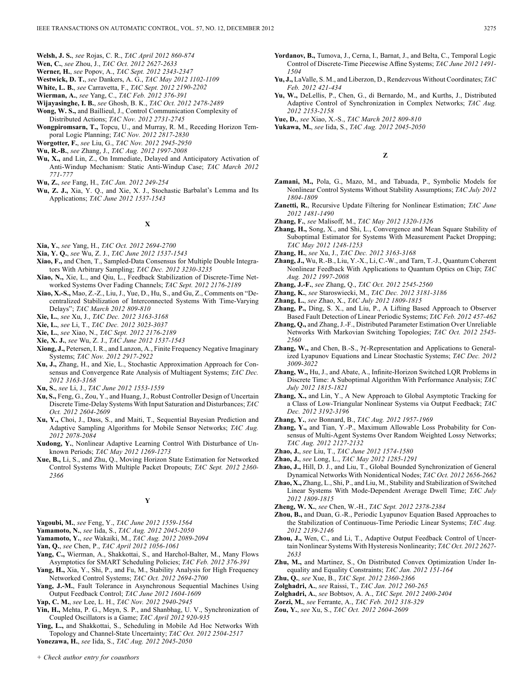- **Welsh, J. S.**, *see* Rojas, C. R., *TAC April 2012 860-874*
- **Wen, C.**, *see* Zhou, J., *TAC Oct. 2012 2627-2633*
- **Werner, H.**, *see* Popov, A., *TAC Sept. 2012 2343-2347*
- **Westwick, D. T.**, *see* Dankers, A. G., *TAC May 2012 1102-1109*
- **White, L. B.**, *see* Carravetta, F., *TAC Sept. 2012 2190-2202*
- **Wierman, A.**, *see* Yang, C., *TAC Feb. 2012 376-391*
- **Wijayasinghe, I. B.**, *see* Ghosh, B. K., *TAC Oct. 2012 2478-2489*
- **Wong, W. S.,** and Baillieul, J., Control Communication Complexity of Distributed Actions; *TAC Nov. 2012 2731-2745*
- **Wongpiromsarn, T.,** Topcu, U., and Murray, R. M., Receding Horizon Temporal Logic Planning; *TAC Nov. 2012 2817-2830*

**Worgotter, F.**, *see* Liu, G., *TAC Nov. 2012 2945-2950*

**Wu, R.-B.**, *see* Zhang, J., *TAC Aug. 2012 1997-2008*

- **Wu, X.,** and Lin, Z., On Immediate, Delayed and Anticipatory Activation of Anti-Windup Mechanism: Static Anti-Windup Case; *TAC March 2012 771-777*
- **Wu, Z.**, *see* Fang, H., *TAC Jan. 2012 249-254*
- **Wu, Z. J.,** Xia, Y. Q., and Xie, X. J., Stochastic Barbalat's Lemma and Its Applications; *TAC June 2012 1537-1543*

# **X**

- **Xia, Y.**, *see* Yang, H., *TAC Oct. 2012 2694-2700*
- **Xia, Y. Q.**, *see* Wu, Z. J., *TAC June 2012 1537-1543*
- **Xiao, F.,** and Chen, T., Sampled-Data Consensus for Multiple Double Integrators With Arbitrary Sampling; *TAC Dec. 2012 3230-3235*
- **Xiao, N.,** Xie, L., and Qiu, L., Feedback Stabilization of Discrete-Time Networked Systems Over Fading Channels; *TAC Sept. 2012 2176-2189*
- **Xiao, X.-S.,** Mao, Z.-Z., Liu, J., Yue, D., Hu, S., and Gu, Z., Comments on "Decentralized Stabilization of Interconnected Systems With Time-Varying Delays"; *TAC March 2012 809-810*
- **Xie, L.**, *see* Xu, J., *TAC Dec. 2012 3163-3168*
- **Xie, L.**, *see* Li, T., *TAC Dec. 2012 3023-3037*
- **Xie, L.**, *see* Xiao, N., *TAC Sept. 2012 2176-2189*
- **Xie, X. J.**, *see* Wu, Z. J., *TAC June 2012 1537-1543*
- **Xiong, J.,** Petersen, I. R., and Lanzon, A., Finite Frequency Negative Imaginary Systems; *TAC Nov. 2012 2917-2922*
- **Xu, J.,** Zhang, H., and Xie, L., Stochastic Approximation Approach for Consensus and Convergence Rate Analysis of Multiagent Systems; *TAC Dec. 2012 3163-3168*
- **Xu, S.**, *see* Li, J., *TAC June 2012 1553-1559*
- **Xu, S.,** Feng, G., Zou, Y., and Huang, J., Robust Controller Design of Uncertain Discrete Time-Delay Systems With Input Saturation and Disturbances; *TAC Oct. 2012 2604-2609*
- **Xu, Y.,** Choi, J., Dass, S., and Maiti, T., Sequential Bayesian Prediction and Adaptive Sampling Algorithms for Mobile Sensor Networks; *TAC Aug. 2012 2078-2084*
- **Xudong, Y.**, Nonlinear Adaptive Learning Control With Disturbance of Unknown Periods; *TAC May 2012 1269-1273*
- **Xue, B.,** Li, S., and Zhu, Q., Moving Horizon State Estimation for Networked Control Systems With Multiple Packet Dropouts; *TAC Sept. 2012 2360- 2366*

# **Y**

- **Yagoubi, M.**, *see* Feng, Y., *TAC June 2012 1559-1564*
- **Yamamoto, N.**, *see* Iida, S., *TAC Aug. 2012 2045-2050*
- **Yamamoto, Y.**, *see* Wakaiki, M., *TAC Aug. 2012 2089-2094*
- **Yan, Q.**, *see* Chen, P., *TAC April 2012 1056-1061*
- **Yang, C.,** Wierman, A., Shakkottai, S., and Harchol-Balter, M., Many Flows Asymptotics for SMART Scheduling Policies; *TAC Feb. 2012 376-391*
- **Yang, H.,** Xia, Y., Shi, P., and Fu, M., Stability Analysis for High Frequency Networked Control Systems; *TAC Oct. 2012 2694-2700*
- **Yang, J.-M.**, Fault Tolerance in Asynchronous Sequential Machines Using Output Feedback Control; *TAC June 2012 1604-1609*
- **Yap, C. M.**, *see* Lee, L. H., *TAC Nov. 2012 2940-2945*
- **Yin, H.,** Mehta, P. G., Meyn, S. P., and Shanbhag, U. V., Synchronization of Coupled Oscillators is a Game; *TAC April 2012 920-935*
- **Ying, L.,** and Shakkottai, S., Scheduling in Mobile Ad Hoc Networks With Topology and Channel-State Uncertainty; *TAC Oct. 2012 2504-2517*
- **Yonezawa, H.**, *see* Iida, S., *TAC Aug. 2012 2045-2050*
- **Yordanov, B.,** Tumova, J., Cerna, I., Barnat, J., and Belta, C., Temporal Logic Control of Discrete-Time Piecewise Affine Systems; *TAC June 2012 1491- 1504*
- **Yu, J.,** LaValle, S. M., and Liberzon, D., Rendezvous Without Coordinates; *TAC Feb. 2012 421-434*
- **Yu, W.,** DeLellis, P., Chen, G., di Bernardo, M., and Kurths, J., Distributed Adaptive Control of Synchronization in Complex Networks; *TAC Aug. 2012 2153-2158*
- **Yue, D.**, *see* Xiao, X.-S., *TAC March 2012 809-810*
- **Yukawa, M.**, *see* Iida, S., *TAC Aug. 2012 2045-2050*

**Z**

- **Zamani, M.,** Pola, G., Mazo, M., and Tabuada, P., Symbolic Models for Nonlinear Control Systems Without Stability Assumptions; *TAC July 2012 1804-1809*
- **Zanetti, R.**, Recursive Update Filtering for Nonlinear Estimation; *TAC June 2012 1481-1490*
- **Zhang, F.**, *see* Malisoff, M., *TAC May 2012 1320-1326*
- **Zhang, H.,** Song, X., and Shi, L., Convergence and Mean Square Stability of Suboptimal Estimator for Systems With Measurement Packet Dropping; *TAC May 2012 1248-1253*
- **Zhang, H.**, *see* Xu, J., *TAC Dec. 2012 3163-3168*
- **Zhang, J.,** Wu, R.-B., Liu, Y.-X., Li, C.-W., and Tarn, T.-J., Quantum Coherent Nonlinear Feedback With Applications to Quantum Optics on Chip; *TAC Aug. 2012 1997-2008*
- **Zhang, J.-F.**, *see* Zhang, Q., *TAC Oct. 2012 2545-2560*
- **Zhang, K.**, *see* Staroswiecki, M., *TAC Dec. 2012 3181-3186*
- **Zhang, L.**, *see* Zhao, X., *TAC July 2012 1809-1815*
- **Zhang, P.,** Ding, S. X., and Liu, P., A Lifting Based Approach to Observer Based Fault Detection of Linear Periodic Systems; *TAC Feb. 2012 457-462*
- **Zhang, Q.,** and Zhang, J.-F., Distributed Parameter Estimation Over Unreliable Networks With Markovian Switching Topologies; *TAC Oct. 2012 2545- 2560*
- Zhang, W., and Chen, B.-S.,  $H$ -Representation and Applications to Generalized Lyapunov Equations and Linear Stochastic Systems; *TAC Dec. 2012 3009-3022*
- **Zhang, W.,** Hu, J., and Abate, A., Infinite-Horizon Switched LQR Problems in Discrete Time: A Suboptimal Algorithm With Performance Analysis; *TAC July 2012 1815-1821*
- **Zhang, X.,** and Lin, Y., A New Approach to Global Asymptotic Tracking for a Class of Low-Triangular Nonlinear Systems via Output Feedback; *TAC Dec. 2012 3192-3196*
- **Zhang, Y.**, *see* Bonnard, B., *TAC Aug. 2012 1957-1969*
- **Zhang, Y.,** and Tian, Y.-P., Maximum Allowable Loss Probability for Consensus of Multi-Agent Systems Over Random Weighted Lossy Networks; *TAC Aug. 2012 2127-2132*
- **Zhao, J.**, *see* Liu, T., *TAC June 2012 1574-1580*
- **Zhao, J.**, *see* Long, L., *TAC May 2012 1285-1291*
- **Zhao, J.,** Hill, D. J., and Liu, T., Global Bounded Synchronization of General Dynamical Networks With Nonidentical Nodes; *TAC Oct. 2012 2656-2662*
- **Zhao, X.,** Zhang, L., Shi, P., and Liu, M., Stability and Stabilization of Switched Linear Systems With Mode-Dependent Average Dwell Time; *TAC July 2012 1809-1815*
- **Zheng, W. X.**, *see* Chen, W.-H., *TAC Sept. 2012 2378-2384*
- **Zhou, B.,** and Duan, G.-R., Periodic Lyapunov Equation Based Approaches to the Stabilization of Continuous-Time Periodic Linear Systems; *TAC Aug. 2012 2139-2146*
- **Zhou, J.,** Wen, C., and Li, T., Adaptive Output Feedback Control of Uncertain Nonlinear Systems With Hysteresis Nonlinearity; *TAC Oct. 2012 2627- 2633*
- **Zhu, M.,** and Martinez, S., On Distributed Convex Optimization Under Inequality and Equality Constraints; *TAC Jan. 2012 151-164*
- **Zhu, Q.**, *see* Xue, B., *TAC Sept. 2012 2360-2366*
- **Zolghadri, A.**, *see* Raissi, T., *TAC Jan. 2012 260-265*
- **Zolghadri, A.**, *see* Bobtsov, A. A., *TAC Sept. 2012 2400-2404*
- **Zorzi, M.**, *see* Ferrante, A., *TAC Feb. 2012 318-329*
- **Zou, Y.**, *see* Xu, S., *TAC Oct. 2012 2604-2609*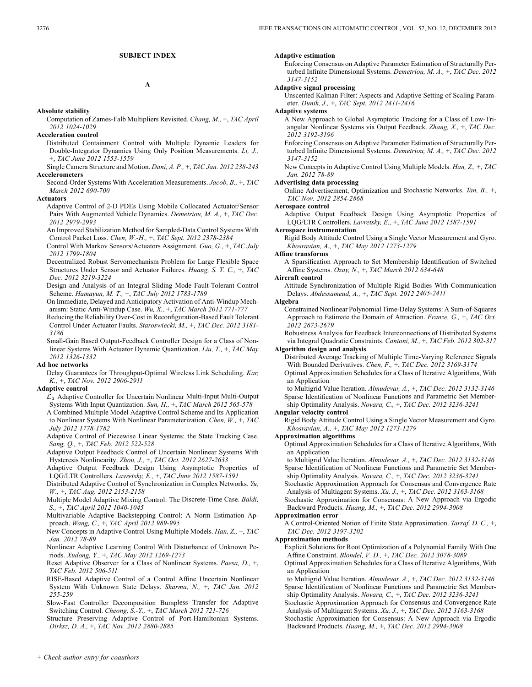# **SUBJECT INDEX**

**A**

### **Absolute stability**

- Computation of Zames-Falb Multipliers Revisited. *Chang, M.,* +, *TAC April 2012 1024-1029*
- **Acceleration control**
	- Distributed Containment Control with Multiple Dynamic Leaders for Double-Integrator Dynamics Using Only Position Measurements. *Li, J.,* +, *TAC June 2012 1553-1559*
- Single Camera Structure and Motion. *Dani, A. P.,* +, *TAC Jan. 2012 238-243* **Accelerometers**

Second-Order Systems With Acceleration Measurements. *Jacob, B.,* +, *TAC March 2012 690-700*

### **Actuators**

- Adaptive Control of 2-D PDEs Using Mobile Collocated Actuator/Sensor Pairs With Augmented Vehicle Dynamics. *Demetriou, M. A.,* +, *TAC Dec. 2012 2979-2993*
- An Improved Stabilization Method for Sampled-Data Control Systems With Control Packet Loss. *Chen, W.-H.,* +, *TAC Sept. 2012 2378-2384*
- Control With Markov Sensors/Actuators Assignment. *Guo, G.,* +, *TAC July 2012 1799-1804*
- Decentralized Robust Servomechanism Problem for Large Flexible Space Structures Under Sensor and Actuator Failures. *Huang, S. T. C.,* +, *TAC Dec. 2012 3219-3224*
- Design and Analysis of an Integral Sliding Mode Fault-Tolerant Control Scheme. *Hamayun, M. T.,* +, *TAC July 2012 1783-1789*
- On Immediate, Delayed and Anticipatory Activation of Anti-Windup Mechanism: Static Anti-Windup Case. *Wu, X.,* +, *TAC March 2012 771-777*
- Reducing the Reliability Over-Cost in Reconfiguration-Based Fault Tolerant Control Under Actuator Faults. *Staroswiecki, M.,* +, *TAC Dec. 2012 3181- 3186*
- Small-Gain Based Output-Feedback Controller Design for a Class of Nonlinear Systems With Actuator Dynamic Quantization. *Liu, T.,* +, *TAC May 2012 1326-1332*

### **Ad hoc networks**

Delay Guarantees for Throughput-Optimal Wireless Link Scheduling. *Kar, K.,* +, *TAC Nov. 2012 2906-2911*

### **Adaptive control**

- $\mathcal{L}_1$  Adaptive Controller for Uncertain Nonlinear Multi-Input Multi-Output Systems With Input Quantization. *Sun, H.,* +, *TAC March 2012 565-578*
- A Combined Multiple Model Adaptive Control Scheme and Its Application to Nonlinear Systems With Nonlinear Parameterization. *Chen, W.,* +, *TAC July 2012 1778-1782*
- Adaptive Control of Piecewise Linear Systems: the State Tracking Case. *Sang, Q.,* +, *TAC Feb. 2012 522-528*
- Adaptive Output Feedback Control of Uncertain Nonlinear Systems With Hysteresis Nonlinearity. *Zhou, J.,* +, *TAC Oct. 2012 2627-2633*
- Adaptive Output Feedback Design Using Asymptotic Properties of LQG/LTR Controllers. *Lavretsky, E.,* +, *TAC June 2012 1587-1591*
- Distributed Adaptive Control of Synchronization in Complex Networks. *Yu, W.,* +, *TAC Aug. 2012 2153-2158*
- Multiple Model Adaptive Mixing Control: The Discrete-Time Case. *Baldi, S.,* +, *TAC April 2012 1040-1045*
- Multivariable Adaptive Backstepping Control: A Norm Estimation Approach. *Wang, C.,* +, *TAC April 2012 989-995*
- New Concepts in Adaptive Control Using Multiple Models. *Han, Z.,* +, *TAC Jan. 2012 78-89*
- Nonlinear Adaptive Learning Control With Disturbance of Unknown Periods. *Xudong, Y.,* +, *TAC May 2012 1269-1273*
- Reset Adaptive Observer for a Class of Nonlinear Systems. *Paesa, D.,* +, *TAC Feb. 2012 506-511*
- RISE-Based Adaptive Control of a Control Affine Uncertain Nonlinear System With Unknown State Delays. *Sharma, N.,* +, *TAC Jan. 2012 255-259*
- Slow-Fast Controller Decomposition Bumpless Transfer for Adaptive Switching Control. *Cheong, S.-Y.,* +, *TAC March 2012 721-726*
- Structure Preserving Adaptive Control of Port-Hamiltonian Systems. *Dirksz, D. A.,* +, *TAC Nov. 2012 2880-2885*

# **Adaptive estimation**

Enforcing Consensus on Adaptive Parameter Estimation of Structurally Perturbed Infinite Dimensional Systems. *Demetriou, M. A.,* +, *TAC Dec. 2012 3147-3152*

# **Adaptive signal processing**

Unscented Kalman Filter: Aspects and Adaptive Setting of Scaling Parameter. *Dunik, J.,* +, *TAC Sept. 2012 2411-2416*

# **Adaptive systems**

- A New Approach to Global Asymptotic Tracking for a Class of Low-Triangular Nonlinear Systems via Output Feedback. *Zhang, X.,* +, *TAC Dec. 2012 3192-3196*
- Enforcing Consensus on Adaptive Parameter Estimation of Structurally Perturbed Infinite Dimensional Systems. *Demetriou, M. A.,* +, *TAC Dec. 2012 3147-3152*

New Concepts in Adaptive Control Using Multiple Models. *Han, Z.,* +, *TAC Jan. 2012 78-89*

### **Advertising data processing**

Online Advertisement, Optimization and Stochastic Networks. *Tan, B.,* +, *TAC Nov. 2012 2854-2868*

**Aerospace control**

Adaptive Output Feedback Design Using Asymptotic Properties of LQG/LTR Controllers. *Lavretsky, E.,* +, *TAC June 2012 1587-1591*

# **Aerospace instrumentation**

Rigid Body Attitude Control Using a Single Vector Measurement and Gyro. *Khosravian, A.,* +, *TAC May 2012 1273-1279*

### **Affine transforms**

A Sparsification Approach to Set Membership Identification of Switched Affine Systems. *Ozay, N.,* +, *TAC March 2012 634-648*

### **Aircraft control**

Attitude Synchronization of Multiple Rigid Bodies With Communication Delays. *Abdessameud, A.,* +, *TAC Sept. 2012 2405-2411*

### **Algebra**

Constrained Nonlinear Polynomial Time-Delay Systems: A Sum-of-Squares Approach to Estimate the Domain of Attraction. *Franze, G.,* +, *TAC Oct. 2012 2673-2679*

Robustness Analysis for Feedback Interconnections of Distributed Systems via Integral Quadratic Constraints. *Cantoni, M.,* +, *TAC Feb. 2012 302-317*

# **Algorithm design and analysis**

- Distributed Average Tracking of Multiple Time-Varying Reference Signals With Bounded Derivatives. *Chen, F.,* +, *TAC Dec. 2012 3169-3174*
- Optimal Approximation Schedules for a Class of Iterative Algorithms, With an Application
- to Multigrid Value Iteration. *Almudevar, A.,* +, *TAC Dec. 2012 3132-3146* Sparse Identification of Nonlinear Functions and Parametric Set Membership Optimality Analysis. *Novara, C.,* +, *TAC Dec. 2012 3236-3241*

### **Angular velocity control**

Rigid Body Attitude Control Using a Single Vector Measurement and Gyro. *Khosravian, A.,* +, *TAC May 2012 1273-1279*

### **Approximation algorithms**

Optimal Approximation Schedules for a Class of Iterative Algorithms, With an Application

- to Multigrid Value Iteration. *Almudevar, A.,* +, *TAC Dec. 2012 3132-3146* Sparse Identification of Nonlinear Functions and Parametric Set Membership Optimality Analysis. *Novara, C.,* +, *TAC Dec. 2012 3236-3241*
- Stochastic Approximation Approach for Consensus and Convergence Rate
- Analysis of Multiagent Systems. *Xu, J.,* +, *TAC Dec. 2012 3163-3168* Stochastic Approximation for Consensus: A New Approach via Ergodic
- Backward Products. *Huang, M.,* +, *TAC Dec. 2012 2994-3008*

# **Approximation error**

A Control-Oriented Notion of Finite State Approximation. *Tarraf, D. C.,* +, *TAC Dec. 2012 3197-3202*

**Approximation methods**

Explicit Solutions for Root Optimization of a Polynomial Family With One Affine Constraint. *Blondel, V. D.,* +, *TAC Dec. 2012 3078-3089*

Optimal Approximation Schedules for a Class of Iterative Algorithms, With an Application

- to Multigrid Value Iteration. *Almudevar, A.,* +, *TAC Dec. 2012 3132-3146* Sparse Identification of Nonlinear Functions and Parametric Set Membership Optimality Analysis. *Novara, C.,* +, *TAC Dec. 2012 3236-3241*
- Stochastic Approximation Approach for Consensus and Convergence Rate Analysis of Multiagent Systems. *Xu, J.,* +, *TAC Dec. 2012 3163-3168*

Stochastic Approximation for Consensus: A New Approach via Ergodic Backward Products. *Huang, M.,* +, *TAC Dec. 2012 2994-3008*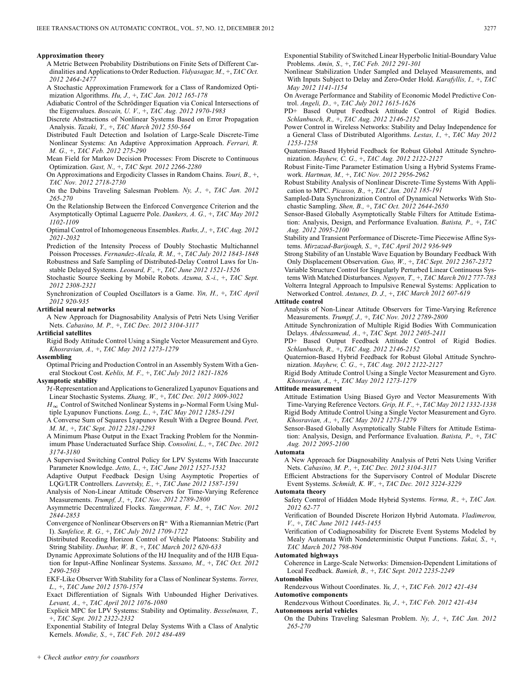### **Approximation theory**

- A Metric Between Probability Distributions on Finite Sets of Different Cardinalities and Applications to Order Reduction. *Vidyasagar, M.,* +, *TAC Oct. 2012 2464-2477*
- A Stochastic Approximation Framework for a Class of Randomized Optimization Algorithms. *Hu, J.,* +, *TAC Jan. 2012 165-178*
- Adiabatic Control of the Schrödinger Equation via Conical Intersections of the Eigenvalues. *Boscain, U. V.,* +, *TAC Aug. 2012 1970-1983*
- Discrete Abstractions of Nonlinear Systems Based on Error Propagation Analysis. *Tazaki, Y.,* +, *TAC March 2012 550-564*
- Distributed Fault Detection and Isolation of Large-Scale Discrete-Time Nonlinear Systems: An Adaptive Approximation Approach. *Ferrari, R. M. G.,* +, *TAC Feb. 2012 275-290*
- Mean Field for Markov Decision Processes: From Discrete to Continuous Optimization. *Gast, N.,* +, *TAC Sept. 2012 2266-2280*
- On Approximations and Ergodicity Classes in Random Chains. *Touri, B.,* +, *TAC Nov. 2012 2718-2730*
- On the Dubins Traveling Salesman Problem. *Ny, J.,* +, *TAC Jan. 2012 265-270*
- On the Relationship Between the Enforced Convergence Criterion and the Asymptotically Optimal Laguerre Pole. *Dankers, A. G.,* +, *TAC May 2012 1102-1109*
- Optimal Control of Inhomogeneous Ensembles. *Ruths, J.,* +, *TAC Aug. 2012 2021-2032*
- Prediction of the Intensity Process of Doubly Stochastic Multichannel Poisson Processes. *Fernandez-Alcala, R. M.,* +, *TAC July 2012 1843-1848* Robustness and Safe Sampling of Distributed-Delay Control Laws for Unstable Delayed Systems. *Leonard, F.,* +, *TAC June 2012 1521-1526*
- Stochastic Source Seeking by Mobile Robots. *Azuma, S.-i.,* +, *TAC Sept. 2012 2308-2321*
- Synchronization of Coupled Oscillators is a Game. *Yin, H.,* +, *TAC April 2012 920-935*

# **Artificial neural networks**

A New Approach for Diagnosability Analysis of Petri Nets Using Verifier Nets. *Cabasino, M. P.,* +, *TAC Dec. 2012 3104-3117*

# **Artificial satellites**

Rigid Body Attitude Control Using a Single Vector Measurement and Gyro. *Khosravian, A.,* +, *TAC May 2012 1273-1279*

# **Assembling**

Optimal Pricing and Production Control in an Assembly System With a General Stockout Cost. *Keblis, M. F.,* +, *TAC July 2012 1821-1826*

### **Asymptotic stability**

- $H$ -Representation and Applications to Generalized Lyapunov Equations and Linear Stochastic Systems. *Zhang, W.,* +, *TAC Dec. 2012 3009-3022*
- $H_{\infty}$  Control of Switched Nonlinear Systems in p-Normal Form Using Multiple Lyapunov Functions. *Long, L.,* +, *TAC May 2012 1285-1291*
- A Converse Sum of Squares Lyapunov Result With a Degree Bound. *Peet, M. M.,* +, *TAC Sept. 2012 2281-2293*
- A Minimum Phase Output in the Exact Tracking Problem for the Nonminimum Phase Underactuated Surface Ship. *Consolini, L.,* +, *TAC Dec. 2012 3174-3180*
- A Supervised Switching Control Policy for LPV Systems With Inaccurate Parameter Knowledge. *Jetto, L.,* +, *TAC June 2012 1527-1532*
- Adaptive Output Feedback Design Using Asymptotic Properties of LQG/LTR Controllers. *Lavretsky, E.,* +, *TAC June 2012 1587-1591*
- Analysis of Non-Linear Attitude Observers for Time-Varying Reference Measurements. *Trumpf, J.,* +, *TAC Nov. 2012 2789-2800*
- Asymmetric Decentralized Flocks. *Tangerman, F. M.,* +, *TAC Nov. 2012 2844-2853*
- Convergence of Nonlinear Observers on  $\mathbb{R}^n$  With a Riemannian Metric (Part I). *Sanfelice, R. G.,* +, *TAC July 2012 1709-1722*
- Distributed Receding Horizon Control of Vehicle Platoons: Stability and String Stability. *Dunbar, W. B.,* +, *TAC March 2012 620-633*
- Dynamic Approximate Solutions of the HJ Inequality and of the HJB Equation for Input-Affine Nonlinear Systems. *Sassano, M.,* +, *TAC Oct. 2012 2490-2503*
- EKF-Like Observer With Stability for a Class of Nonlinear Systems. *Torres, L.,* +, *TAC June 2012 1570-1574*
- Exact Differentiation of Signals With Unbounded Higher Derivatives. *Levant, A.,* +, *TAC April 2012 1076-1080*
- Explicit MPC for LPV Systems: Stability and Optimality. *Besselmann, T.,* +, *TAC Sept. 2012 2322-2332*
- Exponential Stability of Integral Delay Systems With a Class of Analytic Kernels. *Mondie, S.,* +, *TAC Feb. 2012 484-489*
- Exponential Stability of Switched Linear Hyperbolic Initial-Boundary Value Problems. *Amin, S.,* +, *TAC Feb. 2012 291-301*
- Nonlinear Stabilization Under Sampled and Delayed Measurements, and With Inputs Subject to Delay and Zero-Order Hold. *Karafyllis, I.,* +, *TAC May 2012 1141-1154*
- On Average Performance and Stability of Economic Model Predictive Control. *Angeli, D.,* +, *TAC July 2012 1615-1626*
- PD+ Based Output Feedback Attitude Control of Rigid Bodies. *Schlanbusch, R.,* +, *TAC Aug. 2012 2146-2152*
- Power Control in Wireless Networks: Stability and Delay Independence for a General Class of Distributed Algorithms. *Lestas, I.,* +, *TAC May 2012 1253-1258*
- Quaternion-Based Hybrid Feedback for Robust Global Attitude Synchronization. *Mayhew, C. G.,* +, *TAC Aug. 2012 2122-2127*
- Robust Finite-Time Parameter Estimation Using a Hybrid Systems Framework. *Hartman, M.,* +, *TAC Nov. 2012 2956-2962*
- Robust Stability Analysis of Nonlinear Discrete-Time Systems With Application to MPC. *Picasso, B.,* +, *TAC Jan. 2012 185-191*
- Sampled-Data Synchronization Control of Dynamical Networks With Stochastic Sampling. *Shen, B.,* +, *TAC Oct. 2012 2644-2650*
- Sensor-Based Globally Asymptotically Stable Filters for Attitude Estimation: Analysis, Design, and Performance Evaluation. *Batista, P.,* +, *TAC Aug. 2012 2095-2100*
- Stability and Transient Performance of Discrete-Time Piecewise Affine Systems. *Mirzazad-Barijough, S.,* +, *TAC April 2012 936-949*
- Strong Stability of an Unstable Wave Equation by Boundary Feedback With Only Displacement Observation. *Guo, W.,* +, *TAC Sept. 2012 2367-2372*
- Variable Structure Control for Singularly Perturbed Linear Continuous Systems With Matched Disturbances. *Nguyen, T.,* +, *TAC March 2012 777-783* Volterra Integral Approach to Impulsive Renewal Systems: Application to Networked Control. *Antunes, D. J.,* +, *TAC March 2012 607-619*

### **Attitude control**

- Analysis of Non-Linear Attitude Observers for Time-Varying Reference Measurements. *Trumpf, J.,* +, *TAC Nov. 2012 2789-2800*
- Attitude Synchronization of Multiple Rigid Bodies With Communication Delays. *Abdessameud, A.,* +, *TAC Sept. 2012 2405-2411*
- PD+ Based Output Feedback Attitude Control of Rigid Bodies. *Schlanbusch, R.,* +, *TAC Aug. 2012 2146-2152*
- Quaternion-Based Hybrid Feedback for Robust Global Attitude Synchronization. *Mayhew, C. G.,* +, *TAC Aug. 2012 2122-2127*
- Rigid Body Attitude Control Using a Single Vector Measurement and Gyro. *Khosravian, A.,* +, *TAC May 2012 1273-1279*

# **Attitude measurement**

- Attitude Estimation Using Biased Gyro and Vector Measurements With Time-Varying Reference Vectors. *Grip, H. F.,* +, *TAC May 2012 1332-1338* Rigid Body Attitude Control Using a Single Vector Measurement and Gyro. *Khosravian, A.,* +, *TAC May 2012 1273-1279*
- Sensor-Based Globally Asymptotically Stable Filters for Attitude Estimation: Analysis, Design, and Performance Evaluation. *Batista, P.,* +, *TAC Aug. 2012 2095-2100*

### **Automata**

- A New Approach for Diagnosability Analysis of Petri Nets Using Verifier Nets. *Cabasino, M. P.,* +, *TAC Dec. 2012 3104-3117*
- Efficient Abstractions for the Supervisory Control of Modular Discrete Event Systems. *Schmidt, K. W.,* +, *TAC Dec. 2012 3224-3229*

### **Automata theory**

- Safety Control of Hidden Mode Hybrid Systems. *Verma, R.,* +, *TAC Jan. 2012 62-77*
- Verification of Bounded Discrete Horizon Hybrid Automata. *Vladimerou, V.,* +, *TAC June 2012 1445-1455*
- Verification of Codiagnosability for Discrete Event Systems Modeled by Mealy Automata With Nondeterministic Output Functions. *Takai, S.,* +, *TAC March 2012 798-804*

### **Automated highways**

Coherence in Large-Scale Networks: Dimension-Dependent Limitations of Local Feedback. *Bamieh, B.,* +, *TAC Sept. 2012 2235-2249*

### **Automobiles**

- Rendezvous Without Coordinates. *Yu, J.,* +, *TAC Feb. 2012 421-434* **Automotive components**
- Rendezvous Without Coordinates. *Yu, J.,* +, *TAC Feb. 2012 421-434* **Autonomous aerial vehicles**
	- On the Dubins Traveling Salesman Problem. *Ny, J.,* +, *TAC Jan. 2012 265-270*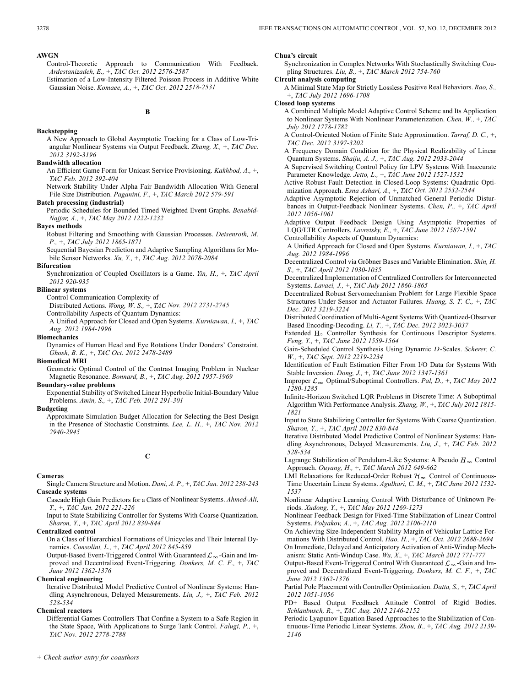### **AWGN**

- Control-Theoretic Approach to Communication With Feedback. *Ardestanizadeh, E.,* +, *TAC Oct. 2012 2576-2587*
- Estimation of a Low-Intensity Filtered Poisson Process in Additive White Gaussian Noise. *Komaee, A.,* +, *TAC Oct. 2012 2518-2531*

**B**

**Backstepping**

A New Approach to Global Asymptotic Tracking for a Class of Low-Triangular Nonlinear Systems via Output Feedback. *Zhang, X.,* +, *TAC Dec. 2012 3192-3196*

# **Bandwidth allocation**

An Efficient Game Form for Unicast Service Provisioning. *Kakhbod, A.,* +, *TAC Feb. 2012 392-404*

Network Stability Under Alpha Fair Bandwidth Allocation With General File Size Distribution. *Paganini, F.,* +, *TAC March 2012 579-591*

### **Batch processing (industrial)**

Periodic Schedules for Bounded Timed Weighted Event Graphs. *Benabid-Najjar, A.,* +, *TAC May 2012 1222-1232*

# **Bayes methods**

Robust Filtering and Smoothing with Gaussian Processes. *Deisenroth, M. P.,* +, *TAC July 2012 1865-1871*

Sequential Bayesian Prediction and Adaptive Sampling Algorithms for Mobile Sensor Networks. *Xu, Y.,* +, *TAC Aug. 2012 2078-2084*

# **Bifurcation**

Synchronization of Coupled Oscillators is a Game. *Yin, H.,* +, *TAC April 2012 920-935*

### **Bilinear systems**

Control Communication Complexity of

Distributed Actions. *Wong, W. S.,* +, *TAC Nov. 2012 2731-2745*

Controllability Aspects of Quantum Dynamics:

A Unified Approach for Closed and Open Systems. *Kurniawan, I.,* +, *TAC Aug. 2012 1984-1996*

### **Biomechanics**

Dynamics of Human Head and Eye Rotations Under Donders' Constraint. *Ghosh, B. K.,* +, *TAC Oct. 2012 2478-2489*

# **Biomedical MRI**

Geometric Optimal Control of the Contrast Imaging Problem in Nuclear Magnetic Resonance. *Bonnard, B.,* +, *TAC Aug. 2012 1957-1969*

# **Boundary-value problems**

Exponential Stability of Switched Linear Hyperbolic Initial-Boundary Value Problems. *Amin, S.,* +, *TAC Feb. 2012 291-301*

### **Budgeting**

Approximate Simulation Budget Allocation for Selecting the Best Design in the Presence of Stochastic Constraints. *Lee, L. H.,* +, *TAC Nov. 2012 2940-2945*

**C**

### **Cameras**

Single Camera Structure and Motion. *Dani, A. P.,* +, *TAC Jan. 2012 238-243* **Cascade systems**

Cascade High Gain Predictors for a Class of Nonlinear Systems. *Ahmed-Ali, T.,* +, *TAC Jan. 2012 221-226*

Input to State Stabilizing Controller for Systems With Coarse Quantization. *Sharon, Y.,* +, *TAC April 2012 830-844*

# **Centralized control**

On a Class of Hierarchical Formations of Unicycles and Their Internal Dynamics. *Consolini, L.,* +, *TAC April 2012 845-859*

Output-Based Event-Triggered Control With Guaranteed  $\mathcal{L}_{\infty}$ -Gain and Improved and Decentralized Event-Triggering. *Donkers, M. C. F.,* +, *TAC June 2012 1362-1376*

### **Chemical engineering**

Iterative Distributed Model Predictive Control of Nonlinear Systems: Handling Asynchronous, Delayed Measurements. *Liu, J.,* +, *TAC Feb. 2012 528-534*

### **Chemical reactors**

Differential Games Controllers That Confine a System to a Safe Region in the State Space, With Applications to Surge Tank Control. *Falugi, P.,* +, *TAC Nov. 2012 2778-2788*

### **Chua's circuit**

Synchronization in Complex Networks With Stochastically Switching Coupling Structures. *Liu, B.,* +, *TAC March 2012 754-760*

# **Circuit analysis computing**

A Minimal State Map for Strictly Lossless Positive Real Behaviors. *Rao, S.,* +, *TAC July 2012 1696-1708*

### **Closed loop systems**

A Combined Multiple Model Adaptive Control Scheme and Its Application to Nonlinear Systems With Nonlinear Parameterization. *Chen, W.,* +, *TAC July 2012 1778-1782*

A Control-Oriented Notion of Finite State Approximation. *Tarraf, D. C.,* +, *TAC Dec. 2012 3197-3202*

A Frequency Domain Condition for the Physical Realizability of Linear Quantum Systems. *Shaiju, A. J.,* +, *TAC Aug. 2012 2033-2044*

A Supervised Switching Control Policy for LPV Systems With Inaccurate Parameter Knowledge. *Jetto, L.,* +, *TAC June 2012 1527-1532*

Active Robust Fault Detection in Closed-Loop Systems: Quadratic Optimization Approach. *Esna Ashari, A.,* +, *TAC Oct. 2012 2532-2544*

Adaptive Asymptotic Rejection of Unmatched General Periodic Disturbances in Output-Feedback Nonlinear Systems. *Chen, P.,* +, *TAC April 2012 1056-1061*

Adaptive Output Feedback Design Using Asymptotic Properties of LQG/LTR Controllers. *Lavretsky, E.,* +, *TAC June 2012 1587-1591*

Controllability Aspects of Quantum Dynamics:

A Unified Approach for Closed and Open Systems. *Kurniawan, I.,* +, *TAC Aug. 2012 1984-1996*

Decentralized Control via Gröbner Bases and Variable Elimination. *Shin, H. S.,* +, *TAC April 2012 1030-1035*

Decentralized Implementation of Centralized Controllers for Interconnected Systems. *Lavaei, J.,* +, *TAC July 2012 1860-1865*

Decentralized Robust Servomechanism Problem for Large Flexible Space Structures Under Sensor and Actuator Failures. *Huang, S. T. C.,* +, *TAC Dec. 2012 3219-3224*

Distributed Coordination of Multi-Agent Systems With Quantized-Observer Based Encoding-Decoding. *Li, T.,* +, *TAC Dec. 2012 3023-3037*

Extended  $H_2$  Controller Synthesis for Continuous Descriptor Systems. *Feng, Y.,* +, *TAC June 2012 1559-1564*

Gain-Scheduled Control Synthesis Using Dynamic D-Scales. *Scherer, C. W.,* +, *TAC Sept. 2012 2219-2234*

Identification of Fault Estimation Filter From I/O Data for Systems With Stable Inversion. *Dong, J.,* +, *TAC June 2012 1347-1361*

Improper  $\mathcal{L}_{\infty}$  Optimal/Suboptimal Controllers. *Pal, D.,* +, *TAC May 2012 1280-1285*

Infinite-Horizon Switched LQR Problems in Discrete Time: A Suboptimal Algorithm With Performance Analysis. *Zhang, W.,* +, *TAC July 2012 1815- 1821*

Input to State Stabilizing Controller for Systems With Coarse Quantization. *Sharon, Y.,* +, *TAC April 2012 830-844*

Iterative Distributed Model Predictive Control of Nonlinear Systems: Handling Asynchronous, Delayed Measurements. *Liu, J.,* +, *TAC Feb. 2012 528-534*

Lagrange Stabilization of Pendulum-Like Systems: A Pseudo  $H_{\infty}$  Control Approach. *Ouyang, H.,* +, *TAC March 2012 649-662*

LMI Relaxations for Reduced-Order Robust  $\mathcal{H}_{\infty}$  Control of Continuous-Time Uncertain Linear Systems. *Agulhari, C. M.,* +, *TAC June 2012 1532- 1537*

Nonlinear Adaptive Learning Control With Disturbance of Unknown Periods. *Xudong, Y.,* +, *TAC May 2012 1269-1273*

Nonlinear Feedback Design for Fixed-Time Stabilization of Linear Control Systems. *Polyakov, A.,* +, *TAC Aug. 2012 2106-2110*

On Achieving Size-Independent Stability Margin of Vehicular Lattice Formations With Distributed Control. *Hao, H.,* +, *TAC Oct. 2012 2688-2694*

On Immediate, Delayed and Anticipatory Activation of Anti-Windup Mechanism: Static Anti-Windup Case. *Wu, X.,* +, *TAC March 2012 771-777*

Output-Based Event-Triggered Control With Guaranteed  $\mathcal{L}_{\infty}$ -Gain and Improved and Decentralized Event-Triggering. *Donkers, M. C. F.,* +, *TAC June 2012 1362-1376*

Partial Pole Placement with Controller Optimization. *Datta, S.,* +, *TAC April 2012 1051-1056*

PD+ Based Output Feedback Attitude Control of Rigid Bodies. *Schlanbusch, R.,* +, *TAC Aug. 2012 2146-2152*

Periodic Lyapunov Equation Based Approaches to the Stabilization of Continuous-Time Periodic Linear Systems. *Zhou, B.,* +, *TAC Aug. 2012 2139- 2146*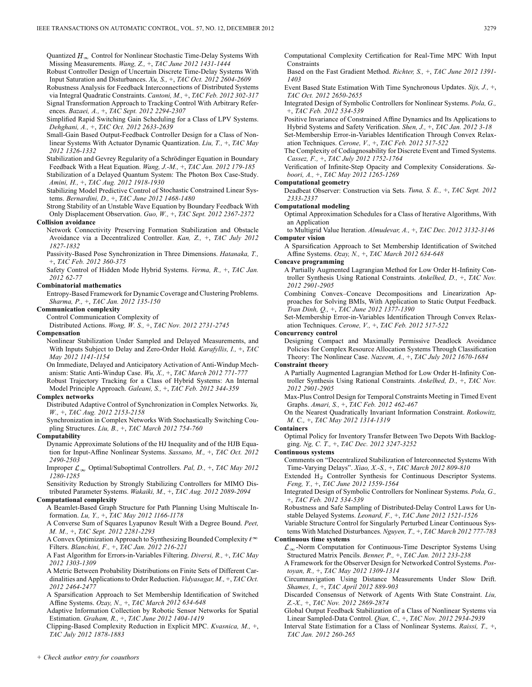Quantized  $H_{\infty}$  Control for Nonlinear Stochastic Time-Delay Systems With Missing Measurements. *Wang, Z.,* +, *TAC June 2012 1431-1444*

Robust Controller Design of Uncertain Discrete Time-Delay Systems With Input Saturation and Disturbances. *Xu, S.,* +, *TAC Oct. 2012 2604-2609*

Robustness Analysis for Feedback Interconnections of Distributed Systems via Integral Quadratic Constraints. *Cantoni, M.,* +, *TAC Feb. 2012 302-317* Signal Transformation Approach to Tracking Control With Arbitrary References. *Bazaei, A.,* +, *TAC Sept. 2012 2294-2307*

Simplified Rapid Switching Gain Scheduling for a Class of LPV Systems. *Dehghani, A.,* +, *TAC Oct. 2012 2633-2639*

Small-Gain Based Output-Feedback Controller Design for a Class of Nonlinear Systems With Actuator Dynamic Quantization. *Liu, T.,* +, *TAC May 2012 1326-1332*

Stabilization and Gevrey Regularity of a Schrödinger Equation in Boundary Feedback With a Heat Equation. *Wang, J.-M.,* +, *TAC Jan. 2012 179-185*

Stabilization of a Delayed Quantum System: The Photon Box Case-Study. *Amini, H.,* +, *TAC Aug. 2012 1918-1930*

Stabilizing Model Predictive Control of Stochastic Constrained Linear Systems. *Bernardini, D.,* +, *TAC June 2012 1468-1480*

Strong Stability of an Unstable Wave Equation by Boundary Feedback With Only Displacement Observation. *Guo, W.,* +, *TAC Sept. 2012 2367-2372* **Collision avoidance**

Network Connectivity Preserving Formation Stabilization and Obstacle Avoidance via a Decentralized Controller. *Kan, Z.,* +, *TAC July 2012 1827-1832*

Passivity-Based Pose Synchronization in Three Dimensions. *Hatanaka, T.,* +, *TAC Feb. 2012 360-375*

Safety Control of Hidden Mode Hybrid Systems. *Verma, R.,* +, *TAC Jan. 2012 62-77*

# **Combinatorial mathematics**

Entropy-Based Framework for Dynamic Coverage and Clustering Problems. *Sharma, P.,* +, *TAC Jan. 2012 135-150*

**Communication complexity** Control Communication Complexity of

Distributed Actions. *Wong, W. S.,* +, *TAC Nov. 2012 2731-2745*

### **Compensation**

Nonlinear Stabilization Under Sampled and Delayed Measurements, and With Inputs Subject to Delay and Zero-Order Hold. *Karafyllis, I.,* +, *TAC May 2012 1141-1154*

On Immediate, Delayed and Anticipatory Activation of Anti-Windup Mechanism: Static Anti-Windup Case. *Wu, X.,* +, *TAC March 2012 771-777*

Robust Trajectory Tracking for a Class of Hybrid Systems: An Internal Model Principle Approach. *Galeani, S.,* +, *TAC Feb. 2012 344-359*

### **Complex networks**

Distributed Adaptive Control of Synchronization in Complex Networks. *Yu, W.,* +, *TAC Aug. 2012 2153-2158*

Synchronization in Complex Networks With Stochastically Switching Coupling Structures. *Liu, B.,* +, *TAC March 2012 754-760*

### **Computability**

Dynamic Approximate Solutions of the HJ Inequality and of the HJB Equation for Input-Affine Nonlinear Systems. *Sassano, M.,* +, *TAC Oct. 2012 2490-2503*

Improper  $\mathcal{L}_{\infty}$  Optimal/Suboptimal Controllers. *Pal, D., +, TAC May 2012 1280-1285*

Sensitivity Reduction by Strongly Stabilizing Controllers for MIMO Distributed Parameter Systems. *Wakaiki, M.,* +, *TAC Aug. 2012 2089-2094* **Computational complexity**

A Beamlet-Based Graph Structure for Path Planning Using Multiscale Information. *Lu, Y.,* +, *TAC May 2012 1166-1178*

A Converse Sum of Squares Lyapunov Result With a Degree Bound. *Peet, M. M.,* +, *TAC Sept. 2012 2281-2293*

A Convex Optimization Approach to Synthesizing Bounded Complexity  $\ell^\infty$ Filters. *Blanchini, F.,* +, *TAC Jan. 2012 216-221*

A Fast Algorithm for Errors-in-Variables Filtering. *Diversi, R.,* +, *TAC May 2012 1303-1309*

A Metric Between Probability Distributions on Finite Sets of Different Cardinalities and Applications to Order Reduction. *Vidyasagar, M.,* +, *TAC Oct. 2012 2464-2477*

A Sparsification Approach to Set Membership Identification of Switched Affine Systems. *Ozay, N.,* +, *TAC March 2012 634-648*

Adaptive Information Collection by Robotic Sensor Networks for Spatial Estimation. *Graham, R.,* +, *TAC June 2012 1404-1419*

Clipping-Based Complexity Reduction in Explicit MPC. *Kvasnica, M.,* +, *TAC July 2012 1878-1883*

Computational Complexity Certification for Real-Time MPC With Input **Constraints** 

Based on the Fast Gradient Method. *Richter, S.,* +, *TAC June 2012 1391- 1403*

Event Based State Estimation With Time Synchronous Updates. *Sijs, J.,* +, *TAC Oct. 2012 2650-2655*

Integrated Design of Symbolic Controllers for Nonlinear Systems. *Pola, G.,* +, *TAC Feb. 2012 534-539*

Positive Invariance of Constrained Affine Dynamics and Its Applications to Hybrid Systems and Safety Verification. *Shen, J.,* +, *TAC Jan. 2012 3-18* Set-Membership Error-in-Variables Identification Through Convex Relax-

ation Techniques. *Cerone, V.,* +, *TAC Feb. 2012 517-522* The Complexity of Codiagnosability for Discrete Event and Timed Systems.

*Cassez, F.,* +, *TAC July 2012 1752-1764*

Verification of Infinite-Step Opacity and Complexity Considerations. *Saboori, A.,* +, *TAC May 2012 1265-1269*

### **Computational geometry**

Deadbeat Observer: Construction via Sets. *Tuna, S. E.,* +, *TAC Sept. 2012 2333-2337*

# **Computational modeling**

Optimal Approximation Schedules for a Class of Iterative Algorithms, With an Application

to Multigrid Value Iteration. *Almudevar, A.,* +, *TAC Dec. 2012 3132-3146* **Computer vision**

A Sparsification Approach to Set Membership Identification of Switched Affine Systems. *Ozay, N.,* +, *TAC March 2012 634-648*

### **Concave programming**

A Partially Augmented Lagrangian Method for Low Order H-Infinity Controller Synthesis Using Rational Constraints. *Ankelhed, D.,* +, *TAC Nov. 2012 2901-2905*

Combining Convex–Concave Decompositions and Linearization Approaches for Solving BMIs, With Application to Static Output Feedback. *Tran Dinh, Q.,* +, *TAC June 2012 1377-1390*

Set-Membership Error-in-Variables Identification Through Convex Relaxation Techniques. *Cerone, V.,* +, *TAC Feb. 2012 517-522*

# **Concurrency control**

Designing Compact and Maximally Permissive Deadlock Avoidance Policies for Complex Resource Allocation Systems Through Classification Theory: The Nonlinear Case. *Nazeem, A.,* +, *TAC July 2012 1670-1684*

**Constraint theory**

A Partially Augmented Lagrangian Method for Low Order H-Infinity Controller Synthesis Using Rational Constraints. *Ankelhed, D.,* +, *TAC Nov. 2012 2901-2905*

Max-Plus Control Design for Temporal Constraints Meeting in Timed Event Graphs. *Amari, S.,* +, *TAC Feb. 2012 462-467*

On the Nearest Quadratically Invariant Information Constraint. *Rotkowitz, M. C.,* +, *TAC May 2012 1314-1319*

**Containers**

Optimal Policy for Inventory Transfer Between Two Depots With Backlogging. *Ng, C. T.,* +, *TAC Dec. 2012 3247-3252*

**Continuous systems**

Comments on "Decentralized Stabilization of Interconnected Systems With Time-Varying Delays". *Xiao, X.-S.,* +, *TAC March 2012 809-810*

Extended H<sub>2</sub> Controller Synthesis for Continuous Descriptor Systems. *Feng, Y.,* +, *TAC June 2012 1559-1564*

Integrated Design of Symbolic Controllers for Nonlinear Systems. *Pola, G.,* +, *TAC Feb. 2012 534-539*

Robustness and Safe Sampling of Distributed-Delay Control Laws for Unstable Delayed Systems. *Leonard, F.,* +, *TAC June 2012 1521-1526*

Variable Structure Control for Singularly Perturbed Linear Continuous Systems With Matched Disturbances. *Nguyen, T.,* +, *TAC March 2012 777-783* **Continuous time systems**

 $\mathcal{L}_{\infty}$ -Norm Computation for Continuous-Time Descriptor Systems Using Structured Matrix Pencils. *Benner, P.,* +, *TAC Jan. 2012 233-238*

A Framework for the Observer Design for Networked Control Systems. *Postoyan, R.,* +, *TAC May 2012 1309-1314*

Circumnavigation Using Distance Measurements Under Slow Drift. *Shames, I.,* +, *TAC April 2012 889-903*

Discarded Consensus of Network of Agents With State Constraint. *Liu, Z.-X.,* +, *TAC Nov. 2012 2869-2874*

Global Output Feedback Stabilization of a Class of Nonlinear Systems via Linear Sampled-Data Control. *Qian, C.,* +, *TAC Nov. 2012 2934-2939*

Interval State Estimation for a Class of Nonlinear Systems. *Raissi, T.,* +, *TAC Jan. 2012 260-265*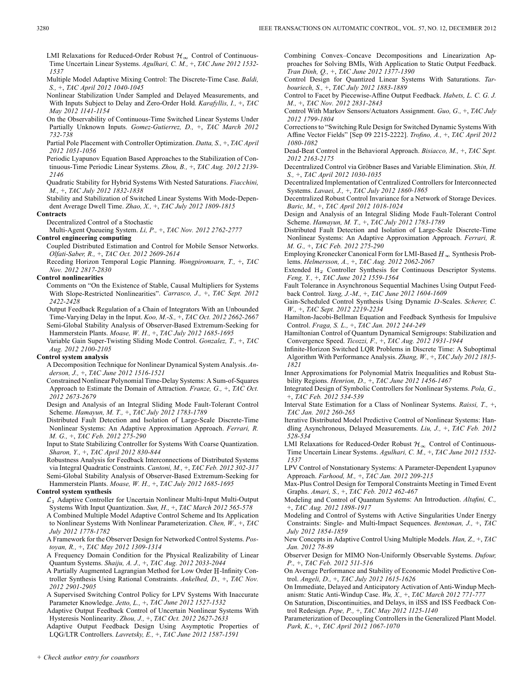- LMI Relaxations for Reduced-Order Robust  $\mathcal{H}_{\infty}$  Control of Continuous-Time Uncertain Linear Systems. *Agulhari, C. M.,* +, *TAC June 2012 1532- 1537*
- Multiple Model Adaptive Mixing Control: The Discrete-Time Case. *Baldi, S.,* +, *TAC April 2012 1040-1045*
- Nonlinear Stabilization Under Sampled and Delayed Measurements, and With Inputs Subject to Delay and Zero-Order Hold. *Karafyllis, I.,* +, *TAC May 2012 1141-1154*
- On the Observability of Continuous-Time Switched Linear Systems Under Partially Unknown Inputs. *Gomez-Gutierrez, D.,* +, *TAC March 2012 732-738*
- Partial Pole Placement with Controller Optimization. *Datta, S.,* +, *TAC April 2012 1051-1056*
- Periodic Lyapunov Equation Based Approaches to the Stabilization of Continuous-Time Periodic Linear Systems. *Zhou, B.,* +, *TAC Aug. 2012 2139- 2146*
- Quadratic Stability for Hybrid Systems With Nested Saturations. *Fiacchini, M.,* +, *TAC July 2012 1832-1838*
- Stability and Stabilization of Switched Linear Systems With Mode-Dependent Average Dwell Time. *Zhao, X.,* +, *TAC July 2012 1809-1815*

### **Contracts**

Decentralized Control of a Stochastic

Multi-Agent Queueing System. *Li, P.,* +, *TAC Nov. 2012 2762-2777* **Control engineering computing**

- Coupled Distributed Estimation and Control for Mobile Sensor Networks. *Olfati-Saber, R.,* +, *TAC Oct. 2012 2609-2614*
- Receding Horizon Temporal Logic Planning. *Wongpiromsarn, T.,* +, *TAC Nov. 2012 2817-2830*

### **Control nonlinearities**

Comments on "On the Existence of Stable, Causal Multipliers for Systems With Slope-Restricted Nonlinearities". *Carrasco, J.,* +, *TAC Sept. 2012 2422-2428*

Output Feedback Regulation of a Chain of Integrators With an Unbounded Time-Varying Delay in the Input. *Koo, M.-S.,* +, *TAC Oct. 2012 2662-2667* Semi-Global Stability Analysis of Observer-Based Extremum-Seeking for

Hammerstein Plants. *Moase, W. H.,* +, *TAC July 2012 1685-1695* Variable Gain Super-Twisting Sliding Mode Control. *Gonzalez, T.,* +, *TAC Aug. 2012 2100-2105*

# **Control system analysis**

A Decomposition Technique for Nonlinear Dynamical System Analysis. *Anderson, J.,* +, *TAC June 2012 1516-1521*

Constrained Nonlinear Polynomial Time-Delay Systems: A Sum-of-Squares Approach to Estimate the Domain of Attraction. *Franze, G.,* +, *TAC Oct. 2012 2673-2679*

Design and Analysis of an Integral Sliding Mode Fault-Tolerant Control Scheme. *Hamayun, M. T.,* +, *TAC July 2012 1783-1789*

- Distributed Fault Detection and Isolation of Large-Scale Discrete-Time Nonlinear Systems: An Adaptive Approximation Approach. *Ferrari, R. M. G.,* +, *TAC Feb. 2012 275-290*
- Input to State Stabilizing Controller for Systems With Coarse Quantization. *Sharon, Y.,* +, *TAC April 2012 830-844*
- Robustness Analysis for Feedback Interconnections of Distributed Systems via Integral Quadratic Constraints. *Cantoni, M.,* +, *TAC Feb. 2012 302-317* Semi-Global Stability Analysis of Observer-Based Extremum-Seeking for

Hammerstein Plants. *Moase, W. H.,* +, *TAC July 2012 1685-1695*

# **Control system synthesis**

 $\mathcal{L}_1$  Adaptive Controller for Uncertain Nonlinear Multi-Input Multi-Output Systems With Input Quantization. *Sun, H.,* +, *TAC March 2012 565-578*

- A Combined Multiple Model Adaptive Control Scheme and Its Application to Nonlinear Systems With Nonlinear Parameterization. *Chen, W.,* +, *TAC July 2012 1778-1782*
- A Framework for the Observer Design for Networked Control Systems. *Postoyan, R.,* +, *TAC May 2012 1309-1314*
- A Frequency Domain Condition for the Physical Realizability of Linear Quantum Systems. *Shaiju, A. J.,* +, *TAC Aug. 2012 2033-2044*
- A Partially Augmented Lagrangian Method for Low Order H-Infinity Controller Synthesis Using Rational Constraints. *Ankelhed, D.,* +, *TAC Nov. 2012 2901-2905*
- A Supervised Switching Control Policy for LPV Systems With Inaccurate Parameter Knowledge. *Jetto, L.,* +, *TAC June 2012 1527-1532*
- Adaptive Output Feedback Control of Uncertain Nonlinear Systems With Hysteresis Nonlinearity. *Zhou, J.,* +, *TAC Oct. 2012 2627-2633*
- Adaptive Output Feedback Design Using Asymptotic Properties of LQG/LTR Controllers. *Lavretsky, E.,* +, *TAC June 2012 1587-1591*

Combining Convex–Concave Decompositions and Linearization Approaches for Solving BMIs, With Application to Static Output Feedback. *Tran Dinh, Q.,* +, *TAC June 2012 1377-1390*

Control Design for Quantized Linear Systems With Saturations. *Tarbouriech, S.,* +, *TAC July 2012 1883-1889*

Control to Facet by Piecewise-Affine Output Feedback. *Habets, L. C. G. J. M.,* +, *TAC Nov. 2012 2831-2843*

- Control With Markov Sensors/Actuators Assignment. *Guo, G.,* +, *TAC July 2012 1799-1804*
- Corrections to "Switching Rule Design for Switched Dynamic Systems With Affine Vector Fields" [Sep 09 2215-2222]. *Trofino, A.,* +, *TAC April 2012 1080-1082*
- Dead-Beat Control in the Behavioral Approach. *Bisiacco, M.,* +, *TAC Sept. 2012 2163-2175*
- Decentralized Control via Gröbner Bases and Variable Elimination. *Shin, H. S.,* +, *TAC April 2012 1030-1035*

Decentralized Implementation of Centralized Controllers for Interconnected Systems. *Lavaei, J.,* +, *TAC July 2012 1860-1865*

- Decentralized Robust Control Invariance for a Network of Storage Devices. *Baric, M.,* +, *TAC April 2012 1018-1024*
- Design and Analysis of an Integral Sliding Mode Fault-Tolerant Control Scheme. *Hamayun, M. T.,* +, *TAC July 2012 1783-1789*
- Distributed Fault Detection and Isolation of Large-Scale Discrete-Time Nonlinear Systems: An Adaptive Approximation Approach. *Ferrari, R. M. G.,* +, *TAC Feb. 2012 275-290*
- Employing Kronecker Canonical Form for LMI-Based  $H_{\infty}$  Synthesis Problems. *Helmersson, A.,* +, *TAC Aug. 2012 2062-2067*
- Extended H<sub>2</sub> Controller Synthesis for Continuous Descriptor Systems. *Feng, Y.,* +, *TAC June 2012 1559-1564*
- Fault Tolerance in Asynchronous Sequential Machines Using Output Feedback Control. *Yang, J.-M.,* +, *TAC June 2012 1604-1609*
- Gain-Scheduled Control Synthesis Using Dynamic D-Scales. Scherer, C. *W.,* +, *TAC Sept. 2012 2219-2234*
- Hamilton-Jacobi-Bellman Equation and Feedback Synthesis for Impulsive Control. *Fraga, S. L.,* +, *TAC Jan. 2012 244-249*
- Hamiltonian Control of Quantum Dynamical Semigroups: Stabilization and Convergence Speed. *Ticozzi, F.,* +, *TAC Aug. 2012 1931-1944*
- Infinite-Horizon Switched LQR Problems in Discrete Time: A Suboptimal Algorithm With Performance Analysis. *Zhang, W.,* +, *TAC July 2012 1815- 1821*
- Inner Approximations for Polynomial Matrix Inequalities and Robust Stability Regions. *Henrion, D.,* +, *TAC June 2012 1456-1467*
- Integrated Design of Symbolic Controllers for Nonlinear Systems. *Pola, G.,* +, *TAC Feb. 2012 534-539*
- Interval State Estimation for a Class of Nonlinear Systems. *Raissi, T.,* +, *TAC Jan. 2012 260-265*
- Iterative Distributed Model Predictive Control of Nonlinear Systems: Handling Asynchronous, Delayed Measurements. *Liu, J.,* +, *TAC Feb. 2012 528-534*
- LMI Relaxations for Reduced-Order Robust  $\mathcal{H}_{\infty}$  Control of Continuous-Time Uncertain Linear Systems. *Agulhari, C. M.,* +, *TAC June 2012 1532- 1537*
- LPV Control of Nonstationary Systems: A Parameter-Dependent Lyapunov Approach. *Farhood, M.,* +, *TAC Jan. 2012 209-215*
- Max-Plus Control Design for Temporal Constraints Meeting in Timed Event Graphs. *Amari, S.,* +, *TAC Feb. 2012 462-467*
- Modeling and Control of Quantum Systems: An Introduction. *Altafini, C.,* +, *TAC Aug. 2012 1898-1917*
- Modeling and Control of Systems with Active Singularities Under Energy Constraints: Single- and Multi-Impact Sequences. *Bentsman, J.,* +, *TAC July 2012 1854-1859*
- New Concepts in Adaptive Control Using Multiple Models. *Han, Z.,* +, *TAC Jan. 2012 78-89*
- Observer Design for MIMO Non-Uniformly Observable Systems. *Dufour, P.,* +, *TAC Feb. 2012 511-516*
- On Average Performance and Stability of Economic Model Predictive Control. *Angeli, D.,* +, *TAC July 2012 1615-1626*
- On Immediate, Delayed and Anticipatory Activation of Anti-Windup Mechanism: Static Anti-Windup Case. *Wu, X.,* +, *TAC March 2012 771-777*
- On Saturation, Discontinuities, and Delays, in iISS and ISS Feedback Control Redesign. *Pepe, P.,* +, *TAC May 2012 1125-1140*
- Parameterization of Decoupling Controllers in the Generalized Plant Model. *Park, K.,* +, *TAC April 2012 1067-1070*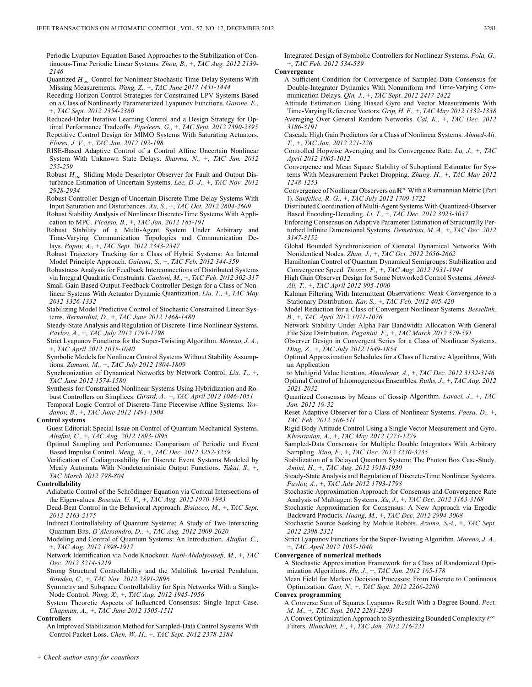Periodic Lyapunov Equation Based Approaches to the Stabilization of Continuous-Time Periodic Linear Systems. *Zhou, B.,* +, *TAC Aug. 2012 2139- 2146*

Quantized  $H_{\infty}$  Control for Nonlinear Stochastic Time-Delay Systems With Missing Measurements. *Wang, Z.,* +, *TAC June 2012 1431-1444*

Receding Horizon Control Strategies for Constrained LPV Systems Based on a Class of Nonlinearly Parameterized Lyapunov Functions. *Garone, E.,* +, *TAC Sept. 2012 2354-2360*

Reduced-Order Iterative Learning Control and a Design Strategy for Optimal Performance Tradeoffs. *Pipeleers, G.,* +, *TAC Sept. 2012 2390-2395* Repetitive Control Design for MIMO Systems With Saturating Actuators. *Flores, J. V.,* +, *TAC Jan. 2012 192-198*

- RISE-Based Adaptive Control of a Control Affine Uncertain Nonlinear System With Unknown State Delays. *Sharma, N.,* +, *TAC Jan. 2012 255-259*
- Robust  $H_{\infty}$  Sliding Mode Descriptor Observer for Fault and Output Disturbance Estimation of Uncertain Systems. *Lee, D.-J.,* +, *TAC Nov. 2012 2928-2934*

Robust Controller Design of Uncertain Discrete Time-Delay Systems With Input Saturation and Disturbances. *Xu, S.,* +, *TAC Oct. 2012 2604-2609*

Robust Stability Analysis of Nonlinear Discrete-Time Systems With Application to MPC. *Picasso, B.,* +, *TAC Jan. 2012 185-191*

Robust Stability of a Multi-Agent System Under Arbitrary and Time-Varying Communication Topologies and Communication Delays. *Popov, A.,* +, *TAC Sept. 2012 2343-2347*

Robust Trajectory Tracking for a Class of Hybrid Systems: An Internal Model Principle Approach. *Galeani, S.,* +, *TAC Feb. 2012 344-359*

Robustness Analysis for Feedback Interconnections of Distributed Systems via Integral Quadratic Constraints. *Cantoni, M.,* +, *TAC Feb. 2012 302-317*

Small-Gain Based Output-Feedback Controller Design for a Class of Nonlinear Systems With Actuator Dynamic Quantization. *Liu, T.,* +, *TAC May 2012 1326-1332*

Stabilizing Model Predictive Control of Stochastic Constrained Linear Systems. *Bernardini, D.,* +, *TAC June 2012 1468-1480*

Steady-State Analysis and Regulation of Discrete-Time Nonlinear Systems. *Pavlov, A.,* +, *TAC July 2012 1793-1798*

Strict Lyapunov Functions for the Super-Twisting Algorithm. *Moreno, J. A.,* +, *TAC April 2012 1035-1040*

Symbolic Models for Nonlinear Control Systems Without Stability Assumptions. *Zamani, M.,* +, *TAC July 2012 1804-1809*

Synchronization of Dynamical Networks by Network Control. *Liu, T.,* +, *TAC June 2012 1574-1580*

Synthesis for Constrained Nonlinear Systems Using Hybridization and Robust Controllers on Simplices. *Girard, A.,* +, *TAC April 2012 1046-1051*

Temporal Logic Control of Discrete-Time Piecewise Affine Systems. *Yordanov, B.,* +, *TAC June 2012 1491-1504*

# **Control systems**

Guest Editorial: Special Issue on Control of Quantum Mechanical Systems. *Altafini, C.,* +, *TAC Aug. 2012 1893-1895*

Optimal Sampling and Performance Comparison of Periodic and Event Based Impulse Control. *Meng, X.,* +, *TAC Dec. 2012 3252-3259*

Verification of Codiagnosability for Discrete Event Systems Modeled by Mealy Automata With Nondeterministic Output Functions. *Takai, S.,* +, *TAC March 2012 798-804*

# **Controllability**

Adiabatic Control of the Schrödinger Equation via Conical Intersections of the Eigenvalues. *Boscain, U. V.,* +, *TAC Aug. 2012 1970-1983*

Dead-Beat Control in the Behavioral Approach. *Bisiacco, M.,* +, *TAC Sept. 2012 2163-2175*

Indirect Controllability of Quantum Systems; A Study of Two Interacting Quantum Bits. *D'Alessandro, D.,* +, *TAC Aug. 2012 2009-2020*

Modeling and Control of Quantum Systems: An Introduction. *Altafini, C.,* +, *TAC Aug. 2012 1898-1917*

Network Identification via Node Knockout. *Nabi-Abdolyousefi, M.,* +, *TAC Dec. 2012 3214-3219*

Strong Structural Controllability and the Multilink Inverted Pendulum. *Bowden, C.,* +, *TAC Nov. 2012 2891-2896*

Symmetry and Subspace Controllability for Spin Networks With a Single-Node Control. *Wang, X.,* +, *TAC Aug. 2012 1945-1956*

System Theoretic Aspects of Influenced Consensus: Single Input Case. *Chapman, A.,* +, *TAC June 2012 1505-1511*

### **Controllers**

An Improved Stabilization Method for Sampled-Data Control Systems With Control Packet Loss. *Chen, W.-H.,* +, *TAC Sept. 2012 2378-2384*

Integrated Design of Symbolic Controllers for Nonlinear Systems. *Pola, G.,* +, *TAC Feb. 2012 534-539*

**Convergence**

A Sufficient Condition for Convergence of Sampled-Data Consensus for Double-Integrator Dynamics With Nonuniform and Time-Varying Communication Delays. *Qin, J.,* +, *TAC Sept. 2012 2417-2422*

Attitude Estimation Using Biased Gyro and Vector Measurements With Time-Varying Reference Vectors. *Grip, H. F.,* +, *TAC May 2012 1332-1338* Averaging Over General Random Networks. *Cai, K.,* +, *TAC Dec. 2012 3186-3191*

Cascade High Gain Predictors for a Class of Nonlinear Systems. *Ahmed-Ali, T.,* +, *TAC Jan. 2012 221-226*

Controlled Hopwise Averaging and Its Convergence Rate. *Lu, J.,* +, *TAC April 2012 1005-1012*

Convergence and Mean Square Stability of Suboptimal Estimator for Systems With Measurement Packet Dropping. *Zhang, H.,* +, *TAC May 2012 1248-1253*

Convergence of Nonlinear Observers on  $\mathbb{R}^n$  With a Riemannian Metric (Part I). *Sanfelice, R. G.,* +, *TAC July 2012 1709-1722*

Distributed Coordination of Multi-Agent Systems With Quantized-Observer Based Encoding-Decoding. *Li, T.,* +, *TAC Dec. 2012 3023-3037*

Enforcing Consensus on Adaptive Parameter Estimation of Structurally Perturbed Infinite Dimensional Systems. *Demetriou, M. A.,* +, *TAC Dec. 2012 3147-3152*

Global Bounded Synchronization of General Dynamical Networks With Nonidentical Nodes. *Zhao, J.,* +, *TAC Oct. 2012 2656-2662*

Hamiltonian Control of Quantum Dynamical Semigroups: Stabilization and Convergence Speed. *Ticozzi, F.,* +, *TAC Aug. 2012 1931-1944*

High Gain Observer Design for Some Networked Control Systems. *Ahmed-Ali, T.,* +, *TAC April 2012 995-1000*

Kalman Filtering With Intermittent Observations: Weak Convergence to a Stationary Distribution. *Kar, S.,* +, *TAC Feb. 2012 405-420*

Model Reduction for a Class of Convergent Nonlinear Systems. *Besselink, B.,* +, *TAC April 2012 1071-1076*

Network Stability Under Alpha Fair Bandwidth Allocation With General File Size Distribution. *Paganini, F.,* +, *TAC March 2012 579-591*

Observer Design in Convergent Series for a Class of Nonlinear Systems. *Ding, Z.,* +, *TAC July 2012 1849-1854*

Optimal Approximation Schedules for a Class of Iterative Algorithms, With an Application

to Multigrid Value Iteration. *Almudevar, A.,* +, *TAC Dec. 2012 3132-3146* Optimal Control of Inhomogeneous Ensembles. *Ruths, J.,* +, *TAC Aug. 2012 2021-2032*

Quantized Consensus by Means of Gossip Algorithm. *Lavaei, J.,* +, *TAC Jan. 2012 19-32*

Reset Adaptive Observer for a Class of Nonlinear Systems. *Paesa, D.,* +, *TAC Feb. 2012 506-511*

Rigid Body Attitude Control Using a Single Vector Measurement and Gyro. *Khosravian, A.,* +, *TAC May 2012 1273-1279*

Sampled-Data Consensus for Multiple Double Integrators With Arbitrary Sampling. *Xiao, F.,* +, *TAC Dec. 2012 3230-3235*

Stabilization of a Delayed Quantum System: The Photon Box Case-Study. *Amini, H.,* +, *TAC Aug. 2012 1918-1930*

Steady-State Analysis and Regulation of Discrete-Time Nonlinear Systems. *Pavlov, A.,* +, *TAC July 2012 1793-1798*

Stochastic Approximation Approach for Consensus and Convergence Rate Analysis of Multiagent Systems. *Xu, J.,* +, *TAC Dec. 2012 3163-3168*

Stochastic Approximation for Consensus: A New Approach via Ergodic Backward Products. *Huang, M.,* +, *TAC Dec. 2012 2994-3008*

Stochastic Source Seeking by Mobile Robots. *Azuma, S.-i.,* +, *TAC Sept. 2012 2308-2321*

Strict Lyapunov Functions for the Super-Twisting Algorithm. *Moreno, J. A.,* +, *TAC April 2012 1035-1040*

### **Convergence of numerical methods**

A Stochastic Approximation Framework for a Class of Randomized Optimization Algorithms. *Hu, J.,* +, *TAC Jan. 2012 165-178*

Mean Field for Markov Decision Processes: From Discrete to Continuous Optimization. *Gast, N.,* +, *TAC Sept. 2012 2266-2280*

### **Convex programming**

A Converse Sum of Squares Lyapunov Result With a Degree Bound. *Peet, M. M.,* +, *TAC Sept. 2012 2281-2293*

A Convex Optimization Approach to Synthesizing Bounded Complexity  $\ell^{\infty}$ Filters. *Blanchini, F.,* +, *TAC Jan. 2012 216-221*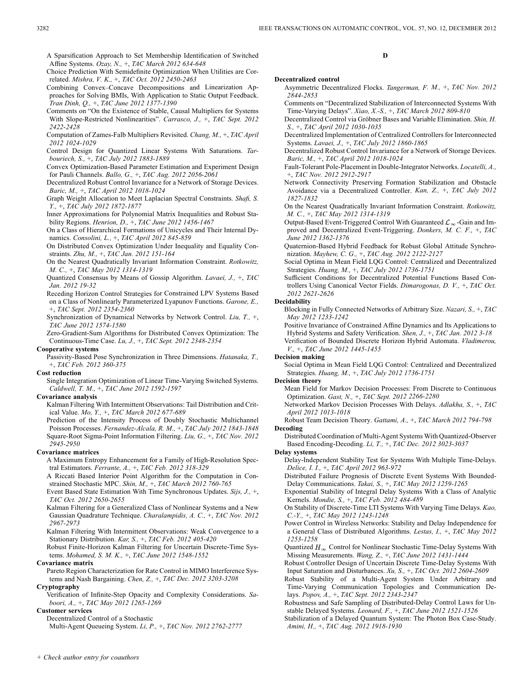Choice Prediction With Semidefinite Optimization When Utilities are Correlated. *Mishra, V. K.,* +, *TAC Oct. 2012 2450-2463*

Combining Convex–Concave Decompositions and Linearization Approaches for Solving BMIs, With Application to Static Output Feedback. *Tran Dinh, Q.,* +, *TAC June 2012 1377-1390*

Comments on "On the Existence of Stable, Causal Multipliers for Systems With Slope-Restricted Nonlinearities". *Carrasco, J.,* +, *TAC Sept. 2012 2422-2428*

Computation of Zames-Falb Multipliers Revisited. *Chang, M.,* +, *TAC April 2012 1024-1029*

Control Design for Quantized Linear Systems With Saturations. *Tarbouriech, S.,* +, *TAC July 2012 1883-1889*

Convex Optimization-Based Parameter Estimation and Experiment Design for Pauli Channels. *Ballo, G.,* +, *TAC Aug. 2012 2056-2061*

Decentralized Robust Control Invariance for a Network of Storage Devices. *Baric, M.,* +, *TAC April 2012 1018-1024*

Graph Weight Allocation to Meet Laplacian Spectral Constraints. *Shafi, S. Y.,* +, *TAC July 2012 1872-1877*

Inner Approximations for Polynomial Matrix Inequalities and Robust Stability Regions. *Henrion, D.,* +, *TAC June 2012 1456-1467*

On a Class of Hierarchical Formations of Unicycles and Their Internal Dynamics. *Consolini, L.,* +, *TAC April 2012 845-859*

On Distributed Convex Optimization Under Inequality and Equality Constraints. *Zhu, M.,* +, *TAC Jan. 2012 151-164*

On the Nearest Quadratically Invariant Information Constraint. *Rotkowitz, M. C.,* +, *TAC May 2012 1314-1319*

Quantized Consensus by Means of Gossip Algorithm. *Lavaei, J.,* +, *TAC Jan. 2012 19-32*

Receding Horizon Control Strategies for Constrained LPV Systems Based on a Class of Nonlinearly Parameterized Lyapunov Functions. *Garone, E.,* +, *TAC Sept. 2012 2354-2360*

Synchronization of Dynamical Networks by Network Control. *Liu, T.,* +, *TAC June 2012 1574-1580*

Zero-Gradient-Sum Algorithms for Distributed Convex Optimization: The Continuous-Time Case. *Lu, J.,* +, *TAC Sept. 2012 2348-2354*

### **Cooperative systems**

Passivity-Based Pose Synchronization in Three Dimensions. *Hatanaka, T.,* +, *TAC Feb. 2012 360-375*

# **Cost reduction**

Single Integration Optimization of Linear Time-Varying Switched Systems. *Caldwell, T. M.,* +, *TAC June 2012 1592-1597*

# **Covariance analysis**

Kalman Filtering With Intermittent Observations: Tail Distribution and Critical Value. *Mo, Y.,* +, *TAC March 2012 677-689*

Prediction of the Intensity Process of Doubly Stochastic Multichannel Poisson Processes. *Fernandez-Alcala, R. M.,* +, *TAC July 2012 1843-1848* Square-Root Sigma-Point Information Filtering. *Liu, G.,* +, *TAC Nov. 2012 2945-2950*

### **Covariance matrices**

A Maximum Entropy Enhancement for a Family of High-Resolution Spectral Estimators. *Ferrante, A.,* +, *TAC Feb. 2012 318-329*

A Riccati Based Interior Point Algorithm for the Computation in Constrained Stochastic MPC. *Shin, M.,* +, *TAC March 2012 760-765*

Event Based State Estimation With Time Synchronous Updates. *Sijs, J.,* +, *TAC Oct. 2012 2650-2655*

Kalman Filtering for a Generalized Class of Nonlinear Systems and a New Gaussian Quadrature Technique. *Charalampidis, A. C.,* +, *TAC Nov. 2012 2967-2973*

Kalman Filtering With Intermittent Observations: Weak Convergence to a Stationary Distribution. *Kar, S.,* +, *TAC Feb. 2012 405-420*

Robust Finite-Horizon Kalman Filtering for Uncertain Discrete-Time Systems. *Mohamed, S. M. K.,* +, *TAC June 2012 1548-1552*

# **Covariance matrix**

Pareto Region Characterization for Rate Control in MIMO Interference Systems and Nash Bargaining. *Chen, Z.,* +, *TAC Dec. 2012 3203-3208*

**Cryptography**

Verification of Infinite-Step Opacity and Complexity Considerations. *Saboori, A.,* +, *TAC May 2012 1265-1269*

**Customer services**

Decentralized Control of a Stochastic Multi-Agent Queueing System. *Li, P.,* +, *TAC Nov. 2012 2762-2777*

# **D**

### **Decentralized control**

Asymmetric Decentralized Flocks. *Tangerman, F. M.,* +, *TAC Nov. 2012 2844-2853*

Comments on "Decentralized Stabilization of Interconnected Systems With Time-Varying Delays". *Xiao, X.-S.,* +, *TAC March 2012 809-810*

Decentralized Control via Gröbner Bases and Variable Elimination. *Shin, H. S.,* +, *TAC April 2012 1030-1035*

Decentralized Implementation of Centralized Controllers for Interconnected Systems. *Lavaei, J.,* +, *TAC July 2012 1860-1865*

Decentralized Robust Control Invariance for a Network of Storage Devices. *Baric, M.,* +, *TAC April 2012 1018-1024*

Fault-Tolerant Pole-Placement in Double-Integrator Networks. *Locatelli, A.,* +, *TAC Nov. 2012 2912-2917*

Network Connectivity Preserving Formation Stabilization and Obstacle Avoidance via a Decentralized Controller. *Kan, Z.,* +, *TAC July 2012 1827-1832*

On the Nearest Quadratically Invariant Information Constraint. *Rotkowitz, M. C.,* +, *TAC May 2012 1314-1319*

Output-Based Event-Triggered Control With Guaranteed  $\mathcal{L}_{\infty}$ -Gain and Improved and Decentralized Event-Triggering. *Donkers, M. C. F.,* +, *TAC June 2012 1362-1376*

Quaternion-Based Hybrid Feedback for Robust Global Attitude Synchronization. *Mayhew, C. G.,* +, *TAC Aug. 2012 2122-2127*

Social Optima in Mean Field LQG Control: Centralized and Decentralized Strategies. *Huang, M.,* +, *TAC July 2012 1736-1751*

Sufficient Conditions for Decentralized Potential Functions Based Controllers Using Canonical Vector Fields. *Dimarogonas, D. V.,* +, *TAC Oct. 2012 2621-2626*

# **Decidability**

Blocking in Fully Connected Networks of Arbitrary Size. *Nazari, S.,* +, *TAC May 2012 1233-1242*

Positive Invariance of Constrained Affine Dynamics and Its Applications to Hybrid Systems and Safety Verification. *Shen, J.,* +, *TAC Jan. 2012 3-18* Verification of Bounded Discrete Horizon Hybrid Automata. *Vladimerou, V.,* +, *TAC June 2012 1445-1455*

### **Decision making**

Social Optima in Mean Field LQG Control: Centralized and Decentralized Strategies. *Huang, M.,* +, *TAC July 2012 1736-1751*

### **Decision theory**

Mean Field for Markov Decision Processes: From Discrete to Continuous Optimization. *Gast, N.,* +, *TAC Sept. 2012 2266-2280*

Networked Markov Decision Processes With Delays. *Adlakha, S.,* +, *TAC April 2012 1013-1018*

Robust Team Decision Theory. *Gattami, A.,* +, *TAC March 2012 794-798* **Decoding**

Distributed Coordination of Multi-Agent Systems With Quantized-Observer Based Encoding-Decoding. *Li, T.,* +, *TAC Dec. 2012 3023-3037*

# **Delay systems**

Delay-Independent Stability Test for Systems With Multiple Time-Delays. *Delice, I. I.,* +, *TAC April 2012 963-972*

Distributed Failure Prognosis of Discrete Event Systems With Bounded-Delay Communications. *Takai, S.,* +, *TAC May 2012 1259-1265*

Exponential Stability of Integral Delay Systems With a Class of Analytic Kernels. *Mondie, S.,* +, *TAC Feb. 2012 484-489*

On Stability of Discrete-Time LTI Systems With Varying Time Delays. *Kao, C.-Y.,* +, *TAC May 2012 1243-1248*

Power Control in Wireless Networks: Stability and Delay Independence for a General Class of Distributed Algorithms. *Lestas, I.,* +, *TAC May 2012 1253-1258*

Quantized  $H_{\infty}$  Control for Nonlinear Stochastic Time-Delay Systems With Missing Measurements. *Wang, Z.,* +, *TAC June 2012 1431-1444*

Robust Controller Design of Uncertain Discrete Time-Delay Systems With Input Saturation and Disturbances. *Xu, S.,* +, *TAC Oct. 2012 2604-2609*

Robust Stability of a Multi-Agent System Under Arbitrary and Time-Varying Communication Topologies and Communication Delays. *Popov, A.,* +, *TAC Sept. 2012 2343-2347*

Robustness and Safe Sampling of Distributed-Delay Control Laws for Unstable Delayed Systems. *Leonard, F.,* +, *TAC June 2012 1521-1526*

Stabilization of a Delayed Quantum System: The Photon Box Case-Study. *Amini, H.,* +, *TAC Aug. 2012 1918-1930*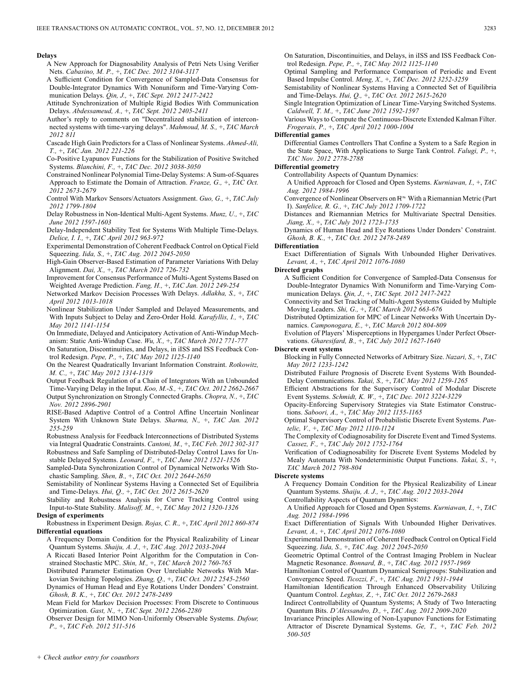### **Delays**

- A New Approach for Diagnosability Analysis of Petri Nets Using Verifier Nets. *Cabasino, M. P.,* +, *TAC Dec. 2012 3104-3117*
- A Sufficient Condition for Convergence of Sampled-Data Consensus for Double-Integrator Dynamics With Nonuniform and Time-Varying Communication Delays. *Qin, J.,* +, *TAC Sept. 2012 2417-2422*
- Attitude Synchronization of Multiple Rigid Bodies With Communication Delays. *Abdessameud, A.,* +, *TAC Sept. 2012 2405-2411*
- Author's reply to comments on "Decentralized stabilization of interconnected systems with time-varying delays". *Mahmoud, M. S.,* +, *TAC March 2012 811*
- Cascade High Gain Predictors for a Class of Nonlinear Systems. *Ahmed-Ali, T.,* +, *TAC Jan. 2012 221-226*
- Co-Positive Lyapunov Functions for the Stabilization of Positive Switched Systems. *Blanchini, F.,* +, *TAC Dec. 2012 3038-3050*
- Constrained Nonlinear Polynomial Time-Delay Systems: A Sum-of-Squares Approach to Estimate the Domain of Attraction. *Franze, G.,* +, *TAC Oct. 2012 2673-2679*
- Control With Markov Sensors/Actuators Assignment. *Guo, G.,* +, *TAC July 2012 1799-1804*
- Delay Robustness in Non-Identical Multi-Agent Systems. *Munz, U.,* +, *TAC June 2012 1597-1603*
- Delay-Independent Stability Test for Systems With Multiple Time-Delays. *Delice, I. I.,* +, *TAC April 2012 963-972*
- Experimental Demonstration of Coherent Feedback Control on Optical Field Squeezing. *Iida, S.,* +, *TAC Aug. 2012 2045-2050*
- High-Gain Observer-Based Estimation of Parameter Variations With Delay Alignment. *Dai, X.,* +, *TAC March 2012 726-732*
- Improvement for Consensus Performance of Multi-Agent Systems Based on Weighted Average Prediction. *Fang, H.,* +, *TAC Jan. 2012 249-254*
- Networked Markov Decision Processes With Delays. *Adlakha, S.,* +, *TAC April 2012 1013-1018*
- Nonlinear Stabilization Under Sampled and Delayed Measurements, and With Inputs Subject to Delay and Zero-Order Hold. *Karafyllis, I.,* +, *TAC May 2012 1141-1154*
- On Immediate, Delayed and Anticipatory Activation of Anti-Windup Mechanism: Static Anti-Windup Case. *Wu, X.,* +, *TAC March 2012 771-777*
- On Saturation, Discontinuities, and Delays, in iISS and ISS Feedback Control Redesign. *Pepe, P.,* +, *TAC May 2012 1125-1140*
- On the Nearest Quadratically Invariant Information Constraint. *Rotkowitz, M. C.,* +, *TAC May 2012 1314-1319*
- Output Feedback Regulation of a Chain of Integrators With an Unbounded Time-Varying Delay in the Input. *Koo, M.-S.,* +, *TAC Oct. 2012 2662-2667* Output Synchronization on Strongly Connected Graphs. *Chopra, N.,* +, *TAC Nov. 2012 2896-2901*
- RISE-Based Adaptive Control of a Control Affine Uncertain Nonlinear System With Unknown State Delays. *Sharma, N.,* +, *TAC Jan. 2012 255-259*
- Robustness Analysis for Feedback Interconnections of Distributed Systems via Integral Quadratic Constraints. *Cantoni, M.,* +, *TAC Feb. 2012 302-317*
- Robustness and Safe Sampling of Distributed-Delay Control Laws for Unstable Delayed Systems. *Leonard, F.,* +, *TAC June 2012 1521-1526*
- Sampled-Data Synchronization Control of Dynamical Networks With Stochastic Sampling. *Shen, B.,* +, *TAC Oct. 2012 2644-2650*
- Semistability of Nonlinear Systems Having a Connected Set of Equilibria and Time-Delays. *Hui, Q.,* +, *TAC Oct. 2012 2615-2620*
- Stability and Robustness Analysis for Curve Tracking Control using Input-to-State Stability. *Malisoff, M.,* +, *TAC May 2012 1320-1326* **Design of experiments**
- Robustness in Experiment Design. *Rojas, C. R.,* +, *TAC April 2012 860-874* **Differential equations**
	- A Frequency Domain Condition for the Physical Realizability of Linear Quantum Systems. *Shaiju, A. J.,* +, *TAC Aug. 2012 2033-2044*
	- A Riccati Based Interior Point Algorithm for the Computation in Constrained Stochastic MPC. *Shin, M.,* +, *TAC March 2012 760-765*
	- Distributed Parameter Estimation Over Unreliable Networks With Markovian Switching Topologies. *Zhang, Q.,* +, *TAC Oct. 2012 2545-2560*
	- Dynamics of Human Head and Eye Rotations Under Donders' Constraint. *Ghosh, B. K.,* +, *TAC Oct. 2012 2478-2489*
	- Mean Field for Markov Decision Processes: From Discrete to Continuous Optimization. *Gast, N.,* +, *TAC Sept. 2012 2266-2280*
	- Observer Design for MIMO Non-Uniformly Observable Systems. *Dufour, P.,* +, *TAC Feb. 2012 511-516*

On Saturation, Discontinuities, and Delays, in iISS and ISS Feedback Control Redesign. *Pepe, P.,* +, *TAC May 2012 1125-1140*

- Optimal Sampling and Performance Comparison of Periodic and Event Based Impulse Control. *Meng, X.,* +, *TAC Dec. 2012 3252-3259*
- Semistability of Nonlinear Systems Having a Connected Set of Equilibria and Time-Delays. *Hui, Q.,* +, *TAC Oct. 2012 2615-2620*
- Single Integration Optimization of Linear Time-Varying Switched Systems. *Caldwell, T. M.,* +, *TAC June 2012 1592-1597*
- Various Ways to Compute the Continuous-Discrete Extended Kalman Filter. *Frogerais, P.,* +, *TAC April 2012 1000-1004*

# **Differential games**

Differential Games Controllers That Confine a System to a Safe Region in the State Space, With Applications to Surge Tank Control. *Falugi, P.,* +, *TAC Nov. 2012 2778-2788*

# **Differential geometry**

- Controllability Aspects of Quantum Dynamics:
- A Unified Approach for Closed and Open Systems. *Kurniawan, I.,* +, *TAC Aug. 2012 1984-1996*
- Convergence of Nonlinear Observers on  $\mathbb{R}^n$  With a Riemannian Metric (Part I). *Sanfelice, R. G.,* +, *TAC July 2012 1709-1722*
- Distances and Riemannian Metrics for Multivariate Spectral Densities. *Jiang, X.,* +, *TAC July 2012 1723-1735*
- Dynamics of Human Head and Eye Rotations Under Donders' Constraint. *Ghosh, B. K.,* +, *TAC Oct. 2012 2478-2489*
- **Differentiation**
	- Exact Differentiation of Signals With Unbounded Higher Derivatives. *Levant, A.,* +, *TAC April 2012 1076-1080*
- **Directed graphs**
	- A Sufficient Condition for Convergence of Sampled-Data Consensus for Double-Integrator Dynamics With Nonuniform and Time-Varying Communication Delays. *Qin, J.,* +, *TAC Sept. 2012 2417-2422*
	- Connectivity and Set Tracking of Multi-Agent Systems Guided by Multiple Moving Leaders. *Shi, G.,* +, *TAC March 2012 663-676*
	- Distributed Optimization for MPC of Linear Networks With Uncertain Dynamics. *Camponogara, E.,* +, *TAC March 2012 804-809*
	- Evolution of Players' Misperceptions in Hypergames Under Perfect Observations. *Gharesifard, B.,* +, *TAC July 2012 1627-1640*

### **Discrete event systems**

- Blocking in Fully Connected Networks of Arbitrary Size. *Nazari, S.,* +, *TAC May 2012 1233-1242*
- Distributed Failure Prognosis of Discrete Event Systems With Bounded-Delay Communications. *Takai, S.,* +, *TAC May 2012 1259-1265*
- Efficient Abstractions for the Supervisory Control of Modular Discrete Event Systems. *Schmidt, K. W.,* +, *TAC Dec. 2012 3224-3229*
- Opacity-Enforcing Supervisory Strategies via State Estimator Constructions. *Saboori, A.,* +, *TAC May 2012 1155-1165*
- Optimal Supervisory Control of Probabilistic Discrete Event Systems. *Pantelic, V.,* +, *TAC May 2012 1110-1124*
- The Complexity of Codiagnosability for Discrete Event and Timed Systems. *Cassez, F.,* +, *TAC July 2012 1752-1764*
- Verification of Codiagnosability for Discrete Event Systems Modeled by Mealy Automata With Nondeterministic Output Functions. *Takai, S.,* +, *TAC March 2012 798-804*

### **Discrete systems**

- A Frequency Domain Condition for the Physical Realizability of Linear Quantum Systems. *Shaiju, A. J.,* +, *TAC Aug. 2012 2033-2044*
- Controllability Aspects of Quantum Dynamics:
- A Unified Approach for Closed and Open Systems. *Kurniawan, I.,* +, *TAC Aug. 2012 1984-1996*
- Exact Differentiation of Signals With Unbounded Higher Derivatives. *Levant, A.,* +, *TAC April 2012 1076-1080*
- Experimental Demonstration of Coherent Feedback Control on Optical Field Squeezing. *Iida, S.,* +, *TAC Aug. 2012 2045-2050*
- Geometric Optimal Control of the Contrast Imaging Problem in Nuclear Magnetic Resonance. *Bonnard, B.,* +, *TAC Aug. 2012 1957-1969*
- Hamiltonian Control of Quantum Dynamical Semigroups: Stabilization and Convergence Speed. *Ticozzi, F.,* +, *TAC Aug. 2012 1931-1944*
- Hamiltonian Identification Through Enhanced Observability Utilizing Quantum Control. *Leghtas, Z.,* +, *TAC Oct. 2012 2679-2683*
- Indirect Controllability of Quantum Systems; A Study of Two Interacting Quantum Bits. *D'Alessandro, D.,* +, *TAC Aug. 2012 2009-2020*
- Invariance Principles Allowing of Non-Lyapunov Functions for Estimating Attractor of Discrete Dynamical Systems. *Ge, T.,* +, *TAC Feb. 2012 500-505*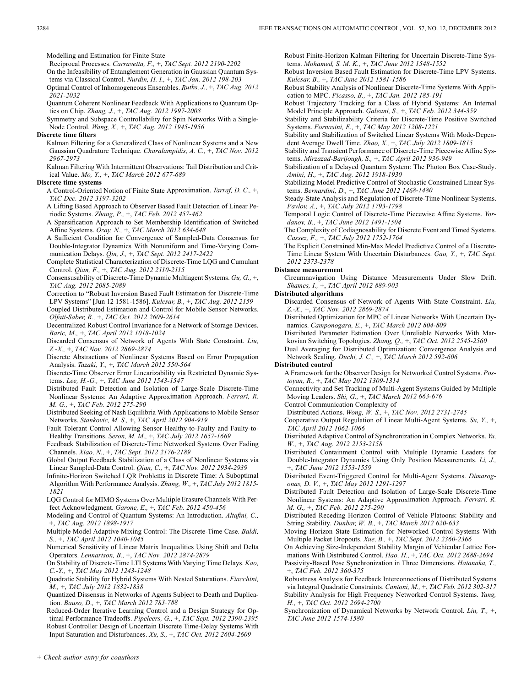Modelling and Estimation for Finite State

Reciprocal Processes. *Carravetta, F.,* +, *TAC Sept. 2012 2190-2202*

- On the Infeasibility of Entanglement Generation in Gaussian Quantum Systems via Classical Control. *Nurdin, H. I.,* +, *TAC Jan. 2012 198-203*
- Optimal Control of Inhomogeneous Ensembles. *Ruths, J.,* +, *TAC Aug. 2012 2021-2032*
- Quantum Coherent Nonlinear Feedback With Applications to Quantum Optics on Chip. *Zhang, J.,* +, *TAC Aug. 2012 1997-2008*
- Symmetry and Subspace Controllability for Spin Networks With a Single-Node Control. *Wang, X.,* +, *TAC Aug. 2012 1945-1956*
- **Discrete time filters**
	- Kalman Filtering for a Generalized Class of Nonlinear Systems and a New Gaussian Quadrature Technique. *Charalampidis, A. C.,* +, *TAC Nov. 2012 2967-2973*

Kalman Filtering With Intermittent Observations: Tail Distribution and Critical Value. *Mo, Y.,* +, *TAC March 2012 677-689*

### **Discrete time systems**

- A Control-Oriented Notion of Finite State Approximation. *Tarraf, D. C.,* +, *TAC Dec. 2012 3197-3202*
- A Lifting Based Approach to Observer Based Fault Detection of Linear Periodic Systems. *Zhang, P.,* +, *TAC Feb. 2012 457-462*
- A Sparsification Approach to Set Membership Identification of Switched Affine Systems. *Ozay, N.,* +, *TAC March 2012 634-648*
- A Sufficient Condition for Convergence of Sampled-Data Consensus for Double-Integrator Dynamics With Nonuniform and Time-Varying Communication Delays. *Qin, J.,* +, *TAC Sept. 2012 2417-2422*
- Complete Statistical Characterization of Discrete-Time LQG and Cumulant Control. *Qian, F.,* +, *TAC Aug. 2012 2110-2115*
- Consensusability of Discrete-Time Dynamic Multiagent Systems. *Gu, G.,* +, *TAC Aug. 2012 2085-2089*
- Correction to "Robust Inversion Based Fault Estimation for Discrete-Time LPV Systems" [Jun 12 1581-1586]. *Kulcsar, B.,* +, *TAC Aug. 2012 2159*
- Coupled Distributed Estimation and Control for Mobile Sensor Networks. *Olfati-Saber, R.,* +, *TAC Oct. 2012 2609-2614*
- Decentralized Robust Control Invariance for a Network of Storage Devices. *Baric, M.,* +, *TAC April 2012 1018-1024*
- Discarded Consensus of Network of Agents With State Constraint. *Liu, Z.-X.,* +, *TAC Nov. 2012 2869-2874*
- Discrete Abstractions of Nonlinear Systems Based on Error Propagation Analysis. *Tazaki, Y.,* +, *TAC March 2012 550-564*
- Discrete-Time Observer Error Linearizability via Restricted Dynamic Systems. *Lee, H.-G.,* +, *TAC June 2012 1543-1547*
- Distributed Fault Detection and Isolation of Large-Scale Discrete-Time Nonlinear Systems: An Adaptive Approximation Approach. *Ferrari, R. M. G.,* +, *TAC Feb. 2012 275-290*
- Distributed Seeking of Nash Equilibria With Applications to Mobile Sensor Networks. *Stankovic, M. S.,* +, *TAC April 2012 904-919*
- Fault Tolerant Control Allowing Sensor Healthy-to-Faulty and Faulty-to-Healthy Transitions. *Seron, M. M.,* +, *TAC July 2012 1657-1669*
- Feedback Stabilization of Discrete-Time Networked Systems Over Fading Channels. *Xiao, N.,* +, *TAC Sept. 2012 2176-2189*
- Global Output Feedback Stabilization of a Class of Nonlinear Systems via Linear Sampled-Data Control. *Qian, C.,* +, *TAC Nov. 2012 2934-2939*
- Infinite-Horizon Switched LQR Problems in Discrete Time: A Suboptimal Algorithm With Performance Analysis. *Zhang, W.,* +, *TAC July 2012 1815- 1821*
- LQG Control for MIMO Systems Over Multiple Erasure Channels With Perfect Acknowledgment. *Garone, E.,* +, *TAC Feb. 2012 450-456*
- Modeling and Control of Quantum Systems: An Introduction. *Altafini, C.,* +, *TAC Aug. 2012 1898-1917*
- Multiple Model Adaptive Mixing Control: The Discrete-Time Case. *Baldi, S.,* +, *TAC April 2012 1040-1045*
- Numerical Sensitivity of Linear Matrix Inequalities Using Shift and Delta Operators. *Lennartson, B.,* +, *TAC Nov. 2012 2874-2879*
- On Stability of Discrete-Time LTI Systems With Varying Time Delays. *Kao, C.-Y.,* +, *TAC May 2012 1243-1248*
- Quadratic Stability for Hybrid Systems With Nested Saturations. *Fiacchini, M.,* +, *TAC July 2012 1832-1838*
- Quantized Dissensus in Networks of Agents Subject to Death and Duplication. *Bauso, D.,* +, *TAC March 2012 783-788*
- Reduced-Order Iterative Learning Control and a Design Strategy for Optimal Performance Tradeoffs. *Pipeleers, G.,* +, *TAC Sept. 2012 2390-2395* Robust Controller Design of Uncertain Discrete Time-Delay Systems With Input Saturation and Disturbances. *Xu, S.,* +, *TAC Oct. 2012 2604-2609*

Robust Finite-Horizon Kalman Filtering for Uncertain Discrete-Time Systems. *Mohamed, S. M. K.,* +, *TAC June 2012 1548-1552*

Robust Inversion Based Fault Estimation for Discrete-Time LPV Systems. *Kulcsar, B.,* +, *TAC June 2012 1581-1586*

Robust Stability Analysis of Nonlinear Discrete-Time Systems With Application to MPC. *Picasso, B.,* +, *TAC Jan. 2012 185-191*

- Robust Trajectory Tracking for a Class of Hybrid Systems: An Internal Model Principle Approach. *Galeani, S.,* +, *TAC Feb. 2012 344-359*
- Stability and Stabilizability Criteria for Discrete-Time Positive Switched Systems. *Fornasini, E.,* +, *TAC May 2012 1208-1221*
- Stability and Stabilization of Switched Linear Systems With Mode-Dependent Average Dwell Time. *Zhao, X.,* +, *TAC July 2012 1809-1815*
- Stability and Transient Performance of Discrete-Time Piecewise Affine Systems. *Mirzazad-Barijough, S.,* +, *TAC April 2012 936-949*
- Stabilization of a Delayed Quantum System: The Photon Box Case-Study. *Amini, H.,* +, *TAC Aug. 2012 1918-1930*
- Stabilizing Model Predictive Control of Stochastic Constrained Linear Systems. *Bernardini, D.,* +, *TAC June 2012 1468-1480*
- Steady-State Analysis and Regulation of Discrete-Time Nonlinear Systems. *Pavlov, A.,* +, *TAC July 2012 1793-1798*
- Temporal Logic Control of Discrete-Time Piecewise Affine Systems. *Yordanov, B.,* +, *TAC June 2012 1491-1504*
- The Complexity of Codiagnosability for Discrete Event and Timed Systems. *Cassez, F.,* +, *TAC July 2012 1752-1764*
- The Explicit Constrained Min-Max Model Predictive Control of a Discrete-Time Linear System With Uncertain Disturbances. *Gao, Y.,* +, *TAC Sept. 2012 2373-2378*

### **Distance measurement**

Circumnavigation Using Distance Measurements Under Slow Drift. *Shames, I.,* +, *TAC April 2012 889-903*

### **Distributed algorithms**

- Discarded Consensus of Network of Agents With State Constraint. *Liu, Z.-X.,* +, *TAC Nov. 2012 2869-2874*
- Distributed Optimization for MPC of Linear Networks With Uncertain Dynamics. *Camponogara, E.,* +, *TAC March 2012 804-809*
- Distributed Parameter Estimation Over Unreliable Networks With Markovian Switching Topologies. *Zhang, Q.,* +, *TAC Oct. 2012 2545-2560*
- Dual Averaging for Distributed Optimization: Convergence Analysis and Network Scaling. *Duchi, J. C.,* +, *TAC March 2012 592-606*

### **Distributed control**

- A Framework for the Observer Design for Networked Control Systems. *Postoyan, R.,* +, *TAC May 2012 1309-1314*
- Connectivity and Set Tracking of Multi-Agent Systems Guided by Multiple Moving Leaders. *Shi, G.,* +, *TAC March 2012 663-676*

Control Communication Complexity of

- Distributed Actions. *Wong, W. S.,* +, *TAC Nov. 2012 2731-2745*
- Cooperative Output Regulation of Linear Multi-Agent Systems. *Su, Y.,* +, *TAC April 2012 1062-1066*
- Distributed Adaptive Control of Synchronization in Complex Networks. *Yu, W.,* +, *TAC Aug. 2012 2153-2158*
- Distributed Containment Control with Multiple Dynamic Leaders for Double-Integrator Dynamics Using Only Position Measurements. *Li, J.,* +, *TAC June 2012 1553-1559*
- Distributed Event-Triggered Control for Multi-Agent Systems. *Dimarogonas, D. V.,* +, *TAC May 2012 1291-1297*
- Distributed Fault Detection and Isolation of Large-Scale Discrete-Time Nonlinear Systems: An Adaptive Approximation Approach. *Ferrari, R. M. G.,* +, *TAC Feb. 2012 275-290*
- Distributed Receding Horizon Control of Vehicle Platoons: Stability and String Stability. *Dunbar, W. B.,* +, *TAC March 2012 620-633*
- Moving Horizon State Estimation for Networked Control Systems With Multiple Packet Dropouts. *Xue, B.,* +, *TAC Sept. 2012 2360-2366*
- On Achieving Size-Independent Stability Margin of Vehicular Lattice Formations With Distributed Control. *Hao, H.,* +, *TAC Oct. 2012 2688-2694*
- Passivity-Based Pose Synchronization in Three Dimensions. *Hatanaka, T.,* +, *TAC Feb. 2012 360-375*
- Robustness Analysis for Feedback Interconnections of Distributed Systems via Integral Quadratic Constraints. *Cantoni, M.,* +, *TAC Feb. 2012 302-317* Stability Analysis for High Frequency Networked Control Systems. *Yang, H.,* +, *TAC Oct. 2012 2694-2700*
- Synchronization of Dynamical Networks by Network Control. *Liu, T.,* +, *TAC June 2012 1574-1580*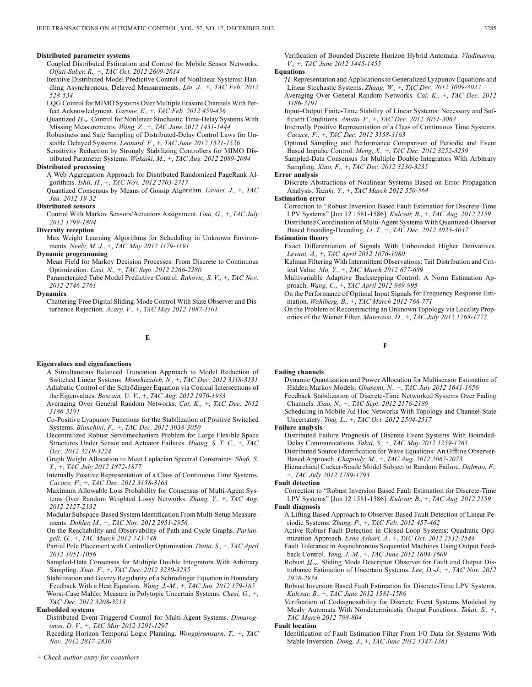### **Distributed parameter systems**

- Coupled Distributed Estimation and Control for Mobile Sensor Networks. *Olfati-Saber, R.,* +, *TAC Oct. 2012 2609-2614*
- Iterative Distributed Model Predictive Control of Nonlinear Systems: Handling Asynchronous, Delayed Measurements. *Liu, J.,* +, *TAC Feb. 2012 528-534*
- LQG Control for MIMO Systems Over Multiple Erasure Channels With Perfect Acknowledgment. *Garone, E.,* +, *TAC Feb. 2012 450-456*
- Quantized  $H_{\infty}$  Control for Nonlinear Stochastic Time-Delay Systems With Missing Measurements. *Wang, Z.,* +, *TAC June 2012 1431-1444*
- Robustness and Safe Sampling of Distributed-Delay Control Laws for Unstable Delayed Systems. *Leonard, F.,* +, *TAC June 2012 1521-1526*
- Sensitivity Reduction by Strongly Stabilizing Controllers for MIMO Distributed Parameter Systems. *Wakaiki, M.,* +, *TAC Aug. 2012 2089-2094*

### **Distributed processing**

- A Web Aggregation Approach for Distributed Randomized PageRank Algorithms. *Ishii, H.,* +, *TAC Nov. 2012 2703-2717*
- Quantized Consensus by Means of Gossip Algorithm. *Lavaei, J.,* +, *TAC Jan. 2012 19-32*

# **Distributed sensors**

Control With Markov Sensors/Actuators Assignment. *Guo, G.,* +, *TAC July 2012 1799-1804*

## **Diversity reception**

Max Weight Learning Algorithms for Scheduling in Unknown Environments. *Neely, M. J.,* +, *TAC May 2012 1179-1191*

# **Dynamic programming**

- Mean Field for Markov Decision Processes: From Discrete to Continuous Optimization. *Gast, N.,* +, *TAC Sept. 2012 2266-2280*
- Parameterized Tube Model Predictive Control. *Rakovic, S. V.,* +, *TAC Nov. 2012 2746-2761*

### **Dynamics**

Chattering-Free Digital Sliding-Mode Control With State Observer and Disturbance Rejection. *Acary, V.,* +, *TAC May 2012 1087-1101*

# **E**

# **Eigenvalues and eigenfunctions**

- A Simultaneous Balanced Truncation Approach to Model Reduction of Switched Linear Systems. *Monshizadeh, N.,* +, *TAC Dec. 2012 3118-3131* Adiabatic Control of the Schrödinger Equation via Conical Intersections of the Eigenvalues. *Boscain, U. V.,* +, *TAC Aug. 2012 1970-1983*
- Averaging Over General Random Networks. *Cai, K.,* +, *TAC Dec. 2012 3186-3191*
- Co-Positive Lyapunov Functions for the Stabilization of Positive Switched Systems. *Blanchini, F.,* +, *TAC Dec. 2012 3038-3050*
- Decentralized Robust Servomechanism Problem for Large Flexible Space Structures Under Sensor and Actuator Failures. *Huang, S. T. C.,* +, *TAC Dec. 2012 3219-3224*
- Graph Weight Allocation to Meet Laplacian Spectral Constraints. *Shafi, S. Y.,* +, *TAC July 2012 1872-1877*
- Internally Positive Representation of a Class of Continuous Time Systems. *Cacace, F.,* +, *TAC Dec. 2012 3158-3163*
- Maximum Allowable Loss Probability for Consensus of Multi-Agent Systems Over Random Weighted Lossy Networks. *Zhang, Y.,* +, *TAC Aug. 2012 2127-2132*
- Modular Subspace-Based System Identification From Multi-Setup Measurements. *Dohler, M.,* +, *TAC Nov. 2012 2951-2956*
- On the Reachability and Observability of Path and Cycle Graphs. *Parlangeli, G.,* +, *TAC March 2012 743-748*
- Partial Pole Placement with Controller Optimization. *Datta, S.,* +, *TAC April 2012 1051-1056*
- Sampled-Data Consensus for Multiple Double Integrators With Arbitrary Sampling. *Xiao, F.,* +, *TAC Dec. 2012 3230-3235*
- Stabilization and Gevrey Regularity of a Schrödinger Equation in Boundary Feedback With a Heat Equation. *Wang, J.-M.,* +, *TAC Jan. 2012 179-185*
- Worst-Case Mahler Measure in Polytopic Uncertain Systems. *Chesi, G.,* +, *TAC Dec. 2012 3208-3213*

# **Embedded systems**

Distributed Event-Triggered Control for Multi-Agent Systems. *Dimarogonas, D. V.,* +, *TAC May 2012 1291-1297*

Receding Horizon Temporal Logic Planning. *Wongpiromsarn, T.,* +, *TAC Nov. 2012 2817-2830*

# Verification of Bounded Discrete Horizon Hybrid Automata. *Vladimerou, V.,* +, *TAC June 2012 1445-1455*

### **Equations**

 $H$ -Representation and Applications to Generalized Lyapunov Equations and Linear Stochastic Systems. *Zhang, W.,* +, *TAC Dec. 2012 3009-3022*

- Averaging Over General Random Networks. *Cai, K.,* +, *TAC Dec. 2012 3186-3191*
- Input–Output Finite-Time Stability of Linear Systems: Necessary and Sufficient Conditions. *Amato, F.,* +, *TAC Dec. 2012 3051-3063*

Internally Positive Representation of a Class of Continuous Time Systems. *Cacace, F.,* +, *TAC Dec. 2012 3158-3163*

- Optimal Sampling and Performance Comparison of Periodic and Event Based Impulse Control. *Meng, X.,* +, *TAC Dec. 2012 3252-3259*
- Sampled-Data Consensus for Multiple Double Integrators With Arbitrary Sampling. *Xiao, F.,* +, *TAC Dec. 2012 3230-3235*

# **Error analysis**

Discrete Abstractions of Nonlinear Systems Based on Error Propagation Analysis. *Tazaki, Y.,* +, *TAC March 2012 550-564*

### **Estimation error**

Correction to "Robust Inversion Based Fault Estimation for Discrete-Time LPV Systems" [Jun 12 1581-1586]. *Kulcsar, B.,* +, *TAC Aug. 2012 2159* Distributed Coordination of Multi-Agent Systems With Quantized-Observer Based Encoding-Decoding. *Li, T.,* +, *TAC Dec. 2012 3023-3037*

### **Estimation theory**

Exact Differentiation of Signals With Unbounded Higher Derivatives. *Levant, A.,* +, *TAC April 2012 1076-1080*

Kalman Filtering With Intermittent Observations: Tail Distribution and Critical Value. *Mo, Y.,* +, *TAC March 2012 677-689*

Multivariable Adaptive Backstepping Control: A Norm Estimation Approach. *Wang, C.,* +, *TAC April 2012 989-995*

On the Performance of Optimal Input Signals for Frequency Response Estimation. *Wahlberg, B.,* +, *TAC March 2012 766-771*

On the Problem of Reconstructing an Unknown Topology via Locality Properties of the Wiener Filter. *Materassi, D.,* +, *TAC July 2012 1765-1777*

### **F**

### **Fading channels**

- Dynamic Quantization and Power Allocation for Multisensor Estimation of Hidden Markov Models. *Ghasemi, N.,* +, *TAC July 2012 1641-1656* Feedback Stabilization of Discrete-Time Networked Systems Over Fading
- Channels. *Xiao, N.,* +, *TAC Sept. 2012 2176-2189* Scheduling in Mobile Ad Hoc Networks With Topology and Channel-State Uncertainty. *Ying, L.,* +, *TAC Oct. 2012 2504-2517*

### **Failure analysis**

- Distributed Failure Prognosis of Discrete Event Systems With Bounded-Delay Communications. *Takai, S.,* +, *TAC May 2012 1259-1265*
- Distributed Source Identification for Wave Equations: An Offline Observer-Based Approach. *Chapouly, M.,* +, *TAC Aug. 2012 2067-2073*
- Hierarchical Cucker-Smale Model Subject to Random Failure. *Dalmao, F.,* +, *TAC July 2012 1789-1793*

### **Fault detection**

Correction to "Robust Inversion Based Fault Estimation for Discrete-Time LPV Systems" [Jun 12 1581-1586]. *Kulcsar, B.,* +, *TAC Aug. 2012 2159* **Fault diagnosis**

- A Lifting Based Approach to Observer Based Fault Detection of Linear Periodic Systems. *Zhang, P.,* +, *TAC Feb. 2012 457-462*
- Active Robust Fault Detection in Closed-Loop Systems: Quadratic Optimization Approach. *Esna Ashari, A.,* +, *TAC Oct. 2012 2532-2544*
- Fault Tolerance in Asynchronous Sequential Machines Using Output Feedback Control. *Yang, J.-M.,* +, *TAC June 2012 1604-1609*
- Robust  $H_{\infty}$  Sliding Mode Descriptor Observer for Fault and Output Disturbance Estimation of Uncertain Systems. *Lee, D.-J.,* +, *TAC Nov. 2012 2928-2934*
- Robust Inversion Based Fault Estimation for Discrete-Time LPV Systems. *Kulcsar, B.,* +, *TAC June 2012 1581-1586*
- Verification of Codiagnosability for Discrete Event Systems Modeled by Mealy Automata With Nondeterministic Output Functions. *Takai, S.,* +, *TAC March 2012 798-804*

# **Fault location**

Identification of Fault Estimation Filter From I/O Data for Systems With Stable Inversion. *Dong, J.,* +, *TAC June 2012 1347-1361*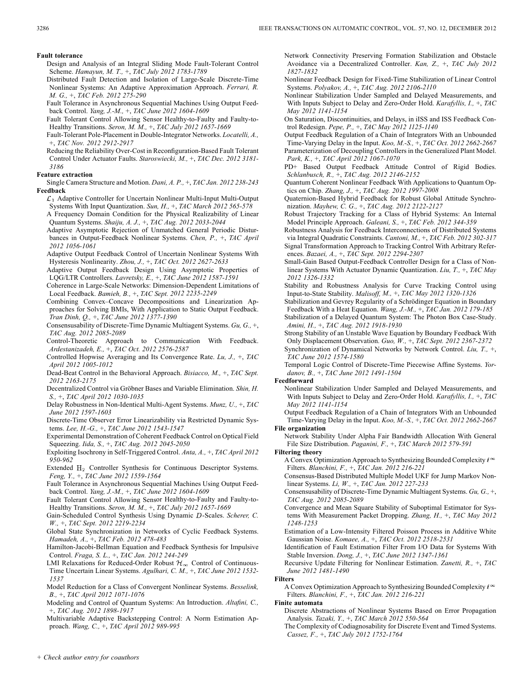### **Fault tolerance**

- Design and Analysis of an Integral Sliding Mode Fault-Tolerant Control Scheme. *Hamayun, M. T.,* +, *TAC July 2012 1783-1789*
- Distributed Fault Detection and Isolation of Large-Scale Discrete-Time Nonlinear Systems: An Adaptive Approximation Approach. *Ferrari, R. M. G.,* +, *TAC Feb. 2012 275-290*
- Fault Tolerance in Asynchronous Sequential Machines Using Output Feedback Control. *Yang, J.-M.,* +, *TAC June 2012 1604-1609*
- Fault Tolerant Control Allowing Sensor Healthy-to-Faulty and Faulty-to-Healthy Transitions. *Seron, M. M.,* +, *TAC July 2012 1657-1669*
- Fault-Tolerant Pole-Placement in Double-Integrator Networks. *Locatelli, A.,* +, *TAC Nov. 2012 2912-2917*

Reducing the Reliability Over-Cost in Reconfiguration-Based Fault Tolerant Control Under Actuator Faults. *Staroswiecki, M.,* +, *TAC Dec. 2012 3181- 3186*

# **Feature extraction**

Single Camera Structure and Motion. *Dani, A. P.,* +, *TAC Jan. 2012 238-243* **Feedback**

- $\mathcal{L}_1$  Adaptive Controller for Uncertain Nonlinear Multi-Input Multi-Output Systems With Input Quantization. *Sun, H.,* +, *TAC March 2012 565-578*
- A Frequency Domain Condition for the Physical Realizability of Linear Quantum Systems. *Shaiju, A. J.,* +, *TAC Aug. 2012 2033-2044*
- Adaptive Asymptotic Rejection of Unmatched General Periodic Disturbances in Output-Feedback Nonlinear Systems. *Chen, P.,* +, *TAC April 2012 1056-1061*
- Adaptive Output Feedback Control of Uncertain Nonlinear Systems With Hysteresis Nonlinearity. *Zhou, J.,* +, *TAC Oct. 2012 2627-2633*
- Adaptive Output Feedback Design Using Asymptotic Properties of LQG/LTR Controllers. *Lavretsky, E.,* +, *TAC June 2012 1587-1591*
- Coherence in Large-Scale Networks: Dimension-Dependent Limitations of Local Feedback. *Bamieh, B.,* +, *TAC Sept. 2012 2235-2249*
- Combining Convex–Concave Decompositions and Linearization Approaches for Solving BMIs, With Application to Static Output Feedback. *Tran Dinh, Q.,* +, *TAC June 2012 1377-1390*
- Consensusability of Discrete-Time Dynamic Multiagent Systems. *Gu, G.,* +, *TAC Aug. 2012 2085-2089*
- Control-Theoretic Approach to Communication With Feedback. *Ardestanizadeh, E.,* +, *TAC Oct. 2012 2576-2587*
- Controlled Hopwise Averaging and Its Convergence Rate. *Lu, J.,* +, *TAC April 2012 1005-1012*
- Dead-Beat Control in the Behavioral Approach. *Bisiacco, M.,* +, *TAC Sept. 2012 2163-2175*
- Decentralized Control via Gröbner Bases and Variable Elimination. *Shin, H. S.,* +, *TAC April 2012 1030-1035*
- Delay Robustness in Non-Identical Multi-Agent Systems. *Munz, U.,* +, *TAC June 2012 1597-1603*
- Discrete-Time Observer Error Linearizability via Restricted Dynamic Systems. *Lee, H.-G.,* +, *TAC June 2012 1543-1547*
- Experimental Demonstration of Coherent Feedback Control on Optical Field Squeezing. *Iida, S.,* +, *TAC Aug. 2012 2045-2050*
- Exploiting Isochrony in Self-Triggered Control. *Anta, A.,* +, *TAC April 2012 950-962*
- Extended H<sub>2</sub> Controller Synthesis for Continuous Descriptor Systems. *Feng, Y.,* +, *TAC June 2012 1559-1564*
- Fault Tolerance in Asynchronous Sequential Machines Using Output Feedback Control. *Yang, J.-M.,* +, *TAC June 2012 1604-1609*
- Fault Tolerant Control Allowing Sensor Healthy-to-Faulty and Faulty-to-Healthy Transitions. *Seron, M. M.,* +, *TAC July 2012 1657-1669*
- Gain-Scheduled Control Synthesis Using Dynamic D-Scales. Scherer, C. *W.,* +, *TAC Sept. 2012 2219-2234*
- Global State Synchronization in Networks of Cyclic Feedback Systems. *Hamadeh, A.,* +, *TAC Feb. 2012 478-483*
- Hamilton-Jacobi-Bellman Equation and Feedback Synthesis for Impulsive Control. *Fraga, S. L.,* +, *TAC Jan. 2012 244-249*
- LMI Relaxations for Reduced-Order Robust  $\mathcal{H}_{\infty}$  Control of Continuous-Time Uncertain Linear Systems. *Agulhari, C. M.,* +, *TAC June 2012 1532- 1537*
- Model Reduction for a Class of Convergent Nonlinear Systems. *Besselink, B.,* +, *TAC April 2012 1071-1076*
- Modeling and Control of Quantum Systems: An Introduction. *Altafini, C.,* +, *TAC Aug. 2012 1898-1917*
- Multivariable Adaptive Backstepping Control: A Norm Estimation Approach. *Wang, C.,* +, *TAC April 2012 989-995*
- Network Connectivity Preserving Formation Stabilization and Obstacle Avoidance via a Decentralized Controller. *Kan, Z.,* +, *TAC July 2012 1827-1832*
- Nonlinear Feedback Design for Fixed-Time Stabilization of Linear Control Systems. *Polyakov, A.,* +, *TAC Aug. 2012 2106-2110*
- Nonlinear Stabilization Under Sampled and Delayed Measurements, and With Inputs Subject to Delay and Zero-Order Hold. *Karafyllis, I.,* +, *TAC May 2012 1141-1154*
- On Saturation, Discontinuities, and Delays, in iISS and ISS Feedback Control Redesign. *Pepe, P.,* +, *TAC May 2012 1125-1140*
- Output Feedback Regulation of a Chain of Integrators With an Unbounded Time-Varying Delay in the Input. *Koo, M.-S.,* +, *TAC Oct. 2012 2662-2667* Parameterization of Decoupling Controllers in the Generalized Plant Model. *Park, K.,* +, *TAC April 2012 1067-1070*
- PD+ Based Output Feedback Attitude Control of Rigid Bodies. *Schlanbusch, R.,* +, *TAC Aug. 2012 2146-2152*
- Quantum Coherent Nonlinear Feedback With Applications to Quantum Optics on Chip. *Zhang, J.,* +, *TAC Aug. 2012 1997-2008*
- Quaternion-Based Hybrid Feedback for Robust Global Attitude Synchronization. *Mayhew, C. G.,* +, *TAC Aug. 2012 2122-2127*
- Robust Trajectory Tracking for a Class of Hybrid Systems: An Internal Model Principle Approach. *Galeani, S.,* +, *TAC Feb. 2012 344-359*
- Robustness Analysis for Feedback Interconnections of Distributed Systems via Integral Quadratic Constraints. *Cantoni, M.,* +, *TAC Feb. 2012 302-317* Signal Transformation Approach to Tracking Control With Arbitrary References. *Bazaei, A.,* +, *TAC Sept. 2012 2294-2307*
- Small-Gain Based Output-Feedback Controller Design for a Class of Nonlinear Systems With Actuator Dynamic Quantization. *Liu, T.,* +, *TAC May 2012 1326-1332*
- Stability and Robustness Analysis for Curve Tracking Control using Input-to-State Stability. *Malisoff, M.,* +, *TAC May 2012 1320-1326*
- Stabilization and Gevrey Regularity of a Schrödinger Equation in Boundary Feedback With a Heat Equation. *Wang, J.-M.,* +, *TAC Jan. 2012 179-185*
- Stabilization of a Delayed Quantum System: The Photon Box Case-Study. *Amini, H.,* +, *TAC Aug. 2012 1918-1930*
- Strong Stability of an Unstable Wave Equation by Boundary Feedback With Only Displacement Observation. *Guo, W.,* +, *TAC Sept. 2012 2367-2372*
- Synchronization of Dynamical Networks by Network Control. *Liu, T.,* +, *TAC June 2012 1574-1580*
- Temporal Logic Control of Discrete-Time Piecewise Affine Systems. *Yordanov, B.,* +, *TAC June 2012 1491-1504*
- **Feedforward**
	- Nonlinear Stabilization Under Sampled and Delayed Measurements, and With Inputs Subject to Delay and Zero-Order Hold. *Karafyllis, I.,* +, *TAC May 2012 1141-1154*
- Output Feedback Regulation of a Chain of Integrators With an Unbounded Time-Varying Delay in the Input. *Koo, M.-S.,* +, *TAC Oct. 2012 2662-2667* **File organization**
- Network Stability Under Alpha Fair Bandwidth Allocation With General File Size Distribution. *Paganini, F.,* +, *TAC March 2012 579-591*

### **Filtering theory**

- A Convex Optimization Approach to Synthesizing Bounded Complexity  $\ell^{\infty}$ Filters. *Blanchini, F.,* +, *TAC Jan. 2012 216-221*
- Consensus-Based Distributed Multiple Model UKF for Jump Markov Nonlinear Systems. *Li, W.,* +, *TAC Jan. 2012 227-233*
- Consensusability of Discrete-Time Dynamic Multiagent Systems. *Gu, G.,* +, *TAC Aug. 2012 2085-2089*
- Convergence and Mean Square Stability of Suboptimal Estimator for Systems With Measurement Packet Dropping. *Zhang, H.,* +, *TAC May 2012 1248-1253*
- Estimation of a Low-Intensity Filtered Poisson Process in Additive White Gaussian Noise. *Komaee, A.,* +, *TAC Oct. 2012 2518-2531*
- Identification of Fault Estimation Filter From I/O Data for Systems With Stable Inversion. *Dong, J.,* +, *TAC June 2012 1347-1361*
- Recursive Update Filtering for Nonlinear Estimation. *Zanetti, R.,* +, *TAC June 2012 1481-1490*

### **Filters**

A Convex Optimization Approach to Synthesizing Bounded Complexity  $\ell^\infty$ Filters. *Blanchini, F.,* +, *TAC Jan. 2012 216-221*

### **Finite automata**

- Discrete Abstractions of Nonlinear Systems Based on Error Propagation Analysis. *Tazaki, Y.,* +, *TAC March 2012 550-564*
- The Complexity of Codiagnosability for Discrete Event and Timed Systems. *Cassez, F.,* +, *TAC July 2012 1752-1764*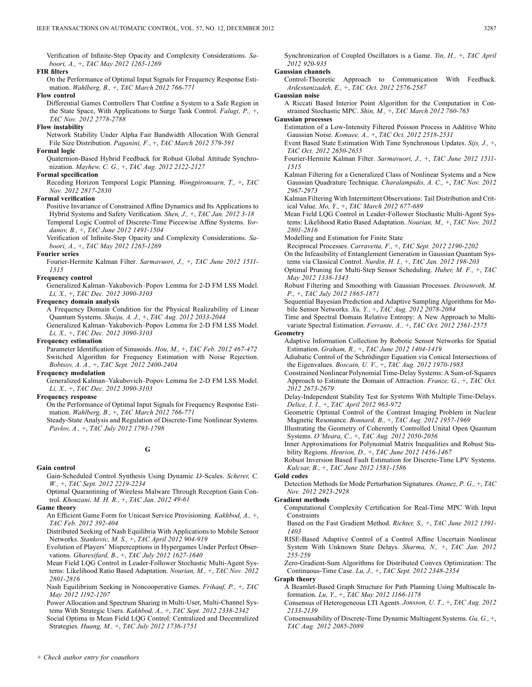Verification of Infinite-Step Opacity and Complexity Considerations. *Saboori, A.,* +, *TAC May 2012 1265-1269*

### **FIR filters**

On the Performance of Optimal Input Signals for Frequency Response Estimation. *Wahlberg, B.,* +, *TAC March 2012 766-771*

### **Flow control**

Differential Games Controllers That Confine a System to a Safe Region in the State Space, With Applications to Surge Tank Control. *Falugi, P.,* +, *TAC Nov. 2012 2778-2788*

### **Flow instability**

Network Stability Under Alpha Fair Bandwidth Allocation With General File Size Distribution. *Paganini, F.,* +, *TAC March 2012 579-591*

### **Formal logic**

Quaternion-Based Hybrid Feedback for Robust Global Attitude Synchronization. *Mayhew, C. G.,* +, *TAC Aug. 2012 2122-2127*

# **Formal specification**

Receding Horizon Temporal Logic Planning. *Wongpiromsarn, T.,* +, *TAC Nov. 2012 2817-2830*

# **Formal verification**

Positive Invariance of Constrained Affine Dynamics and Its Applications to Hybrid Systems and Safety Verification. *Shen, J.,* +, *TAC Jan. 2012 3-18* Temporal Logic Control of Discrete-Time Piecewise Affine Systems. *Yordanov, B.,* +, *TAC June 2012 1491-1504*

Verification of Infinite-Step Opacity and Complexity Considerations. *Saboori, A.,* +, *TAC May 2012 1265-1269*

### **Fourier series**

Fourier-Hermite Kalman Filter. *Sarmavuori, J.,* +, *TAC June 2012 1511- 1515*

# **Frequency control**

Generalized Kalman–Yakubovich–Popov Lemma for 2-D FM LSS Model. *Li, X.,* +, *TAC Dec. 2012 3090-3103*

# **Frequency domain analysis**

A Frequency Domain Condition for the Physical Realizability of Linear Quantum Systems. *Shaiju, A. J.,* +, *TAC Aug. 2012 2033-2044* Generalized Kalman–Yakubovich–Popov Lemma for 2-D FM LSS Model.

*Li, X.,* +, *TAC Dec. 2012 3090-3103* **Frequency estimation**

Parameter Identification of Sinusoids. *Hou, M.,* +, *TAC Feb. 2012 467-472* Switched Algorithm for Frequency Estimation with Noise Rejection. *Bobtsov, A. A.,* +, *TAC Sept. 2012 2400-2404*

# **Frequency modulation**

Generalized Kalman–Yakubovich–Popov Lemma for 2-D FM LSS Model. *Li, X.,* +, *TAC Dec. 2012 3090-3103*

# **Frequency response**

On the Performance of Optimal Input Signals for Frequency Response Estimation. *Wahlberg, B.,* +, *TAC March 2012 766-771*

Steady-State Analysis and Regulation of Discrete-Time Nonlinear Systems. *Pavlov, A.,* +, *TAC July 2012 1793-1798*

# **G**

### **Gain control**

Gain-Scheduled Control Synthesis Using Dynamic D-Scales. Scherer, C. *W.,* +, *TAC Sept. 2012 2219-2234*

Optimal Quarantining of Wireless Malware Through Reception Gain Control. *Khouzani, M. H. R.,* +, *TAC Jan. 2012 49-61*

### **Game theory**

An Efficient Game Form for Unicast Service Provisioning. *Kakhbod, A.,* +, *TAC Feb. 2012 392-404*

Distributed Seeking of Nash Equilibria With Applications to Mobile Sensor Networks. *Stankovic, M. S.,* +, *TAC April 2012 904-919*

- Evolution of Players' Misperceptions in Hypergames Under Perfect Observations. *Gharesifard, B.,* +, *TAC July 2012 1627-1640*
- Mean Field LQG Control in Leader-Follower Stochastic Multi-Agent Systems: Likelihood Ratio Based Adaptation. *Nourian, M.,* +, *TAC Nov. 2012 2801-2816*
- Nash Equilibrium Seeking in Noncooperative Games. *Frihauf, P.,* +, *TAC May 2012 1192-1207*

Power Allocation and Spectrum Sharing in Multi-User, Multi-Channel Systems With Strategic Users. *Kakhbod, A.,* +, *TAC Sept. 2012 2338-2342*

Social Optima in Mean Field LQG Control: Centralized and Decentralized Strategies. *Huang, M.,* +, *TAC July 2012 1736-1751*

Synchronization of Coupled Oscillators is a Game. *Yin, H.,* +, *TAC April 2012 920-935*

### **Gaussian channels**

- Control-Theoretic Approach to Communication With Feedback. *Ardestanizadeh, E.,* +, *TAC Oct. 2012 2576-2587*
- **Gaussian noise**
- A Riccati Based Interior Point Algorithm for the Computation in Constrained Stochastic MPC. *Shin, M.,* +, *TAC March 2012 760-765*

### **Gaussian processes**

- Estimation of a Low-Intensity Filtered Poisson Process in Additive White Gaussian Noise. *Komaee, A.,* +, *TAC Oct. 2012 2518-2531*
- Event Based State Estimation With Time Synchronous Updates. *Sijs, J.,* +, *TAC Oct. 2012 2650-2655*
- Fourier-Hermite Kalman Filter. *Sarmavuori, J.,* +, *TAC June 2012 1511- 1515*
- Kalman Filtering for a Generalized Class of Nonlinear Systems and a New Gaussian Quadrature Technique. *Charalampidis, A. C.,* +, *TAC Nov. 2012 2967-2973*
- Kalman Filtering With Intermittent Observations: Tail Distribution and Critical Value. *Mo, Y.,* +, *TAC March 2012 677-689*
- Mean Field LQG Control in Leader-Follower Stochastic Multi-Agent Systems: Likelihood Ratio Based Adaptation. *Nourian, M.,* +, *TAC Nov. 2012 2801-2816*
- Modelling and Estimation for Finite State
- Reciprocal Processes. *Carravetta, F.,* +, *TAC Sept. 2012 2190-2202*
- On the Infeasibility of Entanglement Generation in Gaussian Quantum Systems via Classical Control. *Nurdin, H. I.,* +, *TAC Jan. 2012 198-203*
- Optimal Pruning for Multi-Step Sensor Scheduling. *Huber, M. F.,* +, *TAC May 2012 1338-1343*
- Robust Filtering and Smoothing with Gaussian Processes. *Deisenroth, M. P.,* +, *TAC July 2012 1865-1871*
- Sequential Bayesian Prediction and Adaptive Sampling Algorithms for Mobile Sensor Networks. *Xu, Y.,* +, *TAC Aug. 2012 2078-2084*
- Time and Spectral Domain Relative Entropy: A New Approach to Multivariate Spectral Estimation. *Ferrante, A.,* +, *TAC Oct. 2012 2561-2575*

# **Geometry**

Adaptive Information Collection by Robotic Sensor Networks for Spatial Estimation. *Graham, R.,* +, *TAC June 2012 1404-1419*

- Adiabatic Control of the Schrödinger Equation via Conical Intersections of the Eigenvalues. *Boscain, U. V.,* +, *TAC Aug. 2012 1970-1983*
- Constrained Nonlinear Polynomial Time-Delay Systems: A Sum-of-Squares Approach to Estimate the Domain of Attraction. *Franze, G.,* +, *TAC Oct. 2012 2673-2679*
- Delay-Independent Stability Test for Systems With Multiple Time-Delays. *Delice, I. I.,* +, *TAC April 2012 963-972*
- Geometric Optimal Control of the Contrast Imaging Problem in Nuclear Magnetic Resonance. *Bonnard, B.,* +, *TAC Aug. 2012 1957-1969*
- Illustrating the Geometry of Coherently Controlled Unital Open Quantum Systems. *O'Meara, C.,* +, *TAC Aug. 2012 2050-2056*
- Inner Approximations for Polynomial Matrix Inequalities and Robust Stability Regions. *Henrion, D.,* +, *TAC June 2012 1456-1467*
- Robust Inversion Based Fault Estimation for Discrete-Time LPV Systems. *Kulcsar, B.,* +, *TAC June 2012 1581-1586*

### **Gold codes**

Detection Methods for Mode Perturbation Signatures. *Otanez, P. G.,* +, *TAC Nov. 2012 2923-2928*

### **Gradient methods**

Computational Complexity Certification for Real-Time MPC With Input **Constraints** 

Based on the Fast Gradient Method. *Richter, S.,* +, *TAC June 2012 1391- 1403*

RISE-Based Adaptive Control of a Control Affine Uncertain Nonlinear System With Unknown State Delays. *Sharma, N.,* +, *TAC Jan. 2012 255-259*

Zero-Gradient-Sum Algorithms for Distributed Convex Optimization: The Continuous-Time Case. *Lu, J.,* +, *TAC Sept. 2012 2348-2354*

**Graph theory**

- A Beamlet-Based Graph Structure for Path Planning Using Multiscale Information. *Lu, Y.,* +, *TAC May 2012 1166-1178*
- Consensus of Heterogeneous LTI Agents. *Jonsson, U. T.,* +, *TAC Aug. 2012 2133-2139*
- Consensusability of Discrete-Time Dynamic Multiagent Systems. *Gu, G.,* +, *TAC Aug. 2012 2085-2089*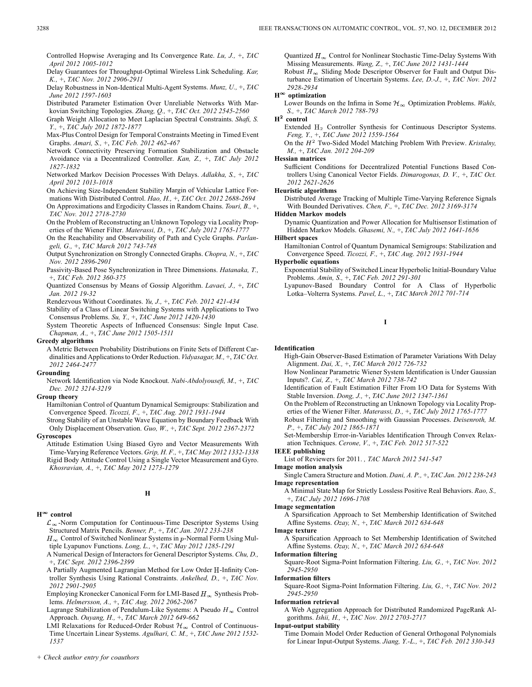Controlled Hopwise Averaging and Its Convergence Rate. *Lu, J.,* +, *TAC April 2012 1005-1012*

Delay Guarantees for Throughput-Optimal Wireless Link Scheduling. *Kar, K.,* +, *TAC Nov. 2012 2906-2911*

Delay Robustness in Non-Identical Multi-Agent Systems. *Munz, U.,* +, *TAC June 2012 1597-1603*

Distributed Parameter Estimation Over Unreliable Networks With Markovian Switching Topologies. *Zhang, Q.,* +, *TAC Oct. 2012 2545-2560*

Graph Weight Allocation to Meet Laplacian Spectral Constraints. *Shafi, S. Y.,* +, *TAC July 2012 1872-1877*

- Max-Plus Control Design for Temporal Constraints Meeting in Timed Event Graphs. *Amari, S.,* +, *TAC Feb. 2012 462-467*
- Network Connectivity Preserving Formation Stabilization and Obstacle Avoidance via a Decentralized Controller. *Kan, Z.,* +, *TAC July 2012 1827-1832*

Networked Markov Decision Processes With Delays. *Adlakha, S.,* +, *TAC April 2012 1013-1018*

On Achieving Size-Independent Stability Margin of Vehicular Lattice Formations With Distributed Control. *Hao, H.,* +, *TAC Oct. 2012 2688-2694*

On Approximations and Ergodicity Classes in Random Chains. *Touri, B.,* +, *TAC Nov. 2012 2718-2730*

On the Problem of Reconstructing an Unknown Topology via Locality Properties of the Wiener Filter. *Materassi, D.,* +, *TAC July 2012 1765-1777*

On the Reachability and Observability of Path and Cycle Graphs. *Parlan-*

*geli, G.,* +, *TAC March 2012 743-748* Output Synchronization on Strongly Connected Graphs. *Chopra, N.,* +, *TAC Nov. 2012 2896-2901*

Passivity-Based Pose Synchronization in Three Dimensions. *Hatanaka, T.,* +, *TAC Feb. 2012 360-375*

Quantized Consensus by Means of Gossip Algorithm. *Lavaei, J.,* +, *TAC Jan. 2012 19-32*

Rendezvous Without Coordinates. *Yu, J.,* +, *TAC Feb. 2012 421-434*

Stability of a Class of Linear Switching Systems with Applications to Two Consensus Problems. *Su, Y.,* +, *TAC June 2012 1420-1430*

System Theoretic Aspects of Influenced Consensus: Single Input Case. *Chapman, A.,* +, *TAC June 2012 1505-1511*

### **Greedy algorithms**

A Metric Between Probability Distributions on Finite Sets of Different Cardinalities and Applications to Order Reduction. *Vidyasagar, M.,* +, *TAC Oct. 2012 2464-2477*

# **Grounding**

Network Identification via Node Knockout. *Nabi-Abdolyousefi, M.,* +, *TAC Dec. 2012 3214-3219*

# **Group theory**

Hamiltonian Control of Quantum Dynamical Semigroups: Stabilization and Convergence Speed. *Ticozzi, F.,* +, *TAC Aug. 2012 1931-1944*

Strong Stability of an Unstable Wave Equation by Boundary Feedback With Only Displacement Observation. *Guo, W.,* +, *TAC Sept. 2012 2367-2372*

# **Gyroscopes**

Attitude Estimation Using Biased Gyro and Vector Measurements With Time-Varying Reference Vectors. *Grip, H. F.,* +, *TAC May 2012 1332-1338* Rigid Body Attitude Control Using a Single Vector Measurement and Gyro. *Khosravian, A.,* +, *TAC May 2012 1273-1279*

**H**

### $H^{\infty}$  control

 $\mathcal{L}_{\infty}$ -Norm Computation for Continuous-Time Descriptor Systems Using Structured Matrix Pencils. *Benner, P.,* +, *TAC Jan. 2012 233-238*

 $H_{\infty}$  Control of Switched Nonlinear Systems in p-Normal Form Using Multiple Lyapunov Functions. *Long, L.,* +, *TAC May 2012 1285-1291*

A Numerical Design of Interactors for General Descriptor Systems. *Chu, D.,* +, *TAC Sept. 2012 2396-2399*

A Partially Augmented Lagrangian Method for Low Order H-Infinity Controller Synthesis Using Rational Constraints. *Ankelhed, D.,* +, *TAC Nov. 2012 2901-2905*

Employing Kronecker Canonical Form for LMI-Based  $H_{\infty}$  Synthesis Problems. *Helmersson, A.,* +, *TAC Aug. 2012 2062-2067*

Lagrange Stabilization of Pendulum-Like Systems: A Pseudo  $H_{\infty}$  Control Approach. *Ouyang, H.,* +, *TAC March 2012 649-662*

LMI Relaxations for Reduced-Order Robust  $\mathcal{H}_{\infty}$  Control of Continuous-Time Uncertain Linear Systems. *Agulhari, C. M.,* +, *TAC June 2012 1532- 1537*

Quantized  $H_{\infty}$  Control for Nonlinear Stochastic Time-Delay Systems With Missing Measurements. *Wang, Z.,* +, *TAC June 2012 1431-1444*

Robust  $H_{\infty}$  Sliding Mode Descriptor Observer for Fault and Output Disturbance Estimation of Uncertain Systems. *Lee, D.-J.,* +, *TAC Nov. 2012 2928-2934*

# **H optimization**

Lower Bounds on the Infima in Some  $\mathcal{H}_{\infty}$  Optimization Problems. *Wahls*, *S.,* +, *TAC March 2012 788-793*

# $H^2$  control

Extended  $H_2$  Controller Synthesis for Continuous Descriptor Systems. *Feng, Y.,* +, *TAC June 2012 1559-1564*

On the  $H^2$  Two-Sided Model Matching Problem With Preview. *Kristalny*, *M.,* +, *TAC Jan. 2012 204-209*

### **Hessian matrices**

Sufficient Conditions for Decentralized Potential Functions Based Controllers Using Canonical Vector Fields. *Dimarogonas, D. V.,* +, *TAC Oct. 2012 2621-2626*

### **Heuristic algorithms**

Distributed Average Tracking of Multiple Time-Varying Reference Signals With Bounded Derivatives. *Chen, F.,* +, *TAC Dec. 2012 3169-3174*

### **Hidden Markov models**

Dynamic Quantization and Power Allocation for Multisensor Estimation of Hidden Markov Models. *Ghasemi, N.,* +, *TAC July 2012 1641-1656*

# **Hilbert spaces**

Hamiltonian Control of Quantum Dynamical Semigroups: Stabilization and Convergence Speed. *Ticozzi, F.,* +, *TAC Aug. 2012 1931-1944*

### **Hyperbolic equations**

Exponential Stability of Switched Linear Hyperbolic Initial-Boundary Value Problems. *Amin, S.,* +, *TAC Feb. 2012 291-301*

Lyapunov-Based Boundary Control for A Class of Hyperbolic Lotka–Volterra Systems. *Pavel, L.,* +, *TAC March 2012 701-714*

### **I**

### **Identification**

High-Gain Observer-Based Estimation of Parameter Variations With Delay Alignment. *Dai, X.,* +, *TAC March 2012 726-732*

- How Nonlinear Parametric Wiener System Identification is Under Gaussian Inputs?. *Cai, Z.,* +, *TAC March 2012 738-742*
- Identification of Fault Estimation Filter From I/O Data for Systems With Stable Inversion. *Dong, J.,* +, *TAC June 2012 1347-1361*
- On the Problem of Reconstructing an Unknown Topology via Locality Properties of the Wiener Filter. *Materassi, D.,* +, *TAC July 2012 1765-1777*
- Robust Filtering and Smoothing with Gaussian Processes. *Deisenroth, M. P.,* +, *TAC July 2012 1865-1871*
- Set-Membership Error-in-Variables Identification Through Convex Relaxation Techniques. *Cerone, V.,* +, *TAC Feb. 2012 517-522*

### **IEEE publishing**

List of Reviewers for 2011. *, TAC March 2012 541-547*

### **Image motion analysis**

- Single Camera Structure and Motion. *Dani, A. P.,* +, *TAC Jan. 2012 238-243* **Image representation**
	- A Minimal State Map for Strictly Lossless Positive Real Behaviors. *Rao, S.,* +, *TAC July 2012 1696-1708*

### **Image segmentation**

A Sparsification Approach to Set Membership Identification of Switched Affine Systems. *Ozay, N.,* +, *TAC March 2012 634-648*

**Image texture**

A Sparsification Approach to Set Membership Identification of Switched Affine Systems. *Ozay, N.,* +, *TAC March 2012 634-648*

**Information filtering**

Square-Root Sigma-Point Information Filtering. *Liu, G.,* +, *TAC Nov. 2012 2945-2950*

### **Information filters**

Square-Root Sigma-Point Information Filtering. *Liu, G.,* +, *TAC Nov. 2012 2945-2950*

### **Information retrieval**

A Web Aggregation Approach for Distributed Randomized PageRank Algorithms. *Ishii, H.,* +, *TAC Nov. 2012 2703-2717*

### **Input-output stability**

Time Domain Model Order Reduction of General Orthogonal Polynomials for Linear Input-Output Systems. *Jiang, Y.-L.,* +, *TAC Feb. 2012 330-343*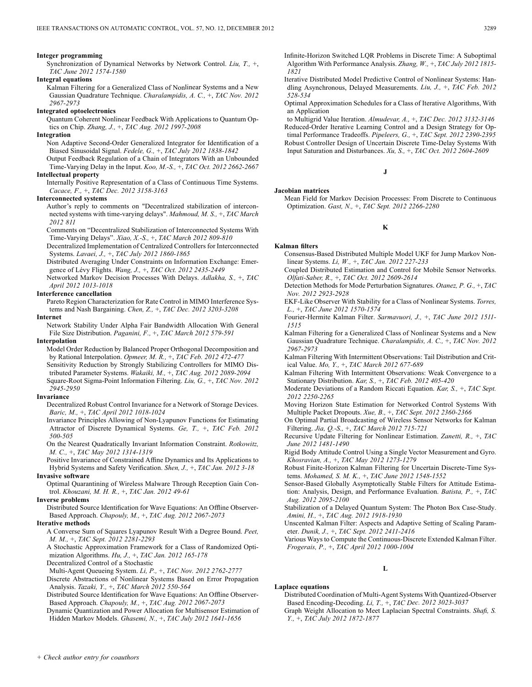### **Integer programming**

Synchronization of Dynamical Networks by Network Control. *Liu, T.,* +, *TAC June 2012 1574-1580*

### **Integral equations**

Kalman Filtering for a Generalized Class of Nonlinear Systems and a New Gaussian Quadrature Technique. *Charalampidis, A. C.,* +, *TAC Nov. 2012 2967-2973*

### **Integrated optoelectronics**

Quantum Coherent Nonlinear Feedback With Applications to Quantum Optics on Chip. *Zhang, J.,* +, *TAC Aug. 2012 1997-2008*

# **Integration**

Non Adaptive Second-Order Generalized Integrator for Identification of a Biased Sinusoidal Signal. *Fedele, G.,* +, *TAC July 2012 1838-1842*

Output Feedback Regulation of a Chain of Integrators With an Unbounded Time-Varying Delay in the Input. *Koo, M.-S.,* +, *TAC Oct. 2012 2662-2667*

# **Intellectual property**

Internally Positive Representation of a Class of Continuous Time Systems. *Cacace, F.,* +, *TAC Dec. 2012 3158-3163*

## **Interconnected systems**

Author's reply to comments on "Decentralized stabilization of interconnected systems with time-varying delays". *Mahmoud, M. S.,* +, *TAC March 2012 811*

Comments on "Decentralized Stabilization of Interconnected Systems With Time-Varying Delays". *Xiao, X.-S.,* +, *TAC March 2012 809-810*

Decentralized Implementation of Centralized Controllers for Interconnected Systems. *Lavaei, J.,* +, *TAC July 2012 1860-1865*

Distributed Averaging Under Constraints on Information Exchange: Emergence of Lévy Flights. *Wang, J.,* +, *TAC Oct. 2012 2435-2449*

Networked Markov Decision Processes With Delays. *Adlakha, S.,* +, *TAC April 2012 1013-1018*

### **Interference cancellation**

Pareto Region Characterization for Rate Control in MIMO Interference Systems and Nash Bargaining. *Chen, Z.,* +, *TAC Dec. 2012 3203-3208*

### **Internet**

Network Stability Under Alpha Fair Bandwidth Allocation With General File Size Distribution. *Paganini, F.,* +, *TAC March 2012 579-591*

**Interpolation**

Model Order Reduction by Balanced Proper Orthogonal Decomposition and by Rational Interpolation. *Opmeer, M. R.,* +, *TAC Feb. 2012 472-477*

Sensitivity Reduction by Strongly Stabilizing Controllers for MIMO Distributed Parameter Systems. *Wakaiki, M.,* +, *TAC Aug. 2012 2089-2094* Square-Root Sigma-Point Information Filtering. *Liu, G.,* +, *TAC Nov. 2012 2945-2950*

### **Invariance**

Decentralized Robust Control Invariance for a Network of Storage Devices. *Baric, M.,* +, *TAC April 2012 1018-1024*

Invariance Principles Allowing of Non-Lyapunov Functions for Estimating Attractor of Discrete Dynamical Systems. *Ge, T.,* +, *TAC Feb. 2012 500-505*

On the Nearest Quadratically Invariant Information Constraint. *Rotkowitz, M. C.,* +, *TAC May 2012 1314-1319*

Positive Invariance of Constrained Affine Dynamics and Its Applications to Hybrid Systems and Safety Verification. *Shen, J.,* +, *TAC Jan. 2012 3-18*

# **Invasive software**

Optimal Quarantining of Wireless Malware Through Reception Gain Control. *Khouzani, M. H. R.,* +, *TAC Jan. 2012 49-61*

### **Inverse problems**

Distributed Source Identification for Wave Equations: An Offline Observer-Based Approach. *Chapouly, M.,* +, *TAC Aug. 2012 2067-2073*

### **Iterative methods**

A Converse Sum of Squares Lyapunov Result With a Degree Bound. *Peet, M. M.,* +, *TAC Sept. 2012 2281-2293*

A Stochastic Approximation Framework for a Class of Randomized Optimization Algorithms. *Hu, J.,* +, *TAC Jan. 2012 165-178*

Decentralized Control of a Stochastic

Multi-Agent Queueing System. *Li, P.,* +, *TAC Nov. 2012 2762-2777*

Discrete Abstractions of Nonlinear Systems Based on Error Propagation Analysis. *Tazaki, Y.,* +, *TAC March 2012 550-564*

Distributed Source Identification for Wave Equations: An Offline Observer-Based Approach. *Chapouly, M.,* +, *TAC Aug. 2012 2067-2073*

Dynamic Quantization and Power Allocation for Multisensor Estimation of Hidden Markov Models. *Ghasemi, N.,* +, *TAC July 2012 1641-1656*

Infinite-Horizon Switched LQR Problems in Discrete Time: A Suboptimal Algorithm With Performance Analysis. *Zhang, W.,* +, *TAC July 2012 1815- 1821*

Iterative Distributed Model Predictive Control of Nonlinear Systems: Handling Asynchronous, Delayed Measurements. *Liu, J.,* +, *TAC Feb. 2012 528-534*

Optimal Approximation Schedules for a Class of Iterative Algorithms, With an Application

to Multigrid Value Iteration. *Almudevar, A.,* +, *TAC Dec. 2012 3132-3146* Reduced-Order Iterative Learning Control and a Design Strategy for Optimal Performance Tradeoffs. *Pipeleers, G.,* +, *TAC Sept. 2012 2390-2395* Robust Controller Design of Uncertain Discrete Time-Delay Systems With Input Saturation and Disturbances. *Xu, S.,* +, *TAC Oct. 2012 2604-2609*

### **J**

### **Jacobian matrices**

Mean Field for Markov Decision Processes: From Discrete to Continuous Optimization. *Gast, N.,* +, *TAC Sept. 2012 2266-2280*

# **K**

# **Kalman filters**

Consensus-Based Distributed Multiple Model UKF for Jump Markov Nonlinear Systems. *Li, W.,* +, *TAC Jan. 2012 227-233*

Coupled Distributed Estimation and Control for Mobile Sensor Networks. *Olfati-Saber, R.,* +, *TAC Oct. 2012 2609-2614*

Detection Methods for Mode Perturbation Signatures. *Otanez, P. G.,* +, *TAC Nov. 2012 2923-2928*

- EKF-Like Observer With Stability for a Class of Nonlinear Systems. *Torres, L.,* +, *TAC June 2012 1570-1574*
- Fourier-Hermite Kalman Filter. *Sarmavuori, J.,* +, *TAC June 2012 1511- 1515*
- Kalman Filtering for a Generalized Class of Nonlinear Systems and a New Gaussian Quadrature Technique. *Charalampidis, A. C.,* +, *TAC Nov. 2012 2967-2973*

Kalman Filtering With Intermittent Observations: Tail Distribution and Critical Value. *Mo, Y.,* +, *TAC March 2012 677-689*

Kalman Filtering With Intermittent Observations: Weak Convergence to a Stationary Distribution. *Kar, S.,* +, *TAC Feb. 2012 405-420*

Moderate Deviations of a Random Riccati Equation. *Kar, S.,* +, *TAC Sept. 2012 2250-2265*

Moving Horizon State Estimation for Networked Control Systems With Multiple Packet Dropouts. *Xue, B.,* +, *TAC Sept. 2012 2360-2366*

On Optimal Partial Broadcasting of Wireless Sensor Networks for Kalman Filtering. *Jia, Q.-S.,* +, *TAC March 2012 715-721*

Recursive Update Filtering for Nonlinear Estimation. *Zanetti, R.,* +, *TAC June 2012 1481-1490*

Rigid Body Attitude Control Using a Single Vector Measurement and Gyro. *Khosravian, A.,* +, *TAC May 2012 1273-1279*

Robust Finite-Horizon Kalman Filtering for Uncertain Discrete-Time Systems. *Mohamed, S. M. K.,* +, *TAC June 2012 1548-1552*

Sensor-Based Globally Asymptotically Stable Filters for Attitude Estimation: Analysis, Design, and Performance Evaluation. *Batista, P.,* +, *TAC Aug. 2012 2095-2100*

Stabilization of a Delayed Quantum System: The Photon Box Case-Study. *Amini, H.,* +, *TAC Aug. 2012 1918-1930*

Unscented Kalman Filter: Aspects and Adaptive Setting of Scaling Parameter. *Dunik, J.,* +, *TAC Sept. 2012 2411-2416*

Various Ways to Compute the Continuous-Discrete Extended Kalman Filter. *Frogerais, P.,* +, *TAC April 2012 1000-1004*

# **L**

# **Laplace equations**

Distributed Coordination of Multi-Agent Systems With Quantized-Observer Based Encoding-Decoding. *Li, T.,* +, *TAC Dec. 2012 3023-3037*

Graph Weight Allocation to Meet Laplacian Spectral Constraints. *Shafi, S. Y.,* +, *TAC July 2012 1872-1877*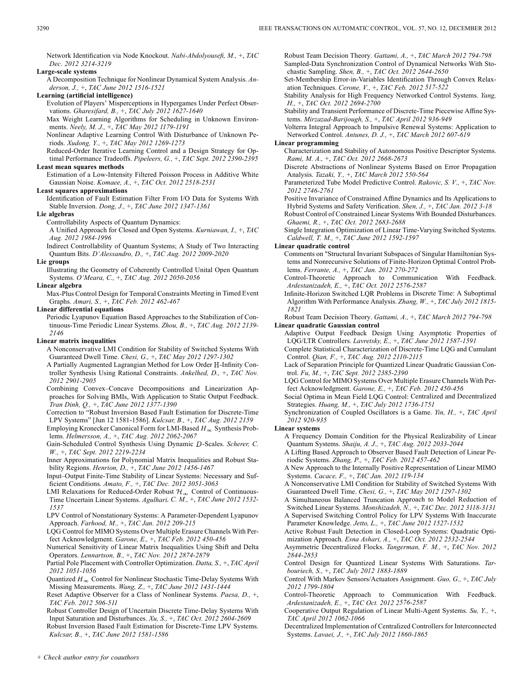Network Identification via Node Knockout. *Nabi-Abdolyousefi, M.,* +, *TAC Dec. 2012 3214-3219*

**Large-scale systems**

A Decomposition Technique for Nonlinear Dynamical System Analysis. *Anderson, J.,* +, *TAC June 2012 1516-1521*

# **Learning (artificial intelligence)**

Evolution of Players' Misperceptions in Hypergames Under Perfect Observations. *Gharesifard, B.,* +, *TAC July 2012 1627-1640*

Max Weight Learning Algorithms for Scheduling in Unknown Environments. *Neely, M. J.,* +, *TAC May 2012 1179-1191*

Nonlinear Adaptive Learning Control With Disturbance of Unknown Periods. *Xudong, Y.,* +, *TAC May 2012 1269-1273*

Reduced-Order Iterative Learning Control and a Design Strategy for Optimal Performance Tradeoffs. *Pipeleers, G.,* +, *TAC Sept. 2012 2390-2395*

# **Least mean squares methods**

Estimation of a Low-Intensity Filtered Poisson Process in Additive White Gaussian Noise. *Komaee, A.,* +, *TAC Oct. 2012 2518-2531*

### **Least squares approximations**

Identification of Fault Estimation Filter From I/O Data for Systems With Stable Inversion. *Dong, J.,* +, *TAC June 2012 1347-1361*

### **Lie algebras**

Controllability Aspects of Quantum Dynamics:

A Unified Approach for Closed and Open Systems. *Kurniawan, I.,* +, *TAC Aug. 2012 1984-1996*

Indirect Controllability of Quantum Systems; A Study of Two Interacting Quantum Bits. *D'Alessandro, D.,* +, *TAC Aug. 2012 2009-2020*

### **Lie groups**

Illustrating the Geometry of Coherently Controlled Unital Open Quantum Systems. *O'Meara, C.,* +, *TAC Aug. 2012 2050-2056*

### **Linear algebra**

Max-Plus Control Design for Temporal Constraints Meeting in Timed Event Graphs. *Amari, S.,* +, *TAC Feb. 2012 462-467*

**Linear differential equations**

Periodic Lyapunov Equation Based Approaches to the Stabilization of Continuous-Time Periodic Linear Systems. *Zhou, B.,* +, *TAC Aug. 2012 2139- 2146*

### **Linear matrix inequalities**

A Nonconservative LMI Condition for Stability of Switched Systems With Guaranteed Dwell Time. *Chesi, G.,* +, *TAC May 2012 1297-1302*

A Partially Augmented Lagrangian Method for Low Order H-Infinity Controller Synthesis Using Rational Constraints. *Ankelhed, D.,* +, *TAC Nov. 2012 2901-2905*

Combining Convex–Concave Decompositions and Linearization Approaches for Solving BMIs, With Application to Static Output Feedback. *Tran Dinh, Q.,* +, *TAC June 2012 1377-1390*

Correction to "Robust Inversion Based Fault Estimation for Discrete-Time LPV Systems" [Jun 12 1581-1586]. *Kulcsar, B.,* +, *TAC Aug. 2012 2159*

Employing Kronecker Canonical Form for LMI-Based  $H_{\infty}$  Synthesis Problems. *Helmersson, A.,* +, *TAC Aug. 2012 2062-2067*

Gain-Scheduled Control Synthesis Using Dynamic D-Scales. *Scherer, C. W.,* +, *TAC Sept. 2012 2219-2234*

Inner Approximations for Polynomial Matrix Inequalities and Robust Stability Regions. *Henrion, D.,* +, *TAC June 2012 1456-1467*

Input–Output Finite-Time Stability of Linear Systems: Necessary and Sufficient Conditions. *Amato, F.,* +, *TAC Dec. 2012 3051-3063*

LMI Relaxations for Reduced-Order Robust  $\mathcal{H}_{\infty}$  Control of Continuous-Time Uncertain Linear Systems. *Agulhari, C. M.,* +, *TAC June 2012 1532- 1537*

LPV Control of Nonstationary Systems: A Parameter-Dependent Lyapunov Approach. *Farhood, M.,* +, *TAC Jan. 2012 209-215*

LQG Control for MIMO Systems Over Multiple Erasure Channels With Perfect Acknowledgment. *Garone, E.,* +, *TAC Feb. 2012 450-456*

Numerical Sensitivity of Linear Matrix Inequalities Using Shift and Delta Operators. *Lennartson, B.,* +, *TAC Nov. 2012 2874-2879*

Partial Pole Placement with Controller Optimization. *Datta, S.,* +, *TAC April 2012 1051-1056*

Quantized  $H_{\infty}$  Control for Nonlinear Stochastic Time-Delay Systems With Missing Measurements. *Wang, Z.,* +, *TAC June 2012 1431-1444*

Reset Adaptive Observer for a Class of Nonlinear Systems. *Paesa, D.,* +, *TAC Feb. 2012 506-511*

Robust Controller Design of Uncertain Discrete Time-Delay Systems With Input Saturation and Disturbances. *Xu, S.,* +, *TAC Oct. 2012 2604-2609*

Robust Inversion Based Fault Estimation for Discrete-Time LPV Systems. *Kulcsar, B.,* +, *TAC June 2012 1581-1586*

Robust Team Decision Theory. *Gattami, A.,* +, *TAC March 2012 794-798* Sampled-Data Synchronization Control of Dynamical Networks With Stochastic Sampling. *Shen, B.,* +, *TAC Oct. 2012 2644-2650*

Set-Membership Error-in-Variables Identification Through Convex Relaxation Techniques. *Cerone, V.,* +, *TAC Feb. 2012 517-522*

Stability Analysis for High Frequency Networked Control Systems. *Yang, H.,* +, *TAC Oct. 2012 2694-2700*

Stability and Transient Performance of Discrete-Time Piecewise Affine Systems. *Mirzazad-Barijough, S.,* +, *TAC April 2012 936-949*

Volterra Integral Approach to Impulsive Renewal Systems: Application to Networked Control. *Antunes, D. J.,* +, *TAC March 2012 607-619*

### **Linear programming**

Characterization and Stability of Autonomous Positive Descriptor Systems. *Rami, M. A.,* +, *TAC Oct. 2012 2668-2673*

Discrete Abstractions of Nonlinear Systems Based on Error Propagation Analysis. *Tazaki, Y.,* +, *TAC March 2012 550-564*

Parameterized Tube Model Predictive Control. *Rakovic, S. V.,* +, *TAC Nov. 2012 2746-2761*

Positive Invariance of Constrained Affine Dynamics and Its Applications to Hybrid Systems and Safety Verification. *Shen, J.,* +, *TAC Jan. 2012 3-18* Robust Control of Constrained Linear Systems With Bounded Disturbances. *Ghaemi, R.,* +, *TAC Oct. 2012 2683-2688*

Single Integration Optimization of Linear Time-Varying Switched Systems. *Caldwell, T. M.,* +, *TAC June 2012 1592-1597*

**Linear quadratic control**

Comments on "Structural Invariant Subspaces of Singular Hamiltonian Systems and Nonrecursive Solutions of Finite-Horizon Optimal Control Problems. *Ferrante, A.,* +, *TAC Jan. 2012 270-272*

Control-Theoretic Approach to Communication With Feedback. *Ardestanizadeh, E.,* +, *TAC Oct. 2012 2576-2587*

Infinite-Horizon Switched LQR Problems in Discrete Time: A Suboptimal Algorithm With Performance Analysis. *Zhang, W.,* +, *TAC July 2012 1815- 1821*

Robust Team Decision Theory. *Gattami, A.,* +, *TAC March 2012 794-798* **Linear quadratic Gaussian control**

Adaptive Output Feedback Design Using Asymptotic Properties of LQG/LTR Controllers. *Lavretsky, E.,* +, *TAC June 2012 1587-1591*

Complete Statistical Characterization of Discrete-Time LQG and Cumulant Control. *Qian, F.,* +, *TAC Aug. 2012 2110-2115*

Lack of Separation Principle for Quantized Linear Quadratic Gaussian Control. *Fu, M.,* +, *TAC Sept. 2012 2385-2390*

LQG Control for MIMO Systems Over Multiple Erasure Channels With Perfect Acknowledgment. *Garone, E.,* +, *TAC Feb. 2012 450-456*

Social Optima in Mean Field LQG Control: Centralized and Decentralized Strategies. *Huang, M.,* +, *TAC July 2012 1736-1751*

Synchronization of Coupled Oscillators is a Game. *Yin, H.,* +, *TAC April 2012 920-935*

**Linear systems**

A Frequency Domain Condition for the Physical Realizability of Linear Quantum Systems. *Shaiju, A. J.,* +, *TAC Aug. 2012 2033-2044*

A Lifting Based Approach to Observer Based Fault Detection of Linear Periodic Systems. *Zhang, P.,* +, *TAC Feb. 2012 457-462*

A New Approach to the Internally Positive Representation of Linear MIMO Systems. *Cacace, F.,* +, *TAC Jan. 2012 119-134*

A Nonconservative LMI Condition for Stability of Switched Systems With Guaranteed Dwell Time. *Chesi, G.,* +, *TAC May 2012 1297-1302*

A Simultaneous Balanced Truncation Approach to Model Reduction of Switched Linear Systems. *Monshizadeh, N.,* +, *TAC Dec. 2012 3118-3131*

A Supervised Switching Control Policy for LPV Systems With Inaccurate Parameter Knowledge. *Jetto, L.,* +, *TAC June 2012 1527-1532*

Active Robust Fault Detection in Closed-Loop Systems: Quadratic Optimization Approach. *Esna Ashari, A.,* +, *TAC Oct. 2012 2532-2544*

Asymmetric Decentralized Flocks. *Tangerman, F. M.,* +, *TAC Nov. 2012 2844-2853*

Control Design for Quantized Linear Systems With Saturations. *Tarbouriech, S.,* +, *TAC July 2012 1883-1889*

Control With Markov Sensors/Actuators Assignment. *Guo, G.,* +, *TAC July 2012 1799-1804*

Control-Theoretic Approach to Communication With Feedback. *Ardestanizadeh, E.,* +, *TAC Oct. 2012 2576-2587*

Cooperative Output Regulation of Linear Multi-Agent Systems. *Su, Y.,* +, *TAC April 2012 1062-1066*

Decentralized Implementation of Centralized Controllers for Interconnected Systems. *Lavaei, J.,* +, *TAC July 2012 1860-1865*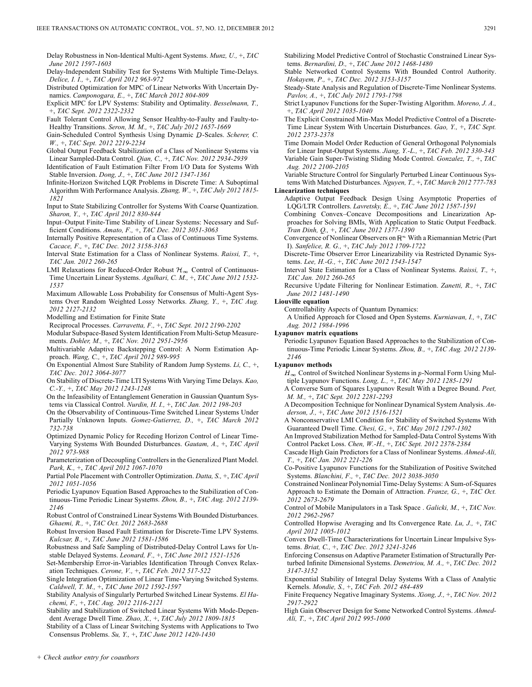Delay Robustness in Non-Identical Multi-Agent Systems. *Munz, U.,* +, *TAC June 2012 1597-1603*

Delay-Independent Stability Test for Systems With Multiple Time-Delays. *Delice, I. I.,* +, *TAC April 2012 963-972*

Distributed Optimization for MPC of Linear Networks With Uncertain Dynamics. *Camponogara, E.,* +, *TAC March 2012 804-809*

Explicit MPC for LPV Systems: Stability and Optimality. *Besselmann, T.,* +, *TAC Sept. 2012 2322-2332*

Fault Tolerant Control Allowing Sensor Healthy-to-Faulty and Faulty-to-Healthy Transitions. *Seron, M. M.,* +, *TAC July 2012 1657-1669*

Gain-Scheduled Control Synthesis Using Dynamic D-Scales. Scherer, C. *W.,* +, *TAC Sept. 2012 2219-2234*

Global Output Feedback Stabilization of a Class of Nonlinear Systems via Linear Sampled-Data Control. *Qian, C.,* +, *TAC Nov. 2012 2934-2939*

Identification of Fault Estimation Filter From I/O Data for Systems With Stable Inversion. *Dong, J.,* +, *TAC June 2012 1347-1361*

- Infinite-Horizon Switched LQR Problems in Discrete Time: A Suboptimal Algorithm With Performance Analysis. *Zhang, W.,* +, *TAC July 2012 1815- 1821*
- Input to State Stabilizing Controller for Systems With Coarse Quantization. *Sharon, Y.,* +, *TAC April 2012 830-844*

Input–Output Finite-Time Stability of Linear Systems: Necessary and Sufficient Conditions. *Amato, F.,* +, *TAC Dec. 2012 3051-3063*

Internally Positive Representation of a Class of Continuous Time Systems. *Cacace, F.,* +, *TAC Dec. 2012 3158-3163*

- Interval State Estimation for a Class of Nonlinear Systems. *Raissi, T.,* +, *TAC Jan. 2012 260-265*
- LMI Relaxations for Reduced-Order Robust  $\mathcal{H}_{\infty}$  Control of Continuous-Time Uncertain Linear Systems. *Agulhari, C. M.,* +, *TAC June 2012 1532- 1537*

Maximum Allowable Loss Probability for Consensus of Multi-Agent Systems Over Random Weighted Lossy Networks. *Zhang, Y.,* +, *TAC Aug. 2012 2127-2132*

Modelling and Estimation for Finite State

Reciprocal Processes. *Carravetta, F.,* +, *TAC Sept. 2012 2190-2202*

Modular Subspace-Based System Identification From Multi-Setup Measurements. *Dohler, M.,* +, *TAC Nov. 2012 2951-2956*

Multivariable Adaptive Backstepping Control: A Norm Estimation Approach. *Wang, C.,* +, *TAC April 2012 989-995*

On Exponential Almost Sure Stability of Random Jump Systems. *Li, C.,* +, *TAC Dec. 2012 3064-3077*

On Stability of Discrete-Time LTI Systems With Varying Time Delays. *Kao, C.-Y.,* +, *TAC May 2012 1243-1248*

On the Infeasibility of Entanglement Generation in Gaussian Quantum Systems via Classical Control. *Nurdin, H. I.,* +, *TAC Jan. 2012 198-203*

- On the Observability of Continuous-Time Switched Linear Systems Under Partially Unknown Inputs. *Gomez-Gutierrez, D.,* +, *TAC March 2012 732-738*
- Optimized Dynamic Policy for Receding Horizon Control of Linear Time-Varying Systems With Bounded Disturbances. *Gautam, A.,* +, *TAC April 2012 973-988*

Parameterization of Decoupling Controllers in the Generalized Plant Model. *Park, K.,* +, *TAC April 2012 1067-1070*

Partial Pole Placement with Controller Optimization. *Datta, S.,* +, *TAC April 2012 1051-1056*

Periodic Lyapunov Equation Based Approaches to the Stabilization of Continuous-Time Periodic Linear Systems. *Zhou, B.,* +, *TAC Aug. 2012 2139- 2146*

Robust Control of Constrained Linear Systems With Bounded Disturbances. *Ghaemi, R.,* +, *TAC Oct. 2012 2683-2688*

Robust Inversion Based Fault Estimation for Discrete-Time LPV Systems. *Kulcsar, B.,* +, *TAC June 2012 1581-1586*

Robustness and Safe Sampling of Distributed-Delay Control Laws for Unstable Delayed Systems. *Leonard, F.,* +, *TAC June 2012 1521-1526*

Set-Membership Error-in-Variables Identification Through Convex Relaxation Techniques. *Cerone, V.,* +, *TAC Feb. 2012 517-522*

Single Integration Optimization of Linear Time-Varying Switched Systems. *Caldwell, T. M.,* +, *TAC June 2012 1592-1597*

Stability Analysis of Singularly Perturbed Switched Linear Systems. *El Hachemi, F.,* +, *TAC Aug. 2012 2116-2121*

Stability and Stabilization of Switched Linear Systems With Mode-Dependent Average Dwell Time. *Zhao, X.,* +, *TAC July 2012 1809-1815*

Stability of a Class of Linear Switching Systems with Applications to Two Consensus Problems. *Su, Y.,* +, *TAC June 2012 1420-1430*

Stabilizing Model Predictive Control of Stochastic Constrained Linear Systems. *Bernardini, D.,* +, *TAC June 2012 1468-1480*

Stable Networked Control Systems With Bounded Control Authority. *Hokayem, P.,* +, *TAC Dec. 2012 3153-3157*

Steady-State Analysis and Regulation of Discrete-Time Nonlinear Systems. *Pavlov, A.,* +, *TAC July 2012 1793-1798*

Strict Lyapunov Functions for the Super-Twisting Algorithm. *Moreno, J. A.,* +, *TAC April 2012 1035-1040*

The Explicit Constrained Min-Max Model Predictive Control of a Discrete-Time Linear System With Uncertain Disturbances. *Gao, Y.,* +, *TAC Sept. 2012 2373-2378*

Time Domain Model Order Reduction of General Orthogonal Polynomials for Linear Input-Output Systems. *Jiang, Y.-L.,* +, *TAC Feb. 2012 330-343* Variable Gain Super-Twisting Sliding Mode Control. *Gonzalez, T.,* +, *TAC Aug. 2012 2100-2105*

Variable Structure Control for Singularly Perturbed Linear Continuous Systems With Matched Disturbances. *Nguyen, T.,* +, *TAC March 2012 777-783* **Linearization techniques**

Adaptive Output Feedback Design Using Asymptotic Properties of LQG/LTR Controllers. *Lavretsky, E.,* +, *TAC June 2012 1587-1591*

Combining Convex–Concave Decompositions and Linearization Approaches for Solving BMIs, With Application to Static Output Feedback. *Tran Dinh, Q.,* +, *TAC June 2012 1377-1390*

Convergence of Nonlinear Observers on  $\mathbb{R}^n$  With a Riemannian Metric (Part I). *Sanfelice, R. G.,* +, *TAC July 2012 1709-1722*

Discrete-Time Observer Error Linearizability via Restricted Dynamic Systems. *Lee, H.-G.,* +, *TAC June 2012 1543-1547*

Interval State Estimation for a Class of Nonlinear Systems. *Raissi, T.,* +, *TAC Jan. 2012 260-265*

Recursive Update Filtering for Nonlinear Estimation. *Zanetti, R.,* +, *TAC June 2012 1481-1490*

# **Liouville equation**

Controllability Aspects of Quantum Dynamics:

A Unified Approach for Closed and Open Systems. *Kurniawan, I.,* +, *TAC Aug. 2012 1984-1996*

# **Lyapunov matrix equations**

Periodic Lyapunov Equation Based Approaches to the Stabilization of Continuous-Time Periodic Linear Systems. *Zhou, B.,* +, *TAC Aug. 2012 2139- 2146*

### **Lyapunov methods**

 $H_{\infty}$  Control of Switched Nonlinear Systems in p-Normal Form Using Multiple Lyapunov Functions. *Long, L.,* +, *TAC May 2012 1285-1291*

A Converse Sum of Squares Lyapunov Result With a Degree Bound. *Peet, M. M.,* +, *TAC Sept. 2012 2281-2293*

A Decomposition Technique for Nonlinear Dynamical System Analysis. *Anderson, J.,* +, *TAC June 2012 1516-1521*

A Nonconservative LMI Condition for Stability of Switched Systems With Guaranteed Dwell Time. *Chesi, G.,* +, *TAC May 2012 1297-1302*

An Improved Stabilization Method for Sampled-Data Control Systems With Control Packet Loss. *Chen, W.-H.,* +, *TAC Sept. 2012 2378-2384*

Cascade High Gain Predictors for a Class of Nonlinear Systems. *Ahmed-Ali, T.,* +, *TAC Jan. 2012 221-226*

Co-Positive Lyapunov Functions for the Stabilization of Positive Switched Systems. *Blanchini, F.,* +, *TAC Dec. 2012 3038-3050*

Constrained Nonlinear Polynomial Time-Delay Systems: A Sum-of-Squares Approach to Estimate the Domain of Attraction. *Franze, G.,* +, *TAC Oct. 2012 2673-2679*

Control of Mobile Manipulators in a Task Space . *Galicki, M.,* +, *TAC Nov. 2012 2962-2967*

Controlled Hopwise Averaging and Its Convergence Rate. *Lu, J.,* +, *TAC April 2012 1005-1012*

Convex Dwell-Time Characterizations for Uncertain Linear Impulsive Systems. *Briat, C.,* +, *TAC Dec. 2012 3241-3246*

Enforcing Consensus on Adaptive Parameter Estimation of Structurally Perturbed Infinite Dimensional Systems. *Demetriou, M. A.,* +, *TAC Dec. 2012 3147-3152*

Exponential Stability of Integral Delay Systems With a Class of Analytic Kernels. *Mondie, S.,* +, *TAC Feb. 2012 484-489*

Finite Frequency Negative Imaginary Systems. *Xiong, J.,* +, *TAC Nov. 2012 2917-2922*

High Gain Observer Design for Some Networked Control Systems. *Ahmed-Ali, T.,* +, *TAC April 2012 995-1000*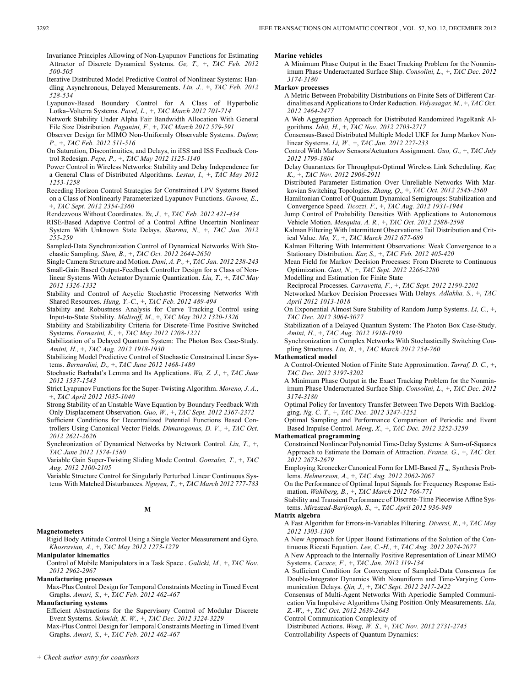Invariance Principles Allowing of Non-Lyapunov Functions for Estimating Attractor of Discrete Dynamical Systems. *Ge, T.,* +, *TAC Feb. 2012 500-505*

Iterative Distributed Model Predictive Control of Nonlinear Systems: Handling Asynchronous, Delayed Measurements. *Liu, J.,* +, *TAC Feb. 2012 528-534*

Lyapunov-Based Boundary Control for A Class of Hyperbolic Lotka–Volterra Systems. *Pavel, L.,* +, *TAC March 2012 701-714*

Network Stability Under Alpha Fair Bandwidth Allocation With General File Size Distribution. *Paganini, F.,* +, *TAC March 2012 579-591*

Observer Design for MIMO Non-Uniformly Observable Systems. *Dufour, P.,* +, *TAC Feb. 2012 511-516*

On Saturation, Discontinuities, and Delays, in iISS and ISS Feedback Control Redesign. *Pepe, P.,* +, *TAC May 2012 1125-1140*

Power Control in Wireless Networks: Stability and Delay Independence for a General Class of Distributed Algorithms. *Lestas, I.,* +, *TAC May 2012 1253-1258*

Receding Horizon Control Strategies for Constrained LPV Systems Based on a Class of Nonlinearly Parameterized Lyapunov Functions. *Garone, E.,* +, *TAC Sept. 2012 2354-2360*

Rendezvous Without Coordinates. *Yu, J.,* +, *TAC Feb. 2012 421-434*

RISE-Based Adaptive Control of a Control Affine Uncertain Nonlinear System With Unknown State Delays. *Sharma, N.,* +, *TAC Jan. 2012 255-259*

Sampled-Data Synchronization Control of Dynamical Networks With Stochastic Sampling. *Shen, B.,* +, *TAC Oct. 2012 2644-2650*

Single Camera Structure and Motion. *Dani, A. P.,* +, *TAC Jan. 2012 238-243*

Small-Gain Based Output-Feedback Controller Design for a Class of Nonlinear Systems With Actuator Dynamic Quantization. *Liu, T.,* +, *TAC May 2012 1326-1332*

Stability and Control of Acyclic Stochastic Processing Networks With Shared Resources. *Hung, Y.-C.,* +, *TAC Feb. 2012 489-494*

Stability and Robustness Analysis for Curve Tracking Control using Input-to-State Stability. *Malisoff, M.,* +, *TAC May 2012 1320-1326*

Stability and Stabilizability Criteria for Discrete-Time Positive Switched Systems. *Fornasini, E.,* +, *TAC May 2012 1208-1221*

Stabilization of a Delayed Quantum System: The Photon Box Case-Study. *Amini, H.,* +, *TAC Aug. 2012 1918-1930*

Stabilizing Model Predictive Control of Stochastic Constrained Linear Systems. *Bernardini, D.,* +, *TAC June 2012 1468-1480*

Stochastic Barbalat's Lemma and Its Applications. *Wu, Z. J.,* +, *TAC June 2012 1537-1543*

Strict Lyapunov Functions for the Super-Twisting Algorithm. *Moreno, J. A.,* +, *TAC April 2012 1035-1040*

Strong Stability of an Unstable Wave Equation by Boundary Feedback With Only Displacement Observation. *Guo, W.,* +, *TAC Sept. 2012 2367-2372* Sufficient Conditions for Decentralized Potential Functions Based Con-

trollers Using Canonical Vector Fields. *Dimarogonas, D. V.,* +, *TAC Oct. 2012 2621-2626*

Synchronization of Dynamical Networks by Network Control. *Liu, T.,* +, *TAC June 2012 1574-1580*

Variable Gain Super-Twisting Sliding Mode Control. *Gonzalez, T.,* +, *TAC Aug. 2012 2100-2105*

Variable Structure Control for Singularly Perturbed Linear Continuous Systems With Matched Disturbances. *Nguyen, T.,* +, *TAC March 2012 777-783*

# **M**

### **Magnetometers**

Rigid Body Attitude Control Using a Single Vector Measurement and Gyro. *Khosravian, A.,* +, *TAC May 2012 1273-1279*

**Manipulator kinematics**

Control of Mobile Manipulators in a Task Space . *Galicki, M.,* +, *TAC Nov. 2012 2962-2967*

**Manufacturing processes**

Max-Plus Control Design for Temporal Constraints Meeting in Timed Event Graphs. *Amari, S.,* +, *TAC Feb. 2012 462-467*

**Manufacturing systems**

Efficient Abstractions for the Supervisory Control of Modular Discrete Event Systems. *Schmidt, K. W.,* +, *TAC Dec. 2012 3224-3229*

Max-Plus Control Design for Temporal Constraints Meeting in Timed Event Graphs. *Amari, S.,* +, *TAC Feb. 2012 462-467*

### **Marine vehicles**

A Minimum Phase Output in the Exact Tracking Problem for the Nonminimum Phase Underactuated Surface Ship. *Consolini, L.,* +, *TAC Dec. 2012 3174-3180*

**Markov processes**

A Metric Between Probability Distributions on Finite Sets of Different Cardinalities and Applications to Order Reduction. *Vidyasagar, M.,* +, *TAC Oct. 2012 2464-2477*

A Web Aggregation Approach for Distributed Randomized PageRank Algorithms. *Ishii, H.,* +, *TAC Nov. 2012 2703-2717*

Consensus-Based Distributed Multiple Model UKF for Jump Markov Nonlinear Systems. *Li, W.,* +, *TAC Jan. 2012 227-233*

Control With Markov Sensors/Actuators Assignment. *Guo, G.,* +, *TAC July 2012 1799-1804*

Delay Guarantees for Throughput-Optimal Wireless Link Scheduling. *Kar, K.,* +, *TAC Nov. 2012 2906-2911*

Distributed Parameter Estimation Over Unreliable Networks With Markovian Switching Topologies. *Zhang, Q.,* +, *TAC Oct. 2012 2545-2560*

Hamiltonian Control of Quantum Dynamical Semigroups: Stabilization and Convergence Speed. *Ticozzi, F.,* +, *TAC Aug. 2012 1931-1944*

Jump Control of Probability Densities With Applications to Autonomous Vehicle Motion. *Mesquita, A. R.,* +, *TAC Oct. 2012 2588-2598*

Kalman Filtering With Intermittent Observations: Tail Distribution and Critical Value. *Mo, Y.,* +, *TAC March 2012 677-689*

Kalman Filtering With Intermittent Observations: Weak Convergence to a Stationary Distribution. *Kar, S.,* +, *TAC Feb. 2012 405-420*

Mean Field for Markov Decision Processes: From Discrete to Continuous Optimization. *Gast, N.,* +, *TAC Sept. 2012 2266-2280*

Modelling and Estimation for Finite State

Reciprocal Processes. *Carravetta, F.,* +, *TAC Sept. 2012 2190-2202* Networked Markov Decision Processes With Delays. *Adlakha, S.,* +, *TAC April 2012 1013-1018*

On Exponential Almost Sure Stability of Random Jump Systems. *Li, C.,* +, *TAC Dec. 2012 3064-3077*

Stabilization of a Delayed Quantum System: The Photon Box Case-Study. *Amini, H.,* +, *TAC Aug. 2012 1918-1930*

Synchronization in Complex Networks With Stochastically Switching Coupling Structures. *Liu, B.,* +, *TAC March 2012 754-760*

### **Mathematical model**

A Control-Oriented Notion of Finite State Approximation. *Tarraf, D. C.,* +, *TAC Dec. 2012 3197-3202*

A Minimum Phase Output in the Exact Tracking Problem for the Nonminimum Phase Underactuated Surface Ship. *Consolini, L.,* +, *TAC Dec. 2012 3174-3180*

Optimal Policy for Inventory Transfer Between Two Depots With Backlogging. *Ng, C. T.,* +, *TAC Dec. 2012 3247-3252*

Optimal Sampling and Performance Comparison of Periodic and Event Based Impulse Control. *Meng, X.,* +, *TAC Dec. 2012 3252-3259*

# **Mathematical programming**

Constrained Nonlinear Polynomial Time-Delay Systems: A Sum-of-Squares Approach to Estimate the Domain of Attraction. *Franze, G.,* +, *TAC Oct. 2012 2673-2679*

Employing Kronecker Canonical Form for LMI-Based  $H_{\infty}$  Synthesis Problems. *Helmersson, A.,* +, *TAC Aug. 2012 2062-2067*

On the Performance of Optimal Input Signals for Frequency Response Estimation. *Wahlberg, B.,* +, *TAC March 2012 766-771*

Stability and Transient Performance of Discrete-Time Piecewise Affine Systems. *Mirzazad-Barijough, S.,* +, *TAC April 2012 936-949*

### **Matrix algebra**

A Fast Algorithm for Errors-in-Variables Filtering. *Diversi, R.,* +, *TAC May 2012 1303-1309*

A New Approach for Upper Bound Estimations of the Solution of the Continuous Riccati Equation. *Lee, C.-H.,* +, *TAC Aug. 2012 2074-2077*

A New Approach to the Internally Positive Representation of Linear MIMO Systems. *Cacace, F.,* +, *TAC Jan. 2012 119-134*

A Sufficient Condition for Convergence of Sampled-Data Consensus for Double-Integrator Dynamics With Nonuniform and Time-Varying Communication Delays. *Qin, J.,* +, *TAC Sept. 2012 2417-2422*

Consensus of Multi-Agent Networks With Aperiodic Sampled Communication Via Impulsive Algorithms Using Position-Only Measurements. *Liu, Z.-W.,* +, *TAC Oct. 2012 2639-2643*

Control Communication Complexity of

Distributed Actions. *Wong, W. S.,* +, *TAC Nov. 2012 2731-2745*

Controllability Aspects of Quantum Dynamics: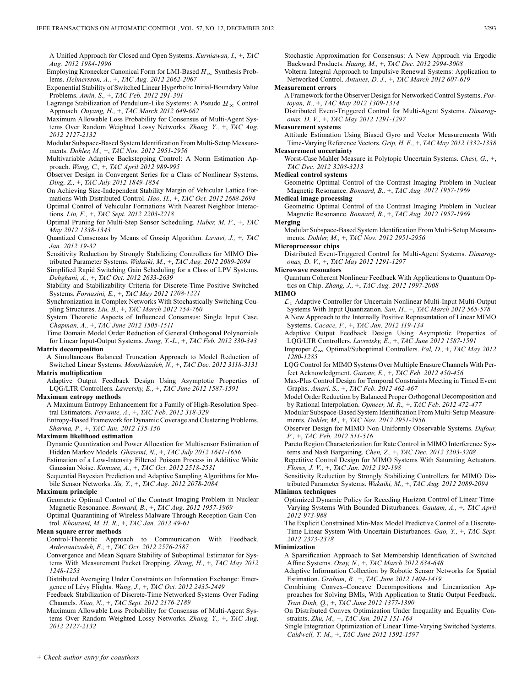A Unified Approach for Closed and Open Systems. *Kurniawan, I.,* +, *TAC Aug. 2012 1984-1996*

Employing Kronecker Canonical Form for LMI-Based  $H_{\infty}$  Synthesis Problems. *Helmersson, A.,* +, *TAC Aug. 2012 2062-2067*

- Exponential Stability of Switched Linear Hyperbolic Initial-Boundary Value Problems. *Amin, S.,* +, *TAC Feb. 2012 291-301*
- Lagrange Stabilization of Pendulum-Like Systems: A Pseudo  $H_{\infty}$  Control Approach. *Ouyang, H.,* +, *TAC March 2012 649-662*
- Maximum Allowable Loss Probability for Consensus of Multi-Agent Systems Over Random Weighted Lossy Networks. *Zhang, Y.,* +, *TAC Aug. 2012 2127-2132*
- Modular Subspace-Based System Identification From Multi-Setup Measurements. *Dohler, M.,* +, *TAC Nov. 2012 2951-2956*
- Multivariable Adaptive Backstepping Control: A Norm Estimation Approach. *Wang, C.,* +, *TAC April 2012 989-995*
- Observer Design in Convergent Series for a Class of Nonlinear Systems. *Ding, Z.,* +, *TAC July 2012 1849-1854*
- On Achieving Size-Independent Stability Margin of Vehicular Lattice Formations With Distributed Control. *Hao, H.,* +, *TAC Oct. 2012 2688-2694* Optimal Control of Vehicular Formations With Nearest Neighbor Interactions. *Lin, F.,* +, *TAC Sept. 2012 2203-2218*
- Optimal Pruning for Multi-Step Sensor Scheduling. *Huber, M. F.,* +, *TAC May 2012 1338-1343*
- Quantized Consensus by Means of Gossip Algorithm. *Lavaei, J.,* +, *TAC Jan. 2012 19-32*
- Sensitivity Reduction by Strongly Stabilizing Controllers for MIMO Distributed Parameter Systems. *Wakaiki, M.,* +, *TAC Aug. 2012 2089-2094*
- Simplified Rapid Switching Gain Scheduling for a Class of LPV Systems. *Dehghani, A.,* +, *TAC Oct. 2012 2633-2639*
- Stability and Stabilizability Criteria for Discrete-Time Positive Switched Systems. *Fornasini, E.,* +, *TAC May 2012 1208-1221*
- Synchronization in Complex Networks With Stochastically Switching Coupling Structures. *Liu, B.,* +, *TAC March 2012 754-760*
- System Theoretic Aspects of Influenced Consensus: Single Input Case. *Chapman, A.,* +, *TAC June 2012 1505-1511*
- Time Domain Model Order Reduction of General Orthogonal Polynomials for Linear Input-Output Systems. *Jiang, Y.-L.,* +, *TAC Feb. 2012 330-343* **Matrix decomposition**
	- A Simultaneous Balanced Truncation Approach to Model Reduction of Switched Linear Systems. *Monshizadeh, N.,* +, *TAC Dec. 2012 3118-3131*

# **Matrix multiplication**

Adaptive Output Feedback Design Using Asymptotic Properties of LQG/LTR Controllers. *Lavretsky, E.,* +, *TAC June 2012 1587-1591*

# **Maximum entropy methods**

A Maximum Entropy Enhancement for a Family of High-Resolution Spectral Estimators. *Ferrante, A.,* +, *TAC Feb. 2012 318-329*

Entropy-Based Framework for Dynamic Coverage and Clustering Problems. *Sharma, P.,* +, *TAC Jan. 2012 135-150*

### **Maximum likelihood estimation**

- Dynamic Quantization and Power Allocation for Multisensor Estimation of Hidden Markov Models. *Ghasemi, N.,* +, *TAC July 2012 1641-1656* Estimation of a Low-Intensity Filtered Poisson Process in Additive White
- Gaussian Noise. *Komaee, A.,* +, *TAC Oct. 2012 2518-2531*

Sequential Bayesian Prediction and Adaptive Sampling Algorithms for Mobile Sensor Networks. *Xu, Y.,* +, *TAC Aug. 2012 2078-2084*

### **Maximum principle**

Geometric Optimal Control of the Contrast Imaging Problem in Nuclear Magnetic Resonance. *Bonnard, B.,* +, *TAC Aug. 2012 1957-1969*

Optimal Quarantining of Wireless Malware Through Reception Gain Control. *Khouzani, M. H. R.,* +, *TAC Jan. 2012 49-61*

# **Mean square error methods**

Control-Theoretic Approach to Communication With Feedback. *Ardestanizadeh, E.,* +, *TAC Oct. 2012 2576-2587*

Convergence and Mean Square Stability of Suboptimal Estimator for Systems With Measurement Packet Dropping. *Zhang, H.,* +, *TAC May 2012 1248-1253*

Distributed Averaging Under Constraints on Information Exchange: Emergence of Lévy Flights. *Wang, J.,* +, *TAC Oct. 2012 2435-2449*

Feedback Stabilization of Discrete-Time Networked Systems Over Fading Channels. *Xiao, N.,* +, *TAC Sept. 2012 2176-2189*

Maximum Allowable Loss Probability for Consensus of Multi-Agent Systems Over Random Weighted Lossy Networks. *Zhang, Y.,* +, *TAC Aug. 2012 2127-2132*

Stochastic Approximation for Consensus: A New Approach via Ergodic Backward Products. *Huang, M.,* +, *TAC Dec. 2012 2994-3008*

Volterra Integral Approach to Impulsive Renewal Systems: Application to Networked Control. *Antunes, D. J.,* +, *TAC March 2012 607-619*

# **Measurement errors**

A Framework for the Observer Design for Networked Control Systems. *Postoyan, R.,* +, *TAC May 2012 1309-1314*

Distributed Event-Triggered Control for Multi-Agent Systems. *Dimarogonas, D. V.,* +, *TAC May 2012 1291-1297*

### **Measurement systems**

Attitude Estimation Using Biased Gyro and Vector Measurements With Time-Varying Reference Vectors. *Grip, H. F.,* +, *TAC May 2012 1332-1338* **Measurement uncertainty**

Worst-Case Mahler Measure in Polytopic Uncertain Systems. *Chesi, G.,* +, *TAC Dec. 2012 3208-3213*

### **Medical control systems**

Geometric Optimal Control of the Contrast Imaging Problem in Nuclear Magnetic Resonance. *Bonnard, B.,* +, *TAC Aug. 2012 1957-1969*

# **Medical image processing**

Geometric Optimal Control of the Contrast Imaging Problem in Nuclear Magnetic Resonance. *Bonnard, B.,* +, *TAC Aug. 2012 1957-1969*

# **Merging**

Modular Subspace-Based System Identification From Multi-Setup Measurements. *Dohler, M.,* +, *TAC Nov. 2012 2951-2956*

**Microprocessor chips**

Distributed Event-Triggered Control for Multi-Agent Systems. *Dimarogonas, D. V.,* +, *TAC May 2012 1291-1297*

### **Microwave resonators**

Quantum Coherent Nonlinear Feedback With Applications to Quantum Optics on Chip. *Zhang, J.,* +, *TAC Aug. 2012 1997-2008*

### **MIMO**

 $\mathcal{L}_1$  Adaptive Controller for Uncertain Nonlinear Multi-Input Multi-Output Systems With Input Quantization. *Sun, H.,* +, *TAC March 2012 565-578* A New Approach to the Internally Positive Representation of Linear MIMO Systems. *Cacace, F.,* +, *TAC Jan. 2012 119-134*

Adaptive Output Feedback Design Using Asymptotic Properties of LQG/LTR Controllers. *Lavretsky, E.,* +, *TAC June 2012 1587-1591*

- Improper  $\mathcal{L}_{\infty}$  Optimal/Suboptimal Controllers. *Pal, D.,* +, *TAC May 2012 1280-1285*
- LQG Control for MIMO Systems Over Multiple Erasure Channels With Perfect Acknowledgment. *Garone, E.,* +, *TAC Feb. 2012 450-456*
- Max-Plus Control Design for Temporal Constraints Meeting in Timed Event Graphs. *Amari, S.,* +, *TAC Feb. 2012 462-467*
- Model Order Reduction by Balanced Proper Orthogonal Decomposition and by Rational Interpolation. *Opmeer, M. R.,* +, *TAC Feb. 2012 472-477*
- Modular Subspace-Based System Identification From Multi-Setup Measurements. *Dohler, M.,* +, *TAC Nov. 2012 2951-2956*
- Observer Design for MIMO Non-Uniformly Observable Systems. *Dufour, P.,* +, *TAC Feb. 2012 511-516*
- Pareto Region Characterization for Rate Control in MIMO Interference Systems and Nash Bargaining. *Chen, Z.,* +, *TAC Dec. 2012 3203-3208*

Repetitive Control Design for MIMO Systems With Saturating Actuators. *Flores, J. V.,* +, *TAC Jan. 2012 192-198*

Sensitivity Reduction by Strongly Stabilizing Controllers for MIMO Distributed Parameter Systems. *Wakaiki, M.,* +, *TAC Aug. 2012 2089-2094*

### **Minimax techniques**

Optimized Dynamic Policy for Receding Horizon Control of Linear Time-Varying Systems With Bounded Disturbances. *Gautam, A.,* +, *TAC April 2012 973-988*

The Explicit Constrained Min-Max Model Predictive Control of a Discrete-Time Linear System With Uncertain Disturbances. *Gao, Y.,* +, *TAC Sept. 2012 2373-2378*

### **Minimization**

A Sparsification Approach to Set Membership Identification of Switched Affine Systems. *Ozay, N.,* +, *TAC March 2012 634-648*

Adaptive Information Collection by Robotic Sensor Networks for Spatial Estimation. *Graham, R.,* +, *TAC June 2012 1404-1419*

Combining Convex–Concave Decompositions and Linearization Approaches for Solving BMIs, With Application to Static Output Feedback. *Tran Dinh, Q.,* +, *TAC June 2012 1377-1390*

On Distributed Convex Optimization Under Inequality and Equality Constraints. *Zhu, M.,* +, *TAC Jan. 2012 151-164*

Single Integration Optimization of Linear Time-Varying Switched Systems. *Caldwell, T. M.,* +, *TAC June 2012 1592-1597*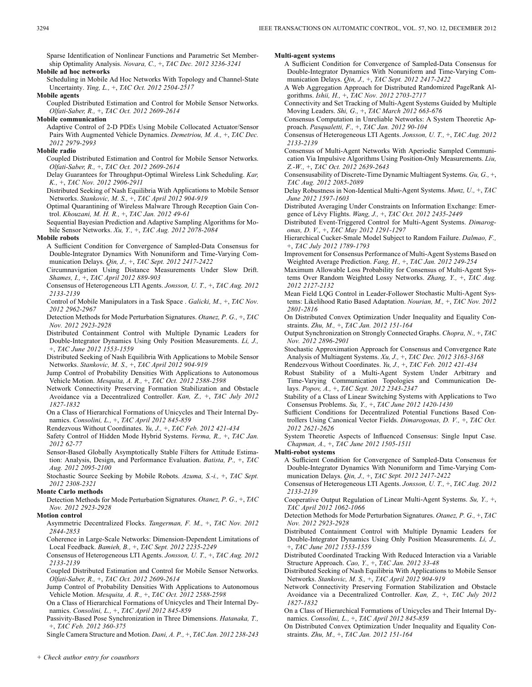Sparse Identification of Nonlinear Functions and Parametric Set Membership Optimality Analysis. *Novara, C.,* +, *TAC Dec. 2012 3236-3241*

# **Mobile ad hoc networks**

Scheduling in Mobile Ad Hoc Networks With Topology and Channel-State Uncertainty. *Ying, L.,* +, *TAC Oct. 2012 2504-2517*

### **Mobile agents**

Coupled Distributed Estimation and Control for Mobile Sensor Networks. *Olfati-Saber, R.,* +, *TAC Oct. 2012 2609-2614*

**Mobile communication**

Adaptive Control of 2-D PDEs Using Mobile Collocated Actuator/Sensor Pairs With Augmented Vehicle Dynamics. *Demetriou, M. A.,* +, *TAC Dec. 2012 2979-2993*

### **Mobile radio**

Coupled Distributed Estimation and Control for Mobile Sensor Networks. *Olfati-Saber, R.,* +, *TAC Oct. 2012 2609-2614*

Delay Guarantees for Throughput-Optimal Wireless Link Scheduling. *Kar, K.,* +, *TAC Nov. 2012 2906-2911*

Distributed Seeking of Nash Equilibria With Applications to Mobile Sensor Networks. *Stankovic, M. S.,* +, *TAC April 2012 904-919*

Optimal Quarantining of Wireless Malware Through Reception Gain Control. *Khouzani, M. H. R.,* +, *TAC Jan. 2012 49-61*

Sequential Bayesian Prediction and Adaptive Sampling Algorithms for Mobile Sensor Networks. *Xu, Y.,* +, *TAC Aug. 2012 2078-2084*

### **Mobile robots**

A Sufficient Condition for Convergence of Sampled-Data Consensus for Double-Integrator Dynamics With Nonuniform and Time-Varying Communication Delays. *Qin, J.,* +, *TAC Sept. 2012 2417-2422*

Circumnavigation Using Distance Measurements Under Slow Drift. *Shames, I.,* +, *TAC April 2012 889-903*

Consensus of Heterogeneous LTI Agents. *Jonsson, U. T.,* +, *TAC Aug. 2012 2133-2139*

Control of Mobile Manipulators in a Task Space . *Galicki, M.,* +, *TAC Nov. 2012 2962-2967*

Detection Methods for Mode Perturbation Signatures. *Otanez, P. G.,* +, *TAC Nov. 2012 2923-2928*

Distributed Containment Control with Multiple Dynamic Leaders for Double-Integrator Dynamics Using Only Position Measurements. *Li, J.,* +, *TAC June 2012 1553-1559*

Distributed Seeking of Nash Equilibria With Applications to Mobile Sensor Networks. *Stankovic, M. S.,* +, *TAC April 2012 904-919*

Jump Control of Probability Densities With Applications to Autonomous Vehicle Motion. *Mesquita, A. R.,* +, *TAC Oct. 2012 2588-2598*

Network Connectivity Preserving Formation Stabilization and Obstacle Avoidance via a Decentralized Controller. *Kan, Z.,* +, *TAC July 2012 1827-1832*

On a Class of Hierarchical Formations of Unicycles and Their Internal Dynamics. *Consolini, L.,* +, *TAC April 2012 845-859*

Rendezvous Without Coordinates. *Yu, J.,* +, *TAC Feb. 2012 421-434*

Safety Control of Hidden Mode Hybrid Systems. *Verma, R.,* +, *TAC Jan. 2012 62-77*

Sensor-Based Globally Asymptotically Stable Filters for Attitude Estimation: Analysis, Design, and Performance Evaluation. *Batista, P.,* +, *TAC Aug. 2012 2095-2100*

Stochastic Source Seeking by Mobile Robots. *Azuma, S.-i.,* +, *TAC Sept. 2012 2308-2321*

### **Monte Carlo methods**

Detection Methods for Mode Perturbation Signatures. *Otanez, P. G.,* +, *TAC Nov. 2012 2923-2928*

# **Motion control**

Asymmetric Decentralized Flocks. *Tangerman, F. M.,* +, *TAC Nov. 2012 2844-2853*

Coherence in Large-Scale Networks: Dimension-Dependent Limitations of Local Feedback. *Bamieh, B.,* +, *TAC Sept. 2012 2235-2249*

Consensus of Heterogeneous LTI Agents. *Jonsson, U. T.,* +, *TAC Aug. 2012 2133-2139*

Coupled Distributed Estimation and Control for Mobile Sensor Networks. *Olfati-Saber, R.,* +, *TAC Oct. 2012 2609-2614*

Jump Control of Probability Densities With Applications to Autonomous Vehicle Motion. *Mesquita, A. R.,* +, *TAC Oct. 2012 2588-2598*

On a Class of Hierarchical Formations of Unicycles and Their Internal Dynamics. *Consolini, L.,* +, *TAC April 2012 845-859*

Passivity-Based Pose Synchronization in Three Dimensions. *Hatanaka, T.,* +, *TAC Feb. 2012 360-375*

Single Camera Structure and Motion. *Dani, A. P.,* +, *TAC Jan. 2012 238-243*

### **Multi-agent systems**

A Sufficient Condition for Convergence of Sampled-Data Consensus for Double-Integrator Dynamics With Nonuniform and Time-Varying Communication Delays. *Qin, J.,* +, *TAC Sept. 2012 2417-2422*

A Web Aggregation Approach for Distributed Randomized PageRank Algorithms. *Ishii, H.,* +, *TAC Nov. 2012 2703-2717*

Connectivity and Set Tracking of Multi-Agent Systems Guided by Multiple Moving Leaders. *Shi, G.,* +, *TAC March 2012 663-676*

Consensus Computation in Unreliable Networks: A System Theoretic Approach. *Pasqualetti, F.,* +, *TAC Jan. 2012 90-104*

- Consensus of Heterogeneous LTI Agents. *Jonsson, U. T.,* +, *TAC Aug. 2012 2133-2139*
- Consensus of Multi-Agent Networks With Aperiodic Sampled Communication Via Impulsive Algorithms Using Position-Only Measurements. *Liu, Z.-W.,* +, *TAC Oct. 2012 2639-2643*
- Consensusability of Discrete-Time Dynamic Multiagent Systems. *Gu, G.,* +, *TAC Aug. 2012 2085-2089*

Delay Robustness in Non-Identical Multi-Agent Systems. *Munz, U.,* +, *TAC June 2012 1597-1603*

Distributed Averaging Under Constraints on Information Exchange: Emergence of Lévy Flights. *Wang, J.,* +, *TAC Oct. 2012 2435-2449*

Distributed Event-Triggered Control for Multi-Agent Systems. *Dimarogonas, D. V.,* +, *TAC May 2012 1291-1297*

- Hierarchical Cucker-Smale Model Subject to Random Failure. *Dalmao, F.,* +, *TAC July 2012 1789-1793*
- Improvement for Consensus Performance of Multi-Agent Systems Based on Weighted Average Prediction. *Fang, H.,* +, *TAC Jan. 2012 249-254*
- Maximum Allowable Loss Probability for Consensus of Multi-Agent Systems Over Random Weighted Lossy Networks. *Zhang, Y.,* +, *TAC Aug. 2012 2127-2132*

Mean Field LQG Control in Leader-Follower Stochastic Multi-Agent Systems: Likelihood Ratio Based Adaptation. *Nourian, M.,* +, *TAC Nov. 2012 2801-2816*

- On Distributed Convex Optimization Under Inequality and Equality Constraints. *Zhu, M.,* +, *TAC Jan. 2012 151-164*
- Output Synchronization on Strongly Connected Graphs. *Chopra, N.,* +, *TAC Nov. 2012 2896-2901*

Stochastic Approximation Approach for Consensus and Convergence Rate Analysis of Multiagent Systems. *Xu, J.,* +, *TAC Dec. 2012 3163-3168*

- Rendezvous Without Coordinates. *Yu, J.,* +, *TAC Feb. 2012 421-434*
- Robust Stability of a Multi-Agent System Under Arbitrary and Time-Varying Communication Topologies and Communication Delays. *Popov, A.,* +, *TAC Sept. 2012 2343-2347*

Stability of a Class of Linear Switching Systems with Applications to Two Consensus Problems. *Su, Y.,* +, *TAC June 2012 1420-1430*

Sufficient Conditions for Decentralized Potential Functions Based Controllers Using Canonical Vector Fields. *Dimarogonas, D. V.,* +, *TAC Oct. 2012 2621-2626*

System Theoretic Aspects of Influenced Consensus: Single Input Case. *Chapman, A.,* +, *TAC June 2012 1505-1511*

### **Multi-robot systems**

A Sufficient Condition for Convergence of Sampled-Data Consensus for Double-Integrator Dynamics With Nonuniform and Time-Varying Communication Delays. *Qin, J.,* +, *TAC Sept. 2012 2417-2422*

Consensus of Heterogeneous LTI Agents. *Jonsson, U. T.,* +, *TAC Aug. 2012 2133-2139*

Cooperative Output Regulation of Linear Multi-Agent Systems. *Su, Y.,* +, *TAC April 2012 1062-1066*

Detection Methods for Mode Perturbation Signatures. *Otanez, P. G.,* +, *TAC Nov. 2012 2923-2928*

Distributed Containment Control with Multiple Dynamic Leaders for Double-Integrator Dynamics Using Only Position Measurements. *Li, J.,* +, *TAC June 2012 1553-1559*

Distributed Coordinated Tracking With Reduced Interaction via a Variable Structure Approach. *Cao, Y.,* +, *TAC Jan. 2012 33-48*

- Distributed Seeking of Nash Equilibria With Applications to Mobile Sensor Networks. *Stankovic, M. S.,* +, *TAC April 2012 904-919*
- Network Connectivity Preserving Formation Stabilization and Obstacle Avoidance via a Decentralized Controller. *Kan, Z.,* +, *TAC July 2012 1827-1832*
- On a Class of Hierarchical Formations of Unicycles and Their Internal Dynamics. *Consolini, L.,* +, *TAC April 2012 845-859*
- On Distributed Convex Optimization Under Inequality and Equality Constraints. *Zhu, M.,* +, *TAC Jan. 2012 151-164*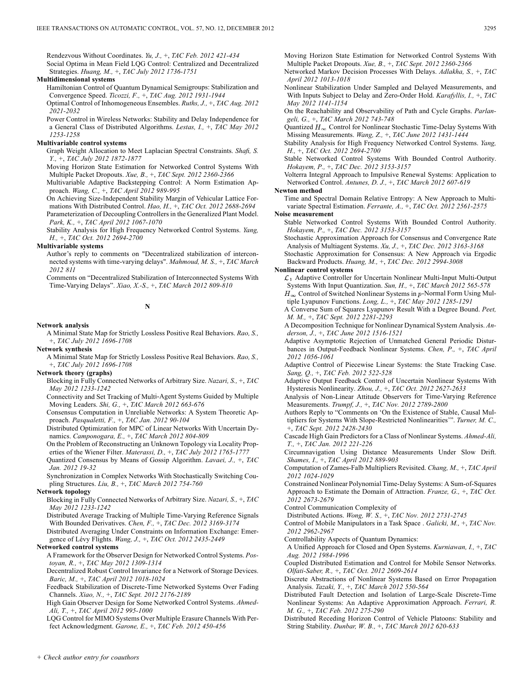Rendezvous Without Coordinates. *Yu, J.,* +, *TAC Feb. 2012 421-434* Social Optima in Mean Field LQG Control: Centralized and Decentralized Strategies. *Huang, M.,* +, *TAC July 2012 1736-1751*

# **Multidimensional systems**

Hamiltonian Control of Quantum Dynamical Semigroups: Stabilization and Convergence Speed. *Ticozzi, F.,* +, *TAC Aug. 2012 1931-1944* Optimal Control of Inhomogeneous Ensembles. *Ruths, J.,* +, *TAC Aug. 2012*

*2021-2032*

Power Control in Wireless Networks: Stability and Delay Independence for a General Class of Distributed Algorithms. *Lestas, I.,* +, *TAC May 2012 1253-1258*

### **Multivariable control systems**

Graph Weight Allocation to Meet Laplacian Spectral Constraints. *Shafi, S. Y.,* +, *TAC July 2012 1872-1877*

Moving Horizon State Estimation for Networked Control Systems With Multiple Packet Dropouts. *Xue, B.,* +, *TAC Sept. 2012 2360-2366*

Multivariable Adaptive Backstepping Control: A Norm Estimation Approach. *Wang, C.,* +, *TAC April 2012 989-995*

On Achieving Size-Independent Stability Margin of Vehicular Lattice Formations With Distributed Control. *Hao, H.,* +, *TAC Oct. 2012 2688-2694* Parameterization of Decoupling Controllers in the Generalized Plant Model. *Park, K.,* +, *TAC April 2012 1067-1070*

Stability Analysis for High Frequency Networked Control Systems. *Yang, H.,* +, *TAC Oct. 2012 2694-2700*

### **Multivariable systems**

Author's reply to comments on "Decentralized stabilization of interconnected systems with time-varying delays". *Mahmoud, M. S.,* +, *TAC March 2012 811*

Comments on "Decentralized Stabilization of Interconnected Systems With Time-Varying Delays". *Xiao, X.-S.,* +, *TAC March 2012 809-810*

# **N**

# **Network analysis**

A Minimal State Map for Strictly Lossless Positive Real Behaviors. *Rao, S.,* +, *TAC July 2012 1696-1708*

### **Network synthesis**

A Minimal State Map for Strictly Lossless Positive Real Behaviors. *Rao, S.,* +, *TAC July 2012 1696-1708*

# **Network theory (graphs)**

Blocking in Fully Connected Networks of Arbitrary Size. *Nazari, S.,* +, *TAC May 2012 1233-1242*

Connectivity and Set Tracking of Multi-Agent Systems Guided by Multiple Moving Leaders. *Shi, G.,* +, *TAC March 2012 663-676*

Consensus Computation in Unreliable Networks: A System Theoretic Approach. *Pasqualetti, F.,* +, *TAC Jan. 2012 90-104*

Distributed Optimization for MPC of Linear Networks With Uncertain Dynamics. *Camponogara, E.,* +, *TAC March 2012 804-809*

On the Problem of Reconstructing an Unknown Topology via Locality Properties of the Wiener Filter. *Materassi, D.,* +, *TAC July 2012 1765-1777*

Quantized Consensus by Means of Gossip Algorithm. *Lavaei, J.,* +, *TAC Jan. 2012 19-32*

Synchronization in Complex Networks With Stochastically Switching Coupling Structures. *Liu, B.,* +, *TAC March 2012 754-760*

### **Network topology**

Blocking in Fully Connected Networks of Arbitrary Size. *Nazari, S.,* +, *TAC May 2012 1233-1242*

Distributed Average Tracking of Multiple Time-Varying Reference Signals With Bounded Derivatives. *Chen, F.,* +, *TAC Dec. 2012 3169-3174*

Distributed Averaging Under Constraints on Information Exchange: Emergence of Lévy Flights. *Wang, J.,* +, *TAC Oct. 2012 2435-2449*

### **Networked control systems**

A Framework for the Observer Design for Networked Control Systems. *Postoyan, R.,* +, *TAC May 2012 1309-1314*

Decentralized Robust Control Invariance for a Network of Storage Devices. *Baric, M.,* +, *TAC April 2012 1018-1024*

Feedback Stabilization of Discrete-Time Networked Systems Over Fading Channels. *Xiao, N.,* +, *TAC Sept. 2012 2176-2189*

High Gain Observer Design for Some Networked Control Systems. *Ahmed-Ali, T.,* +, *TAC April 2012 995-1000*

LQG Control for MIMO Systems Over Multiple Erasure Channels With Perfect Acknowledgment. *Garone, E.,* +, *TAC Feb. 2012 450-456*

Moving Horizon State Estimation for Networked Control Systems With Multiple Packet Dropouts. *Xue, B.,* +, *TAC Sept. 2012 2360-2366*

Networked Markov Decision Processes With Delays. *Adlakha, S.,* +, *TAC April 2012 1013-1018*

Nonlinear Stabilization Under Sampled and Delayed Measurements, and With Inputs Subject to Delay and Zero-Order Hold. *Karafyllis, I.,* +, *TAC May 2012 1141-1154*

On the Reachability and Observability of Path and Cycle Graphs. *Parlangeli, G.,* +, *TAC March 2012 743-748*

Quantized  $H_{\infty}$  Control for Nonlinear Stochastic Time-Delay Systems With Missing Measurements. *Wang, Z.,* +, *TAC June 2012 1431-1444*

Stability Analysis for High Frequency Networked Control Systems. *Yang, H.,* +, *TAC Oct. 2012 2694-2700*

Stable Networked Control Systems With Bounded Control Authority. *Hokayem, P.,* +, *TAC Dec. 2012 3153-3157*

Volterra Integral Approach to Impulsive Renewal Systems: Application to Networked Control. *Antunes, D. J.,* +, *TAC March 2012 607-619*

# **Newton method**

Time and Spectral Domain Relative Entropy: A New Approach to Multivariate Spectral Estimation. *Ferrante, A.,* +, *TAC Oct. 2012 2561-2575*

### **Noise measurement**

Stable Networked Control Systems With Bounded Control Authority. *Hokayem, P.,* +, *TAC Dec. 2012 3153-3157*

Stochastic Approximation Approach for Consensus and Convergence Rate Analysis of Multiagent Systems. *Xu, J.,* +, *TAC Dec. 2012 3163-3168*

Stochastic Approximation for Consensus: A New Approach via Ergodic Backward Products. *Huang, M.,* +, *TAC Dec. 2012 2994-3008*

### **Nonlinear control systems**

 $\mathcal{L}_1$  Adaptive Controller for Uncertain Nonlinear Multi-Input Multi-Output Systems With Input Quantization. *Sun, H.,* +, *TAC March 2012 565-578*  $H_{\infty}$  Control of Switched Nonlinear Systems in p-Normal Form Using Multiple Lyapunov Functions. *Long, L.,* +, *TAC May 2012 1285-1291*

A Converse Sum of Squares Lyapunov Result With a Degree Bound. *Peet, M. M.,* +, *TAC Sept. 2012 2281-2293*

A Decomposition Technique for Nonlinear Dynamical System Analysis. *Anderson, J.,* +, *TAC June 2012 1516-1521*

Adaptive Asymptotic Rejection of Unmatched General Periodic Disturbances in Output-Feedback Nonlinear Systems. *Chen, P.,* +, *TAC April 2012 1056-1061*

Adaptive Control of Piecewise Linear Systems: the State Tracking Case. *Sang, Q.,* +, *TAC Feb. 2012 522-528*

Adaptive Output Feedback Control of Uncertain Nonlinear Systems With Hysteresis Nonlinearity. *Zhou, J.,* +, *TAC Oct. 2012 2627-2633*

Analysis of Non-Linear Attitude Observers for Time-Varying Reference Measurements. *Trumpf, J.,* +, *TAC Nov. 2012 2789-2800*

Authors Reply to "Comments on 'On the Existence of Stable, Causal Multipliers for Systems With Slope-Restricted Nonlinearities'". *Turner, M. C.,* +, *TAC Sept. 2012 2428-2430*

Cascade High Gain Predictors for a Class of Nonlinear Systems. *Ahmed-Ali, T.,* +, *TAC Jan. 2012 221-226*

Circumnavigation Using Distance Measurements Under Slow Drift. *Shames, I.,* +, *TAC April 2012 889-903*

Computation of Zames-Falb Multipliers Revisited. *Chang, M.,* +, *TAC April 2012 1024-1029*

Constrained Nonlinear Polynomial Time-Delay Systems: A Sum-of-Squares Approach to Estimate the Domain of Attraction. *Franze, G.,* +, *TAC Oct. 2012 2673-2679*

Control Communication Complexity of

Distributed Actions. *Wong, W. S.,* +, *TAC Nov. 2012 2731-2745*

Control of Mobile Manipulators in a Task Space . *Galicki, M.,* +, *TAC Nov. 2012 2962-2967*

Controllability Aspects of Quantum Dynamics:

A Unified Approach for Closed and Open Systems. *Kurniawan, I.,* +, *TAC Aug. 2012 1984-1996*

Coupled Distributed Estimation and Control for Mobile Sensor Networks. *Olfati-Saber, R.,* +, *TAC Oct. 2012 2609-2614*

Discrete Abstractions of Nonlinear Systems Based on Error Propagation Analysis. *Tazaki, Y.,* +, *TAC March 2012 550-564*

Distributed Fault Detection and Isolation of Large-Scale Discrete-Time Nonlinear Systems: An Adaptive Approximation Approach. *Ferrari, R. M. G.,* +, *TAC Feb. 2012 275-290*

Distributed Receding Horizon Control of Vehicle Platoons: Stability and String Stability. *Dunbar, W. B.,* +, *TAC March 2012 620-633*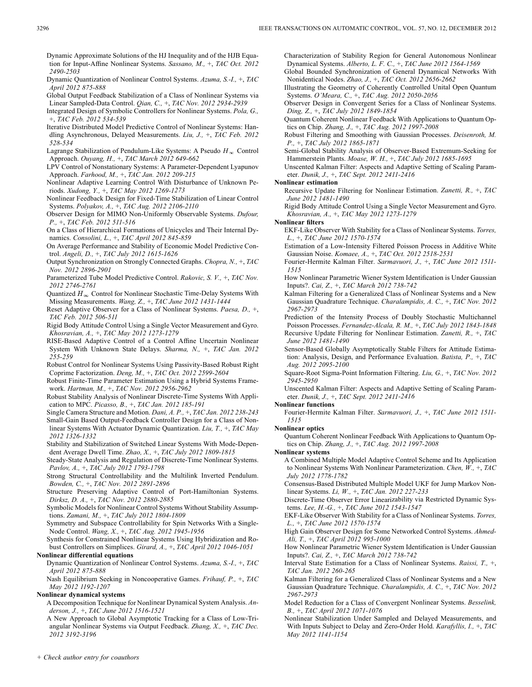Dynamic Approximate Solutions of the HJ Inequality and of the HJB Equation for Input-Affine Nonlinear Systems. *Sassano, M.,* +, *TAC Oct. 2012 2490-2503*

- Dynamic Quantization of Nonlinear Control Systems. *Azuma, S.-I.,* +, *TAC April 2012 875-888*
- Global Output Feedback Stabilization of a Class of Nonlinear Systems via Linear Sampled-Data Control. *Qian, C.,* +, *TAC Nov. 2012 2934-2939*

Integrated Design of Symbolic Controllers for Nonlinear Systems. *Pola, G.,* +, *TAC Feb. 2012 534-539*

- Iterative Distributed Model Predictive Control of Nonlinear Systems: Handling Asynchronous, Delayed Measurements. *Liu, J.,* +, *TAC Feb. 2012 528-534*
- Lagrange Stabilization of Pendulum-Like Systems: A Pseudo  $H_{\infty}$  Control Approach. *Ouyang, H.,* +, *TAC March 2012 649-662*

LPV Control of Nonstationary Systems: A Parameter-Dependent Lyapunov Approach. *Farhood, M.,* +, *TAC Jan. 2012 209-215*

Nonlinear Adaptive Learning Control With Disturbance of Unknown Periods. *Xudong, Y.,* +, *TAC May 2012 1269-1273*

- Nonlinear Feedback Design for Fixed-Time Stabilization of Linear Control Systems. *Polyakov, A.,* +, *TAC Aug. 2012 2106-2110*
- Observer Design for MIMO Non-Uniformly Observable Systems. *Dufour, P.,* +, *TAC Feb. 2012 511-516*
- On a Class of Hierarchical Formations of Unicycles and Their Internal Dynamics. *Consolini, L.,* +, *TAC April 2012 845-859*
- On Average Performance and Stability of Economic Model Predictive Control. *Angeli, D.,* +, *TAC July 2012 1615-1626*
- Output Synchronization on Strongly Connected Graphs. *Chopra, N.,* +, *TAC Nov. 2012 2896-2901*
- Parameterized Tube Model Predictive Control. *Rakovic, S. V.,* +, *TAC Nov. 2012 2746-2761*

Quantized  $H_{\infty}$  Control for Nonlinear Stochastic Time-Delay Systems With Missing Measurements. *Wang, Z.,* +, *TAC June 2012 1431-1444*

Reset Adaptive Observer for a Class of Nonlinear Systems. *Paesa, D.,* +, *TAC Feb. 2012 506-511*

- Rigid Body Attitude Control Using a Single Vector Measurement and Gyro. *Khosravian, A.,* +, *TAC May 2012 1273-1279*
- RISE-Based Adaptive Control of a Control Affine Uncertain Nonlinear System With Unknown State Delays. *Sharma, N.,* +, *TAC Jan. 2012 255-259*
- Robust Control for Nonlinear Systems Using Passivity-Based Robust Right Coprime Factorization. *Deng, M.,* +, *TAC Oct. 2012 2599-2604*

Robust Finite-Time Parameter Estimation Using a Hybrid Systems Framework. *Hartman, M.,* +, *TAC Nov. 2012 2956-2962*

Robust Stability Analysis of Nonlinear Discrete-Time Systems With Application to MPC. *Picasso, B.,* +, *TAC Jan. 2012 185-191*

Single Camera Structure and Motion. *Dani, A. P.,* +, *TAC Jan. 2012 238-243* Small-Gain Based Output-Feedback Controller Design for a Class of Non-

linear Systems With Actuator Dynamic Quantization. *Liu, T.,* +, *TAC May 2012 1326-1332*

- Stability and Stabilization of Switched Linear Systems With Mode-Dependent Average Dwell Time. *Zhao, X.,* +, *TAC July 2012 1809-1815*
- Steady-State Analysis and Regulation of Discrete-Time Nonlinear Systems. *Pavlov, A.,* +, *TAC July 2012 1793-1798*

Strong Structural Controllability and the Multilink Inverted Pendulum. *Bowden, C.,* +, *TAC Nov. 2012 2891-2896*

Structure Preserving Adaptive Control of Port-Hamiltonian Systems. *Dirksz, D. A.,* +, *TAC Nov. 2012 2880-2885*

Symbolic Models for Nonlinear Control Systems Without Stability Assumptions. *Zamani, M.,* +, *TAC July 2012 1804-1809*

Symmetry and Subspace Controllability for Spin Networks With a Single-Node Control. *Wang, X.,* +, *TAC Aug. 2012 1945-1956*

Synthesis for Constrained Nonlinear Systems Using Hybridization and Robust Controllers on Simplices. *Girard, A.,* +, *TAC April 2012 1046-1051*

# **Nonlinear differential equations**

Dynamic Quantization of Nonlinear Control Systems. *Azuma, S.-I.,* +, *TAC April 2012 875-888*

Nash Equilibrium Seeking in Noncooperative Games. *Frihauf, P.,* +, *TAC May 2012 1192-1207*

**Nonlinear dynamical systems**

A Decomposition Technique for Nonlinear Dynamical System Analysis. *Anderson, J.,* +, *TAC June 2012 1516-1521*

A New Approach to Global Asymptotic Tracking for a Class of Low-Triangular Nonlinear Systems via Output Feedback. *Zhang, X.,* +, *TAC Dec. 2012 3192-3196*

Characterization of Stability Region for General Autonomous Nonlinear Dynamical Systems. *Alberto, L. F. C.,* +, *TAC June 2012 1564-1569* Global Bounded Synchronization of General Dynamical Networks With

Nonidentical Nodes. *Zhao, J.,* +, *TAC Oct. 2012 2656-2662* Illustrating the Geometry of Coherently Controlled Unital Open Quantum

Systems. *O'Meara, C.,* +, *TAC Aug. 2012 2050-2056* Observer Design in Convergent Series for a Class of Nonlinear Systems.

*Ding, Z.,* +, *TAC July 2012 1849-1854*

Quantum Coherent Nonlinear Feedback With Applications to Quantum Optics on Chip. *Zhang, J.,* +, *TAC Aug. 2012 1997-2008*

Robust Filtering and Smoothing with Gaussian Processes. *Deisenroth, M. P.,* +, *TAC July 2012 1865-1871*

Semi-Global Stability Analysis of Observer-Based Extremum-Seeking for Hammerstein Plants. *Moase, W. H.,* +, *TAC July 2012 1685-1695*

Unscented Kalman Filter: Aspects and Adaptive Setting of Scaling Parameter. *Dunik, J.,* +, *TAC Sept. 2012 2411-2416*

### **Nonlinear estimation**

Recursive Update Filtering for Nonlinear Estimation. *Zanetti, R.,* +, *TAC June 2012 1481-1490*

Rigid Body Attitude Control Using a Single Vector Measurement and Gyro. *Khosravian, A.,* +, *TAC May 2012 1273-1279*

**Nonlinear filters**

EKF-Like Observer With Stability for a Class of Nonlinear Systems. *Torres, L.,* +, *TAC June 2012 1570-1574*

Estimation of a Low-Intensity Filtered Poisson Process in Additive White Gaussian Noise. *Komaee, A.,* +, *TAC Oct. 2012 2518-2531*

Fourier-Hermite Kalman Filter. *Sarmavuori, J.,* +, *TAC June 2012 1511- 1515*

How Nonlinear Parametric Wiener System Identification is Under Gaussian Inputs?. *Cai, Z.,* +, *TAC March 2012 738-742*

Kalman Filtering for a Generalized Class of Nonlinear Systems and a New Gaussian Quadrature Technique. *Charalampidis, A. C.,* +, *TAC Nov. 2012 2967-2973*

Prediction of the Intensity Process of Doubly Stochastic Multichannel Poisson Processes. *Fernandez-Alcala, R. M.,* +, *TAC July 2012 1843-1848* Recursive Update Filtering for Nonlinear Estimation. *Zanetti, R.,* +, *TAC June 2012 1481-1490*

Sensor-Based Globally Asymptotically Stable Filters for Attitude Estimation: Analysis, Design, and Performance Evaluation. *Batista, P.,* +, *TAC Aug. 2012 2095-2100*

Square-Root Sigma-Point Information Filtering. *Liu, G.,* +, *TAC Nov. 2012 2945-2950*

Unscented Kalman Filter: Aspects and Adaptive Setting of Scaling Parameter. *Dunik, J.,* +, *TAC Sept. 2012 2411-2416*

# **Nonlinear functions**

- Fourier-Hermite Kalman Filter. *Sarmavuori, J.,* +, *TAC June 2012 1511- 1515*
- **Nonlinear optics**

Quantum Coherent Nonlinear Feedback With Applications to Quantum Optics on Chip. *Zhang, J.,* +, *TAC Aug. 2012 1997-2008*

**Nonlinear systems**

A Combined Multiple Model Adaptive Control Scheme and Its Application to Nonlinear Systems With Nonlinear Parameterization. *Chen, W.,* +, *TAC July 2012 1778-1782*

Consensus-Based Distributed Multiple Model UKF for Jump Markov Nonlinear Systems. *Li, W.,* +, *TAC Jan. 2012 227-233*

Discrete-Time Observer Error Linearizability via Restricted Dynamic Systems. *Lee, H.-G.,* +, *TAC June 2012 1543-1547*

EKF-Like Observer With Stability for a Class of Nonlinear Systems. *Torres, L.,* +, *TAC June 2012 1570-1574*

High Gain Observer Design for Some Networked Control Systems. *Ahmed-Ali, T.,* +, *TAC April 2012 995-1000*

How Nonlinear Parametric Wiener System Identification is Under Gaussian Inputs?. *Cai, Z.,* +, *TAC March 2012 738-742*

Interval State Estimation for a Class of Nonlinear Systems. *Raissi, T.,* +, *TAC Jan. 2012 260-265*

Kalman Filtering for a Generalized Class of Nonlinear Systems and a New Gaussian Quadrature Technique. *Charalampidis, A. C.,* +, *TAC Nov. 2012 2967-2973*

- Model Reduction for a Class of Convergent Nonlinear Systems. *Besselink, B.,* +, *TAC April 2012 1071-1076*
- Nonlinear Stabilization Under Sampled and Delayed Measurements, and With Inputs Subject to Delay and Zero-Order Hold. *Karafyllis, I.,* +, *TAC May 2012 1141-1154*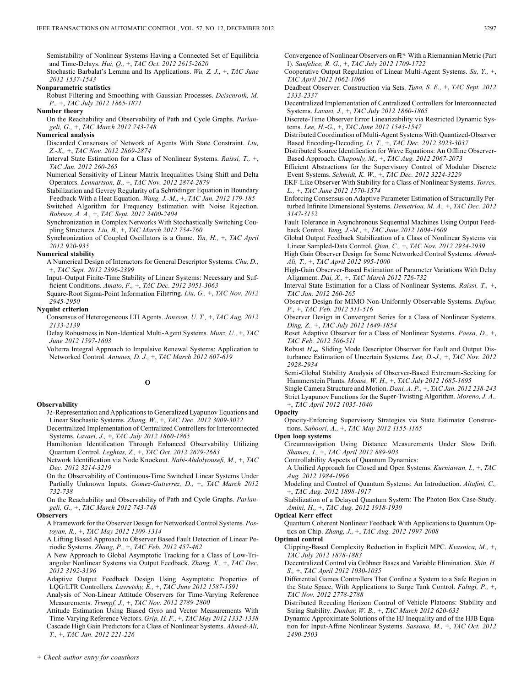Semistability of Nonlinear Systems Having a Connected Set of Equilibria and Time-Delays. *Hui, Q.,* +, *TAC Oct. 2012 2615-2620*

Stochastic Barbalat's Lemma and Its Applications. *Wu, Z. J.,* +, *TAC June 2012 1537-1543*

# **Nonparametric statistics**

Robust Filtering and Smoothing with Gaussian Processes. *Deisenroth, M. P.,* +, *TAC July 2012 1865-1871*

# **Number theory**

On the Reachability and Observability of Path and Cycle Graphs. *Parlangeli, G.,* +, *TAC March 2012 743-748*

### **Numerical analysis**

Discarded Consensus of Network of Agents With State Constraint. *Liu, Z.-X.,* +, *TAC Nov. 2012 2869-2874*

Interval State Estimation for a Class of Nonlinear Systems. *Raissi, T.,* +, *TAC Jan. 2012 260-265*

Numerical Sensitivity of Linear Matrix Inequalities Using Shift and Delta Operators. *Lennartson, B.,* +, *TAC Nov. 2012 2874-2879*

Stabilization and Gevrey Regularity of a Schrödinger Equation in Boundary Feedback With a Heat Equation. *Wang, J.-M.,* +, *TAC Jan. 2012 179-185*

Switched Algorithm for Frequency Estimation with Noise Rejection. *Bobtsov, A. A.,* +, *TAC Sept. 2012 2400-2404*

Synchronization in Complex Networks With Stochastically Switching Coupling Structures. *Liu, B.,* +, *TAC March 2012 754-760*

Synchronization of Coupled Oscillators is a Game. *Yin, H.,* +, *TAC April 2012 920-935*

# **Numerical stability**

A Numerical Design of Interactors for General Descriptor Systems. *Chu, D.,* +, *TAC Sept. 2012 2396-2399*

Input–Output Finite-Time Stability of Linear Systems: Necessary and Sufficient Conditions. *Amato, F.,* +, *TAC Dec. 2012 3051-3063*

Square-Root Sigma-Point Information Filtering. *Liu, G.,* +, *TAC Nov. 2012 2945-2950*

# **Nyquist criterion**

Consensus of Heterogeneous LTI Agents. *Jonsson, U. T.,* +, *TAC Aug. 2012 2133-2139*

Delay Robustness in Non-Identical Multi-Agent Systems. *Munz, U.,* +, *TAC June 2012 1597-1603*

Volterra Integral Approach to Impulsive Renewal Systems: Application to Networked Control. *Antunes, D. J.,* +, *TAC March 2012 607-619*

# **O**

### **Observability**

 $H$ -Representation and Applications to Generalized Lyapunov Equations and Linear Stochastic Systems. *Zhang, W.,* +, *TAC Dec. 2012 3009-3022*

Decentralized Implementation of Centralized Controllers for Interconnected Systems. *Lavaei, J.,* +, *TAC July 2012 1860-1865*

Hamiltonian Identification Through Enhanced Observability Utilizing Quantum Control. *Leghtas, Z.,* +, *TAC Oct. 2012 2679-2683*

Network Identification via Node Knockout. *Nabi-Abdolyousefi, M.,* +, *TAC Dec. 2012 3214-3219*

On the Observability of Continuous-Time Switched Linear Systems Under Partially Unknown Inputs. *Gomez-Gutierrez, D.,* +, *TAC March 2012 732-738*

On the Reachability and Observability of Path and Cycle Graphs. *Parlangeli, G.,* +, *TAC March 2012 743-748*

### **Observers**

A Framework for the Observer Design for Networked Control Systems. *Postoyan, R.,* +, *TAC May 2012 1309-1314*

A Lifting Based Approach to Observer Based Fault Detection of Linear Periodic Systems. *Zhang, P.,* +, *TAC Feb. 2012 457-462*

A New Approach to Global Asymptotic Tracking for a Class of Low-Triangular Nonlinear Systems via Output Feedback. *Zhang, X.,* +, *TAC Dec. 2012 3192-3196*

Adaptive Output Feedback Design Using Asymptotic Properties of LQG/LTR Controllers. *Lavretsky, E.,* +, *TAC June 2012 1587-1591*

Analysis of Non-Linear Attitude Observers for Time-Varying Reference Measurements. *Trumpf, J.,* +, *TAC Nov. 2012 2789-2800*

Attitude Estimation Using Biased Gyro and Vector Measurements With Time-Varying Reference Vectors. *Grip, H. F.,* +, *TAC May 2012 1332-1338* Cascade High Gain Predictors for a Class of Nonlinear Systems. *Ahmed-Ali,*

*T.,* +, *TAC Jan. 2012 221-226*

Convergence of Nonlinear Observers on  $\mathbb{R}^n$  With a Riemannian Metric (Part I). *Sanfelice, R. G.,* +, *TAC July 2012 1709-1722*

Cooperative Output Regulation of Linear Multi-Agent Systems. *Su, Y.,* +, *TAC April 2012 1062-1066*

Deadbeat Observer: Construction via Sets. *Tuna, S. E.,* +, *TAC Sept. 2012 2333-2337*

Decentralized Implementation of Centralized Controllers for Interconnected Systems. *Lavaei, J.,* +, *TAC July 2012 1860-1865*

Discrete-Time Observer Error Linearizability via Restricted Dynamic Systems. *Lee, H.-G.,* +, *TAC June 2012 1543-1547*

Distributed Coordination of Multi-Agent Systems With Quantized-Observer Based Encoding-Decoding. *Li, T.,* +, *TAC Dec. 2012 3023-3037*

Distributed Source Identification for Wave Equations: An Offline Observer-Based Approach. *Chapouly, M.,* +, *TAC Aug. 2012 2067-2073*

Efficient Abstractions for the Supervisory Control of Modular Discrete Event Systems. *Schmidt, K. W.,* +, *TAC Dec. 2012 3224-3229*

EKF-Like Observer With Stability for a Class of Nonlinear Systems. *Torres, L.,* +, *TAC June 2012 1570-1574*

Enforcing Consensus on Adaptive Parameter Estimation of Structurally Perturbed Infinite Dimensional Systems. *Demetriou, M. A.,* +, *TAC Dec. 2012 3147-3152*

Fault Tolerance in Asynchronous Sequential Machines Using Output Feedback Control. *Yang, J.-M.,* +, *TAC June 2012 1604-1609*

Global Output Feedback Stabilization of a Class of Nonlinear Systems via Linear Sampled-Data Control. *Qian, C.,* +, *TAC Nov. 2012 2934-2939*

High Gain Observer Design for Some Networked Control Systems. *Ahmed-Ali, T.,* +, *TAC April 2012 995-1000*

High-Gain Observer-Based Estimation of Parameter Variations With Delay Alignment. *Dai, X.,* +, *TAC March 2012 726-732*

Interval State Estimation for a Class of Nonlinear Systems. *Raissi, T.,* +, *TAC Jan. 2012 260-265*

Observer Design for MIMO Non-Uniformly Observable Systems. *Dufour, P.,* +, *TAC Feb. 2012 511-516*

Observer Design in Convergent Series for a Class of Nonlinear Systems. *Ding, Z.,* +, *TAC July 2012 1849-1854*

Reset Adaptive Observer for a Class of Nonlinear Systems. *Paesa, D.,* +, *TAC Feb. 2012 506-511*

Robust  $H_{\infty}$  Sliding Mode Descriptor Observer for Fault and Output Disturbance Estimation of Uncertain Systems. *Lee, D.-J.,* +, *TAC Nov. 2012 2928-2934*

Semi-Global Stability Analysis of Observer-Based Extremum-Seeking for Hammerstein Plants. *Moase, W. H.,* +, *TAC July 2012 1685-1695*

Single Camera Structure and Motion. *Dani, A. P.,* +, *TAC Jan. 2012 238-243* Strict Lyapunov Functions for the Super-Twisting Algorithm. *Moreno, J. A.,* +, *TAC April 2012 1035-1040*

**Opacity**

Opacity-Enforcing Supervisory Strategies via State Estimator Constructions. *Saboori, A.,* +, *TAC May 2012 1155-1165*

**Open loop systems**

Circumnavigation Using Distance Measurements Under Slow Drift. *Shames, I.,* +, *TAC April 2012 889-903*

Controllability Aspects of Quantum Dynamics:

A Unified Approach for Closed and Open Systems. *Kurniawan, I.,* +, *TAC Aug. 2012 1984-1996*

Modeling and Control of Quantum Systems: An Introduction. *Altafini, C.,* +, *TAC Aug. 2012 1898-1917*

Stabilization of a Delayed Quantum System: The Photon Box Case-Study. *Amini, H.,* +, *TAC Aug. 2012 1918-1930*

# **Optical Kerr effect**

Quantum Coherent Nonlinear Feedback With Applications to Quantum Optics on Chip. *Zhang, J.,* +, *TAC Aug. 2012 1997-2008*

**Optimal control**

Clipping-Based Complexity Reduction in Explicit MPC. *Kvasnica, M.,* +, *TAC July 2012 1878-1883*

Decentralized Control via Gröbner Bases and Variable Elimination. *Shin, H. S.,* +, *TAC April 2012 1030-1035*

Differential Games Controllers That Confine a System to a Safe Region in the State Space, With Applications to Surge Tank Control. *Falugi, P.,* +, *TAC Nov. 2012 2778-2788*

Distributed Receding Horizon Control of Vehicle Platoons: Stability and String Stability. *Dunbar, W. B.,* +, *TAC March 2012 620-633*

Dynamic Approximate Solutions of the HJ Inequality and of the HJB Equation for Input-Affine Nonlinear Systems. *Sassano, M.,* +, *TAC Oct. 2012 2490-2503*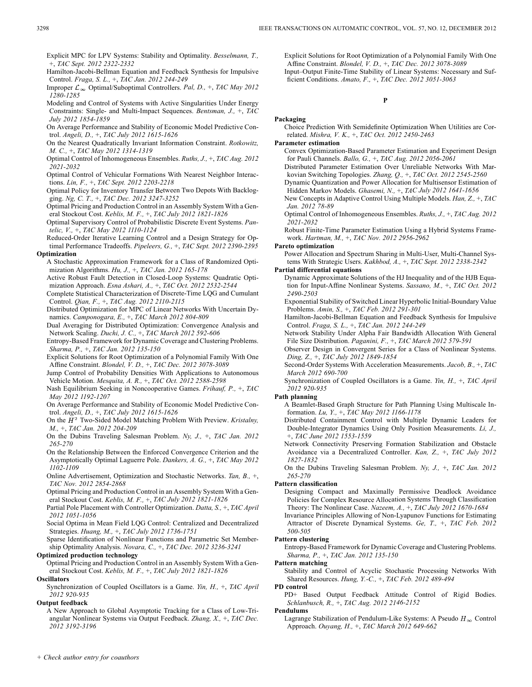Explicit MPC for LPV Systems: Stability and Optimality. *Besselmann, T.,* +, *TAC Sept. 2012 2322-2332*

Hamilton-Jacobi-Bellman Equation and Feedback Synthesis for Impulsive Control. *Fraga, S. L.,* +, *TAC Jan. 2012 244-249*

Improper  $\mathcal{L}_{\infty}$  Optimal/Suboptimal Controllers. *Pal, D., +, TAC May 2012 1280-1285*

Modeling and Control of Systems with Active Singularities Under Energy Constraints: Single- and Multi-Impact Sequences. *Bentsman, J.,* +, *TAC July 2012 1854-1859*

On Average Performance and Stability of Economic Model Predictive Control. *Angeli, D.,* +, *TAC July 2012 1615-1626*

On the Nearest Quadratically Invariant Information Constraint. *Rotkowitz, M. C.,* +, *TAC May 2012 1314-1319*

Optimal Control of Inhomogeneous Ensembles. *Ruths, J.,* +, *TAC Aug. 2012 2021-2032*

Optimal Control of Vehicular Formations With Nearest Neighbor Interactions. *Lin, F.,* +, *TAC Sept. 2012 2203-2218*

Optimal Policy for Inventory Transfer Between Two Depots With Backlogging. *Ng, C. T.,* +, *TAC Dec. 2012 3247-3252*

Optimal Pricing and Production Control in an Assembly System With a General Stockout Cost. *Keblis, M. F.,* +, *TAC July 2012 1821-1826*

Optimal Supervisory Control of Probabilistic Discrete Event Systems. *Pantelic, V.,* +, *TAC May 2012 1110-1124*

Reduced-Order Iterative Learning Control and a Design Strategy for Optimal Performance Tradeoffs. *Pipeleers, G.,* +, *TAC Sept. 2012 2390-2395* **Optimization**

A Stochastic Approximation Framework for a Class of Randomized Opti-

mization Algorithms. *Hu, J.,* +, *TAC Jan. 2012 165-178* Active Robust Fault Detection in Closed-Loop Systems: Quadratic Opti-

mization Approach. *Esna Ashari, A.,* +, *TAC Oct. 2012 2532-2544* Complete Statistical Characterization of Discrete-Time LQG and Cumulant

Control. *Qian, F.,* +, *TAC Aug. 2012 2110-2115*

Distributed Optimization for MPC of Linear Networks With Uncertain Dynamics. *Camponogara, E.,* +, *TAC March 2012 804-809*

Dual Averaging for Distributed Optimization: Convergence Analysis and Network Scaling. *Duchi, J. C.,* +, *TAC March 2012 592-606*

Entropy-Based Framework for Dynamic Coverage and Clustering Problems. *Sharma, P.,* +, *TAC Jan. 2012 135-150*

Explicit Solutions for Root Optimization of a Polynomial Family With One Affine Constraint. *Blondel, V. D.,* +, *TAC Dec. 2012 3078-3089*

Jump Control of Probability Densities With Applications to Autonomous Vehicle Motion. *Mesquita, A. R.,* +, *TAC Oct. 2012 2588-2598*

Nash Equilibrium Seeking in Noncooperative Games. *Frihauf, P.,* +, *TAC May 2012 1192-1207*

On Average Performance and Stability of Economic Model Predictive Control. *Angeli, D.,* +, *TAC July 2012 1615-1626*

On the  $\bar{H}^2$  Two-Sided Model Matching Problem With Preview. *Kristalny*, *M.,* +, *TAC Jan. 2012 204-209*

On the Dubins Traveling Salesman Problem. *Ny, J.,* +, *TAC Jan. 2012 265-270*

On the Relationship Between the Enforced Convergence Criterion and the Asymptotically Optimal Laguerre Pole. *Dankers, A. G.,* +, *TAC May 2012 1102-1109*

Online Advertisement, Optimization and Stochastic Networks. *Tan, B.,* +, *TAC Nov. 2012 2854-2868*

Optimal Pricing and Production Control in an Assembly System With a General Stockout Cost. *Keblis, M. F.,* +, *TAC July 2012 1821-1826*

Partial Pole Placement with Controller Optimization. *Datta, S.,* +, *TAC April 2012 1051-1056*

Social Optima in Mean Field LQG Control: Centralized and Decentralized Strategies. *Huang, M.,* +, *TAC July 2012 1736-1751*

Sparse Identification of Nonlinear Functions and Parametric Set Membership Optimality Analysis. *Novara, C.,* +, *TAC Dec. 2012 3236-3241*

**Optimized production technology**

Optimal Pricing and Production Control in an Assembly System With a General Stockout Cost. *Keblis, M. F.,* +, *TAC July 2012 1821-1826*

**Oscillators**

Synchronization of Coupled Oscillators is a Game. *Yin, H.,* +, *TAC April 2012 920-935*

# **Output feedback**

A New Approach to Global Asymptotic Tracking for a Class of Low-Triangular Nonlinear Systems via Output Feedback. *Zhang, X.,* +, *TAC Dec. 2012 3192-3196*

Explicit Solutions for Root Optimization of a Polynomial Family With One Affine Constraint. *Blondel, V. D.,* +, *TAC Dec. 2012 3078-3089* Input–Output Finite-Time Stability of Linear Systems: Necessary and Sufficient Conditions. *Amato, F.,* +, *TAC Dec. 2012 3051-3063*

### **P**

# **Packaging**

Choice Prediction With Semidefinite Optimization When Utilities are Correlated. *Mishra, V. K.,* +, *TAC Oct. 2012 2450-2463*

**Parameter estimation**

Convex Optimization-Based Parameter Estimation and Experiment Design for Pauli Channels. *Ballo, G.,* +, *TAC Aug. 2012 2056-2061*

Distributed Parameter Estimation Over Unreliable Networks With Markovian Switching Topologies. *Zhang, Q.,* +, *TAC Oct. 2012 2545-2560*

Dynamic Quantization and Power Allocation for Multisensor Estimation of Hidden Markov Models. *Ghasemi, N.,* +, *TAC July 2012 1641-1656*

New Concepts in Adaptive Control Using Multiple Models. *Han, Z.,* +, *TAC Jan. 2012 78-89*

Optimal Control of Inhomogeneous Ensembles. *Ruths, J.,* +, *TAC Aug. 2012 2021-2032*

Robust Finite-Time Parameter Estimation Using a Hybrid Systems Framework. *Hartman, M.,* +, *TAC Nov. 2012 2956-2962*

**Pareto optimization**

Power Allocation and Spectrum Sharing in Multi-User, Multi-Channel Systems With Strategic Users. *Kakhbod, A.,* +, *TAC Sept. 2012 2338-2342*

### **Partial differential equations**

Dynamic Approximate Solutions of the HJ Inequality and of the HJB Equation for Input-Affine Nonlinear Systems. *Sassano, M.,* +, *TAC Oct. 2012 2490-2503*

Exponential Stability of Switched Linear Hyperbolic Initial-Boundary Value Problems. *Amin, S.,* +, *TAC Feb. 2012 291-301*

Hamilton-Jacobi-Bellman Equation and Feedback Synthesis for Impulsive Control. *Fraga, S. L.,* +, *TAC Jan. 2012 244-249*

Network Stability Under Alpha Fair Bandwidth Allocation With General File Size Distribution. *Paganini, F.,* +, *TAC March 2012 579-591*

Observer Design in Convergent Series for a Class of Nonlinear Systems. *Ding, Z.,* +, *TAC July 2012 1849-1854*

Second-Order Systems With Acceleration Measurements. *Jacob, B.,* +, *TAC March 2012 690-700*

Synchronization of Coupled Oscillators is a Game. *Yin, H.,* +, *TAC April 2012 920-935*

# **Path planning**

A Beamlet-Based Graph Structure for Path Planning Using Multiscale Information. *Lu, Y.,* +, *TAC May 2012 1166-1178*

Distributed Containment Control with Multiple Dynamic Leaders for Double-Integrator Dynamics Using Only Position Measurements. *Li, J.,* +, *TAC June 2012 1553-1559*

Network Connectivity Preserving Formation Stabilization and Obstacle Avoidance via a Decentralized Controller. *Kan, Z.,* +, *TAC July 2012 1827-1832*

On the Dubins Traveling Salesman Problem. *Ny, J.,* +, *TAC Jan. 2012 265-270*

### **Pattern classification**

Designing Compact and Maximally Permissive Deadlock Avoidance Policies for Complex Resource Allocation Systems Through Classification Theory: The Nonlinear Case. *Nazeem, A.,* +, *TAC July 2012 1670-1684*

Invariance Principles Allowing of Non-Lyapunov Functions for Estimating Attractor of Discrete Dynamical Systems. *Ge, T.,* +, *TAC Feb. 2012 500-505*

### **Pattern clustering**

Entropy-Based Framework for Dynamic Coverage and Clustering Problems. *Sharma, P.,* +, *TAC Jan. 2012 135-150*

**Pattern matching**

Stability and Control of Acyclic Stochastic Processing Networks With Shared Resources. *Hung, Y.-C.,* +, *TAC Feb. 2012 489-494*

**PD control**

PD+ Based Output Feedback Attitude Control of Rigid Bodies. *Schlanbusch, R.,* +, *TAC Aug. 2012 2146-2152*

**Pendulums**

Lagrange Stabilization of Pendulum-Like Systems: A Pseudo  $H_{\infty}$  Control Approach. *Ouyang, H.,* +, *TAC March 2012 649-662*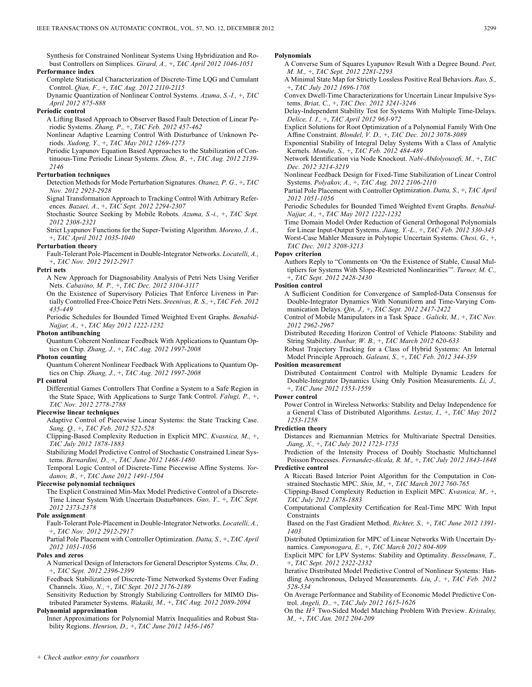Synthesis for Constrained Nonlinear Systems Using Hybridization and Robust Controllers on Simplices. *Girard, A.,* +, *TAC April 2012 1046-1051*

### **Performance index**

Complete Statistical Characterization of Discrete-Time LQG and Cumulant Control. *Qian, F.,* +, *TAC Aug. 2012 2110-2115*

Dynamic Quantization of Nonlinear Control Systems. *Azuma, S.-I.,* +, *TAC April 2012 875-888*

# **Periodic control**

A Lifting Based Approach to Observer Based Fault Detection of Linear Periodic Systems. *Zhang, P.,* +, *TAC Feb. 2012 457-462*

Nonlinear Adaptive Learning Control With Disturbance of Unknown Periods. *Xudong, Y.,* +, *TAC May 2012 1269-1273*

Periodic Lyapunov Equation Based Approaches to the Stabilization of Continuous-Time Periodic Linear Systems. *Zhou, B.,* +, *TAC Aug. 2012 2139- 2146*

# **Perturbation techniques**

Detection Methods for Mode Perturbation Signatures. *Otanez, P. G.,* +, *TAC Nov. 2012 2923-2928*

Signal Transformation Approach to Tracking Control With Arbitrary References. *Bazaei, A.,* +, *TAC Sept. 2012 2294-2307*

Stochastic Source Seeking by Mobile Robots. *Azuma, S.-i.,* +, *TAC Sept. 2012 2308-2321*

Strict Lyapunov Functions for the Super-Twisting Algorithm. *Moreno, J. A.,* +, *TAC April 2012 1035-1040*

### **Perturbation theory**

Fault-Tolerant Pole-Placement in Double-Integrator Networks. *Locatelli, A.,* +, *TAC Nov. 2012 2912-2917*

### **Petri nets**

A New Approach for Diagnosability Analysis of Petri Nets Using Verifier Nets. *Cabasino, M. P.,* +, *TAC Dec. 2012 3104-3117*

On the Existence of Supervisory Policies That Enforce Liveness in Partially Controlled Free-Choice Petri Nets. *Sreenivas, R. S.,* +, *TAC Feb. 2012 435-449*

Periodic Schedules for Bounded Timed Weighted Event Graphs. *Benabid-Najjar, A.,* +, *TAC May 2012 1222-1232*

# **Photon antibunching**

Quantum Coherent Nonlinear Feedback With Applications to Quantum Optics on Chip. *Zhang, J.,* +, *TAC Aug. 2012 1997-2008*

### **Photon counting**

Quantum Coherent Nonlinear Feedback With Applications to Quantum Optics on Chip. *Zhang, J.,* +, *TAC Aug. 2012 1997-2008*

### **PI control**

Differential Games Controllers That Confine a System to a Safe Region in the State Space, With Applications to Surge Tank Control. *Falugi, P.,* +, *TAC Nov. 2012 2778-2788*

# **Piecewise linear techniques**

Adaptive Control of Piecewise Linear Systems: the State Tracking Case. *Sang, Q.,* +, *TAC Feb. 2012 522-528*

Clipping-Based Complexity Reduction in Explicit MPC. *Kvasnica, M.,* +, *TAC July 2012 1878-1883*

Stabilizing Model Predictive Control of Stochastic Constrained Linear Systems. *Bernardini, D.,* +, *TAC June 2012 1468-1480*

Temporal Logic Control of Discrete-Time Piecewise Affine Systems. *Yordanov, B.,* +, *TAC June 2012 1491-1504*

# **Piecewise polynomial techniques**

The Explicit Constrained Min-Max Model Predictive Control of a Discrete-Time Linear System With Uncertain Disturbances. *Gao, Y.,* +, *TAC Sept. 2012 2373-2378*

### **Pole assignment**

Fault-Tolerant Pole-Placement in Double-Integrator Networks. *Locatelli, A.,* +, *TAC Nov. 2012 2912-2917*

Partial Pole Placement with Controller Optimization. *Datta, S.,* +, *TAC April 2012 1051-1056*

### **Poles and zeros**

A Numerical Design of Interactors for General Descriptor Systems. *Chu, D.,* +, *TAC Sept. 2012 2396-2399*

Feedback Stabilization of Discrete-Time Networked Systems Over Fading Channels. *Xiao, N.,* +, *TAC Sept. 2012 2176-2189*

Sensitivity Reduction by Strongly Stabilizing Controllers for MIMO Distributed Parameter Systems. *Wakaiki, M.,* +, *TAC Aug. 2012 2089-2094*

# **Polynomial approximation**

Inner Approximations for Polynomial Matrix Inequalities and Robust Stability Regions. *Henrion, D.,* +, *TAC June 2012 1456-1467*

### **Polynomials**

- A Converse Sum of Squares Lyapunov Result With a Degree Bound. *Peet, M. M.,* +, *TAC Sept. 2012 2281-2293*
- A Minimal State Map for Strictly Lossless Positive Real Behaviors. *Rao, S.,* +, *TAC July 2012 1696-1708*

Convex Dwell-Time Characterizations for Uncertain Linear Impulsive Systems. *Briat, C.,* +, *TAC Dec. 2012 3241-3246*

Delay-Independent Stability Test for Systems With Multiple Time-Delays. *Delice, I. I.,* +, *TAC April 2012 963-972*

Explicit Solutions for Root Optimization of a Polynomial Family With One Affine Constraint. *Blondel, V. D.,* +, *TAC Dec. 2012 3078-3089*

Exponential Stability of Integral Delay Systems With a Class of Analytic Kernels. *Mondie, S.,* +, *TAC Feb. 2012 484-489*

Network Identification via Node Knockout. *Nabi-Abdolyousefi, M.,* +, *TAC Dec. 2012 3214-3219*

Nonlinear Feedback Design for Fixed-Time Stabilization of Linear Control Systems. *Polyakov, A.,* +, *TAC Aug. 2012 2106-2110*

Partial Pole Placement with Controller Optimization. *Datta, S.,* +, *TAC April 2012 1051-1056*

Periodic Schedules for Bounded Timed Weighted Event Graphs. *Benabid-Najjar, A.,* +, *TAC May 2012 1222-1232*

Time Domain Model Order Reduction of General Orthogonal Polynomials for Linear Input-Output Systems. *Jiang, Y.-L.,* +, *TAC Feb. 2012 330-343* Worst-Case Mahler Measure in Polytopic Uncertain Systems. *Chesi, G.,* +, *TAC Dec. 2012 3208-3213*

### **Popov criterion**

Authors Reply to "Comments on 'On the Existence of Stable, Causal Multipliers for Systems With Slope-Restricted Nonlinearities'". *Turner, M. C.,* +, *TAC Sept. 2012 2428-2430*

### **Position control**

A Sufficient Condition for Convergence of Sampled-Data Consensus for Double-Integrator Dynamics With Nonuniform and Time-Varying Communication Delays. *Qin, J.,* +, *TAC Sept. 2012 2417-2422*

Control of Mobile Manipulators in a Task Space . *Galicki, M.,* +, *TAC Nov. 2012 2962-2967*

Distributed Receding Horizon Control of Vehicle Platoons: Stability and String Stability. *Dunbar, W. B.,* +, *TAC March 2012 620-633*

Robust Trajectory Tracking for a Class of Hybrid Systems: An Internal Model Principle Approach. *Galeani, S.,* +, *TAC Feb. 2012 344-359*

### **Position measurement**

Distributed Containment Control with Multiple Dynamic Leaders for Double-Integrator Dynamics Using Only Position Measurements. *Li, J.,* +, *TAC June 2012 1553-1559*

### **Power control**

Power Control in Wireless Networks: Stability and Delay Independence for a General Class of Distributed Algorithms. *Lestas, I.,* +, *TAC May 2012 1253-1258*

### **Prediction theory**

Distances and Riemannian Metrics for Multivariate Spectral Densities. *Jiang, X.,* +, *TAC July 2012 1723-1735*

Prediction of the Intensity Process of Doubly Stochastic Multichannel Poisson Processes. *Fernandez-Alcala, R. M.,* +, *TAC July 2012 1843-1848*

**Predictive control**

- A Riccati Based Interior Point Algorithm for the Computation in Constrained Stochastic MPC. *Shin, M.,* +, *TAC March 2012 760-765*
- Clipping-Based Complexity Reduction in Explicit MPC. *Kvasnica, M.,* +, *TAC July 2012 1878-1883*
- Computational Complexity Certification for Real-Time MPC With Input **Constraints**

Based on the Fast Gradient Method. *Richter, S.,* +, *TAC June 2012 1391- 1403*

Distributed Optimization for MPC of Linear Networks With Uncertain Dynamics. *Camponogara, E.,* +, *TAC March 2012 804-809*

Explicit MPC for LPV Systems: Stability and Optimality. *Besselmann, T.,* +, *TAC Sept. 2012 2322-2332*

Iterative Distributed Model Predictive Control of Nonlinear Systems: Handling Asynchronous, Delayed Measurements. *Liu, J.,* +, *TAC Feb. 2012 528-534*

On Average Performance and Stability of Economic Model Predictive Control. *Angeli, D.,* +, *TAC July 2012 1615-1626*

On the  $H^2$  Two-Sided Model Matching Problem With Preview. *Kristalny*, *M.,* +, *TAC Jan. 2012 204-209*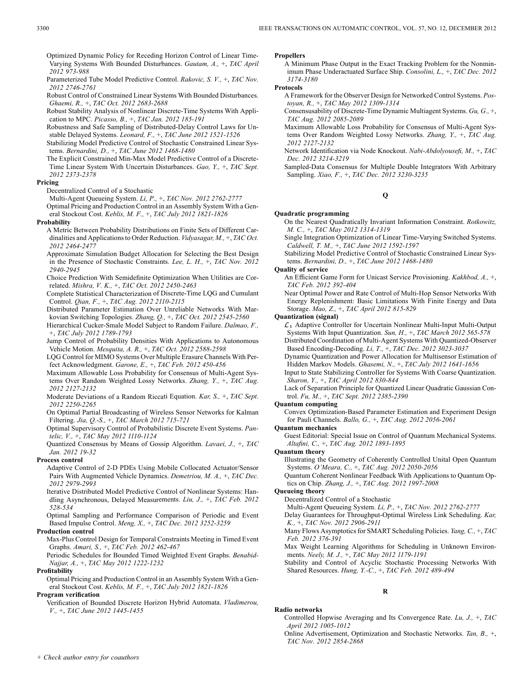Optimized Dynamic Policy for Receding Horizon Control of Linear Time-Varying Systems With Bounded Disturbances. *Gautam, A.,* +, *TAC April 2012 973-988*

Parameterized Tube Model Predictive Control. *Rakovic, S. V.,* +, *TAC Nov. 2012 2746-2761*

Robust Control of Constrained Linear Systems With Bounded Disturbances. *Ghaemi, R.,* +, *TAC Oct. 2012 2683-2688*

Robust Stability Analysis of Nonlinear Discrete-Time Systems With Application to MPC. *Picasso, B.,* +, *TAC Jan. 2012 185-191*

Robustness and Safe Sampling of Distributed-Delay Control Laws for Unstable Delayed Systems. *Leonard, F.,* +, *TAC June 2012 1521-1526*

Stabilizing Model Predictive Control of Stochastic Constrained Linear Systems. *Bernardini, D.,* +, *TAC June 2012 1468-1480*

The Explicit Constrained Min-Max Model Predictive Control of a Discrete-Time Linear System With Uncertain Disturbances. *Gao, Y.,* +, *TAC Sept. 2012 2373-2378*

### **Pricing**

Decentralized Control of a Stochastic

Multi-Agent Queueing System. *Li, P.,* +, *TAC Nov. 2012 2762-2777* Optimal Pricing and Production Control in an Assembly System With a General Stockout Cost. *Keblis, M. F.,* +, *TAC July 2012 1821-1826*

### **Probability**

A Metric Between Probability Distributions on Finite Sets of Different Cardinalities and Applications to Order Reduction. *Vidyasagar, M.,* +, *TAC Oct. 2012 2464-2477*

Approximate Simulation Budget Allocation for Selecting the Best Design in the Presence of Stochastic Constraints. *Lee, L. H.,* +, *TAC Nov. 2012 2940-2945*

Choice Prediction With Semidefinite Optimization When Utilities are Correlated. *Mishra, V. K.,* +, *TAC Oct. 2012 2450-2463*

Complete Statistical Characterization of Discrete-Time LQG and Cumulant Control. *Qian, F.,* +, *TAC Aug. 2012 2110-2115*

Distributed Parameter Estimation Over Unreliable Networks With Markovian Switching Topologies. *Zhang, Q.,* +, *TAC Oct. 2012 2545-2560*

Hierarchical Cucker-Smale Model Subject to Random Failure. *Dalmao, F.,* +, *TAC July 2012 1789-1793*

Jump Control of Probability Densities With Applications to Autonomous Vehicle Motion. *Mesquita, A. R.,* +, *TAC Oct. 2012 2588-2598*

LQG Control for MIMO Systems Over Multiple Erasure Channels With Perfect Acknowledgment. *Garone, E.,* +, *TAC Feb. 2012 450-456*

Maximum Allowable Loss Probability for Consensus of Multi-Agent Systems Over Random Weighted Lossy Networks. *Zhang, Y.,* +, *TAC Aug. 2012 2127-2132*

Moderate Deviations of a Random Riccati Equation. *Kar, S.,* +, *TAC Sept. 2012 2250-2265*

On Optimal Partial Broadcasting of Wireless Sensor Networks for Kalman Filtering. *Jia, Q.-S.,* +, *TAC March 2012 715-721*

Optimal Supervisory Control of Probabilistic Discrete Event Systems. *Pantelic, V.,* +, *TAC May 2012 1110-1124*

Quantized Consensus by Means of Gossip Algorithm. *Lavaei, J.,* +, *TAC Jan. 2012 19-32*

### **Process control**

Adaptive Control of 2-D PDEs Using Mobile Collocated Actuator/Sensor Pairs With Augmented Vehicle Dynamics. *Demetriou, M. A.,* +, *TAC Dec. 2012 2979-2993*

Iterative Distributed Model Predictive Control of Nonlinear Systems: Handling Asynchronous, Delayed Measurements. *Liu, J.,* +, *TAC Feb. 2012 528-534*

Optimal Sampling and Performance Comparison of Periodic and Event Based Impulse Control. *Meng, X.,* +, *TAC Dec. 2012 3252-3259*

# **Production control**

Max-Plus Control Design for Temporal Constraints Meeting in Timed Event Graphs. *Amari, S.,* +, *TAC Feb. 2012 462-467*

Periodic Schedules for Bounded Timed Weighted Event Graphs. *Benabid-Najjar, A.,* +, *TAC May 2012 1222-1232*

### **Profitability**

Optimal Pricing and Production Control in an Assembly System With a General Stockout Cost. *Keblis, M. F.,* +, *TAC July 2012 1821-1826*

### **Program verification**

Verification of Bounded Discrete Horizon Hybrid Automata. *Vladimerou, V.,* +, *TAC June 2012 1445-1455*

### **Propellers**

A Minimum Phase Output in the Exact Tracking Problem for the Nonminimum Phase Underactuated Surface Ship. *Consolini, L.,* +, *TAC Dec. 2012 3174-3180*

### **Protocols**

A Framework for the Observer Design for Networked Control Systems. *Postoyan, R.,* +, *TAC May 2012 1309-1314*

Consensusability of Discrete-Time Dynamic Multiagent Systems. *Gu, G.,* +, *TAC Aug. 2012 2085-2089*

Maximum Allowable Loss Probability for Consensus of Multi-Agent Systems Over Random Weighted Lossy Networks. *Zhang, Y.,* +, *TAC Aug. 2012 2127-2132*

Network Identification via Node Knockout. *Nabi-Abdolyousefi, M.,* +, *TAC Dec. 2012 3214-3219*

Sampled-Data Consensus for Multiple Double Integrators With Arbitrary Sampling. *Xiao, F.,* +, *TAC Dec. 2012 3230-3235*

### **Q**

### **Quadratic programming**

On the Nearest Quadratically Invariant Information Constraint. *Rotkowitz, M. C.,* +, *TAC May 2012 1314-1319*

Single Integration Optimization of Linear Time-Varying Switched Systems. *Caldwell, T. M.,* +, *TAC June 2012 1592-1597*

Stabilizing Model Predictive Control of Stochastic Constrained Linear Systems. *Bernardini, D.,* +, *TAC June 2012 1468-1480*

### **Quality of service**

An Efficient Game Form for Unicast Service Provisioning. *Kakhbod, A.,* +, *TAC Feb. 2012 392-404*

Near Optimal Power and Rate Control of Multi-Hop Sensor Networks With Energy Replenishment: Basic Limitations With Finite Energy and Data Storage. *Mao, Z.,* +, *TAC April 2012 815-829*

## **Quantization (signal)**

 $\mathcal{L}_1$  Adaptive Controller for Uncertain Nonlinear Multi-Input Multi-Output Systems With Input Quantization. *Sun, H.,* +, *TAC March 2012 565-578* Distributed Coordination of Multi-Agent Systems With Quantized-Observer Based Encoding-Decoding. *Li, T.,* +, *TAC Dec. 2012 3023-3037*

Dynamic Quantization and Power Allocation for Multisensor Estimation of Hidden Markov Models. *Ghasemi, N.,* +, *TAC July 2012 1641-1656*

Input to State Stabilizing Controller for Systems With Coarse Quantization. *Sharon, Y.,* +, *TAC April 2012 830-844*

Lack of Separation Principle for Quantized Linear Quadratic Gaussian Control. *Fu, M.,* +, *TAC Sept. 2012 2385-2390*

### **Quantum computing**

Convex Optimization-Based Parameter Estimation and Experiment Design for Pauli Channels. *Ballo, G.,* +, *TAC Aug. 2012 2056-2061*

# **Quantum mechanics**

Guest Editorial: Special Issue on Control of Quantum Mechanical Systems. *Altafini, C.,* +, *TAC Aug. 2012 1893-1895*

**Quantum theory**

Illustrating the Geometry of Coherently Controlled Unital Open Quantum Systems. *O'Meara, C.,* +, *TAC Aug. 2012 2050-2056*

Quantum Coherent Nonlinear Feedback With Applications to Quantum Optics on Chip. *Zhang, J.,* +, *TAC Aug. 2012 1997-2008*

# **Queueing theory**

Decentralized Control of a Stochastic

Multi-Agent Queueing System. *Li, P.,* +, *TAC Nov. 2012 2762-2777*

Delay Guarantees for Throughput-Optimal Wireless Link Scheduling. *Kar, K.,* +, *TAC Nov. 2012 2906-2911*

Many Flows Asymptotics for SMART Scheduling Policies. *Yang, C.,* +, *TAC Feb. 2012 376-391*

Max Weight Learning Algorithms for Scheduling in Unknown Environments. *Neely, M. J.,* +, *TAC May 2012 1179-1191*

Stability and Control of Acyclic Stochastic Processing Networks With Shared Resources. *Hung, Y.-C.,* +, *TAC Feb. 2012 489-494*

# **R**

### **Radio networks**

Controlled Hopwise Averaging and Its Convergence Rate. *Lu, J.,* +, *TAC April 2012 1005-1012*

Online Advertisement, Optimization and Stochastic Networks. *Tan, B.,* +, *TAC Nov. 2012 2854-2868*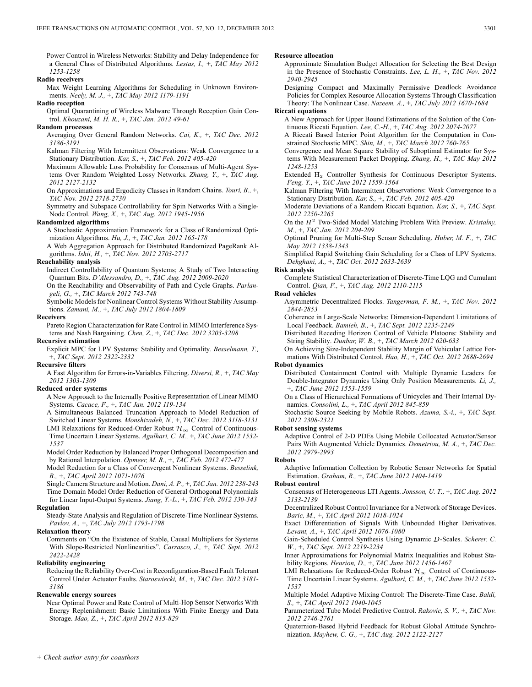Power Control in Wireless Networks: Stability and Delay Independence for a General Class of Distributed Algorithms. *Lestas, I.,* +, *TAC May 2012 1253-1258*

**Radio receivers**

Max Weight Learning Algorithms for Scheduling in Unknown Environments. *Neely, M. J.,* +, *TAC May 2012 1179-1191*

**Radio reception**

Optimal Quarantining of Wireless Malware Through Reception Gain Control. *Khouzani, M. H. R.,* +, *TAC Jan. 2012 49-61*

# **Random processes**

Averaging Over General Random Networks. *Cai, K.,* +, *TAC Dec. 2012 3186-3191*

Kalman Filtering With Intermittent Observations: Weak Convergence to a Stationary Distribution. *Kar, S.,* +, *TAC Feb. 2012 405-420*

Maximum Allowable Loss Probability for Consensus of Multi-Agent Systems Over Random Weighted Lossy Networks. *Zhang, Y.,* +, *TAC Aug. 2012 2127-2132*

On Approximations and Ergodicity Classes in Random Chains. *Touri, B.,* +, *TAC Nov. 2012 2718-2730*

Symmetry and Subspace Controllability for Spin Networks With a Single-Node Control. *Wang, X.,* +, *TAC Aug. 2012 1945-1956*

# **Randomized algorithms**

A Stochastic Approximation Framework for a Class of Randomized Optimization Algorithms. *Hu, J.,* +, *TAC Jan. 2012 165-178*

A Web Aggregation Approach for Distributed Randomized PageRank Algorithms. *Ishii, H.,* +, *TAC Nov. 2012 2703-2717*

# **Reachability analysis**

Indirect Controllability of Quantum Systems; A Study of Two Interacting Quantum Bits. *D'Alessandro, D.,* +, *TAC Aug. 2012 2009-2020*

On the Reachability and Observability of Path and Cycle Graphs. *Parlangeli, G.,* +, *TAC March 2012 743-748*

Symbolic Models for Nonlinear Control Systems Without Stability Assumptions. *Zamani, M.,* +, *TAC July 2012 1804-1809*

# **Receivers**

Pareto Region Characterization for Rate Control in MIMO Interference Systems and Nash Bargaining. *Chen, Z.,* +, *TAC Dec. 2012 3203-3208*

**Recursive estimation**

Explicit MPC for LPV Systems: Stability and Optimality. *Besselmann, T.,* +, *TAC Sept. 2012 2322-2332*

### **Recursive filters**

A Fast Algorithm for Errors-in-Variables Filtering. *Diversi, R.,* +, *TAC May 2012 1303-1309*

### **Reduced order systems**

A New Approach to the Internally Positive Representation of Linear MIMO Systems. *Cacace, F.,* +, *TAC Jan. 2012 119-134*

A Simultaneous Balanced Truncation Approach to Model Reduction of Switched Linear Systems. *Monshizadeh, N.,* +, *TAC Dec. 2012 3118-3131*

LMI Relaxations for Reduced-Order Robust  $\mathcal{H}_{\infty}$  Control of Continuous-Time Uncertain Linear Systems. *Agulhari, C. M.,* +, *TAC June 2012 1532- 1537*

Model Order Reduction by Balanced Proper Orthogonal Decomposition and by Rational Interpolation. *Opmeer, M. R.,* +, *TAC Feb. 2012 472-477*

Model Reduction for a Class of Convergent Nonlinear Systems. *Besselink, B.,* +, *TAC April 2012 1071-1076*

Single Camera Structure and Motion. *Dani, A. P.,* +, *TAC Jan. 2012 238-243* Time Domain Model Order Reduction of General Orthogonal Polynomials for Linear Input-Output Systems. *Jiang, Y.-L.,* +, *TAC Feb. 2012 330-343*

### **Regulation**

Steady-State Analysis and Regulation of Discrete-Time Nonlinear Systems. *Pavlov, A.,* +, *TAC July 2012 1793-1798*

# **Relaxation theory**

Comments on "On the Existence of Stable, Causal Multipliers for Systems With Slope-Restricted Nonlinearities". *Carrasco, J.,* +, *TAC Sept. 2012 2422-2428*

### **Reliability engineering**

Reducing the Reliability Over-Cost in Reconfiguration-Based Fault Tolerant Control Under Actuator Faults. *Staroswiecki, M.,* +, *TAC Dec. 2012 3181- 3186*

### **Renewable energy sources**

Near Optimal Power and Rate Control of Multi-Hop Sensor Networks With Energy Replenishment: Basic Limitations With Finite Energy and Data Storage. *Mao, Z.,* +, *TAC April 2012 815-829*

### **Resource allocation**

Approximate Simulation Budget Allocation for Selecting the Best Design in the Presence of Stochastic Constraints. *Lee, L. H.,* +, *TAC Nov. 2012 2940-2945*

Designing Compact and Maximally Permissive Deadlock Avoidance Policies for Complex Resource Allocation Systems Through Classification Theory: The Nonlinear Case. *Nazeem, A.,* +, *TAC July 2012 1670-1684*

### **Riccati equations**

A New Approach for Upper Bound Estimations of the Solution of the Continuous Riccati Equation. *Lee, C.-H.,* +, *TAC Aug. 2012 2074-2077*

- A Riccati Based Interior Point Algorithm for the Computation in Constrained Stochastic MPC. *Shin, M.,* +, *TAC March 2012 760-765*
- Convergence and Mean Square Stability of Suboptimal Estimator for Systems With Measurement Packet Dropping. *Zhang, H.,* +, *TAC May 2012 1248-1253*
- Extended  $H_2$  Controller Synthesis for Continuous Descriptor Systems. *Feng, Y.,* +, *TAC June 2012 1559-1564*

Kalman Filtering With Intermittent Observations: Weak Convergence to a Stationary Distribution. *Kar, S.,* +, *TAC Feb. 2012 405-420*

- Moderate Deviations of a Random Riccati Equation. *Kar, S.,* +, *TAC Sept. 2012 2250-2265*
- On the  $H^2$  Two-Sided Model Matching Problem With Preview. *Kristalny*, *M.,* +, *TAC Jan. 2012 204-209*
- Optimal Pruning for Multi-Step Sensor Scheduling. *Huber, M. F.,* +, *TAC May 2012 1338-1343*

Simplified Rapid Switching Gain Scheduling for a Class of LPV Systems. *Dehghani, A.,* +, *TAC Oct. 2012 2633-2639*

### **Risk analysis**

Complete Statistical Characterization of Discrete-Time LQG and Cumulant Control. *Qian, F.,* +, *TAC Aug. 2012 2110-2115*

### **Road vehicles**

Asymmetric Decentralized Flocks. *Tangerman, F. M.,* +, *TAC Nov. 2012 2844-2853*

Coherence in Large-Scale Networks: Dimension-Dependent Limitations of Local Feedback. *Bamieh, B.,* +, *TAC Sept. 2012 2235-2249*

Distributed Receding Horizon Control of Vehicle Platoons: Stability and String Stability. *Dunbar, W. B.,* +, *TAC March 2012 620-633*

On Achieving Size-Independent Stability Margin of Vehicular Lattice Formations With Distributed Control. *Hao, H.,* +, *TAC Oct. 2012 2688-2694*

# **Robot dynamics**

Distributed Containment Control with Multiple Dynamic Leaders for Double-Integrator Dynamics Using Only Position Measurements. *Li, J.,* +, *TAC June 2012 1553-1559*

On a Class of Hierarchical Formations of Unicycles and Their Internal Dynamics. *Consolini, L.,* +, *TAC April 2012 845-859*

Stochastic Source Seeking by Mobile Robots. *Azuma, S.-i.,* +, *TAC Sept. 2012 2308-2321*

### **Robot sensing systems**

Adaptive Control of 2-D PDEs Using Mobile Collocated Actuator/Sensor Pairs With Augmented Vehicle Dynamics. *Demetriou, M. A.,* +, *TAC Dec. 2012 2979-2993*

# **Robots**

Adaptive Information Collection by Robotic Sensor Networks for Spatial Estimation. *Graham, R.,* +, *TAC June 2012 1404-1419*

**Robust control** Consensus of Heterogeneous LTI Agents. *Jonsson, U. T.,* +, *TAC Aug. 2012 2133-2139*

Decentralized Robust Control Invariance for a Network of Storage Devices. *Baric, M.,* +, *TAC April 2012 1018-1024*

Exact Differentiation of Signals With Unbounded Higher Derivatives. *Levant, A.,* +, *TAC April 2012 1076-1080*

Gain-Scheduled Control Synthesis Using Dynamic D-Scales. Scherer, C. *W.,* +, *TAC Sept. 2012 2219-2234*

Inner Approximations for Polynomial Matrix Inequalities and Robust Stability Regions. *Henrion, D.,* +, *TAC June 2012 1456-1467*

LMI Relaxations for Reduced-Order Robust  $\mathcal{H}_{\infty}$  Control of Continuous-Time Uncertain Linear Systems. *Agulhari, C. M.,* +, *TAC June 2012 1532- 1537*

Multiple Model Adaptive Mixing Control: The Discrete-Time Case. *Baldi, S.,* +, *TAC April 2012 1040-1045*

Parameterized Tube Model Predictive Control. *Rakovic, S. V.,* +, *TAC Nov. 2012 2746-2761*

Quaternion-Based Hybrid Feedback for Robust Global Attitude Synchronization. *Mayhew, C. G.,* +, *TAC Aug. 2012 2122-2127*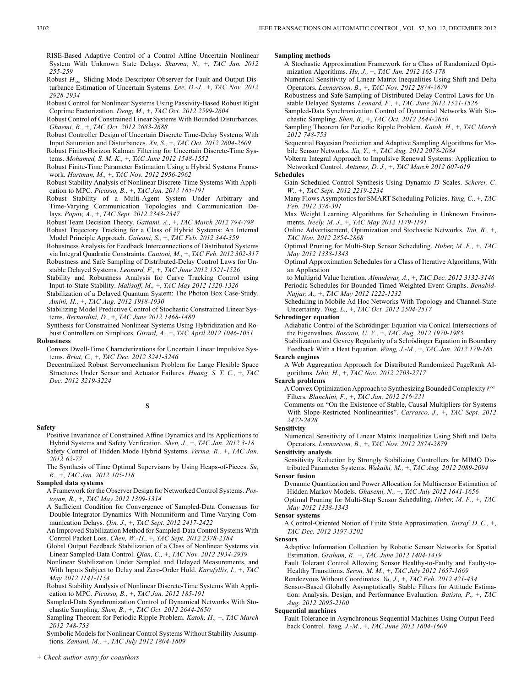RISE-Based Adaptive Control of a Control Affine Uncertain Nonlinear System With Unknown State Delays. *Sharma, N.,* +, *TAC Jan. 2012 255-259*

Robust  $H_{\infty}$  Sliding Mode Descriptor Observer for Fault and Output Disturbance Estimation of Uncertain Systems. *Lee, D.-J.,* +, *TAC Nov. 2012 2928-2934*

Robust Control for Nonlinear Systems Using Passivity-Based Robust Right Coprime Factorization. *Deng, M.,* +, *TAC Oct. 2012 2599-2604*

Robust Control of Constrained Linear Systems With Bounded Disturbances. *Ghaemi, R.,* +, *TAC Oct. 2012 2683-2688*

Robust Controller Design of Uncertain Discrete Time-Delay Systems With Input Saturation and Disturbances. *Xu, S.,* +, *TAC Oct. 2012 2604-2609*

Robust Finite-Horizon Kalman Filtering for Uncertain Discrete-Time Systems. *Mohamed, S. M. K.,* +, *TAC June 2012 1548-1552*

Robust Finite-Time Parameter Estimation Using a Hybrid Systems Framework. *Hartman, M.,* +, *TAC Nov. 2012 2956-2962*

Robust Stability Analysis of Nonlinear Discrete-Time Systems With Application to MPC. *Picasso, B.,* +, *TAC Jan. 2012 185-191*

Robust Stability of a Multi-Agent System Under Arbitrary and Time-Varying Communication Topologies and Communication Delays. *Popov, A.,* +, *TAC Sept. 2012 2343-2347*

Robust Team Decision Theory. *Gattami, A.,* +, *TAC March 2012 794-798*

Robust Trajectory Tracking for a Class of Hybrid Systems: An Internal Model Principle Approach. *Galeani, S.,* +, *TAC Feb. 2012 344-359*

Robustness Analysis for Feedback Interconnections of Distributed Systems via Integral Quadratic Constraints. *Cantoni, M.,* +, *TAC Feb. 2012 302-317* Robustness and Safe Sampling of Distributed-Delay Control Laws for Unstable Delayed Systems. *Leonard, F.,* +, *TAC June 2012 1521-1526*

Stability and Robustness Analysis for Curve Tracking Control using Input-to-State Stability. *Malisoff, M.,* +, *TAC May 2012 1320-1326*

Stabilization of a Delayed Quantum System: The Photon Box Case-Study. *Amini, H.,* +, *TAC Aug. 2012 1918-1930*

Stabilizing Model Predictive Control of Stochastic Constrained Linear Systems. *Bernardini, D.,* +, *TAC June 2012 1468-1480*

Synthesis for Constrained Nonlinear Systems Using Hybridization and Robust Controllers on Simplices. *Girard, A.,* +, *TAC April 2012 1046-1051* **Robustness**

Convex Dwell-Time Characterizations for Uncertain Linear Impulsive Systems. *Briat, C.,* +, *TAC Dec. 2012 3241-3246*

Decentralized Robust Servomechanism Problem for Large Flexible Space Structures Under Sensor and Actuator Failures. *Huang, S. T. C.,* +, *TAC Dec. 2012 3219-3224*

# **Safety**

Positive Invariance of Constrained Affine Dynamics and Its Applications to Hybrid Systems and Safety Verification. *Shen, J.,* +, *TAC Jan. 2012 3-18* Safety Control of Hidden Mode Hybrid Systems. *Verma, R.,* +, *TAC Jan. 2012 62-77*

The Synthesis of Time Optimal Supervisors by Using Heaps-of-Pieces. *Su, R.,* +, *TAC Jan. 2012 105-118*

# **Sampled data systems**

A Framework for the Observer Design for Networked Control Systems. *Postoyan, R.,* +, *TAC May 2012 1309-1314*

A Sufficient Condition for Convergence of Sampled-Data Consensus for Double-Integrator Dynamics With Nonuniform and Time-Varying Communication Delays. *Qin, J.,* +, *TAC Sept. 2012 2417-2422*

An Improved Stabilization Method for Sampled-Data Control Systems With Control Packet Loss. *Chen, W.-H.,* +, *TAC Sept. 2012 2378-2384*

Global Output Feedback Stabilization of a Class of Nonlinear Systems via Linear Sampled-Data Control. *Qian, C.,* +, *TAC Nov. 2012 2934-2939*

Nonlinear Stabilization Under Sampled and Delayed Measurements, and With Inputs Subject to Delay and Zero-Order Hold. *Karafyllis, I.,* +, *TAC May 2012 1141-1154*

Robust Stability Analysis of Nonlinear Discrete-Time Systems With Application to MPC. *Picasso, B.,* +, *TAC Jan. 2012 185-191*

Sampled-Data Synchronization Control of Dynamical Networks With Stochastic Sampling. *Shen, B.,* +, *TAC Oct. 2012 2644-2650*

Sampling Theorem for Periodic Ripple Problem. *Katoh, H.,* +, *TAC March 2012 748-753*

Symbolic Models for Nonlinear Control Systems Without Stability Assumptions. *Zamani, M.,* +, *TAC July 2012 1804-1809*

### **Sampling methods**

A Stochastic Approximation Framework for a Class of Randomized Optimization Algorithms. *Hu, J.,* +, *TAC Jan. 2012 165-178*

Numerical Sensitivity of Linear Matrix Inequalities Using Shift and Delta Operators. *Lennartson, B.,* +, *TAC Nov. 2012 2874-2879*

Robustness and Safe Sampling of Distributed-Delay Control Laws for Unstable Delayed Systems. *Leonard, F.,* +, *TAC June 2012 1521-1526*

Sampled-Data Synchronization Control of Dynamical Networks With Stochastic Sampling. *Shen, B.,* +, *TAC Oct. 2012 2644-2650*

Sampling Theorem for Periodic Ripple Problem. *Katoh, H.,* +, *TAC March 2012 748-753*

Sequential Bayesian Prediction and Adaptive Sampling Algorithms for Mobile Sensor Networks. *Xu, Y.,* +, *TAC Aug. 2012 2078-2084*

Volterra Integral Approach to Impulsive Renewal Systems: Application to Networked Control. *Antunes, D. J.,* +, *TAC March 2012 607-619*

# **Schedules**

Gain-Scheduled Control Synthesis Using Dynamic D-Scales. Scherer, C. *W.,* +, *TAC Sept. 2012 2219-2234*

Many Flows Asymptotics for SMART Scheduling Policies. *Yang, C.,* +, *TAC Feb. 2012 376-391*

Max Weight Learning Algorithms for Scheduling in Unknown Environments. *Neely, M. J.,* +, *TAC May 2012 1179-1191*

Online Advertisement, Optimization and Stochastic Networks. *Tan, B.,* +, *TAC Nov. 2012 2854-2868*

Optimal Pruning for Multi-Step Sensor Scheduling. *Huber, M. F.,* +, *TAC May 2012 1338-1343*

Optimal Approximation Schedules for a Class of Iterative Algorithms, With an Application

to Multigrid Value Iteration. *Almudevar, A.,* +, *TAC Dec. 2012 3132-3146* Periodic Schedules for Bounded Timed Weighted Event Graphs. *Benabid-Najjar, A.,* +, *TAC May 2012 1222-1232*

Scheduling in Mobile Ad Hoc Networks With Topology and Channel-State Uncertainty. *Ying, L.,* +, *TAC Oct. 2012 2504-2517*

**Schrodinger equation**

Adiabatic Control of the Schrödinger Equation via Conical Intersections of the Eigenvalues. *Boscain, U. V.,* +, *TAC Aug. 2012 1970-1983*

Stabilization and Gevrey Regularity of a Schrödinger Equation in Boundary Feedback With a Heat Equation. *Wang, J.-M.,* +, *TAC Jan. 2012 179-185*

# **Search engines**

A Web Aggregation Approach for Distributed Randomized PageRank Algorithms. *Ishii, H.,* +, *TAC Nov. 2012 2703-2717*

### **Search problems**

A Convex Optimization Approach to Synthesizing Bounded Complexity  $\ell^{\infty}$ Filters. *Blanchini, F.,* +, *TAC Jan. 2012 216-221*

Comments on "On the Existence of Stable, Causal Multipliers for Systems With Slope-Restricted Nonlinearities". *Carrasco, J.,* +, *TAC Sept. 2012 2422-2428*

# **Sensitivity**

Numerical Sensitivity of Linear Matrix Inequalities Using Shift and Delta Operators. *Lennartson, B.,* +, *TAC Nov. 2012 2874-2879*

### **Sensitivity analysis**

Sensitivity Reduction by Strongly Stabilizing Controllers for MIMO Distributed Parameter Systems. *Wakaiki, M.,* +, *TAC Aug. 2012 2089-2094*

**Sensor fusion**

Dynamic Quantization and Power Allocation for Multisensor Estimation of Hidden Markov Models. *Ghasemi, N.,* +, *TAC July 2012 1641-1656* Optimal Pruning for Multi-Step Sensor Scheduling. *Huber, M. F.,* +, *TAC*

*May 2012 1338-1343*

# **Sensor systems**

A Control-Oriented Notion of Finite State Approximation. *Tarraf, D. C.,* +, *TAC Dec. 2012 3197-3202*

**Sensors**

Adaptive Information Collection by Robotic Sensor Networks for Spatial Estimation. *Graham, R.,* +, *TAC June 2012 1404-1419*

Fault Tolerant Control Allowing Sensor Healthy-to-Faulty and Faulty-to-Healthy Transitions. *Seron, M. M.,* +, *TAC July 2012 1657-1669*

Rendezvous Without Coordinates. *Yu, J.,* +, *TAC Feb. 2012 421-434*

Sensor-Based Globally Asymptotically Stable Filters for Attitude Estimation: Analysis, Design, and Performance Evaluation. *Batista, P.,* +, *TAC Aug. 2012 2095-2100*

# **Sequential machines**

Fault Tolerance in Asynchronous Sequential Machines Using Output Feedback Control. *Yang, J.-M.,* +, *TAC June 2012 1604-1609*

**S**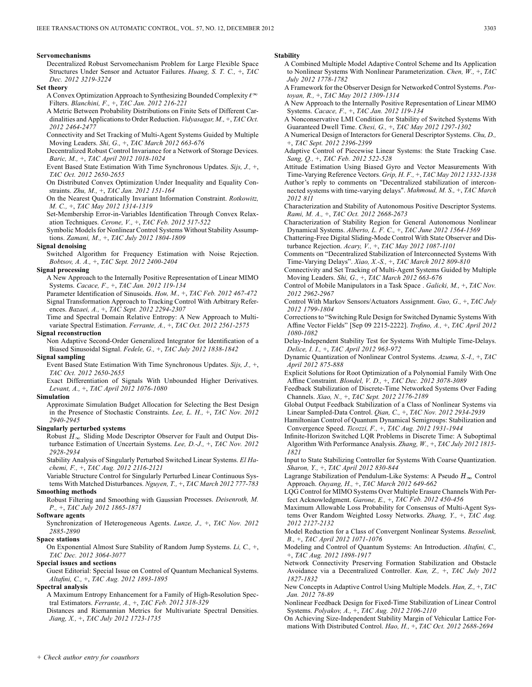### **Servomechanisms**

Decentralized Robust Servomechanism Problem for Large Flexible Space Structures Under Sensor and Actuator Failures. *Huang, S. T. C.,* +, *TAC Dec. 2012 3219-3224*

**Set theory**

A Convex Optimization Approach to Synthesizing Bounded Complexity  $\ell^{\infty}$ Filters. *Blanchini, F.,* +, *TAC Jan. 2012 216-221*

A Metric Between Probability Distributions on Finite Sets of Different Cardinalities and Applications to Order Reduction. *Vidyasagar, M.,* +, *TAC Oct. 2012 2464-2477*

Connectivity and Set Tracking of Multi-Agent Systems Guided by Multiple Moving Leaders. *Shi, G.,* +, *TAC March 2012 663-676*

Decentralized Robust Control Invariance for a Network of Storage Devices. *Baric, M.,* +, *TAC April 2012 1018-1024*

Event Based State Estimation With Time Synchronous Updates. *Sijs, J.,* +, *TAC Oct. 2012 2650-2655*

On Distributed Convex Optimization Under Inequality and Equality Constraints. *Zhu, M.,* +, *TAC Jan. 2012 151-164*

On the Nearest Quadratically Invariant Information Constraint. *Rotkowitz, M. C.,* +, *TAC May 2012 1314-1319*

Set-Membership Error-in-Variables Identification Through Convex Relaxation Techniques. *Cerone, V.,* +, *TAC Feb. 2012 517-522*

Symbolic Models for Nonlinear Control Systems Without Stability Assumptions. *Zamani, M.,* +, *TAC July 2012 1804-1809*

### **Signal denoising**

Switched Algorithm for Frequency Estimation with Noise Rejection. *Bobtsov, A. A.,* +, *TAC Sept. 2012 2400-2404*

### **Signal processing**

A New Approach to the Internally Positive Representation of Linear MIMO Systems. *Cacace, F.,* +, *TAC Jan. 2012 119-134*

Parameter Identification of Sinusoids. *Hou, M.,* +, *TAC Feb. 2012 467-472* Signal Transformation Approach to Tracking Control With Arbitrary References. *Bazaei, A.,* +, *TAC Sept. 2012 2294-2307*

Time and Spectral Domain Relative Entropy: A New Approach to Multivariate Spectral Estimation. *Ferrante, A.,* +, *TAC Oct. 2012 2561-2575*

# **Signal reconstruction**

Non Adaptive Second-Order Generalized Integrator for Identification of a Biased Sinusoidal Signal. *Fedele, G.,* +, *TAC July 2012 1838-1842*

# **Signal sampling**

Event Based State Estimation With Time Synchronous Updates. *Sijs, J.,* +, *TAC Oct. 2012 2650-2655*

Exact Differentiation of Signals With Unbounded Higher Derivatives. *Levant, A.,* +, *TAC April 2012 1076-1080*

### **Simulation**

Approximate Simulation Budget Allocation for Selecting the Best Design in the Presence of Stochastic Constraints. *Lee, L. H.,* +, *TAC Nov. 2012 2940-2945*

# **Singularly perturbed systems**

Robust  $H_{\infty}$  Sliding Mode Descriptor Observer for Fault and Output Disturbance Estimation of Uncertain Systems. *Lee, D.-J.,* +, *TAC Nov. 2012 2928-2934*

Stability Analysis of Singularly Perturbed Switched Linear Systems. *El Hachemi, F.,* +, *TAC Aug. 2012 2116-2121*

Variable Structure Control for Singularly Perturbed Linear Continuous Systems With Matched Disturbances. *Nguyen, T.,* +, *TAC March 2012 777-783*

# **Smoothing methods**

Robust Filtering and Smoothing with Gaussian Processes. *Deisenroth, M. P.,* +, *TAC July 2012 1865-1871*

### **Software agents**

Synchronization of Heterogeneous Agents. *Lunze, J.,* +, *TAC Nov. 2012 2885-2890*

### **Space stations**

On Exponential Almost Sure Stability of Random Jump Systems. *Li, C.,* +, *TAC Dec. 2012 3064-3077*

## **Special issues and sections**

Guest Editorial: Special Issue on Control of Quantum Mechanical Systems. *Altafini, C.,* +, *TAC Aug. 2012 1893-1895*

# **Spectral analysis**

A Maximum Entropy Enhancement for a Family of High-Resolution Spectral Estimators. *Ferrante, A.,* +, *TAC Feb. 2012 318-329*

Distances and Riemannian Metrics for Multivariate Spectral Densities. *Jiang, X.,* +, *TAC July 2012 1723-1735*

### **Stability**

- A Combined Multiple Model Adaptive Control Scheme and Its Application to Nonlinear Systems With Nonlinear Parameterization. *Chen, W.,* +, *TAC July 2012 1778-1782*
- A Framework for the Observer Design for Networked Control Systems. *Postoyan, R.,* +, *TAC May 2012 1309-1314*

A New Approach to the Internally Positive Representation of Linear MIMO Systems. *Cacace, F.,* +, *TAC Jan. 2012 119-134*

- A Nonconservative LMI Condition for Stability of Switched Systems With Guaranteed Dwell Time. *Chesi, G.,* +, *TAC May 2012 1297-1302*
- A Numerical Design of Interactors for General Descriptor Systems. *Chu, D.,* +, *TAC Sept. 2012 2396-2399*
- Adaptive Control of Piecewise Linear Systems: the State Tracking Case. *Sang, Q.,* +, *TAC Feb. 2012 522-528*
- Attitude Estimation Using Biased Gyro and Vector Measurements With Time-Varying Reference Vectors. *Grip, H. F.,* +, *TAC May 2012 1332-1338* Author's reply to comments on "Decentralized stabilization of intercon-
- nected systems with time-varying delays". *Mahmoud, M. S.,* +, *TAC March 2012 811*
- Characterization and Stability of Autonomous Positive Descriptor Systems. *Rami, M. A.,* +, *TAC Oct. 2012 2668-2673*
- Characterization of Stability Region for General Autonomous Nonlinear Dynamical Systems. *Alberto, L. F. C.,* +, *TAC June 2012 1564-1569*
- Chattering-Free Digital Sliding-Mode Control With State Observer and Disturbance Rejection. *Acary, V.,* +, *TAC May 2012 1087-1101*
- Comments on "Decentralized Stabilization of Interconnected Systems With Time-Varying Delays". *Xiao, X.-S.,* +, *TAC March 2012 809-810*
- Connectivity and Set Tracking of Multi-Agent Systems Guided by Multiple Moving Leaders. *Shi, G.,* +, *TAC March 2012 663-676*
- Control of Mobile Manipulators in a Task Space . *Galicki, M.,* +, *TAC Nov. 2012 2962-2967*
- Control With Markov Sensors/Actuators Assignment. *Guo, G.,* +, *TAC July 2012 1799-1804*
- Corrections to "Switching Rule Design for Switched Dynamic Systems With Affine Vector Fields" [Sep 09 2215-2222]. *Trofino, A.,* +, *TAC April 2012 1080-1082*
- Delay-Independent Stability Test for Systems With Multiple Time-Delays. *Delice, I. I.,* +, *TAC April 2012 963-972*
- Dynamic Quantization of Nonlinear Control Systems. *Azuma, S.-I.,* +, *TAC April 2012 875-888*
- Explicit Solutions for Root Optimization of a Polynomial Family With One Affine Constraint. *Blondel, V. D.,* +, *TAC Dec. 2012 3078-3089*
- Feedback Stabilization of Discrete-Time Networked Systems Over Fading Channels. *Xiao, N.,* +, *TAC Sept. 2012 2176-2189*
- Global Output Feedback Stabilization of a Class of Nonlinear Systems via Linear Sampled-Data Control. *Qian, C.,* +, *TAC Nov. 2012 2934-2939*
- Hamiltonian Control of Quantum Dynamical Semigroups: Stabilization and Convergence Speed. *Ticozzi, F.,* +, *TAC Aug. 2012 1931-1944*
- Infinite-Horizon Switched LQR Problems in Discrete Time: A Suboptimal Algorithm With Performance Analysis. *Zhang, W.,* +, *TAC July 2012 1815- 1821*
- Input to State Stabilizing Controller for Systems With Coarse Quantization. *Sharon, Y.,* +, *TAC April 2012 830-844*
- Lagrange Stabilization of Pendulum-Like Systems: A Pseudo  $H_{\infty}$  Control Approach. *Ouyang, H.,* +, *TAC March 2012 649-662*
- LQG Control for MIMO Systems Over Multiple Erasure Channels With Perfect Acknowledgment. *Garone, E.,* +, *TAC Feb. 2012 450-456*
- Maximum Allowable Loss Probability for Consensus of Multi-Agent Systems Over Random Weighted Lossy Networks. *Zhang, Y.,* +, *TAC Aug. 2012 2127-2132*
- Model Reduction for a Class of Convergent Nonlinear Systems. *Besselink, B.,* +, *TAC April 2012 1071-1076*
- Modeling and Control of Quantum Systems: An Introduction. *Altafini, C.,* +, *TAC Aug. 2012 1898-1917*
- Network Connectivity Preserving Formation Stabilization and Obstacle Avoidance via a Decentralized Controller. *Kan, Z.,* +, *TAC July 2012 1827-1832*
- New Concepts in Adaptive Control Using Multiple Models. *Han, Z.,* +, *TAC Jan. 2012 78-89*
- Nonlinear Feedback Design for Fixed-Time Stabilization of Linear Control Systems. *Polyakov, A.,* +, *TAC Aug. 2012 2106-2110*
- On Achieving Size-Independent Stability Margin of Vehicular Lattice Formations With Distributed Control. *Hao, H.,* +, *TAC Oct. 2012 2688-2694*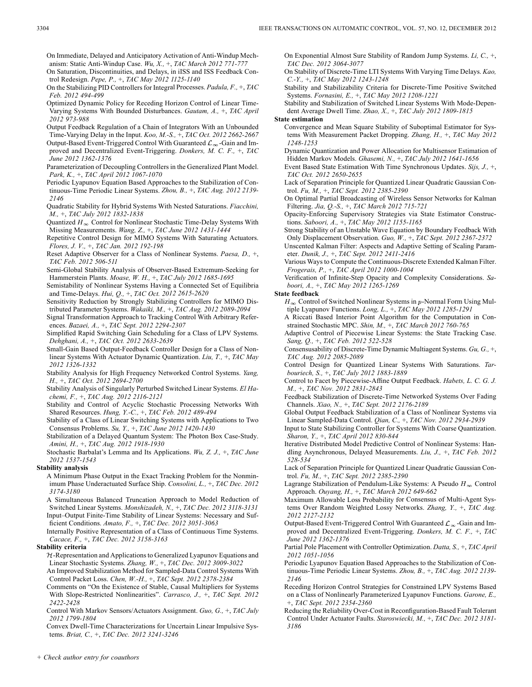On Immediate, Delayed and Anticipatory Activation of Anti-Windup Mechanism: Static Anti-Windup Case. *Wu, X.,* +, *TAC March 2012 771-777*

On Saturation, Discontinuities, and Delays, in iISS and ISS Feedback Control Redesign. *Pepe, P.,* +, *TAC May 2012 1125-1140*

On the Stabilizing PID Controllers for Integral Processes. *Padula, F.,* +, *TAC Feb. 2012 494-499*

Optimized Dynamic Policy for Receding Horizon Control of Linear Time-Varying Systems With Bounded Disturbances. *Gautam, A.,* +, *TAC April 2012 973-988*

Output Feedback Regulation of a Chain of Integrators With an Unbounded Time-Varying Delay in the Input. *Koo, M.-S.,* +, *TAC Oct. 2012 2662-2667* Output-Based Event-Triggered Control With Guaranteed  $\mathcal{L}_{\infty}$ -Gain and Improved and Decentralized Event-Triggering. *Donkers, M. C. F.,* +, *TAC June 2012 1362-1376*

Parameterization of Decoupling Controllers in the Generalized Plant Model. *Park, K.,* +, *TAC April 2012 1067-1070*

- Periodic Lyapunov Equation Based Approaches to the Stabilization of Continuous-Time Periodic Linear Systems. *Zhou, B.,* +, *TAC Aug. 2012 2139- 2146*
- Quadratic Stability for Hybrid Systems With Nested Saturations. *Fiacchini, M.,* +, *TAC July 2012 1832-1838*
- Quantized  $H_{\infty}$  Control for Nonlinear Stochastic Time-Delay Systems With Missing Measurements. *Wang, Z.,* +, *TAC June 2012 1431-1444*

Repetitive Control Design for MIMO Systems With Saturating Actuators. *Flores, J. V.,* +, *TAC Jan. 2012 192-198*

Reset Adaptive Observer for a Class of Nonlinear Systems. *Paesa, D.,* +, *TAC Feb. 2012 506-511*

Semi-Global Stability Analysis of Observer-Based Extremum-Seeking for Hammerstein Plants. *Moase, W. H.,* +, *TAC July 2012 1685-1695*

Semistability of Nonlinear Systems Having a Connected Set of Equilibria and Time-Delays. *Hui, Q.,* +, *TAC Oct. 2012 2615-2620*

Sensitivity Reduction by Strongly Stabilizing Controllers for MIMO Distributed Parameter Systems. *Wakaiki, M.,* +, *TAC Aug. 2012 2089-2094*

Signal Transformation Approach to Tracking Control With Arbitrary References. *Bazaei, A.,* +, *TAC Sept. 2012 2294-2307*

Simplified Rapid Switching Gain Scheduling for a Class of LPV Systems. *Dehghani, A.,* +, *TAC Oct. 2012 2633-2639*

Small-Gain Based Output-Feedback Controller Design for a Class of Nonlinear Systems With Actuator Dynamic Quantization. *Liu, T.,* +, *TAC May 2012 1326-1332*

Stability Analysis for High Frequency Networked Control Systems. *Yang, H.,* +, *TAC Oct. 2012 2694-2700*

Stability Analysis of Singularly Perturbed Switched Linear Systems. *El Hachemi, F.,* +, *TAC Aug. 2012 2116-2121*

Stability and Control of Acyclic Stochastic Processing Networks With Shared Resources. *Hung, Y.-C.,* +, *TAC Feb. 2012 489-494*

Stability of a Class of Linear Switching Systems with Applications to Two Consensus Problems. *Su, Y.,* +, *TAC June 2012 1420-1430*

Stabilization of a Delayed Quantum System: The Photon Box Case-Study. *Amini, H.,* +, *TAC Aug. 2012 1918-1930*

Stochastic Barbalat's Lemma and Its Applications. *Wu, Z. J.,* +, *TAC June 2012 1537-1543*

### **Stability analysis**

A Minimum Phase Output in the Exact Tracking Problem for the Nonminimum Phase Underactuated Surface Ship. *Consolini, L.,* +, *TAC Dec. 2012 3174-3180*

A Simultaneous Balanced Truncation Approach to Model Reduction of Switched Linear Systems. *Monshizadeh, N.,* +, *TAC Dec. 2012 3118-3131* Input–Output Finite-Time Stability of Linear Systems: Necessary and Sufficient Conditions. *Amato, F.,* +, *TAC Dec. 2012 3051-3063*

Internally Positive Representation of a Class of Continuous Time Systems. *Cacace, F.,* +, *TAC Dec. 2012 3158-3163*

### **Stability criteria**

 $H$ -Representation and Applications to Generalized Lyapunov Equations and Linear Stochastic Systems. *Zhang, W.,* +, *TAC Dec. 2012 3009-3022*

An Improved Stabilization Method for Sampled-Data Control Systems With Control Packet Loss. *Chen, W.-H.,* +, *TAC Sept. 2012 2378-2384*

Comments on "On the Existence of Stable, Causal Multipliers for Systems With Slope-Restricted Nonlinearities". *Carrasco, J.,* +, *TAC Sept. 2012 2422-2428*

Control With Markov Sensors/Actuators Assignment. *Guo, G.,* +, *TAC July 2012 1799-1804*

Convex Dwell-Time Characterizations for Uncertain Linear Impulsive Systems. *Briat, C.,* +, *TAC Dec. 2012 3241-3246*

On Exponential Almost Sure Stability of Random Jump Systems. *Li, C.,* +, *TAC Dec. 2012 3064-3077*

On Stability of Discrete-Time LTI Systems With Varying Time Delays. *Kao, C.-Y.,* +, *TAC May 2012 1243-1248*

Stability and Stabilizability Criteria for Discrete-Time Positive Switched Systems. *Fornasini, E.,* +, *TAC May 2012 1208-1221*

Stability and Stabilization of Switched Linear Systems With Mode-Dependent Average Dwell Time. *Zhao, X.,* +, *TAC July 2012 1809-1815*

# **State estimation**

Convergence and Mean Square Stability of Suboptimal Estimator for Systems With Measurement Packet Dropping. *Zhang, H.,* +, *TAC May 2012 1248-1253*

Dynamic Quantization and Power Allocation for Multisensor Estimation of Hidden Markov Models. *Ghasemi, N.,* +, *TAC July 2012 1641-1656*

Event Based State Estimation With Time Synchronous Updates. *Sijs, J.,* +, *TAC Oct. 2012 2650-2655*

Lack of Separation Principle for Quantized Linear Quadratic Gaussian Control. *Fu, M.,* +, *TAC Sept. 2012 2385-2390*

On Optimal Partial Broadcasting of Wireless Sensor Networks for Kalman Filtering. *Jia, Q.-S.,* +, *TAC March 2012 715-721*

Opacity-Enforcing Supervisory Strategies via State Estimator Constructions. *Saboori, A.,* +, *TAC May 2012 1155-1165*

Strong Stability of an Unstable Wave Equation by Boundary Feedback With Only Displacement Observation. *Guo, W.,* +, *TAC Sept. 2012 2367-2372* Unscented Kalman Filter: Aspects and Adaptive Setting of Scaling Param-

eter. *Dunik, J.,* +, *TAC Sept. 2012 2411-2416*

Various Ways to Compute the Continuous-Discrete Extended Kalman Filter. *Frogerais, P.,* +, *TAC April 2012 1000-1004*

Verification of Infinite-Step Opacity and Complexity Considerations. *Saboori, A.,* +, *TAC May 2012 1265-1269*

# **State feedback**

 $H_{\infty}$  Control of Switched Nonlinear Systems in p-Normal Form Using Multiple Lyapunov Functions. *Long, L.,* +, *TAC May 2012 1285-1291*

A Riccati Based Interior Point Algorithm for the Computation in Constrained Stochastic MPC. *Shin, M.,* +, *TAC March 2012 760-765*

Adaptive Control of Piecewise Linear Systems: the State Tracking Case. *Sang, Q.,* +, *TAC Feb. 2012 522-528*

Consensusability of Discrete-Time Dynamic Multiagent Systems. *Gu, G.,* +, *TAC Aug. 2012 2085-2089*

Control Design for Quantized Linear Systems With Saturations. *Tarbouriech, S.,* +, *TAC July 2012 1883-1889*

Control to Facet by Piecewise-Affine Output Feedback. *Habets, L. C. G. J. M.,* +, *TAC Nov. 2012 2831-2843*

Feedback Stabilization of Discrete-Time Networked Systems Over Fading Channels. *Xiao, N.,* +, *TAC Sept. 2012 2176-2189*

Global Output Feedback Stabilization of a Class of Nonlinear Systems via Linear Sampled-Data Control. *Qian, C.,* +, *TAC Nov. 2012 2934-2939*

Input to State Stabilizing Controller for Systems With Coarse Quantization. *Sharon, Y.,* +, *TAC April 2012 830-844*

Iterative Distributed Model Predictive Control of Nonlinear Systems: Handling Asynchronous, Delayed Measurements. *Liu, J.,* +, *TAC Feb. 2012 528-534*

Lack of Separation Principle for Quantized Linear Quadratic Gaussian Control. *Fu, M.,* +, *TAC Sept. 2012 2385-2390*

Lagrange Stabilization of Pendulum-Like Systems: A Pseudo  $H_{\infty}$  Control Approach. *Ouyang, H.,* +, *TAC March 2012 649-662*

Maximum Allowable Loss Probability for Consensus of Multi-Agent Systems Over Random Weighted Lossy Networks. *Zhang, Y.,* +, *TAC Aug. 2012 2127-2132*

Output-Based Event-Triggered Control With Guaranteed  $\mathcal{L}_{\infty}$ -Gain and Improved and Decentralized Event-Triggering. *Donkers, M. C. F.,* +, *TAC June 2012 1362-1376*

Partial Pole Placement with Controller Optimization. *Datta, S.,* +, *TAC April 2012 1051-1056*

Periodic Lyapunov Equation Based Approaches to the Stabilization of Continuous-Time Periodic Linear Systems. *Zhou, B.,* +, *TAC Aug. 2012 2139- 2146*

Receding Horizon Control Strategies for Constrained LPV Systems Based on a Class of Nonlinearly Parameterized Lyapunov Functions. *Garone, E.,* +, *TAC Sept. 2012 2354-2360*

Reducing the Reliability Over-Cost in Reconfiguration-Based Fault Tolerant Control Under Actuator Faults. *Staroswiecki, M.,* +, *TAC Dec. 2012 3181- 3186*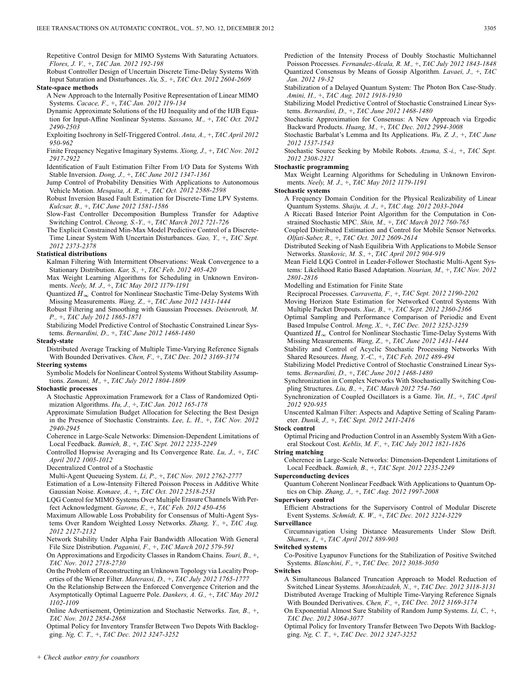Repetitive Control Design for MIMO Systems With Saturating Actuators. *Flores, J. V.,* +, *TAC Jan. 2012 192-198*

Robust Controller Design of Uncertain Discrete Time-Delay Systems With Input Saturation and Disturbances. *Xu, S.,* +, *TAC Oct. 2012 2604-2609*

### **State-space methods**

A New Approach to the Internally Positive Representation of Linear MIMO Systems. *Cacace, F.,* +, *TAC Jan. 2012 119-134*

Dynamic Approximate Solutions of the HJ Inequality and of the HJB Equation for Input-Affine Nonlinear Systems. *Sassano, M.,* +, *TAC Oct. 2012 2490-2503*

Exploiting Isochrony in Self-Triggered Control. *Anta, A.,* +, *TAC April 2012 950-962*

Finite Frequency Negative Imaginary Systems. *Xiong, J.,* +, *TAC Nov. 2012 2917-2922*

Identification of Fault Estimation Filter From I/O Data for Systems With Stable Inversion. *Dong, J.,* +, *TAC June 2012 1347-1361*

Jump Control of Probability Densities With Applications to Autonomous Vehicle Motion. *Mesquita, A. R.,* +, *TAC Oct. 2012 2588-2598*

Robust Inversion Based Fault Estimation for Discrete-Time LPV Systems. *Kulcsar, B.,* +, *TAC June 2012 1581-1586*

Slow-Fast Controller Decomposition Bumpless Transfer for Adaptive Switching Control. *Cheong, S.-Y.,* +, *TAC March 2012 721-726*

The Explicit Constrained Min-Max Model Predictive Control of a Discrete-Time Linear System With Uncertain Disturbances. *Gao, Y.,* +, *TAC Sept. 2012 2373-2378*

### **Statistical distributions**

Kalman Filtering With Intermittent Observations: Weak Convergence to a Stationary Distribution. *Kar, S.,* +, *TAC Feb. 2012 405-420*

Max Weight Learning Algorithms for Scheduling in Unknown Environments. *Neely, M. J.,* +, *TAC May 2012 1179-1191*

Quantized  $H_{\infty}$  Control for Nonlinear Stochastic Time-Delay Systems With Missing Measurements. *Wang, Z.,* +, *TAC June 2012 1431-1444*

Robust Filtering and Smoothing with Gaussian Processes. *Deisenroth, M. P.,* +, *TAC July 2012 1865-1871*

Stabilizing Model Predictive Control of Stochastic Constrained Linear Systems. *Bernardini, D.,* +, *TAC June 2012 1468-1480*

### **Steady-state**

Distributed Average Tracking of Multiple Time-Varying Reference Signals With Bounded Derivatives. *Chen, F.,* +, *TAC Dec. 2012 3169-3174*

**Steering systems**

Symbolic Models for Nonlinear Control Systems Without Stability Assumptions. *Zamani, M.,* +, *TAC July 2012 1804-1809*

# **Stochastic processes**

A Stochastic Approximation Framework for a Class of Randomized Optimization Algorithms. *Hu, J.,* +, *TAC Jan. 2012 165-178*

Approximate Simulation Budget Allocation for Selecting the Best Design in the Presence of Stochastic Constraints. *Lee, L. H.,* +, *TAC Nov. 2012 2940-2945*

Coherence in Large-Scale Networks: Dimension-Dependent Limitations of Local Feedback. *Bamieh, B.,* +, *TAC Sept. 2012 2235-2249*

Controlled Hopwise Averaging and Its Convergence Rate. *Lu, J.,* +, *TAC April 2012 1005-1012*

Decentralized Control of a Stochastic

Multi-Agent Queueing System. *Li, P.,* +, *TAC Nov. 2012 2762-2777*

Estimation of a Low-Intensity Filtered Poisson Process in Additive White Gaussian Noise. *Komaee, A.,* +, *TAC Oct. 2012 2518-2531*

LQG Control for MIMO Systems Over Multiple Erasure Channels With Per-

- fect Acknowledgment. *Garone, E.,* +, *TAC Feb. 2012 450-456* Maximum Allowable Loss Probability for Consensus of Multi-Agent Systems Over Random Weighted Lossy Networks. *Zhang, Y.,* +, *TAC Aug. 2012 2127-2132*
- Network Stability Under Alpha Fair Bandwidth Allocation With General File Size Distribution. *Paganini, F.,* +, *TAC March 2012 579-591*

On Approximations and Ergodicity Classes in Random Chains. *Touri, B.,* +, *TAC Nov. 2012 2718-2730*

On the Problem of Reconstructing an Unknown Topology via Locality Properties of the Wiener Filter. *Materassi, D.,* +, *TAC July 2012 1765-1777*

On the Relationship Between the Enforced Convergence Criterion and the Asymptotically Optimal Laguerre Pole. *Dankers, A. G.,* +, *TAC May 2012 1102-1109*

Online Advertisement, Optimization and Stochastic Networks. *Tan, B.,* +, *TAC Nov. 2012 2854-2868*

Optimal Policy for Inventory Transfer Between Two Depots With Backlogging. *Ng, C. T.,* +, *TAC Dec. 2012 3247-3252*

Stabilization of a Delayed Quantum System: The Photon Box Case-Study. *Amini, H.,* +, *TAC Aug. 2012 1918-1930*

Stabilizing Model Predictive Control of Stochastic Constrained Linear Systems. *Bernardini, D.,* +, *TAC June 2012 1468-1480*

Stochastic Approximation for Consensus: A New Approach via Ergodic Backward Products. *Huang, M.,* +, *TAC Dec. 2012 2994-3008*

Stochastic Barbalat's Lemma and Its Applications. *Wu, Z. J.,* +, *TAC June 2012 1537-1543*

Stochastic Source Seeking by Mobile Robots. *Azuma, S.-i.,* +, *TAC Sept. 2012 2308-2321*

### **Stochastic programming**

Max Weight Learning Algorithms for Scheduling in Unknown Environments. *Neely, M. J.,* +, *TAC May 2012 1179-1191*

**Stochastic systems**

A Frequency Domain Condition for the Physical Realizability of Linear Quantum Systems. *Shaiju, A. J.,* +, *TAC Aug. 2012 2033-2044*

A Riccati Based Interior Point Algorithm for the Computation in Constrained Stochastic MPC. *Shin, M.,* +, *TAC March 2012 760-765*

Coupled Distributed Estimation and Control for Mobile Sensor Networks. *Olfati-Saber, R.,* +, *TAC Oct. 2012 2609-2614*

Distributed Seeking of Nash Equilibria With Applications to Mobile Sensor Networks. *Stankovic, M. S.,* +, *TAC April 2012 904-919*

Mean Field LQG Control in Leader-Follower Stochastic Multi-Agent Systems: Likelihood Ratio Based Adaptation. *Nourian, M.,* +, *TAC Nov. 2012 2801-2816*

Modelling and Estimation for Finite State

Reciprocal Processes. *Carravetta, F.,* +, *TAC Sept. 2012 2190-2202* Moving Horizon State Estimation for Networked Control Systems With

Multiple Packet Dropouts. *Xue, B.,* +, *TAC Sept. 2012 2360-2366* Optimal Sampling and Performance Comparison of Periodic and Event Based Impulse Control. *Meng, X.,* +, *TAC Dec. 2012 3252-3259*

Quantized  $H_{\infty}$  Control for Nonlinear Stochastic Time-Delay Systems With Missing Measurements. *Wang, Z.,* +, *TAC June 2012 1431-1444*

Stability and Control of Acyclic Stochastic Processing Networks With Shared Resources. *Hung, Y.-C.,* +, *TAC Feb. 2012 489-494*

Stabilizing Model Predictive Control of Stochastic Constrained Linear Systems. *Bernardini, D.,* +, *TAC June 2012 1468-1480*

Synchronization in Complex Networks With Stochastically Switching Coupling Structures. *Liu, B.,* +, *TAC March 2012 754-760*

Synchronization of Coupled Oscillators is a Game. *Yin, H.,* +, *TAC April 2012 920-935*

Unscented Kalman Filter: Aspects and Adaptive Setting of Scaling Parameter. *Dunik, J.,* +, *TAC Sept. 2012 2411-2416*

# **Stock control**

Optimal Pricing and Production Control in an Assembly System With a General Stockout Cost. *Keblis, M. F.,* +, *TAC July 2012 1821-1826*

**String matching**

Coherence in Large-Scale Networks: Dimension-Dependent Limitations of Local Feedback. *Bamieh, B.,* +, *TAC Sept. 2012 2235-2249*

**Superconducting devices**

Quantum Coherent Nonlinear Feedback With Applications to Quantum Optics on Chip. *Zhang, J.,* +, *TAC Aug. 2012 1997-2008*

**Supervisory control**

Efficient Abstractions for the Supervisory Control of Modular Discrete Event Systems. *Schmidt, K. W.,* +, *TAC Dec. 2012 3224-3229*

**Surveillance**

Circumnavigation Using Distance Measurements Under Slow Drift. *Shames, I.,* +, *TAC April 2012 889-903*

**Switched systems**

Co-Positive Lyapunov Functions for the Stabilization of Positive Switched Systems. *Blanchini, F.,* +, *TAC Dec. 2012 3038-3050*

**Switches**

A Simultaneous Balanced Truncation Approach to Model Reduction of Switched Linear Systems. *Monshizadeh, N.,* +, *TAC Dec. 2012 3118-3131* Distributed Average Tracking of Multiple Time-Varying Reference Signals With Bounded Derivatives. *Chen, F.,* +, *TAC Dec. 2012 3169-3174*

On Exponential Almost Sure Stability of Random Jump Systems. *Li, C.,* +, *TAC Dec. 2012 3064-3077*

Optimal Policy for Inventory Transfer Between Two Depots With Backlogging. *Ng, C. T.,* +, *TAC Dec. 2012 3247-3252*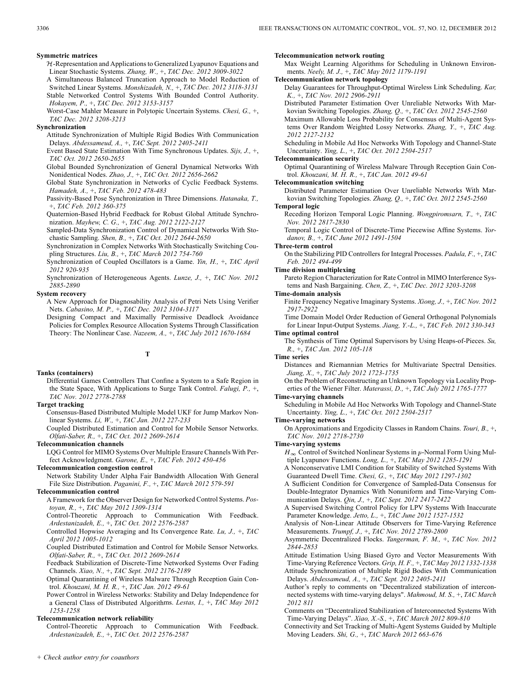### **Symmetric matrices**

 $H$ -Representation and Applications to Generalized Lyapunov Equations and Linear Stochastic Systems. *Zhang, W.,* +, *TAC Dec. 2012 3009-3022*

A Simultaneous Balanced Truncation Approach to Model Reduction of Switched Linear Systems. *Monshizadeh, N.,* +, *TAC Dec. 2012 3118-3131* Stable Networked Control Systems With Bounded Control Authority. *Hokayem, P.,* +, *TAC Dec. 2012 3153-3157*

Worst-Case Mahler Measure in Polytopic Uncertain Systems. *Chesi, G.,* +, *TAC Dec. 2012 3208-3213*

### **Synchronization**

Attitude Synchronization of Multiple Rigid Bodies With Communication Delays. *Abdessameud, A.,* +, *TAC Sept. 2012 2405-2411*

Event Based State Estimation With Time Synchronous Updates. *Sijs, J.,* +, *TAC Oct. 2012 2650-2655*

Global Bounded Synchronization of General Dynamical Networks With Nonidentical Nodes. *Zhao, J.,* +, *TAC Oct. 2012 2656-2662*

Global State Synchronization in Networks of Cyclic Feedback Systems. *Hamadeh, A.,* +, *TAC Feb. 2012 478-483*

Passivity-Based Pose Synchronization in Three Dimensions. *Hatanaka, T.,* +, *TAC Feb. 2012 360-375*

Quaternion-Based Hybrid Feedback for Robust Global Attitude Synchronization. *Mayhew, C. G.,* +, *TAC Aug. 2012 2122-2127*

Sampled-Data Synchronization Control of Dynamical Networks With Stochastic Sampling. *Shen, B.,* +, *TAC Oct. 2012 2644-2650*

Synchronization in Complex Networks With Stochastically Switching Coupling Structures. *Liu, B.,* +, *TAC March 2012 754-760*

Synchronization of Coupled Oscillators is a Game. *Yin, H.,* +, *TAC April 2012 920-935*

Synchronization of Heterogeneous Agents. *Lunze, J.,* +, *TAC Nov. 2012 2885-2890*

### **System recovery**

A New Approach for Diagnosability Analysis of Petri Nets Using Verifier Nets. *Cabasino, M. P.,* +, *TAC Dec. 2012 3104-3117*

Designing Compact and Maximally Permissive Deadlock Avoidance Policies for Complex Resource Allocation Systems Through Classification Theory: The Nonlinear Case. *Nazeem, A.,* +, *TAC July 2012 1670-1684*

# **T**

# **Tanks (containers)**

Differential Games Controllers That Confine a System to a Safe Region in the State Space, With Applications to Surge Tank Control. *Falugi, P.,* +, *TAC Nov. 2012 2778-2788*

**Target tracking**

Consensus-Based Distributed Multiple Model UKF for Jump Markov Nonlinear Systems. *Li, W.,* +, *TAC Jan. 2012 227-233*

Coupled Distributed Estimation and Control for Mobile Sensor Networks. *Olfati-Saber, R.,* +, *TAC Oct. 2012 2609-2614*

**Telecommunication channels**

LQG Control for MIMO Systems Over Multiple Erasure Channels With Perfect Acknowledgment. *Garone, E.,* +, *TAC Feb. 2012 450-456*

**Telecommunication congestion control**

Network Stability Under Alpha Fair Bandwidth Allocation With General File Size Distribution. *Paganini, F.,* +, *TAC March 2012 579-591*

# **Telecommunication control**

A Framework for the Observer Design for Networked Control Systems. *Postoyan, R.,* +, *TAC May 2012 1309-1314*

Control-Theoretic Approach to Communication With Feedback. *Ardestanizadeh, E.,* +, *TAC Oct. 2012 2576-2587*

Controlled Hopwise Averaging and Its Convergence Rate. *Lu, J.,* +, *TAC April 2012 1005-1012*

Coupled Distributed Estimation and Control for Mobile Sensor Networks. *Olfati-Saber, R.,* +, *TAC Oct. 2012 2609-2614*

Feedback Stabilization of Discrete-Time Networked Systems Over Fading Channels. *Xiao, N.,* +, *TAC Sept. 2012 2176-2189*

Optimal Quarantining of Wireless Malware Through Reception Gain Control. *Khouzani, M. H. R.,* +, *TAC Jan. 2012 49-61*

Power Control in Wireless Networks: Stability and Delay Independence for a General Class of Distributed Algorithms. *Lestas, I.,* +, *TAC May 2012 1253-1258*

# **Telecommunication network reliability**

Control-Theoretic Approach to Communication With Feedback. *Ardestanizadeh, E.,* +, *TAC Oct. 2012 2576-2587*

**Telecommunication network routing**

Max Weight Learning Algorithms for Scheduling in Unknown Environments. *Neely, M. J.,* +, *TAC May 2012 1179-1191*

**Telecommunication network topology**

Delay Guarantees for Throughput-Optimal Wireless Link Scheduling. *Kar, K.,* +, *TAC Nov. 2012 2906-2911*

Distributed Parameter Estimation Over Unreliable Networks With Markovian Switching Topologies. *Zhang, Q.,* +, *TAC Oct. 2012 2545-2560*

Maximum Allowable Loss Probability for Consensus of Multi-Agent Systems Over Random Weighted Lossy Networks. *Zhang, Y.,* +, *TAC Aug. 2012 2127-2132*

Scheduling in Mobile Ad Hoc Networks With Topology and Channel-State Uncertainty. *Ying, L.,* +, *TAC Oct. 2012 2504-2517*

### **Telecommunication security**

Optimal Quarantining of Wireless Malware Through Reception Gain Control. *Khouzani, M. H. R.,* +, *TAC Jan. 2012 49-61*

### **Telecommunication switching**

Distributed Parameter Estimation Over Unreliable Networks With Markovian Switching Topologies. *Zhang, Q.,* +, *TAC Oct. 2012 2545-2560*

# **Temporal logic**

Receding Horizon Temporal Logic Planning. *Wongpiromsarn, T.,* +, *TAC Nov. 2012 2817-2830*

Temporal Logic Control of Discrete-Time Piecewise Affine Systems. *Yordanov, B.,* +, *TAC June 2012 1491-1504*

### **Three-term control**

On the Stabilizing PID Controllers for Integral Processes. *Padula, F.,* +, *TAC Feb. 2012 494-499*

### **Time division multiplexing**

Pareto Region Characterization for Rate Control in MIMO Interference Systems and Nash Bargaining. *Chen, Z.,* +, *TAC Dec. 2012 3203-3208*

### **Time-domain analysis**

Finite Frequency Negative Imaginary Systems. *Xiong, J.,* +, *TAC Nov. 2012 2917-2922*

Time Domain Model Order Reduction of General Orthogonal Polynomials for Linear Input-Output Systems. *Jiang, Y.-L.,* +, *TAC Feb. 2012 330-343* **Time optimal control**

The Synthesis of Time Optimal Supervisors by Using Heaps-of-Pieces. *Su, R.,* +, *TAC Jan. 2012 105-118*

### **Time series**

Distances and Riemannian Metrics for Multivariate Spectral Densities. *Jiang, X.,* +, *TAC July 2012 1723-1735*

On the Problem of Reconstructing an Unknown Topology via Locality Properties of the Wiener Filter. *Materassi, D.,* +, *TAC July 2012 1765-1777*

### **Time-varying channels**

Scheduling in Mobile Ad Hoc Networks With Topology and Channel-State Uncertainty. *Ying, L.,* +, *TAC Oct. 2012 2504-2517*

### **Time-varying networks**

On Approximations and Ergodicity Classes in Random Chains. *Touri, B.,* +, *TAC Nov. 2012 2718-2730*

# **Time-varying systems**

 $H_{\infty}$  Control of Switched Nonlinear Systems in p-Normal Form Using Multiple Lyapunov Functions. *Long, L.,* +, *TAC May 2012 1285-1291*

A Nonconservative LMI Condition for Stability of Switched Systems With Guaranteed Dwell Time. *Chesi, G.,* +, *TAC May 2012 1297-1302*

A Sufficient Condition for Convergence of Sampled-Data Consensus for Double-Integrator Dynamics With Nonuniform and Time-Varying Communication Delays. *Qin, J.,* +, *TAC Sept. 2012 2417-2422*

A Supervised Switching Control Policy for LPV Systems With Inaccurate Parameter Knowledge. *Jetto, L.,* +, *TAC June 2012 1527-1532*

Analysis of Non-Linear Attitude Observers for Time-Varying Reference Measurements. *Trumpf, J.,* +, *TAC Nov. 2012 2789-2800*

Asymmetric Decentralized Flocks. *Tangerman, F. M.,* +, *TAC Nov. 2012 2844-2853*

Attitude Estimation Using Biased Gyro and Vector Measurements With Time-Varying Reference Vectors. *Grip, H. F.,* +, *TAC May 2012 1332-1338* Attitude Synchronization of Multiple Rigid Bodies With Communication Delays. *Abdessameud, A.,* +, *TAC Sept. 2012 2405-2411*

Author's reply to comments on "Decentralized stabilization of interconnected systems with time-varying delays". *Mahmoud, M. S.,* +, *TAC March 2012 811*

Comments on "Decentralized Stabilization of Interconnected Systems With Time-Varying Delays". *Xiao, X.-S.,* +, *TAC March 2012 809-810*

Connectivity and Set Tracking of Multi-Agent Systems Guided by Multiple Moving Leaders. *Shi, G.,* +, *TAC March 2012 663-676*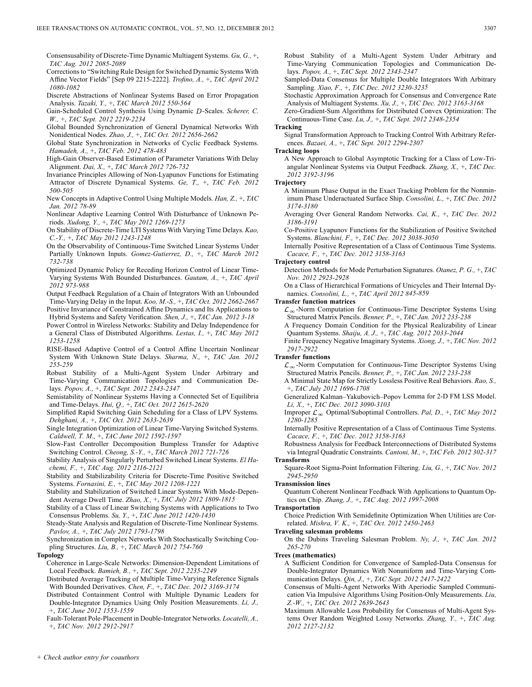Consensusability of Discrete-Time Dynamic Multiagent Systems. *Gu, G.,* +, *TAC Aug. 2012 2085-2089*

- Corrections to "Switching Rule Design for Switched Dynamic Systems With Affine Vector Fields" [Sep 09 2215-2222]. *Trofino, A.,* +, *TAC April 2012 1080-1082*
- Discrete Abstractions of Nonlinear Systems Based on Error Propagation Analysis. *Tazaki, Y.,* +, *TAC March 2012 550-564*
- Gain-Scheduled Control Synthesis Using Dynamic D-Scales. Scherer, C. *W.,* +, *TAC Sept. 2012 2219-2234*
- Global Bounded Synchronization of General Dynamical Networks With Nonidentical Nodes. *Zhao, J.,* +, *TAC Oct. 2012 2656-2662*
- Global State Synchronization in Networks of Cyclic Feedback Systems. *Hamadeh, A.,* +, *TAC Feb. 2012 478-483*
- High-Gain Observer-Based Estimation of Parameter Variations With Delay Alignment. *Dai, X.,* +, *TAC March 2012 726-732*
- Invariance Principles Allowing of Non-Lyapunov Functions for Estimating Attractor of Discrete Dynamical Systems. *Ge, T.,* +, *TAC Feb. 2012 500-505*
- New Concepts in Adaptive Control Using Multiple Models. *Han, Z.,* +, *TAC Jan. 2012 78-89*
- Nonlinear Adaptive Learning Control With Disturbance of Unknown Periods. *Xudong, Y.,* +, *TAC May 2012 1269-1273*
- On Stability of Discrete-Time LTI Systems With Varying Time Delays. *Kao, C.-Y.,* +, *TAC May 2012 1243-1248*
- On the Observability of Continuous-Time Switched Linear Systems Under Partially Unknown Inputs. *Gomez-Gutierrez, D.,* +, *TAC March 2012 732-738*
- Optimized Dynamic Policy for Receding Horizon Control of Linear Time-Varying Systems With Bounded Disturbances. *Gautam, A.,* +, *TAC April 2012 973-988*
- Output Feedback Regulation of a Chain of Integrators With an Unbounded Time-Varying Delay in the Input. *Koo, M.-S.,* +, *TAC Oct. 2012 2662-2667* Positive Invariance of Constrained Affine Dynamics and Its Applications to
- Hybrid Systems and Safety Verification. *Shen, J.,* +, *TAC Jan. 2012 3-18*
- Power Control in Wireless Networks: Stability and Delay Independence for a General Class of Distributed Algorithms. *Lestas, I.,* +, *TAC May 2012 1253-1258*
- RISE-Based Adaptive Control of a Control Affine Uncertain Nonlinear System With Unknown State Delays. *Sharma, N.,* +, *TAC Jan. 2012 255-259*
- Robust Stability of a Multi-Agent System Under Arbitrary and Time-Varying Communication Topologies and Communication Delays. *Popov, A.,* +, *TAC Sept. 2012 2343-2347*
- Semistability of Nonlinear Systems Having a Connected Set of Equilibria and Time-Delays. *Hui, Q.,* +, *TAC Oct. 2012 2615-2620*
- Simplified Rapid Switching Gain Scheduling for a Class of LPV Systems. *Dehghani, A.,* +, *TAC Oct. 2012 2633-2639*
- Single Integration Optimization of Linear Time-Varying Switched Systems. *Caldwell, T. M.,* +, *TAC June 2012 1592-1597*
- Slow-Fast Controller Decomposition Bumpless Transfer for Adaptive Switching Control. *Cheong, S.-Y.,* +, *TAC March 2012 721-726*
- Stability Analysis of Singularly Perturbed Switched Linear Systems. *El Hachemi, F.,* +, *TAC Aug. 2012 2116-2121*
- Stability and Stabilizability Criteria for Discrete-Time Positive Switched Systems. *Fornasini, E.,* +, *TAC May 2012 1208-1221*
- Stability and Stabilization of Switched Linear Systems With Mode-Dependent Average Dwell Time. *Zhao, X.,* +, *TAC July 2012 1809-1815*
- Stability of a Class of Linear Switching Systems with Applications to Two Consensus Problems. *Su, Y.,* +, *TAC June 2012 1420-1430*
- Steady-State Analysis and Regulation of Discrete-Time Nonlinear Systems. *Pavlov, A.,* +, *TAC July 2012 1793-1798*
- Synchronization in Complex Networks With Stochastically Switching Coupling Structures. *Liu, B.,* +, *TAC March 2012 754-760*
- **Topology**
	- Coherence in Large-Scale Networks: Dimension-Dependent Limitations of Local Feedback. *Bamieh, B.,* +, *TAC Sept. 2012 2235-2249*
	- Distributed Average Tracking of Multiple Time-Varying Reference Signals With Bounded Derivatives. *Chen, F.,* +, *TAC Dec. 2012 3169-3174*
	- Distributed Containment Control with Multiple Dynamic Leaders for Double-Integrator Dynamics Using Only Position Measurements. *Li, J.,* +, *TAC June 2012 1553-1559*
	- Fault-Tolerant Pole-Placement in Double-Integrator Networks. *Locatelli, A.,* +, *TAC Nov. 2012 2912-2917*
- Robust Stability of a Multi-Agent System Under Arbitrary and Time-Varying Communication Topologies and Communication Delays. *Popov, A.,* +, *TAC Sept. 2012 2343-2347*
- Sampled-Data Consensus for Multiple Double Integrators With Arbitrary Sampling. *Xiao, F.,* +, *TAC Dec. 2012 3230-3235*
- Stochastic Approximation Approach for Consensus and Convergence Rate Analysis of Multiagent Systems. *Xu, J.,* +, *TAC Dec. 2012 3163-3168*
- Zero-Gradient-Sum Algorithms for Distributed Convex Optimization: The Continuous-Time Case. *Lu, J.,* +, *TAC Sept. 2012 2348-2354*

### **Tracking**

Signal Transformation Approach to Tracking Control With Arbitrary References. *Bazaei, A.,* +, *TAC Sept. 2012 2294-2307*

### **Tracking loops**

A New Approach to Global Asymptotic Tracking for a Class of Low-Triangular Nonlinear Systems via Output Feedback. *Zhang, X.,* +, *TAC Dec. 2012 3192-3196*

### **Trajectory**

- A Minimum Phase Output in the Exact Tracking Problem for the Nonminimum Phase Underactuated Surface Ship. *Consolini, L.,* +, *TAC Dec. 2012 3174-3180*
- Averaging Over General Random Networks. *Cai, K.,* +, *TAC Dec. 2012 3186-3191*
- Co-Positive Lyapunov Functions for the Stabilization of Positive Switched Systems. *Blanchini, F.,* +, *TAC Dec. 2012 3038-3050*
- Internally Positive Representation of a Class of Continuous Time Systems. *Cacace, F.,* +, *TAC Dec. 2012 3158-3163*

### **Trajectory control**

- Detection Methods for Mode Perturbation Signatures. *Otanez, P. G.,* +, *TAC Nov. 2012 2923-2928*
- On a Class of Hierarchical Formations of Unicycles and Their Internal Dynamics. *Consolini, L.,* +, *TAC April 2012 845-859*

# **Transfer function matrices**

 $\mathcal{L}_{\infty}$ -Norm Computation for Continuous-Time Descriptor Systems Using Structured Matrix Pencils. *Benner, P.,* +, *TAC Jan. 2012 233-238*

- A Frequency Domain Condition for the Physical Realizability of Linear Quantum Systems. *Shaiju, A. J.,* +, *TAC Aug. 2012 2033-2044*
- Finite Frequency Negative Imaginary Systems. *Xiong, J.,* +, *TAC Nov. 2012 2917-2922*

# **Transfer functions**

- $\mathcal{L}_{\infty}$ -Norm Computation for Continuous-Time Descriptor Systems Using Structured Matrix Pencils. *Benner, P.,* +, *TAC Jan. 2012 233-238*
- A Minimal State Map for Strictly Lossless Positive Real Behaviors. *Rao, S.,* +, *TAC July 2012 1696-1708*
- Generalized Kalman–Yakubovich–Popov Lemma for 2-D FM LSS Model. *Li, X.,* +, *TAC Dec. 2012 3090-3103*
- Improper  $\mathcal{L}_{\infty}$  Optimal/Suboptimal Controllers. *Pal, D., +, TAC May 2012 1280-1285*
- Internally Positive Representation of a Class of Continuous Time Systems. *Cacace, F.,* +, *TAC Dec. 2012 3158-3163*
- Robustness Analysis for Feedback Interconnections of Distributed Systems via Integral Quadratic Constraints. *Cantoni, M.,* +, *TAC Feb. 2012 302-317* **Transforms**
- Square-Root Sigma-Point Information Filtering. *Liu, G.,* +, *TAC Nov. 2012 2945-2950*

### **Transmission lines**

Quantum Coherent Nonlinear Feedback With Applications to Quantum Optics on Chip. *Zhang, J.,* +, *TAC Aug. 2012 1997-2008*

### **Transportation**

Choice Prediction With Semidefinite Optimization When Utilities are Correlated. *Mishra, V. K.,* +, *TAC Oct. 2012 2450-2463*

### **Traveling salesman problems**

On the Dubins Traveling Salesman Problem. *Ny, J.,* +, *TAC Jan. 2012 265-270*

# **Trees (mathematics)**

- A Sufficient Condition for Convergence of Sampled-Data Consensus for Double-Integrator Dynamics With Nonuniform and Time-Varying Communication Delays. *Qin, J.,* +, *TAC Sept. 2012 2417-2422*
- Consensus of Multi-Agent Networks With Aperiodic Sampled Communication Via Impulsive Algorithms Using Position-Only Measurements. *Liu, Z.-W.,* +, *TAC Oct. 2012 2639-2643*
- Maximum Allowable Loss Probability for Consensus of Multi-Agent Systems Over Random Weighted Lossy Networks. *Zhang, Y.,* +, *TAC Aug. 2012 2127-2132*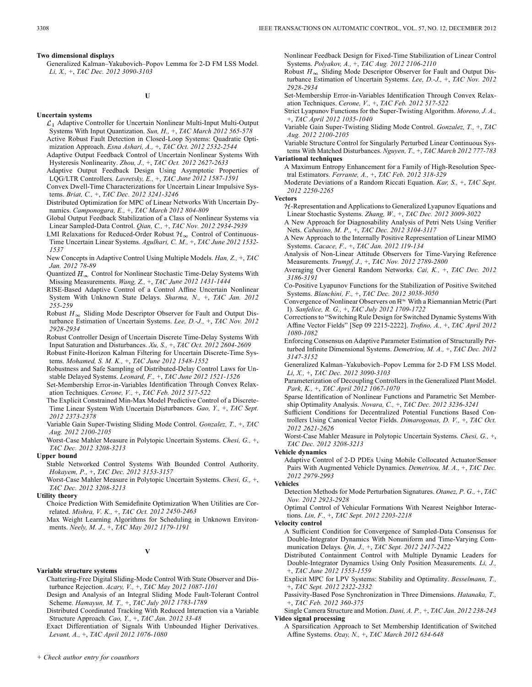**U**

### **Uncertain systems**

- $\mathcal{L}_1$  Adaptive Controller for Uncertain Nonlinear Multi-Input Multi-Output Systems With Input Quantization. *Sun, H.,* +, *TAC March 2012 565-578*
- Active Robust Fault Detection in Closed-Loop Systems: Quadratic Optimization Approach. *Esna Ashari, A.,* +, *TAC Oct. 2012 2532-2544*
- Adaptive Output Feedback Control of Uncertain Nonlinear Systems With Hysteresis Nonlinearity. *Zhou, J.,* +, *TAC Oct. 2012 2627-2633*
- Adaptive Output Feedback Design Using Asymptotic Properties of LQG/LTR Controllers. *Lavretsky, E.,* +, *TAC June 2012 1587-1591*
- Convex Dwell-Time Characterizations for Uncertain Linear Impulsive Systems. *Briat, C.,* +, *TAC Dec. 2012 3241-3246*
- Distributed Optimization for MPC of Linear Networks With Uncertain Dynamics. *Camponogara, E.,* +, *TAC March 2012 804-809*
- Global Output Feedback Stabilization of a Class of Nonlinear Systems via Linear Sampled-Data Control. *Qian, C.,* +, *TAC Nov. 2012 2934-2939*
- LMI Relaxations for Reduced-Order Robust  $\mathcal{H}_{\infty}$  Control of Continuous-Time Uncertain Linear Systems. *Agulhari, C. M.,* +, *TAC June 2012 1532- 1537*
- New Concepts in Adaptive Control Using Multiple Models. *Han, Z.,* +, *TAC Jan. 2012 78-89*
- Quantized  $H_{\infty}$  Control for Nonlinear Stochastic Time-Delay Systems With Missing Measurements. *Wang, Z.,* +, *TAC June 2012 1431-1444*
- RISE-Based Adaptive Control of a Control Affine Uncertain Nonlinear System With Unknown State Delays. *Sharma, N.,* +, *TAC Jan. 2012 255-259*
- Robust  $H_{\infty}$  Sliding Mode Descriptor Observer for Fault and Output Disturbance Estimation of Uncertain Systems. *Lee, D.-J.,* +, *TAC Nov. 2012 2928-2934*
- Robust Controller Design of Uncertain Discrete Time-Delay Systems With Input Saturation and Disturbances. *Xu, S.,* +, *TAC Oct. 2012 2604-2609*

Robust Finite-Horizon Kalman Filtering for Uncertain Discrete-Time Systems. *Mohamed, S. M. K.,* +, *TAC June 2012 1548-1552*

Robustness and Safe Sampling of Distributed-Delay Control Laws for Unstable Delayed Systems. *Leonard, F.,* +, *TAC June 2012 1521-1526*

Set-Membership Error-in-Variables Identification Through Convex Relaxation Techniques. *Cerone, V.,* +, *TAC Feb. 2012 517-522*

- The Explicit Constrained Min-Max Model Predictive Control of a Discrete-Time Linear System With Uncertain Disturbances. *Gao, Y.,* +, *TAC Sept. 2012 2373-2378*
- Variable Gain Super-Twisting Sliding Mode Control. *Gonzalez, T.,* +, *TAC Aug. 2012 2100-2105*
- Worst-Case Mahler Measure in Polytopic Uncertain Systems. *Chesi, G.,* +, *TAC Dec. 2012 3208-3213*

# **Upper bound**

Stable Networked Control Systems With Bounded Control Authority. *Hokayem, P.,* +, *TAC Dec. 2012 3153-3157*

Worst-Case Mahler Measure in Polytopic Uncertain Systems. *Chesi, G.,* +, *TAC Dec. 2012 3208-3213*

# **Utility theory**

Choice Prediction With Semidefinite Optimization When Utilities are Correlated. *Mishra, V. K.,* +, *TAC Oct. 2012 2450-2463*

Max Weight Learning Algorithms for Scheduling in Unknown Environments. *Neely, M. J.,* +, *TAC May 2012 1179-1191*

# **V**

# **Variable structure systems**

Chattering-Free Digital Sliding-Mode Control With State Observer and Disturbance Rejection. *Acary, V.,* +, *TAC May 2012 1087-1101*

Design and Analysis of an Integral Sliding Mode Fault-Tolerant Control Scheme. *Hamayun, M. T.,* +, *TAC July 2012 1783-1789*

Distributed Coordinated Tracking With Reduced Interaction via a Variable Structure Approach. *Cao, Y.,* +, *TAC Jan. 2012 33-48*

Exact Differentiation of Signals With Unbounded Higher Derivatives. *Levant, A.,* +, *TAC April 2012 1076-1080*

Nonlinear Feedback Design for Fixed-Time Stabilization of Linear Control Systems. *Polyakov, A.,* +, *TAC Aug. 2012 2106-2110*

Robust  $H_{\infty}$  Sliding Mode Descriptor Observer for Fault and Output Disturbance Estimation of Uncertain Systems. *Lee, D.-J.,* +, *TAC Nov. 2012 2928-2934*

Set-Membership Error-in-Variables Identification Through Convex Relaxation Techniques. *Cerone, V.,* +, *TAC Feb. 2012 517-522*

Strict Lyapunov Functions for the Super-Twisting Algorithm. *Moreno, J. A.,* +, *TAC April 2012 1035-1040*

Variable Gain Super-Twisting Sliding Mode Control. *Gonzalez, T.,* +, *TAC Aug. 2012 2100-2105*

Variable Structure Control for Singularly Perturbed Linear Continuous Systems With Matched Disturbances. *Nguyen, T.,* +, *TAC March 2012 777-783* **Variational techniques**

A Maximum Entropy Enhancement for a Family of High-Resolution Spectral Estimators. *Ferrante, A.,* +, *TAC Feb. 2012 318-329*

Moderate Deviations of a Random Riccati Equation. *Kar, S.,* +, *TAC Sept. 2012 2250-2265*

### **Vectors**

- $H$ -Representation and Applications to Generalized Lyapunov Equations and Linear Stochastic Systems. *Zhang, W.,* +, *TAC Dec. 2012 3009-3022*
- A New Approach for Diagnosability Analysis of Petri Nets Using Verifier Nets. *Cabasino, M. P.,* +, *TAC Dec. 2012 3104-3117*

A New Approach to the Internally Positive Representation of Linear MIMO Systems. *Cacace, F.,* +, *TAC Jan. 2012 119-134*

- Analysis of Non-Linear Attitude Observers for Time-Varying Reference Measurements. *Trumpf, J.,* +, *TAC Nov. 2012 2789-2800*
- Averaging Over General Random Networks. *Cai, K.,* +, *TAC Dec. 2012 3186-3191*

Co-Positive Lyapunov Functions for the Stabilization of Positive Switched Systems. *Blanchini, F.,* +, *TAC Dec. 2012 3038-3050*

Convergence of Nonlinear Observers on  $\mathbb{R}^n$  With a Riemannian Metric (Part I). *Sanfelice, R. G.,* +, *TAC July 2012 1709-1722*

Corrections to "Switching Rule Design for Switched Dynamic Systems With Affine Vector Fields" [Sep 09 2215-2222]. *Trofino, A.,* +, *TAC April 2012 1080-1082*

Enforcing Consensus on Adaptive Parameter Estimation of Structurally Perturbed Infinite Dimensional Systems. *Demetriou, M. A.,* +, *TAC Dec. 2012 3147-3152*

Generalized Kalman–Yakubovich–Popov Lemma for 2-D FM LSS Model. *Li, X.,* +, *TAC Dec. 2012 3090-3103*

Parameterization of Decoupling Controllers in the Generalized Plant Model. *Park, K.,* +, *TAC April 2012 1067-1070*

Sparse Identification of Nonlinear Functions and Parametric Set Membership Optimality Analysis. *Novara, C.,* +, *TAC Dec. 2012 3236-3241*

Sufficient Conditions for Decentralized Potential Functions Based Controllers Using Canonical Vector Fields. *Dimarogonas, D. V.,* +, *TAC Oct. 2012 2621-2626*

Worst-Case Mahler Measure in Polytopic Uncertain Systems. *Chesi, G.,* +, *TAC Dec. 2012 3208-3213*

### **Vehicle dynamics**

Adaptive Control of 2-D PDEs Using Mobile Collocated Actuator/Sensor Pairs With Augmented Vehicle Dynamics. *Demetriou, M. A.,* +, *TAC Dec. 2012 2979-2993*

### **Vehicles**

Detection Methods for Mode Perturbation Signatures. *Otanez, P. G.,* +, *TAC Nov. 2012 2923-2928*

Optimal Control of Vehicular Formations With Nearest Neighbor Interactions. *Lin, F.,* +, *TAC Sept. 2012 2203-2218*

### **Velocity control**

A Sufficient Condition for Convergence of Sampled-Data Consensus for Double-Integrator Dynamics With Nonuniform and Time-Varying Communication Delays. *Qin, J.,* +, *TAC Sept. 2012 2417-2422*

Distributed Containment Control with Multiple Dynamic Leaders for Double-Integrator Dynamics Using Only Position Measurements. *Li, J.,* +, *TAC June 2012 1553-1559*

Explicit MPC for LPV Systems: Stability and Optimality. *Besselmann, T.,* +, *TAC Sept. 2012 2322-2332*

Passivity-Based Pose Synchronization in Three Dimensions. *Hatanaka, T.,* +, *TAC Feb. 2012 360-375*

Single Camera Structure and Motion. *Dani, A. P.,* +, *TAC Jan. 2012 238-243* **Video signal processing**

A Sparsification Approach to Set Membership Identification of Switched Affine Systems. *Ozay, N.,* +, *TAC March 2012 634-648*

Generalized Kalman–Yakubovich–Popov Lemma for 2-D FM LSS Model. *Li, X.,* +, *TAC Dec. 2012 3090-3103*